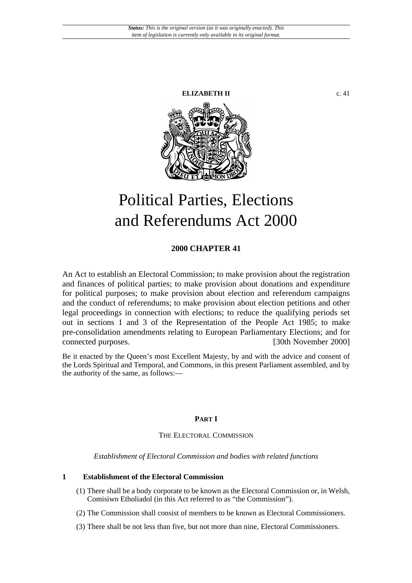## **ELIZABETH II** c. 41



# Political Parties, Elections and Referendums Act 2000

# **2000 CHAPTER 41**

An Act to establish an Electoral Commission; to make provision about the registration and finances of political parties; to make provision about donations and expenditure for political purposes; to make provision about election and referendum campaigns and the conduct of referendums; to make provision about election petitions and other legal proceedings in connection with elections; to reduce the qualifying periods set out in sections 1 and 3 of the Representation of the People Act 1985; to make pre-consolidation amendments relating to European Parliamentary Elections; and for connected purposes. [30th November 2000]

Be it enacted by the Queen's most Excellent Majesty, by and with the advice and consent of the Lords Spiritual and Temporal, and Commons, in this present Parliament assembled, and by the authority of the same, as follows:—

## **PART I**

# THE ELECTORAL COMMISSION

*Establishment of Electoral Commission and bodies with related functions*

## **1 Establishment of the Electoral Commission**

- (1) There shall be a body corporate to be known as the Electoral Commission or, in Welsh, Comisiwn Etholiadol (in this Act referred to as "the Commission").
- (2) The Commission shall consist of members to be known as Electoral Commissioners.
- (3) There shall be not less than five, but not more than nine, Electoral Commissioners.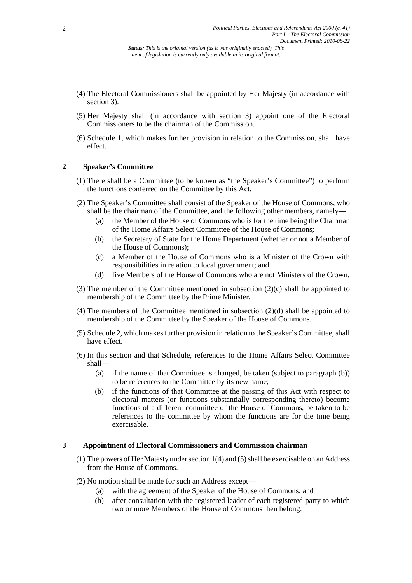- (4) The Electoral Commissioners shall be appointed by Her Majesty (in accordance with section 3).
- (5) Her Majesty shall (in accordance with section 3) appoint one of the Electoral Commissioners to be the chairman of the Commission.
- (6) Schedule 1, which makes further provision in relation to the Commission, shall have effect.

#### **2 Speaker's Committee**

- (1) There shall be a Committee (to be known as "the Speaker's Committee") to perform the functions conferred on the Committee by this Act.
- (2) The Speaker's Committee shall consist of the Speaker of the House of Commons, who shall be the chairman of the Committee, and the following other members, namely—
	- (a) the Member of the House of Commons who is for the time being the Chairman of the Home Affairs Select Committee of the House of Commons;
	- (b) the Secretary of State for the Home Department (whether or not a Member of the House of Commons);
	- (c) a Member of the House of Commons who is a Minister of the Crown with responsibilities in relation to local government; and
	- (d) five Members of the House of Commons who are not Ministers of the Crown.
- (3) The member of the Committee mentioned in subsection (2)(c) shall be appointed to membership of the Committee by the Prime Minister.
- (4) The members of the Committee mentioned in subsection (2)(d) shall be appointed to membership of the Committee by the Speaker of the House of Commons.
- (5) Schedule 2, which makes further provision in relation to the Speaker's Committee, shall have effect.
- (6) In this section and that Schedule, references to the Home Affairs Select Committee shall—
	- (a) if the name of that Committee is changed, be taken (subject to paragraph (b)) to be references to the Committee by its new name;
	- (b) if the functions of that Committee at the passing of this Act with respect to electoral matters (or functions substantially corresponding thereto) become functions of a different committee of the House of Commons, be taken to be references to the committee by whom the functions are for the time being exercisable.

#### **3 Appointment of Electoral Commissioners and Commission chairman**

- (1) The powers of Her Majesty under section 1(4) and (5) shall be exercisable on an Address from the House of Commons.
- (2) No motion shall be made for such an Address except—
	- (a) with the agreement of the Speaker of the House of Commons; and
	- (b) after consultation with the registered leader of each registered party to which two or more Members of the House of Commons then belong.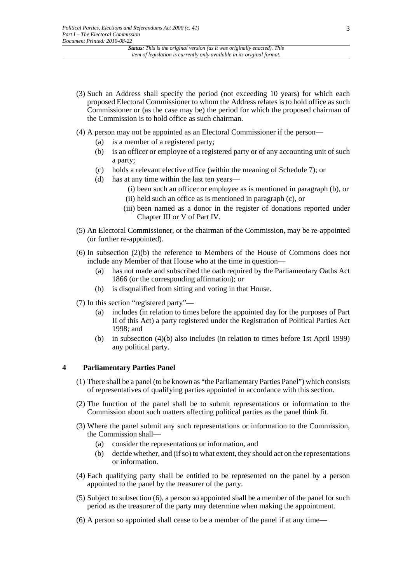- (3) Such an Address shall specify the period (not exceeding 10 years) for which each proposed Electoral Commissioner to whom the Address relates is to hold office as such Commissioner or (as the case may be) the period for which the proposed chairman of the Commission is to hold office as such chairman.
- (4) A person may not be appointed as an Electoral Commissioner if the person—
	- (a) is a member of a registered party;
	- (b) is an officer or employee of a registered party or of any accounting unit of such a party;
	- (c) holds a relevant elective office (within the meaning of Schedule 7); or
	- (d) has at any time within the last ten years—
		- (i) been such an officer or employee as is mentioned in paragraph (b), or
		- (ii) held such an office as is mentioned in paragraph (c), or
		- (iii) been named as a donor in the register of donations reported under Chapter III or V of Part IV.
- (5) An Electoral Commissioner, or the chairman of the Commission, may be re-appointed (or further re-appointed).
- (6) In subsection (2)(b) the reference to Members of the House of Commons does not include any Member of that House who at the time in question—
	- (a) has not made and subscribed the oath required by the Parliamentary Oaths Act 1866 (or the corresponding affirmation); or
	- (b) is disqualified from sitting and voting in that House.
- (7) In this section "registered party"—
	- (a) includes (in relation to times before the appointed day for the purposes of Part II of this Act) a party registered under the Registration of Political Parties Act 1998; and
	- (b) in subsection (4)(b) also includes (in relation to times before 1st April 1999) any political party.

# **4 Parliamentary Parties Panel**

- (1) There shall be a panel (to be known as "the Parliamentary Parties Panel") which consists of representatives of qualifying parties appointed in accordance with this section.
- (2) The function of the panel shall be to submit representations or information to the Commission about such matters affecting political parties as the panel think fit.
- (3) Where the panel submit any such representations or information to the Commission, the Commission shall—
	- (a) consider the representations or information, and
	- (b) decide whether, and (if so) to what extent, they should act on the representations or information.
- (4) Each qualifying party shall be entitled to be represented on the panel by a person appointed to the panel by the treasurer of the party.
- (5) Subject to subsection (6), a person so appointed shall be a member of the panel for such period as the treasurer of the party may determine when making the appointment.
- (6) A person so appointed shall cease to be a member of the panel if at any time—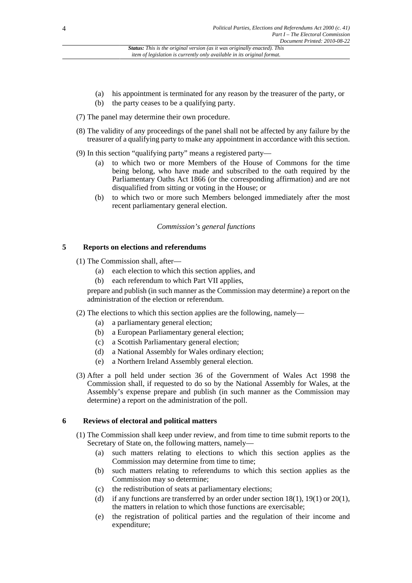- (a) his appointment is terminated for any reason by the treasurer of the party, or
- (b) the party ceases to be a qualifying party.
- (7) The panel may determine their own procedure.
- (8) The validity of any proceedings of the panel shall not be affected by any failure by the treasurer of a qualifying party to make any appointment in accordance with this section.
- (9) In this section "qualifying party" means a registered party—
	- (a) to which two or more Members of the House of Commons for the time being belong, who have made and subscribed to the oath required by the Parliamentary Oaths Act 1866 (or the corresponding affirmation) and are not disqualified from sitting or voting in the House; or
	- (b) to which two or more such Members belonged immediately after the most recent parliamentary general election.

## *Commission's general functions*

## **5 Reports on elections and referendums**

- (1) The Commission shall, after—
	- (a) each election to which this section applies, and
	- (b) each referendum to which Part VII applies,

prepare and publish (in such manner as the Commission may determine) a report on the administration of the election or referendum.

- (2) The elections to which this section applies are the following, namely—
	- (a) a parliamentary general election;
	- (b) a European Parliamentary general election;
	- (c) a Scottish Parliamentary general election;
	- (d) a National Assembly for Wales ordinary election;
	- (e) a Northern Ireland Assembly general election.
- (3) After a poll held under section 36 of the Government of Wales Act 1998 the Commission shall, if requested to do so by the National Assembly for Wales, at the Assembly's expense prepare and publish (in such manner as the Commission may determine) a report on the administration of the poll.

#### **6 Reviews of electoral and political matters**

- (1) The Commission shall keep under review, and from time to time submit reports to the Secretary of State on, the following matters, namely—
	- (a) such matters relating to elections to which this section applies as the Commission may determine from time to time;
	- (b) such matters relating to referendums to which this section applies as the Commission may so determine;
	- (c) the redistribution of seats at parliamentary elections;
	- (d) if any functions are transferred by an order under section 18(1), 19(1) or 20(1), the matters in relation to which those functions are exercisable;
	- (e) the registration of political parties and the regulation of their income and expenditure;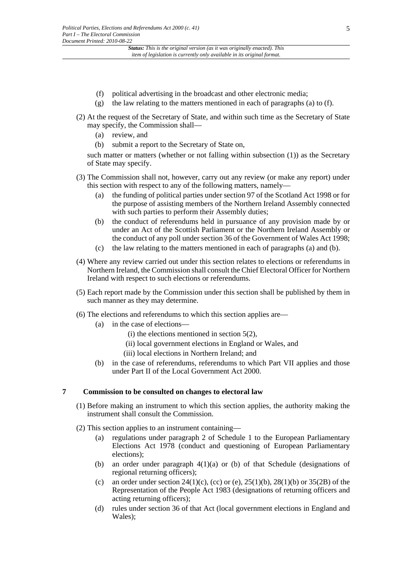- (f) political advertising in the broadcast and other electronic media;
- (g) the law relating to the matters mentioned in each of paragraphs (a) to (f).
- (2) At the request of the Secretary of State, and within such time as the Secretary of State may specify, the Commission shall—
	- (a) review, and
	- (b) submit a report to the Secretary of State on,

such matter or matters (whether or not falling within subsection (1)) as the Secretary of State may specify.

- (3) The Commission shall not, however, carry out any review (or make any report) under this section with respect to any of the following matters, namely—
	- (a) the funding of political parties under section 97 of the Scotland Act 1998 or for the purpose of assisting members of the Northern Ireland Assembly connected with such parties to perform their Assembly duties;
	- (b) the conduct of referendums held in pursuance of any provision made by or under an Act of the Scottish Parliament or the Northern Ireland Assembly or the conduct of any poll under section 36 of the Government of Wales Act 1998;
	- (c) the law relating to the matters mentioned in each of paragraphs (a) and (b).
- (4) Where any review carried out under this section relates to elections or referendums in Northern Ireland, the Commission shall consult the Chief Electoral Officer for Northern Ireland with respect to such elections or referendums.
- (5) Each report made by the Commission under this section shall be published by them in such manner as they may determine.
- (6) The elections and referendums to which this section applies are—
	- (a) in the case of elections—
		- $(i)$  the elections mentioned in section 5(2),
		- (ii) local government elections in England or Wales, and
		- (iii) local elections in Northern Ireland; and
	- (b) in the case of referendums, referendums to which Part VII applies and those under Part II of the Local Government Act 2000.

# **7 Commission to be consulted on changes to electoral law**

- (1) Before making an instrument to which this section applies, the authority making the instrument shall consult the Commission.
- (2) This section applies to an instrument containing—
	- (a) regulations under paragraph 2 of Schedule 1 to the European Parliamentary Elections Act 1978 (conduct and questioning of European Parliamentary elections);
	- (b) an order under paragraph 4(1)(a) or (b) of that Schedule (designations of regional returning officers);
	- (c) an order under section 24(1)(c), (cc) or (e), 25(1)(b), 28(1)(b) or 35(2B) of the Representation of the People Act 1983 (designations of returning officers and acting returning officers);
	- (d) rules under section 36 of that Act (local government elections in England and Wales);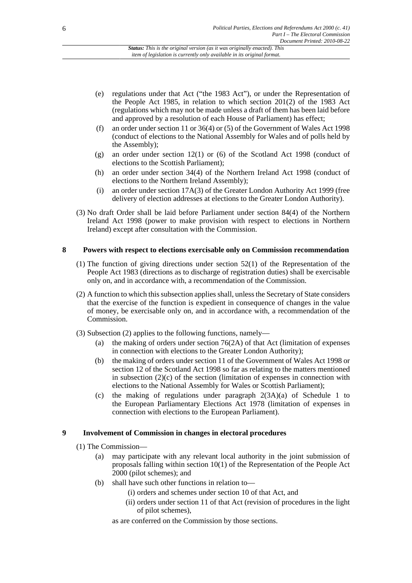- (e) regulations under that Act ("the 1983 Act"), or under the Representation of the People Act 1985, in relation to which section 201(2) of the 1983 Act (regulations which may not be made unless a draft of them has been laid before and approved by a resolution of each House of Parliament) has effect;
- (f) an order under section 11 or 36(4) or (5) of the Government of Wales Act 1998 (conduct of elections to the National Assembly for Wales and of polls held by the Assembly);
- (g) an order under section  $12(1)$  or (6) of the Scotland Act 1998 (conduct of elections to the Scottish Parliament);
- (h) an order under section 34(4) of the Northern Ireland Act 1998 (conduct of elections to the Northern Ireland Assembly);
- (i) an order under section 17A(3) of the Greater London Authority Act 1999 (free delivery of election addresses at elections to the Greater London Authority).
- (3) No draft Order shall be laid before Parliament under section 84(4) of the Northern Ireland Act 1998 (power to make provision with respect to elections in Northern Ireland) except after consultation with the Commission.

## **8 Powers with respect to elections exercisable only on Commission recommendation**

- (1) The function of giving directions under section 52(1) of the Representation of the People Act 1983 (directions as to discharge of registration duties) shall be exercisable only on, and in accordance with, a recommendation of the Commission.
- (2) A function to which this subsection applies shall, unless the Secretary of State considers that the exercise of the function is expedient in consequence of changes in the value of money, be exercisable only on, and in accordance with, a recommendation of the Commission.
- (3) Subsection (2) applies to the following functions, namely—
	- (a) the making of orders under section 76(2A) of that Act (limitation of expenses in connection with elections to the Greater London Authority);
	- (b) the making of orders under section 11 of the Government of Wales Act 1998 or section 12 of the Scotland Act 1998 so far as relating to the matters mentioned in subsection  $(2)(c)$  of the section (limitation of expenses in connection with elections to the National Assembly for Wales or Scottish Parliament);
	- (c) the making of regulations under paragraph 2(3A)(a) of Schedule 1 to the European Parliamentary Elections Act 1978 (limitation of expenses in connection with elections to the European Parliament).

#### **9 Involvement of Commission in changes in electoral procedures**

- (1) The Commission—
	- (a) may participate with any relevant local authority in the joint submission of proposals falling within section 10(1) of the Representation of the People Act 2000 (pilot schemes); and
	- (b) shall have such other functions in relation to—
		- (i) orders and schemes under section 10 of that Act, and
		- (ii) orders under section 11 of that Act (revision of procedures in the light of pilot schemes),

as are conferred on the Commission by those sections.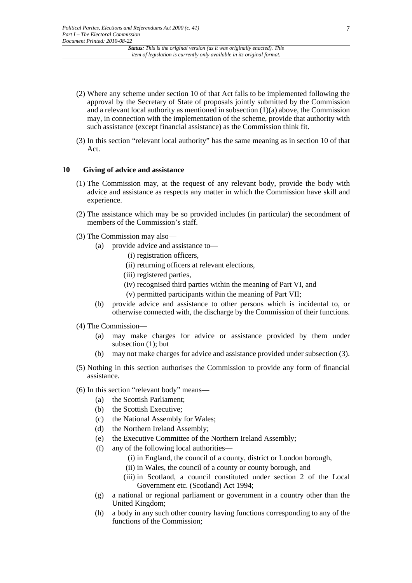- (2) Where any scheme under section 10 of that Act falls to be implemented following the approval by the Secretary of State of proposals jointly submitted by the Commission and a relevant local authority as mentioned in subsection (1)(a) above, the Commission may, in connection with the implementation of the scheme, provide that authority with such assistance (except financial assistance) as the Commission think fit.
- (3) In this section "relevant local authority" has the same meaning as in section 10 of that Act.

## **10 Giving of advice and assistance**

- (1) The Commission may, at the request of any relevant body, provide the body with advice and assistance as respects any matter in which the Commission have skill and experience.
- (2) The assistance which may be so provided includes (in particular) the secondment of members of the Commission's staff.
- (3) The Commission may also—
	- (a) provide advice and assistance to—
		- (i) registration officers,
		- (ii) returning officers at relevant elections,
		- (iii) registered parties,
		- (iv) recognised third parties within the meaning of Part VI, and
		- (v) permitted participants within the meaning of Part VII;
	- (b) provide advice and assistance to other persons which is incidental to, or otherwise connected with, the discharge by the Commission of their functions.
- (4) The Commission—
	- (a) may make charges for advice or assistance provided by them under subsection (1); but
	- (b) may not make charges for advice and assistance provided under subsection (3).
- (5) Nothing in this section authorises the Commission to provide any form of financial assistance.
- (6) In this section "relevant body" means—
	- (a) the Scottish Parliament;
	- (b) the Scottish Executive;
	- (c) the National Assembly for Wales;
	- (d) the Northern Ireland Assembly;
	- (e) the Executive Committee of the Northern Ireland Assembly;
	- (f) any of the following local authorities—
		- (i) in England, the council of a county, district or London borough,
		- (ii) in Wales, the council of a county or county borough, and
		- (iii) in Scotland, a council constituted under section 2 of the Local Government etc. (Scotland) Act 1994;
	- (g) a national or regional parliament or government in a country other than the United Kingdom;
	- (h) a body in any such other country having functions corresponding to any of the functions of the Commission;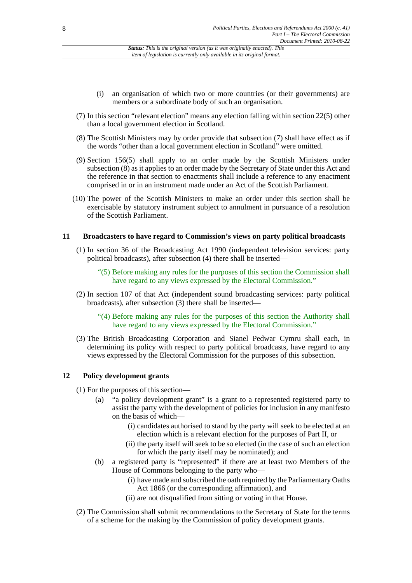- (i) an organisation of which two or more countries (or their governments) are members or a subordinate body of such an organisation.
- (7) In this section "relevant election" means any election falling within section 22(5) other than a local government election in Scotland.
- (8) The Scottish Ministers may by order provide that subsection (7) shall have effect as if the words "other than a local government election in Scotland" were omitted.
- (9) Section 156(5) shall apply to an order made by the Scottish Ministers under subsection (8) as it applies to an order made by the Secretary of State under this Act and the reference in that section to enactments shall include a reference to any enactment comprised in or in an instrument made under an Act of the Scottish Parliament.
- (10) The power of the Scottish Ministers to make an order under this section shall be exercisable by statutory instrument subject to annulment in pursuance of a resolution of the Scottish Parliament.

#### **11 Broadcasters to have regard to Commission's views on party political broadcasts**

- (1) In section 36 of the Broadcasting Act 1990 (independent television services: party political broadcasts), after subsection (4) there shall be inserted—
	- "(5) Before making any rules for the purposes of this section the Commission shall have regard to any views expressed by the Electoral Commission."
- (2) In section 107 of that Act (independent sound broadcasting services: party political broadcasts), after subsection (3) there shall be inserted—
	- "(4) Before making any rules for the purposes of this section the Authority shall have regard to any views expressed by the Electoral Commission."
- (3) The British Broadcasting Corporation and Sianel Pedwar Cymru shall each, in determining its policy with respect to party political broadcasts, have regard to any views expressed by the Electoral Commission for the purposes of this subsection.

## **12 Policy development grants**

- (1) For the purposes of this section—
	- (a) "a policy development grant" is a grant to a represented registered party to assist the party with the development of policies for inclusion in any manifesto on the basis of which—
		- (i) candidates authorised to stand by the party will seek to be elected at an election which is a relevant election for the purposes of Part II, or
		- (ii) the party itself will seek to be so elected (in the case of such an election for which the party itself may be nominated); and
	- (b) a registered party is "represented" if there are at least two Members of the House of Commons belonging to the party who—
		- (i) have made and subscribed the oath required by the Parliamentary Oaths Act 1866 (or the corresponding affirmation), and
		- (ii) are not disqualified from sitting or voting in that House.
- (2) The Commission shall submit recommendations to the Secretary of State for the terms of a scheme for the making by the Commission of policy development grants.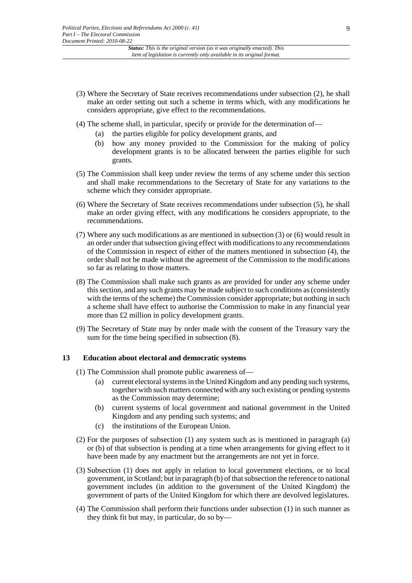- (3) Where the Secretary of State receives recommendations under subsection (2), he shall make an order setting out such a scheme in terms which, with any modifications he considers appropriate, give effect to the recommendations.
- (4) The scheme shall, in particular, specify or provide for the determination of—
	- (a) the parties eligible for policy development grants, and
	- (b) how any money provided to the Commission for the making of policy development grants is to be allocated between the parties eligible for such grants.
- (5) The Commission shall keep under review the terms of any scheme under this section and shall make recommendations to the Secretary of State for any variations to the scheme which they consider appropriate.
- (6) Where the Secretary of State receives recommendations under subsection (5), he shall make an order giving effect, with any modifications he considers appropriate, to the recommendations.
- (7) Where any such modifications as are mentioned in subsection (3) or (6) would result in an order under that subsection giving effect with modifications to any recommendations of the Commission in respect of either of the matters mentioned in subsection (4), the order shall not be made without the agreement of the Commission to the modifications so far as relating to those matters.
- (8) The Commission shall make such grants as are provided for under any scheme under this section, and any such grants may be made subject to such conditions as (consistently with the terms of the scheme) the Commission consider appropriate; but nothing in such a scheme shall have effect to authorise the Commission to make in any financial year more than £2 million in policy development grants.
- (9) The Secretary of State may by order made with the consent of the Treasury vary the sum for the time being specified in subsection (8).

## **13 Education about electoral and democratic systems**

- (1) The Commission shall promote public awareness of—
	- (a) current electoral systems in the United Kingdom and any pending such systems, together with such matters connected with any such existing or pending systems as the Commission may determine;
	- (b) current systems of local government and national government in the United Kingdom and any pending such systems; and
	- (c) the institutions of the European Union.
- (2) For the purposes of subsection (1) any system such as is mentioned in paragraph (a) or (b) of that subsection is pending at a time when arrangements for giving effect to it have been made by any enactment but the arrangements are not yet in force.
- (3) Subsection (1) does not apply in relation to local government elections, or to local government, in Scotland; but in paragraph (b) of that subsection the reference to national government includes (in addition to the government of the United Kingdom) the government of parts of the United Kingdom for which there are devolved legislatures.
- (4) The Commission shall perform their functions under subsection (1) in such manner as they think fit but may, in particular, do so by—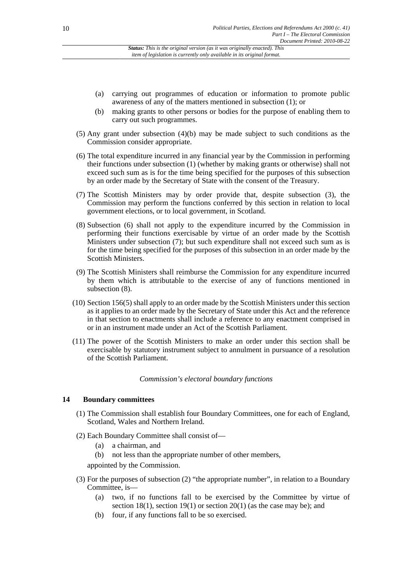- (a) carrying out programmes of education or information to promote public awareness of any of the matters mentioned in subsection (1); or
- (b) making grants to other persons or bodies for the purpose of enabling them to carry out such programmes.
- (5) Any grant under subsection (4)(b) may be made subject to such conditions as the Commission consider appropriate.
- (6) The total expenditure incurred in any financial year by the Commission in performing their functions under subsection (1) (whether by making grants or otherwise) shall not exceed such sum as is for the time being specified for the purposes of this subsection by an order made by the Secretary of State with the consent of the Treasury.
- (7) The Scottish Ministers may by order provide that, despite subsection (3), the Commission may perform the functions conferred by this section in relation to local government elections, or to local government, in Scotland.
- (8) Subsection (6) shall not apply to the expenditure incurred by the Commission in performing their functions exercisable by virtue of an order made by the Scottish Ministers under subsection (7); but such expenditure shall not exceed such sum as is for the time being specified for the purposes of this subsection in an order made by the Scottish Ministers.
- (9) The Scottish Ministers shall reimburse the Commission for any expenditure incurred by them which is attributable to the exercise of any of functions mentioned in subsection (8).
- (10) Section 156(5) shall apply to an order made by the Scottish Ministers under this section as it applies to an order made by the Secretary of State under this Act and the reference in that section to enactments shall include a reference to any enactment comprised in or in an instrument made under an Act of the Scottish Parliament.
- (11) The power of the Scottish Ministers to make an order under this section shall be exercisable by statutory instrument subject to annulment in pursuance of a resolution of the Scottish Parliament.

#### *Commission's electoral boundary functions*

#### **14 Boundary committees**

- (1) The Commission shall establish four Boundary Committees, one for each of England, Scotland, Wales and Northern Ireland.
- (2) Each Boundary Committee shall consist of—
	- (a) a chairman, and
	- (b) not less than the appropriate number of other members,

appointed by the Commission.

- (3) For the purposes of subsection (2) "the appropriate number", in relation to a Boundary Committee, is—
	- (a) two, if no functions fall to be exercised by the Committee by virtue of section 18(1), section 19(1) or section 20(1) (as the case may be); and
	- (b) four, if any functions fall to be so exercised.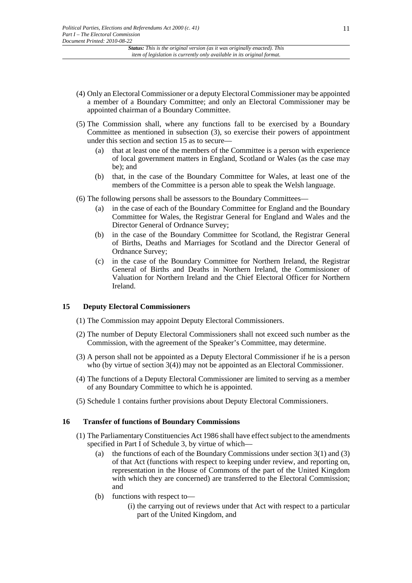- (4) Only an Electoral Commissioner or a deputy Electoral Commissioner may be appointed a member of a Boundary Committee; and only an Electoral Commissioner may be appointed chairman of a Boundary Committee.
- (5) The Commission shall, where any functions fall to be exercised by a Boundary Committee as mentioned in subsection (3), so exercise their powers of appointment under this section and section 15 as to secure—
	- (a) that at least one of the members of the Committee is a person with experience of local government matters in England, Scotland or Wales (as the case may be); and
	- (b) that, in the case of the Boundary Committee for Wales, at least one of the members of the Committee is a person able to speak the Welsh language.
- (6) The following persons shall be assessors to the Boundary Committees—
	- (a) in the case of each of the Boundary Committee for England and the Boundary Committee for Wales, the Registrar General for England and Wales and the Director General of Ordnance Survey;
	- (b) in the case of the Boundary Committee for Scotland, the Registrar General of Births, Deaths and Marriages for Scotland and the Director General of Ordnance Survey;
	- (c) in the case of the Boundary Committee for Northern Ireland, the Registrar General of Births and Deaths in Northern Ireland, the Commissioner of Valuation for Northern Ireland and the Chief Electoral Officer for Northern Ireland.

## **15 Deputy Electoral Commissioners**

- (1) The Commission may appoint Deputy Electoral Commissioners.
- (2) The number of Deputy Electoral Commissioners shall not exceed such number as the Commission, with the agreement of the Speaker's Committee, may determine.
- (3) A person shall not be appointed as a Deputy Electoral Commissioner if he is a person who (by virtue of section 3(4)) may not be appointed as an Electoral Commissioner.
- (4) The functions of a Deputy Electoral Commissioner are limited to serving as a member of any Boundary Committee to which he is appointed.
- (5) Schedule 1 contains further provisions about Deputy Electoral Commissioners.

#### **16 Transfer of functions of Boundary Commissions**

- (1) The Parliamentary Constituencies Act 1986 shall have effect subject to the amendments specified in Part I of Schedule 3, by virtue of which—
	- (a) the functions of each of the Boundary Commissions under section 3(1) and (3) of that Act (functions with respect to keeping under review, and reporting on, representation in the House of Commons of the part of the United Kingdom with which they are concerned) are transferred to the Electoral Commission; and
	- (b) functions with respect to—
		- (i) the carrying out of reviews under that Act with respect to a particular part of the United Kingdom, and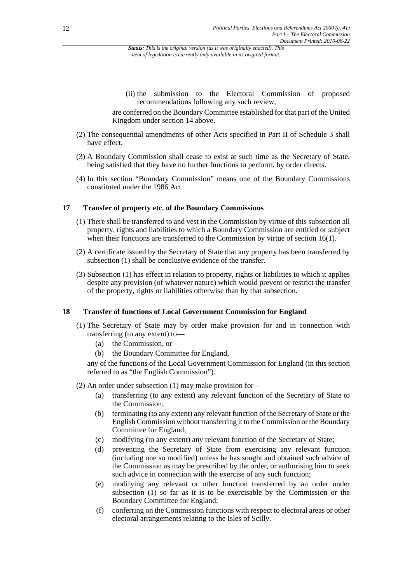(ii) the submission to the Electoral Commission of proposed recommendations following any such review,

are conferred on the Boundary Committee established for that part of the United Kingdom under section 14 above.

- (2) The consequential amendments of other Acts specified in Part II of Schedule 3 shall have effect.
- (3) A Boundary Commission shall cease to exist at such time as the Secretary of State, being satisfied that they have no further functions to perform, by order directs.
- (4) In this section "Boundary Commission" means one of the Boundary Commissions constituted under the 1986 Act.

## **17 Transfer of property etc. of the Boundary Commissions**

- (1) There shall be transferred to and vest in the Commission by virtue of this subsection all property, rights and liabilities to which a Boundary Commission are entitled or subject when their functions are transferred to the Commission by virtue of section 16(1).
- (2) A certificate issued by the Secretary of State that any property has been transferred by subsection (1) shall be conclusive evidence of the transfer.
- (3) Subsection (1) has effect in relation to property, rights or liabilities to which it applies despite any provision (of whatever nature) which would prevent or restrict the transfer of the property, rights or liabilities otherwise than by that subsection.

#### **18 Transfer of functions of Local Government Commission for England**

- (1) The Secretary of State may by order make provision for and in connection with transferring (to any extent) to—
	- (a) the Commission, or
	- (b) the Boundary Committee for England,

any of the functions of the Local Government Commission for England (in this section referred to as "the English Commission").

(2) An order under subsection (1) may make provision for—

- (a) transferring (to any extent) any relevant function of the Secretary of State to the Commission;
- (b) terminating (to any extent) any relevant function of the Secretary of State or the English Commission without transferring it to the Commission or the Boundary Committee for England;
- (c) modifying (to any extent) any relevant function of the Secretary of State;
- (d) preventing the Secretary of State from exercising any relevant function (including one so modified) unless he has sought and obtained such advice of the Commission as may be prescribed by the order, or authorising him to seek such advice in connection with the exercise of any such function;
- (e) modifying any relevant or other function transferred by an order under subsection (1) so far as it is to be exercisable by the Commission or the Boundary Committee for England;
- (f) conferring on the Commission functions with respect to electoral areas or other electoral arrangements relating to the Isles of Scilly.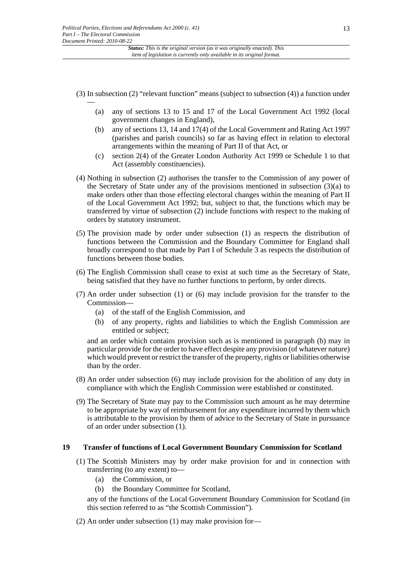—

*Status: This is the original version (as it was originally enacted). This item of legislation is currently only available in its original format.*

- (3) In subsection (2) "relevant function" means (subject to subsection (4)) a function under
	- (a) any of sections 13 to 15 and 17 of the Local Government Act 1992 (local government changes in England),
	- (b) any of sections 13, 14 and 17(4) of the Local Government and Rating Act 1997 (parishes and parish councils) so far as having effect in relation to electoral arrangements within the meaning of Part II of that Act, or
	- (c) section 2(4) of the Greater London Authority Act 1999 or Schedule 1 to that Act (assembly constituencies).
- (4) Nothing in subsection (2) authorises the transfer to the Commission of any power of the Secretary of State under any of the provisions mentioned in subsection (3)(a) to make orders other than those effecting electoral changes within the meaning of Part II of the Local Government Act 1992; but, subject to that, the functions which may be transferred by virtue of subsection (2) include functions with respect to the making of orders by statutory instrument.
- (5) The provision made by order under subsection (1) as respects the distribution of functions between the Commission and the Boundary Committee for England shall broadly correspond to that made by Part I of Schedule 3 as respects the distribution of functions between those bodies.
- (6) The English Commission shall cease to exist at such time as the Secretary of State, being satisfied that they have no further functions to perform, by order directs.
- (7) An order under subsection (1) or (6) may include provision for the transfer to the Commission—
	- (a) of the staff of the English Commission, and
	- (b) of any property, rights and liabilities to which the English Commission are entitled or subject;

and an order which contains provision such as is mentioned in paragraph (b) may in particular provide for the order to have effect despite any provision (of whatever nature) which would prevent or restrict the transfer of the property, rights or liabilities otherwise than by the order.

- (8) An order under subsection (6) may include provision for the abolition of any duty in compliance with which the English Commission were established or constituted.
- (9) The Secretary of State may pay to the Commission such amount as he may determine to be appropriate by way of reimbursement for any expenditure incurred by them which is attributable to the provision by them of advice to the Secretary of State in pursuance of an order under subsection (1).

#### **19 Transfer of functions of Local Government Boundary Commission for Scotland**

- (1) The Scottish Ministers may by order make provision for and in connection with transferring (to any extent) to—
	- (a) the Commission, or
	- (b) the Boundary Committee for Scotland,

any of the functions of the Local Government Boundary Commission for Scotland (in this section referred to as "the Scottish Commission").

(2) An order under subsection (1) may make provision for—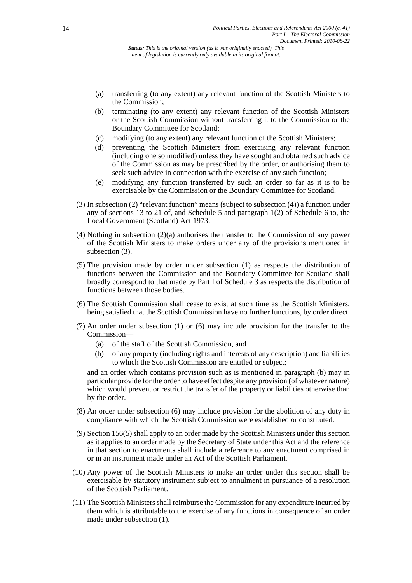- (a) transferring (to any extent) any relevant function of the Scottish Ministers to the Commission;
- (b) terminating (to any extent) any relevant function of the Scottish Ministers or the Scottish Commission without transferring it to the Commission or the Boundary Committee for Scotland;
- (c) modifying (to any extent) any relevant function of the Scottish Ministers;
- (d) preventing the Scottish Ministers from exercising any relevant function (including one so modified) unless they have sought and obtained such advice of the Commission as may be prescribed by the order, or authorising them to seek such advice in connection with the exercise of any such function;
- (e) modifying any function transferred by such an order so far as it is to be exercisable by the Commission or the Boundary Committee for Scotland.
- (3) In subsection (2) "relevant function" means (subject to subsection (4)) a function under any of sections 13 to 21 of, and Schedule 5 and paragraph 1(2) of Schedule 6 to, the Local Government (Scotland) Act 1973.
- (4) Nothing in subsection (2)(a) authorises the transfer to the Commission of any power of the Scottish Ministers to make orders under any of the provisions mentioned in subsection (3).
- (5) The provision made by order under subsection (1) as respects the distribution of functions between the Commission and the Boundary Committee for Scotland shall broadly correspond to that made by Part I of Schedule 3 as respects the distribution of functions between those bodies.
- (6) The Scottish Commission shall cease to exist at such time as the Scottish Ministers, being satisfied that the Scottish Commission have no further functions, by order direct.
- (7) An order under subsection (1) or (6) may include provision for the transfer to the Commission—
	- (a) of the staff of the Scottish Commission, and
	- (b) of any property (including rights and interests of any description) and liabilities to which the Scottish Commission are entitled or subject;

and an order which contains provision such as is mentioned in paragraph (b) may in particular provide for the order to have effect despite any provision (of whatever nature) which would prevent or restrict the transfer of the property or liabilities otherwise than by the order.

- (8) An order under subsection (6) may include provision for the abolition of any duty in compliance with which the Scottish Commission were established or constituted.
- (9) Section 156(5) shall apply to an order made by the Scottish Ministers under this section as it applies to an order made by the Secretary of State under this Act and the reference in that section to enactments shall include a reference to any enactment comprised in or in an instrument made under an Act of the Scottish Parliament.
- (10) Any power of the Scottish Ministers to make an order under this section shall be exercisable by statutory instrument subject to annulment in pursuance of a resolution of the Scottish Parliament.
- (11) The Scottish Ministers shall reimburse the Commission for any expenditure incurred by them which is attributable to the exercise of any functions in consequence of an order made under subsection (1).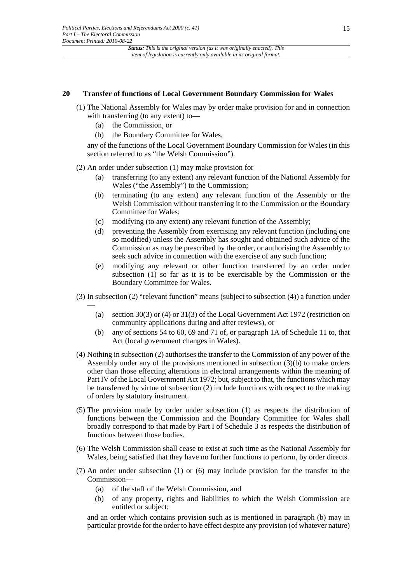## **20 Transfer of functions of Local Government Boundary Commission for Wales**

- (1) The National Assembly for Wales may by order make provision for and in connection with transferring (to any extent) to—
	- (a) the Commission, or
	- (b) the Boundary Committee for Wales,

any of the functions of the Local Government Boundary Commission for Wales (in this section referred to as "the Welsh Commission").

(2) An order under subsection (1) may make provision for—

- (a) transferring (to any extent) any relevant function of the National Assembly for Wales ("the Assembly") to the Commission;
- (b) terminating (to any extent) any relevant function of the Assembly or the Welsh Commission without transferring it to the Commission or the Boundary Committee for Wales;
- (c) modifying (to any extent) any relevant function of the Assembly;
- (d) preventing the Assembly from exercising any relevant function (including one so modified) unless the Assembly has sought and obtained such advice of the Commission as may be prescribed by the order, or authorising the Assembly to seek such advice in connection with the exercise of any such function;
- (e) modifying any relevant or other function transferred by an order under subsection (1) so far as it is to be exercisable by the Commission or the Boundary Committee for Wales.
- (3) In subsection (2) "relevant function" means (subject to subsection (4)) a function under —
	- (a) section 30(3) or (4) or 31(3) of the Local Government Act 1972 (restriction on community applications during and after reviews), or
	- (b) any of sections 54 to 60, 69 and 71 of, or paragraph 1A of Schedule 11 to, that Act (local government changes in Wales).
- (4) Nothing in subsection (2) authorises the transfer to the Commission of any power of the Assembly under any of the provisions mentioned in subsection  $(3)(b)$  to make orders other than those effecting alterations in electoral arrangements within the meaning of Part IV of the Local Government Act 1972; but, subject to that, the functions which may be transferred by virtue of subsection (2) include functions with respect to the making of orders by statutory instrument.
- (5) The provision made by order under subsection (1) as respects the distribution of functions between the Commission and the Boundary Committee for Wales shall broadly correspond to that made by Part I of Schedule 3 as respects the distribution of functions between those bodies.
- (6) The Welsh Commission shall cease to exist at such time as the National Assembly for Wales, being satisfied that they have no further functions to perform, by order directs.
- (7) An order under subsection (1) or (6) may include provision for the transfer to the Commission—
	- (a) of the staff of the Welsh Commission, and
	- (b) of any property, rights and liabilities to which the Welsh Commission are entitled or subject;

and an order which contains provision such as is mentioned in paragraph (b) may in particular provide for the order to have effect despite any provision (of whatever nature)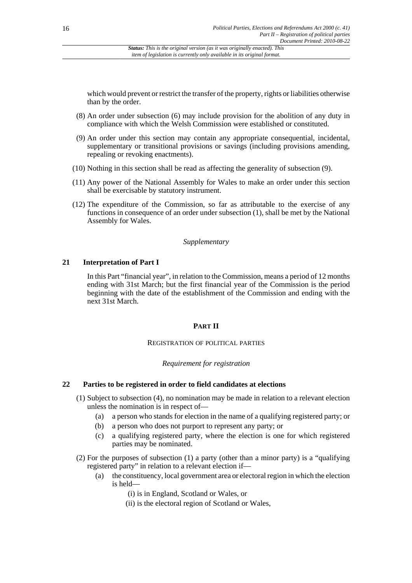which would prevent or restrict the transfer of the property, rights or liabilities otherwise than by the order.

- (8) An order under subsection (6) may include provision for the abolition of any duty in compliance with which the Welsh Commission were established or constituted.
- (9) An order under this section may contain any appropriate consequential, incidental, supplementary or transitional provisions or savings (including provisions amending, repealing or revoking enactments).
- (10) Nothing in this section shall be read as affecting the generality of subsection (9).
- (11) Any power of the National Assembly for Wales to make an order under this section shall be exercisable by statutory instrument.
- (12) The expenditure of the Commission, so far as attributable to the exercise of any functions in consequence of an order under subsection (1), shall be met by the National Assembly for Wales.

#### *Supplementary*

#### **21 Interpretation of Part I**

In this Part "financial year", in relation to the Commission, means a period of 12 months ending with 31st March; but the first financial year of the Commission is the period beginning with the date of the establishment of the Commission and ending with the next 31st March.

#### **PART II**

#### REGISTRATION OF POLITICAL PARTIES

#### *Requirement for registration*

## **22 Parties to be registered in order to field candidates at elections**

- (1) Subject to subsection (4), no nomination may be made in relation to a relevant election unless the nomination is in respect of—
	- (a) a person who stands for election in the name of a qualifying registered party; or
	- (b) a person who does not purport to represent any party; or
	- (c) a qualifying registered party, where the election is one for which registered parties may be nominated.
- (2) For the purposes of subsection (1) a party (other than a minor party) is a "qualifying registered party" in relation to a relevant election if—
	- (a) the constituency, local government area or electoral region in which the election is held—
		- (i) is in England, Scotland or Wales, or
		- (ii) is the electoral region of Scotland or Wales,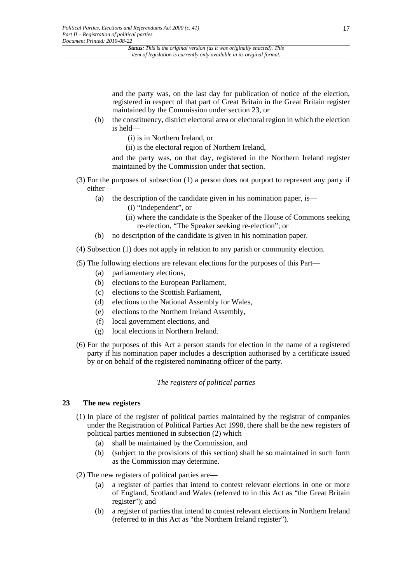and the party was, on the last day for publication of notice of the election, registered in respect of that part of Great Britain in the Great Britain register maintained by the Commission under section 23, or

- (b) the constituency, district electoral area or electoral region in which the election is held—
	- (i) is in Northern Ireland, or
	- (ii) is the electoral region of Northern Ireland,

and the party was, on that day, registered in the Northern Ireland register maintained by the Commission under that section.

- (3) For the purposes of subsection (1) a person does not purport to represent any party if either—
	- (a) the description of the candidate given in his nomination paper, is—
		- (i) "Independent", or
		- (ii) where the candidate is the Speaker of the House of Commons seeking re-election, "The Speaker seeking re-election"; or
	- (b) no description of the candidate is given in his nomination paper.
- (4) Subsection (1) does not apply in relation to any parish or community election.
- (5) The following elections are relevant elections for the purposes of this Part—
	- (a) parliamentary elections,
	- (b) elections to the European Parliament,
	- (c) elections to the Scottish Parliament,
	- (d) elections to the National Assembly for Wales,
	- (e) elections to the Northern Ireland Assembly,
	- (f) local government elections, and
	- (g) local elections in Northern Ireland.
- (6) For the purposes of this Act a person stands for election in the name of a registered party if his nomination paper includes a description authorised by a certificate issued by or on behalf of the registered nominating officer of the party.

#### *The registers of political parties*

#### **23 The new registers**

- (1) In place of the register of political parties maintained by the registrar of companies under the Registration of Political Parties Act 1998, there shall be the new registers of political parties mentioned in subsection (2) which—
	- (a) shall be maintained by the Commission, and
	- (b) (subject to the provisions of this section) shall be so maintained in such form as the Commission may determine.
- (2) The new registers of political parties are—
	- (a) a register of parties that intend to contest relevant elections in one or more of England, Scotland and Wales (referred to in this Act as "the Great Britain register"); and
	- (b) a register of parties that intend to contest relevant elections in Northern Ireland (referred to in this Act as "the Northern Ireland register").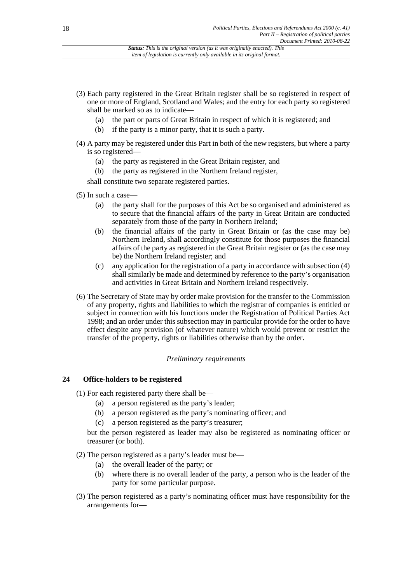- (3) Each party registered in the Great Britain register shall be so registered in respect of one or more of England, Scotland and Wales; and the entry for each party so registered shall be marked so as to indicate—
	- (a) the part or parts of Great Britain in respect of which it is registered; and
	- (b) if the party is a minor party, that it is such a party.
- (4) A party may be registered under this Part in both of the new registers, but where a party is so registered—
	- (a) the party as registered in the Great Britain register, and
	- (b) the party as registered in the Northern Ireland register,

shall constitute two separate registered parties.

- (5) In such a case—
	- (a) the party shall for the purposes of this Act be so organised and administered as to secure that the financial affairs of the party in Great Britain are conducted separately from those of the party in Northern Ireland;
	- (b) the financial affairs of the party in Great Britain or (as the case may be) Northern Ireland, shall accordingly constitute for those purposes the financial affairs of the party as registered in the Great Britain register or (as the case may be) the Northern Ireland register; and
	- (c) any application for the registration of a party in accordance with subsection (4) shall similarly be made and determined by reference to the party's organisation and activities in Great Britain and Northern Ireland respectively.
- (6) The Secretary of State may by order make provision for the transfer to the Commission of any property, rights and liabilities to which the registrar of companies is entitled or subject in connection with his functions under the Registration of Political Parties Act 1998; and an order under this subsection may in particular provide for the order to have effect despite any provision (of whatever nature) which would prevent or restrict the transfer of the property, rights or liabilities otherwise than by the order.

#### *Preliminary requirements*

## **24 Office-holders to be registered**

(1) For each registered party there shall be—

- (a) a person registered as the party's leader;
- (b) a person registered as the party's nominating officer; and
- (c) a person registered as the party's treasurer;

but the person registered as leader may also be registered as nominating officer or treasurer (or both).

(2) The person registered as a party's leader must be—

- (a) the overall leader of the party; or
- (b) where there is no overall leader of the party, a person who is the leader of the party for some particular purpose.
- (3) The person registered as a party's nominating officer must have responsibility for the arrangements for—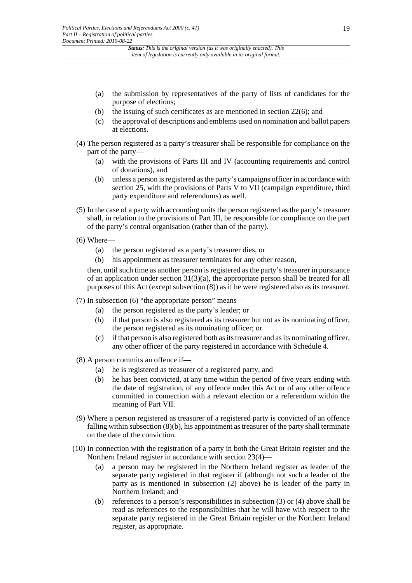- (a) the submission by representatives of the party of lists of candidates for the purpose of elections;
- (b) the issuing of such certificates as are mentioned in section 22(6); and
- (c) the approval of descriptions and emblems used on nomination and ballot papers at elections.
- (4) The person registered as a party's treasurer shall be responsible for compliance on the part of the party—
	- (a) with the provisions of Parts III and IV (accounting requirements and control of donations), and
	- (b) unless a person is registered as the party's campaigns officer in accordance with section  $25$ , with the provisions of Parts V to  $\overline{VII}$  (campaign expenditure, third party expenditure and referendums) as well.
- (5) In the case of a party with accounting units the person registered as the party's treasurer shall, in relation to the provisions of Part III, be responsible for compliance on the part of the party's central organisation (rather than of the party).
- (6) Where—
	- (a) the person registered as a party's treasurer dies, or
	- (b) his appointment as treasurer terminates for any other reason,

then, until such time as another person is registered as the party's treasurer in pursuance of an application under section 31(3)(a), the appropriate person shall be treated for all purposes of this Act (except subsection (8)) as if he were registered also as its treasurer.

- (7) In subsection (6) "the appropriate person" means—
	- (a) the person registered as the party's leader; or
	- (b) if that person is also registered as its treasurer but not as its nominating officer, the person registered as its nominating officer; or
	- (c) if that person is also registered both as its treasurer and as its nominating officer, any other officer of the party registered in accordance with Schedule 4.
- (8) A person commits an offence if—
	- (a) he is registered as treasurer of a registered party, and
	- (b) he has been convicted, at any time within the period of five years ending with the date of registration, of any offence under this Act or of any other offence committed in connection with a relevant election or a referendum within the meaning of Part VII.
- (9) Where a person registered as treasurer of a registered party is convicted of an offence falling within subsection (8)(b), his appointment as treasurer of the party shall terminate on the date of the conviction.
- (10) In connection with the registration of a party in both the Great Britain register and the Northern Ireland register in accordance with section 23(4)—
	- (a) a person may be registered in the Northern Ireland register as leader of the separate party registered in that register if (although not such a leader of the party as is mentioned in subsection (2) above) he is leader of the party in Northern Ireland; and
	- (b) references to a person's responsibilities in subsection (3) or (4) above shall be read as references to the responsibilities that he will have with respect to the separate party registered in the Great Britain register or the Northern Ireland register, as appropriate.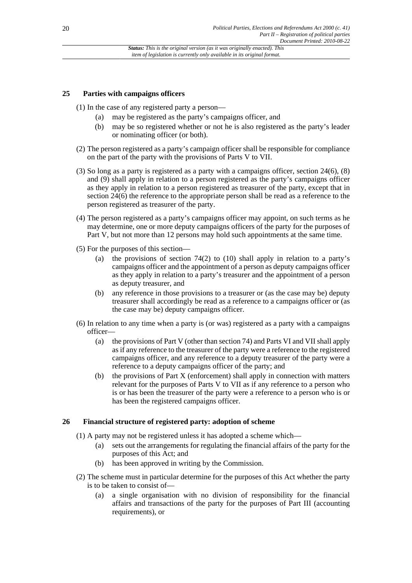## **25 Parties with campaigns officers**

- (1) In the case of any registered party a person—
	- (a) may be registered as the party's campaigns officer, and
	- (b) may be so registered whether or not he is also registered as the party's leader or nominating officer (or both).
- (2) The person registered as a party's campaign officer shall be responsible for compliance on the part of the party with the provisions of Parts V to VII.
- (3) So long as a party is registered as a party with a campaigns officer, section 24(6), (8) and (9) shall apply in relation to a person registered as the party's campaigns officer as they apply in relation to a person registered as treasurer of the party, except that in section 24(6) the reference to the appropriate person shall be read as a reference to the person registered as treasurer of the party.
- (4) The person registered as a party's campaigns officer may appoint, on such terms as he may determine, one or more deputy campaigns officers of the party for the purposes of Part V, but not more than 12 persons may hold such appointments at the same time.
- (5) For the purposes of this section—
	- (a) the provisions of section  $74(2)$  to  $(10)$  shall apply in relation to a party's campaigns officer and the appointment of a person as deputy campaigns officer as they apply in relation to a party's treasurer and the appointment of a person as deputy treasurer, and
	- (b) any reference in those provisions to a treasurer or (as the case may be) deputy treasurer shall accordingly be read as a reference to a campaigns officer or (as the case may be) deputy campaigns officer.
- (6) In relation to any time when a party is (or was) registered as a party with a campaigns officer—
	- (a) the provisions of Part V (other than section 74) and Parts VI and VII shall apply as if any reference to the treasurer of the party were a reference to the registered campaigns officer, and any reference to a deputy treasurer of the party were a reference to a deputy campaigns officer of the party; and
	- (b) the provisions of Part X (enforcement) shall apply in connection with matters relevant for the purposes of Parts V to VII as if any reference to a person who is or has been the treasurer of the party were a reference to a person who is or has been the registered campaigns officer.

#### **26 Financial structure of registered party: adoption of scheme**

- (1) A party may not be registered unless it has adopted a scheme which—
	- (a) sets out the arrangements for regulating the financial affairs of the party for the purposes of this Act; and
	- (b) has been approved in writing by the Commission.
- (2) The scheme must in particular determine for the purposes of this Act whether the party is to be taken to consist of—
	- (a) a single organisation with no division of responsibility for the financial affairs and transactions of the party for the purposes of Part III (accounting requirements), or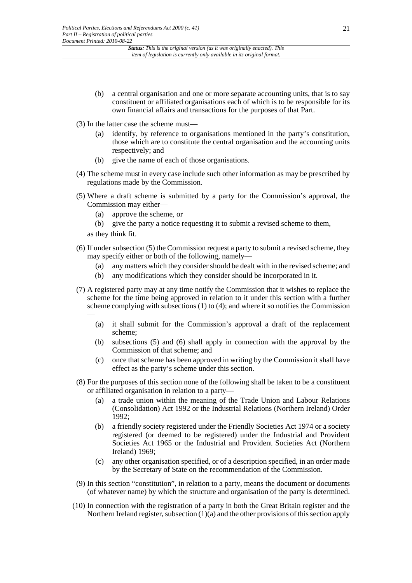- (b) a central organisation and one or more separate accounting units, that is to say constituent or affiliated organisations each of which is to be responsible for its own financial affairs and transactions for the purposes of that Part.
- (3) In the latter case the scheme must—
	- (a) identify, by reference to organisations mentioned in the party's constitution, those which are to constitute the central organisation and the accounting units respectively; and
	- (b) give the name of each of those organisations.
- (4) The scheme must in every case include such other information as may be prescribed by regulations made by the Commission.
- (5) Where a draft scheme is submitted by a party for the Commission's approval, the Commission may either—
	- (a) approve the scheme, or

 $\overline{\phantom{a}}$ 

- (b) give the party a notice requesting it to submit a revised scheme to them, as they think fit.
- (6) If under subsection (5) the Commission request a party to submit a revised scheme, they may specify either or both of the following, namely—
	- (a) any matters which they consider should be dealt with in the revised scheme; and
	- (b) any modifications which they consider should be incorporated in it.
- (7) A registered party may at any time notify the Commission that it wishes to replace the scheme for the time being approved in relation to it under this section with a further scheme complying with subsections (1) to (4); and where it so notifies the Commission
	- (a) it shall submit for the Commission's approval a draft of the replacement scheme;
	- (b) subsections (5) and (6) shall apply in connection with the approval by the Commission of that scheme; and
	- (c) once that scheme has been approved in writing by the Commission it shall have effect as the party's scheme under this section.
- (8) For the purposes of this section none of the following shall be taken to be a constituent or affiliated organisation in relation to a party—
	- (a) a trade union within the meaning of the Trade Union and Labour Relations (Consolidation) Act 1992 or the Industrial Relations (Northern Ireland) Order 1992;
	- (b) a friendly society registered under the Friendly Societies Act 1974 or a society registered (or deemed to be registered) under the Industrial and Provident Societies Act 1965 or the Industrial and Provident Societies Act (Northern Ireland) 1969;
	- (c) any other organisation specified, or of a description specified, in an order made by the Secretary of State on the recommendation of the Commission.
- (9) In this section "constitution", in relation to a party, means the document or documents (of whatever name) by which the structure and organisation of the party is determined.
- (10) In connection with the registration of a party in both the Great Britain register and the Northern Ireland register, subsection (1)(a) and the other provisions of this section apply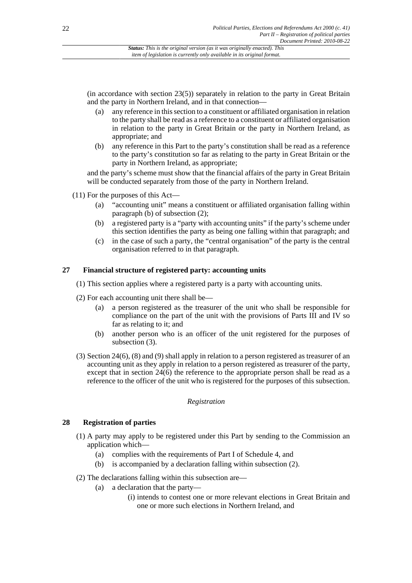(in accordance with section 23(5)) separately in relation to the party in Great Britain and the party in Northern Ireland, and in that connection—

- (a) any reference in this section to a constituent or affiliated organisation in relation to the party shall be read as a reference to a constituent or affiliated organisation in relation to the party in Great Britain or the party in Northern Ireland, as appropriate; and
- (b) any reference in this Part to the party's constitution shall be read as a reference to the party's constitution so far as relating to the party in Great Britain or the party in Northern Ireland, as appropriate;

and the party's scheme must show that the financial affairs of the party in Great Britain will be conducted separately from those of the party in Northern Ireland.

- (11) For the purposes of this Act—
	- (a) "accounting unit" means a constituent or affiliated organisation falling within paragraph (b) of subsection (2);
	- (b) a registered party is a "party with accounting units" if the party's scheme under this section identifies the party as being one falling within that paragraph; and
	- (c) in the case of such a party, the "central organisation" of the party is the central organisation referred to in that paragraph.

## **27 Financial structure of registered party: accounting units**

- (1) This section applies where a registered party is a party with accounting units.
- (2) For each accounting unit there shall be—
	- (a) a person registered as the treasurer of the unit who shall be responsible for compliance on the part of the unit with the provisions of Parts III and IV so far as relating to it; and
	- (b) another person who is an officer of the unit registered for the purposes of subsection (3).
- (3) Section 24(6), (8) and (9) shall apply in relation to a person registered as treasurer of an accounting unit as they apply in relation to a person registered as treasurer of the party, except that in section 24(6) the reference to the appropriate person shall be read as a reference to the officer of the unit who is registered for the purposes of this subsection.

#### *Registration*

## **28 Registration of parties**

- (1) A party may apply to be registered under this Part by sending to the Commission an application which—
	- (a) complies with the requirements of Part I of Schedule 4, and
	- (b) is accompanied by a declaration falling within subsection (2).
- (2) The declarations falling within this subsection are—
	- (a) a declaration that the party—
		- (i) intends to contest one or more relevant elections in Great Britain and one or more such elections in Northern Ireland, and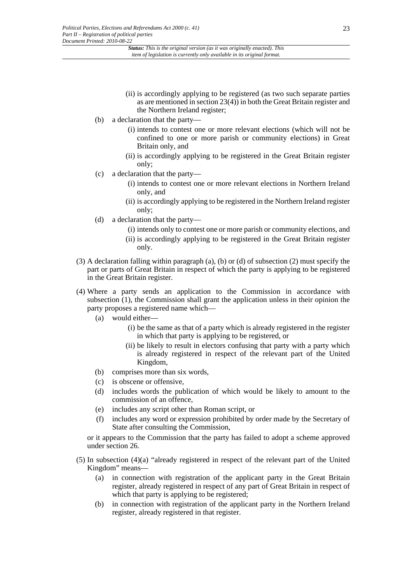- (ii) is accordingly applying to be registered (as two such separate parties as are mentioned in section 23(4)) in both the Great Britain register and the Northern Ireland register;
- (b) a declaration that the party—
	- (i) intends to contest one or more relevant elections (which will not be confined to one or more parish or community elections) in Great Britain only, and
	- (ii) is accordingly applying to be registered in the Great Britain register only;
- (c) a declaration that the party—
	- (i) intends to contest one or more relevant elections in Northern Ireland only, and
	- (ii) is accordingly applying to be registered in the Northern Ireland register only;
- (d) a declaration that the party—
	- (i) intends only to contest one or more parish or community elections, and
	- (ii) is accordingly applying to be registered in the Great Britain register only.
- (3) A declaration falling within paragraph (a), (b) or (d) of subsection (2) must specify the part or parts of Great Britain in respect of which the party is applying to be registered in the Great Britain register.
- (4) Where a party sends an application to the Commission in accordance with subsection  $(1)$ , the Commission shall grant the application unless in their opinion the party proposes a registered name which—
	- (a) would either—
		- (i) be the same as that of a party which is already registered in the register in which that party is applying to be registered, or
		- (ii) be likely to result in electors confusing that party with a party which is already registered in respect of the relevant part of the United Kingdom,
	- (b) comprises more than six words,
	- (c) is obscene or offensive,
	- (d) includes words the publication of which would be likely to amount to the commission of an offence,
	- (e) includes any script other than Roman script, or
	- (f) includes any word or expression prohibited by order made by the Secretary of State after consulting the Commission,

or it appears to the Commission that the party has failed to adopt a scheme approved under section 26.

- (5) In subsection (4)(a) "already registered in respect of the relevant part of the United Kingdom" means—
	- (a) in connection with registration of the applicant party in the Great Britain register, already registered in respect of any part of Great Britain in respect of which that party is applying to be registered;
	- (b) in connection with registration of the applicant party in the Northern Ireland register, already registered in that register.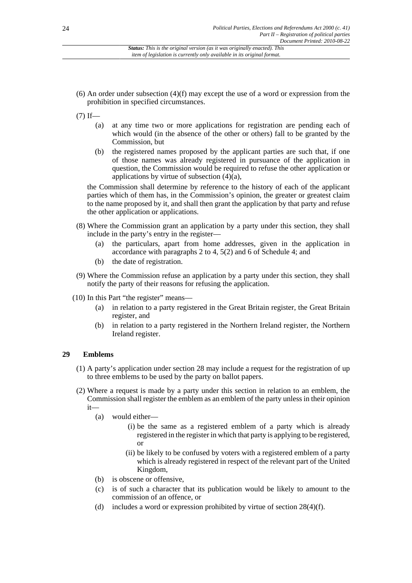- $(6)$  An order under subsection  $(4)(f)$  may except the use of a word or expression from the prohibition in specified circumstances.
- $(7)$  If—
	- (a) at any time two or more applications for registration are pending each of which would (in the absence of the other or others) fall to be granted by the Commission, but
	- (b) the registered names proposed by the applicant parties are such that, if one of those names was already registered in pursuance of the application in question, the Commission would be required to refuse the other application or applications by virtue of subsection  $(4)(a)$ ,

the Commission shall determine by reference to the history of each of the applicant parties which of them has, in the Commission's opinion, the greater or greatest claim to the name proposed by it, and shall then grant the application by that party and refuse the other application or applications.

- (8) Where the Commission grant an application by a party under this section, they shall include in the party's entry in the register—
	- (a) the particulars, apart from home addresses, given in the application in accordance with paragraphs 2 to 4, 5(2) and 6 of Schedule 4; and
	- (b) the date of registration.
- (9) Where the Commission refuse an application by a party under this section, they shall notify the party of their reasons for refusing the application.
- (10) In this Part "the register" means—
	- (a) in relation to a party registered in the Great Britain register, the Great Britain register, and
	- (b) in relation to a party registered in the Northern Ireland register, the Northern Ireland register.

## **29 Emblems**

- (1) A party's application under section 28 may include a request for the registration of up to three emblems to be used by the party on ballot papers.
- (2) Where a request is made by a party under this section in relation to an emblem, the Commission shall register the emblem as an emblem of the party unless in their opinion it—
	- (a) would either—
		- (i) be the same as a registered emblem of a party which is already registered in the register in which that party is applying to be registered, or
		- (ii) be likely to be confused by voters with a registered emblem of a party which is already registered in respect of the relevant part of the United Kingdom,
	- (b) is obscene or offensive,
	- (c) is of such a character that its publication would be likely to amount to the commission of an offence, or
	- (d) includes a word or expression prohibited by virtue of section 28(4)(f).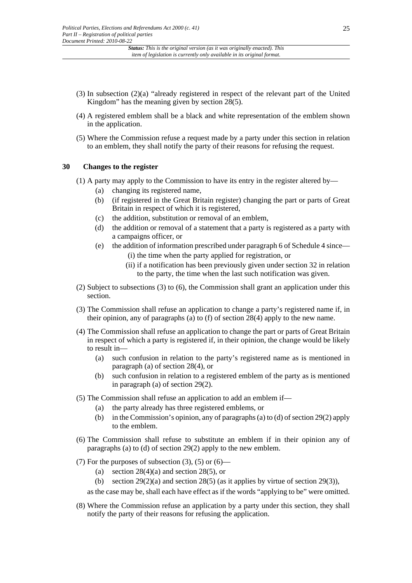- (3) In subsection (2)(a) "already registered in respect of the relevant part of the United Kingdom" has the meaning given by section  $2\overline{8}(5)$ .
- (4) A registered emblem shall be a black and white representation of the emblem shown in the application.
- (5) Where the Commission refuse a request made by a party under this section in relation to an emblem, they shall notify the party of their reasons for refusing the request.

## **30 Changes to the register**

- (1) A party may apply to the Commission to have its entry in the register altered by—
	- (a) changing its registered name,
	- (b) (if registered in the Great Britain register) changing the part or parts of Great Britain in respect of which it is registered,
	- (c) the addition, substitution or removal of an emblem,
	- (d) the addition or removal of a statement that a party is registered as a party with a campaigns officer, or
	- (e) the addition of information prescribed under paragraph 6 of Schedule 4 since— (i) the time when the party applied for registration, or
		- (ii) if a notification has been previously given under section 32 in relation to the party, the time when the last such notification was given.
- (2) Subject to subsections (3) to (6), the Commission shall grant an application under this section.
- (3) The Commission shall refuse an application to change a party's registered name if, in their opinion, any of paragraphs (a) to (f) of section 28(4) apply to the new name.
- (4) The Commission shall refuse an application to change the part or parts of Great Britain in respect of which a party is registered if, in their opinion, the change would be likely to result in—
	- (a) such confusion in relation to the party's registered name as is mentioned in paragraph (a) of section 28(4), or
	- (b) such confusion in relation to a registered emblem of the party as is mentioned in paragraph (a) of section 29(2).
- (5) The Commission shall refuse an application to add an emblem if—
	- (a) the party already has three registered emblems, or
	- (b) in the Commission's opinion, any of paragraphs (a) to (d) of section 29(2) apply to the emblem.
- (6) The Commission shall refuse to substitute an emblem if in their opinion any of paragraphs (a) to (d) of section 29(2) apply to the new emblem.
- (7) For the purposes of subsection  $(3)$ ,  $(5)$  or  $(6)$ 
	- (a) section  $28(4)(a)$  and section  $28(5)$ , or
	- (b) section  $29(2)(a)$  and section  $28(5)$  (as it applies by virtue of section  $29(3)$ ),

as the case may be, shall each have effect as if the words "applying to be" were omitted.

(8) Where the Commission refuse an application by a party under this section, they shall notify the party of their reasons for refusing the application.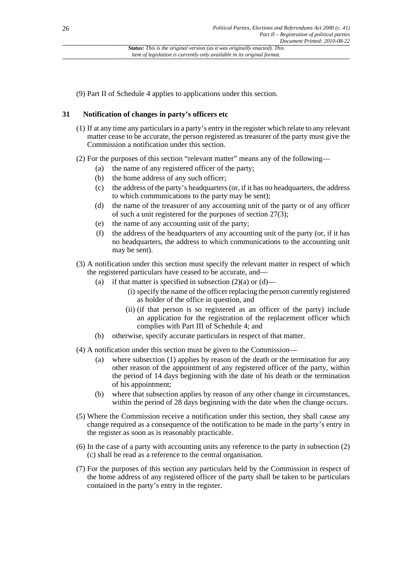(9) Part II of Schedule 4 applies to applications under this section.

# **31 Notification of changes in party's officers etc**

- (1) If at any time any particulars in a party's entry in the register which relate to any relevant matter cease to be accurate, the person registered as treasurer of the party must give the Commission a notification under this section.
- (2) For the purposes of this section "relevant matter" means any of the following—
	- (a) the name of any registered officer of the party;
	- (b) the home address of any such officer;
	- (c) the address of the party's headquarters (or, if it has no headquarters, the address to which communications to the party may be sent);
	- (d) the name of the treasurer of any accounting unit of the party or of any officer of such a unit registered for the purposes of section 27(3);
	- (e) the name of any accounting unit of the party;
	- (f) the address of the headquarters of any accounting unit of the party (or, if it has no headquarters, the address to which communications to the accounting unit may be sent).
- (3) A notification under this section must specify the relevant matter in respect of which the registered particulars have ceased to be accurate, and—
	- (a) if that matter is specified in subsection  $(2)(a)$  or  $(d)$ 
		- (i) specify the name of the officer replacing the person currently registered as holder of the office in question, and
		- (ii) (if that person is so registered as an officer of the party) include an application for the registration of the replacement officer which complies with Part III of Schedule 4; and
	- (b) otherwise, specify accurate particulars in respect of that matter.
- (4) A notification under this section must be given to the Commission—
	- (a) where subsection (1) applies by reason of the death or the termination for any other reason of the appointment of any registered officer of the party, within the period of 14 days beginning with the date of his death or the termination of his appointment;
	- (b) where that subsection applies by reason of any other change in circumstances, within the period of 28 days beginning with the date when the change occurs.
- (5) Where the Commission receive a notification under this section, they shall cause any change required as a consequence of the notification to be made in the party's entry in the register as soon as is reasonably practicable.
- (6) In the case of a party with accounting units any reference to the party in subsection (2) (c) shall be read as a reference to the central organisation.
- (7) For the purposes of this section any particulars held by the Commission in respect of the home address of any registered officer of the party shall be taken to be particulars contained in the party's entry in the register.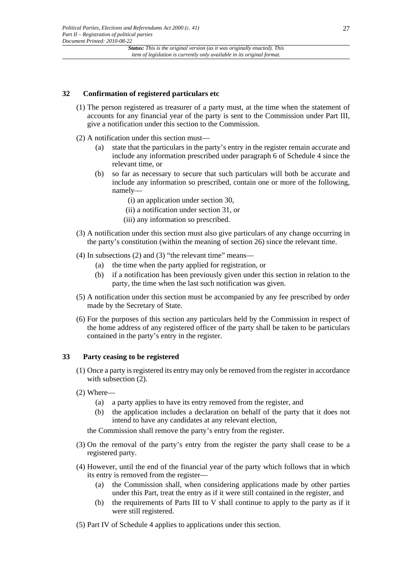## **32 Confirmation of registered particulars etc**

- (1) The person registered as treasurer of a party must, at the time when the statement of accounts for any financial year of the party is sent to the Commission under Part III, give a notification under this section to the Commission.
- (2) A notification under this section must—
	- (a) state that the particulars in the party's entry in the register remain accurate and include any information prescribed under paragraph 6 of Schedule 4 since the relevant time, or
	- (b) so far as necessary to secure that such particulars will both be accurate and include any information so prescribed, contain one or more of the following, namely—
		- (i) an application under section 30,
		- (ii) a notification under section 31, or
		- (iii) any information so prescribed.
- (3) A notification under this section must also give particulars of any change occurring in the party's constitution (within the meaning of section 26) since the relevant time.
- (4) In subsections (2) and (3) "the relevant time" means—
	- (a) the time when the party applied for registration, or
	- (b) if a notification has been previously given under this section in relation to the party, the time when the last such notification was given.
- (5) A notification under this section must be accompanied by any fee prescribed by order made by the Secretary of State.
- (6) For the purposes of this section any particulars held by the Commission in respect of the home address of any registered officer of the party shall be taken to be particulars contained in the party's entry in the register.

#### **33 Party ceasing to be registered**

- (1) Once a party is registered its entry may only be removed from the register in accordance with subsection  $(2)$ .
- (2) Where—
	- (a) a party applies to have its entry removed from the register, and
	- (b) the application includes a declaration on behalf of the party that it does not intend to have any candidates at any relevant election,

the Commission shall remove the party's entry from the register.

- (3) On the removal of the party's entry from the register the party shall cease to be a registered party.
- (4) However, until the end of the financial year of the party which follows that in which its entry is removed from the register—
	- (a) the Commission shall, when considering applications made by other parties under this Part, treat the entry as if it were still contained in the register, and
	- (b) the requirements of Parts III to V shall continue to apply to the party as if it were still registered.
- (5) Part IV of Schedule 4 applies to applications under this section.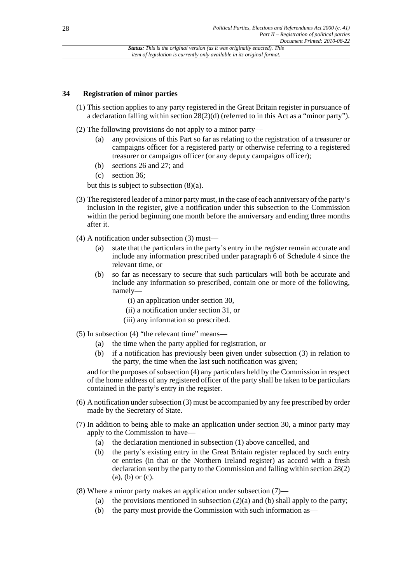## **34 Registration of minor parties**

- (1) This section applies to any party registered in the Great Britain register in pursuance of a declaration falling within section 28(2)(d) (referred to in this Act as a "minor party").
- (2) The following provisions do not apply to a minor party—
	- (a) any provisions of this Part so far as relating to the registration of a treasurer or campaigns officer for a registered party or otherwise referring to a registered treasurer or campaigns officer (or any deputy campaigns officer);
	- (b) sections 26 and 27; and
	- (c) section 36;

but this is subject to subsection (8)(a).

- (3) The registered leader of a minor party must, in the case of each anniversary of the party's inclusion in the register, give a notification under this subsection to the Commission within the period beginning one month before the anniversary and ending three months after it.
- (4) A notification under subsection (3) must—
	- (a) state that the particulars in the party's entry in the register remain accurate and include any information prescribed under paragraph 6 of Schedule 4 since the relevant time, or
	- (b) so far as necessary to secure that such particulars will both be accurate and include any information so prescribed, contain one or more of the following, namely—
		- (i) an application under section 30,
		- (ii) a notification under section 31, or
		- (iii) any information so prescribed.
- (5) In subsection (4) "the relevant time" means—
	- (a) the time when the party applied for registration, or
	- (b) if a notification has previously been given under subsection (3) in relation to the party, the time when the last such notification was given;

and for the purposes of subsection (4) any particulars held by the Commission in respect of the home address of any registered officer of the party shall be taken to be particulars contained in the party's entry in the register.

- (6) A notification under subsection (3) must be accompanied by any fee prescribed by order made by the Secretary of State.
- (7) In addition to being able to make an application under section 30, a minor party may apply to the Commission to have—
	- (a) the declaration mentioned in subsection (1) above cancelled, and
	- (b) the party's existing entry in the Great Britain register replaced by such entry or entries (in that or the Northern Ireland register) as accord with a fresh declaration sent by the party to the Commission and falling within section 28(2) (a), (b) or (c).
- (8) Where a minor party makes an application under subsection (7)—
	- (a) the provisions mentioned in subsection  $(2)(a)$  and (b) shall apply to the party;
	- (b) the party must provide the Commission with such information as—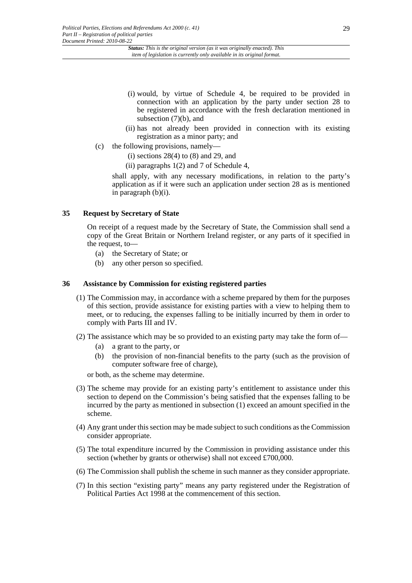- (i) would, by virtue of Schedule 4, be required to be provided in connection with an application by the party under section 28 to be registered in accordance with the fresh declaration mentioned in subsection (7)(b), and
- (ii) has not already been provided in connection with its existing registration as a minor party; and
- (c) the following provisions, namely—
	- $(i)$  sections 28 $(4)$  to  $(8)$  and 29, and
	- (ii) paragraphs 1(2) and 7 of Schedule 4,

shall apply, with any necessary modifications, in relation to the party's application as if it were such an application under section 28 as is mentioned in paragraph (b)(i).

#### **35 Request by Secretary of State**

On receipt of a request made by the Secretary of State, the Commission shall send a copy of the Great Britain or Northern Ireland register, or any parts of it specified in the request, to—

- (a) the Secretary of State; or
- (b) any other person so specified.

#### **36 Assistance by Commission for existing registered parties**

- (1) The Commission may, in accordance with a scheme prepared by them for the purposes of this section, provide assistance for existing parties with a view to helping them to meet, or to reducing, the expenses falling to be initially incurred by them in order to comply with Parts III and IV.
- (2) The assistance which may be so provided to an existing party may take the form of—
	- (a) a grant to the party, or
	- (b) the provision of non-financial benefits to the party (such as the provision of computer software free of charge),

or both, as the scheme may determine.

- (3) The scheme may provide for an existing party's entitlement to assistance under this section to depend on the Commission's being satisfied that the expenses falling to be incurred by the party as mentioned in subsection (1) exceed an amount specified in the scheme.
- (4) Any grant under this section may be made subject to such conditions as the Commission consider appropriate.
- (5) The total expenditure incurred by the Commission in providing assistance under this section (whether by grants or otherwise) shall not exceed £700,000.
- (6) The Commission shall publish the scheme in such manner as they consider appropriate.
- (7) In this section "existing party" means any party registered under the Registration of Political Parties Act 1998 at the commencement of this section.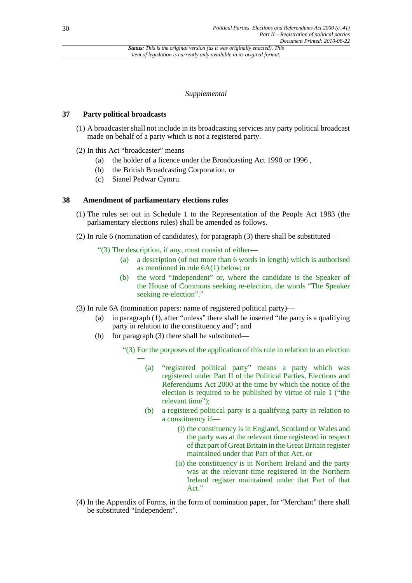#### *Supplemental*

## **37 Party political broadcasts**

- (1) A broadcaster shall not include in its broadcasting services any party political broadcast made on behalf of a party which is not a registered party.
- (2) In this Act "broadcaster" means—
	- (a) the holder of a licence under the Broadcasting Act 1990 or 1996 ,
	- (b) the British Broadcasting Corporation, or
	- (c) Sianel Pedwar Cymru.

## **38 Amendment of parliamentary elections rules**

- (1) The rules set out in Schedule 1 to the Representation of the People Act 1983 (the parliamentary elections rules) shall be amended as follows.
- (2) In rule 6 (nomination of candidates), for paragraph (3) there shall be substituted—
	- "(3) The description, if any, must consist of either—
		- (a) a description (of not more than 6 words in length) which is authorised as mentioned in rule 6A(1) below; or
		- (b) the word "Independent" or, where the candidate is the Speaker of the House of Commons seeking re-election, the words "The Speaker seeking re-election"."
- (3) In rule 6A (nomination papers: name of registered political party)—
	- (a) in paragraph (1), after "unless" there shall be inserted "the party is a qualifying party in relation to the constituency and"; and
	- (b) for paragraph (3) there shall be substituted—

—

- "(3) For the purposes of the application of this rule in relation to an election
	- (a) "registered political party" means a party which was registered under Part II of the Political Parties, Elections and Referendums Act 2000 at the time by which the notice of the election is required to be published by virtue of rule 1 ("the relevant time");
	- (b) a registered political party is a qualifying party in relation to a constituency if—
		- (i) the constituency is in England, Scotland or Wales and the party was at the relevant time registered in respect of that part of Great Britain in the Great Britain register maintained under that Part of that Act, or
		- (ii) the constituency is in Northern Ireland and the party was at the relevant time registered in the Northern Ireland register maintained under that Part of that Act."
- (4) In the Appendix of Forms, in the form of nomination paper, for "Merchant" there shall be substituted "Independent".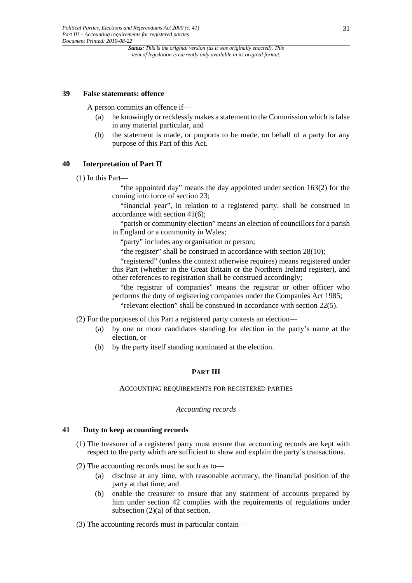#### **39 False statements: offence**

A person commits an offence if—

- (a) he knowingly or recklessly makes a statement to the Commission which is false in any material particular, and
- (b) the statement is made, or purports to be made, on behalf of a party for any purpose of this Part of this Act.

## **40 Interpretation of Part II**

(1) In this Part—

"the appointed day" means the day appointed under section 163(2) for the coming into force of section 23;

"financial year", in relation to a registered party, shall be construed in accordance with section 41(6);

"parish or community election" means an election of councillors for a parish in England or a community in Wales;

"party" includes any organisation or person;

"the register" shall be construed in accordance with section 28(10);

"registered" (unless the context otherwise requires) means registered under this Part (whether in the Great Britain or the Northern Ireland register), and other references to registration shall be construed accordingly;

"the registrar of companies" means the registrar or other officer who performs the duty of registering companies under the Companies Act 1985;

"relevant election" shall be construed in accordance with section 22(5).

(2) For the purposes of this Part a registered party contests an election—

- (a) by one or more candidates standing for election in the party's name at the election, or
- (b) by the party itself standing nominated at the election.

# **PART III**

#### ACCOUNTING REQUIREMENTS FOR REGISTERED PARTIES

#### *Accounting records*

## **41 Duty to keep accounting records**

- (1) The treasurer of a registered party must ensure that accounting records are kept with respect to the party which are sufficient to show and explain the party's transactions.
- (2) The accounting records must be such as to—
	- (a) disclose at any time, with reasonable accuracy, the financial position of the party at that time; and
	- (b) enable the treasurer to ensure that any statement of accounts prepared by him under section 42 complies with the requirements of regulations under subsection  $(2)(a)$  of that section.
- (3) The accounting records must in particular contain—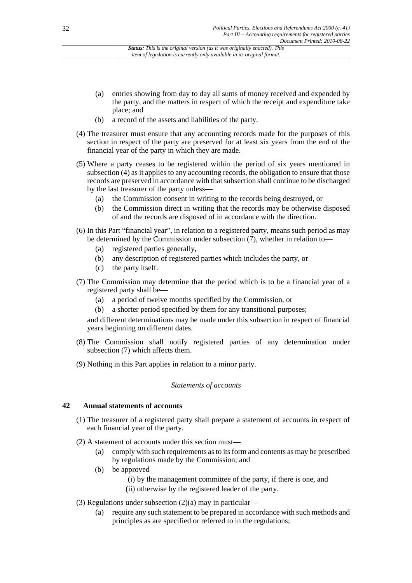- (a) entries showing from day to day all sums of money received and expended by the party, and the matters in respect of which the receipt and expenditure take place; and
- (b) a record of the assets and liabilities of the party.
- (4) The treasurer must ensure that any accounting records made for the purposes of this section in respect of the party are preserved for at least six years from the end of the financial year of the party in which they are made.
- (5) Where a party ceases to be registered within the period of six years mentioned in subsection (4) as it applies to any accounting records, the obligation to ensure that those records are preserved in accordance with that subsection shall continue to be discharged by the last treasurer of the party unless—
	- (a) the Commission consent in writing to the records being destroyed, or
	- (b) the Commission direct in writing that the records may be otherwise disposed of and the records are disposed of in accordance with the direction.
- (6) In this Part "financial year", in relation to a registered party, means such period as may be determined by the Commission under subsection (7), whether in relation to—
	- (a) registered parties generally,
	- (b) any description of registered parties which includes the party, or
	- (c) the party itself.
- (7) The Commission may determine that the period which is to be a financial year of a registered party shall be—
	- (a) a period of twelve months specified by the Commission, or
	- (b) a shorter period specified by them for any transitional purposes;

and different determinations may be made under this subsection in respect of financial years beginning on different dates.

- (8) The Commission shall notify registered parties of any determination under subsection (7) which affects them.
- (9) Nothing in this Part applies in relation to a minor party.

## *Statements of accounts*

## **42 Annual statements of accounts**

- (1) The treasurer of a registered party shall prepare a statement of accounts in respect of each financial year of the party.
- (2) A statement of accounts under this section must—
	- (a) comply with such requirements as to its form and contents as may be prescribed by regulations made by the Commission; and
	- (b) be approved—
		- (i) by the management committee of the party, if there is one, and (ii) otherwise by the registered leader of the party.
- (3) Regulations under subsection (2)(a) may in particular—
	- (a) require any such statement to be prepared in accordance with such methods and principles as are specified or referred to in the regulations;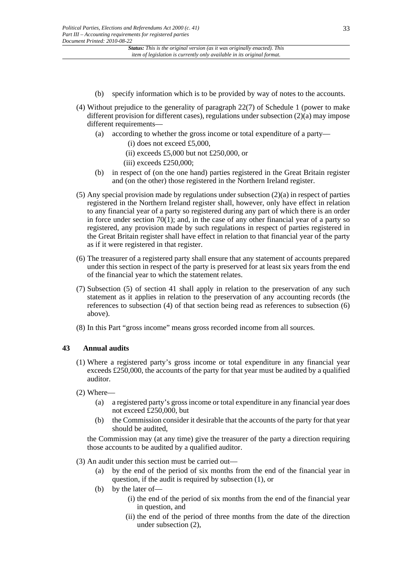- (b) specify information which is to be provided by way of notes to the accounts.
- (4) Without prejudice to the generality of paragraph 22(7) of Schedule 1 (power to make different provision for different cases), regulations under subsection (2)(a) may impose different requirements—
	- (a) according to whether the gross income or total expenditure of a party—
		- (i) does not exceed £5,000,
		- (ii) exceeds £5,000 but not £250,000, or
		- (iii) exceeds £250,000;
	- (b) in respect of (on the one hand) parties registered in the Great Britain register and (on the other) those registered in the Northern Ireland register.
- (5) Any special provision made by regulations under subsection (2)(a) in respect of parties registered in the Northern Ireland register shall, however, only have effect in relation to any financial year of a party so registered during any part of which there is an order in force under section  $70(1)$ ; and, in the case of any other financial year of a party so registered, any provision made by such regulations in respect of parties registered in the Great Britain register shall have effect in relation to that financial year of the party as if it were registered in that register.
- (6) The treasurer of a registered party shall ensure that any statement of accounts prepared under this section in respect of the party is preserved for at least six years from the end of the financial year to which the statement relates.
- (7) Subsection (5) of section 41 shall apply in relation to the preservation of any such statement as it applies in relation to the preservation of any accounting records (the references to subsection (4) of that section being read as references to subsection (6) above).
- (8) In this Part "gross income" means gross recorded income from all sources.

#### **43 Annual audits**

- (1) Where a registered party's gross income or total expenditure in any financial year exceeds £250,000, the accounts of the party for that year must be audited by a qualified auditor.
- (2) Where—
	- (a) a registered party's gross income or total expenditure in any financial year does not exceed £250,000, but
	- (b) the Commission consider it desirable that the accounts of the party for that year should be audited,

the Commission may (at any time) give the treasurer of the party a direction requiring those accounts to be audited by a qualified auditor.

- (3) An audit under this section must be carried out—
	- (a) by the end of the period of six months from the end of the financial year in question, if the audit is required by subsection (1), or
	- (b) by the later of—
		- (i) the end of the period of six months from the end of the financial year in question, and
		- (ii) the end of the period of three months from the date of the direction under subsection (2),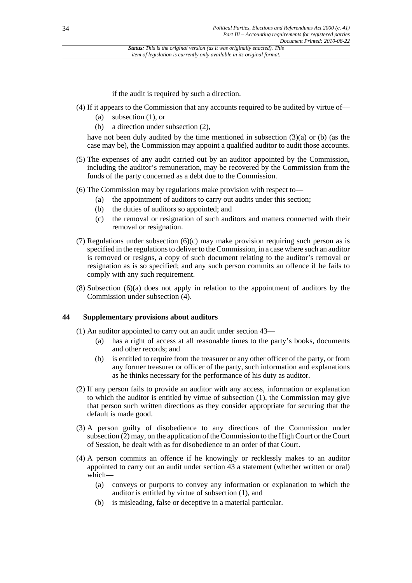if the audit is required by such a direction.

- (4) If it appears to the Commission that any accounts required to be audited by virtue of—
	- (a) subsection (1), or
	- (b) a direction under subsection (2),

have not been duly audited by the time mentioned in subsection (3)(a) or (b) (as the case may be), the Commission may appoint a qualified auditor to audit those accounts.

- (5) The expenses of any audit carried out by an auditor appointed by the Commission, including the auditor's remuneration, may be recovered by the Commission from the funds of the party concerned as a debt due to the Commission.
- (6) The Commission may by regulations make provision with respect to—
	- (a) the appointment of auditors to carry out audits under this section;
	- (b) the duties of auditors so appointed; and
	- (c) the removal or resignation of such auditors and matters connected with their removal or resignation.
- (7) Regulations under subsection (6)(c) may make provision requiring such person as is specified in the regulations to deliver to the Commission, in a case where such an auditor is removed or resigns, a copy of such document relating to the auditor's removal or resignation as is so specified; and any such person commits an offence if he fails to comply with any such requirement.
- (8) Subsection (6)(a) does not apply in relation to the appointment of auditors by the Commission under subsection (4).

#### **44 Supplementary provisions about auditors**

- (1) An auditor appointed to carry out an audit under section 43—
	- (a) has a right of access at all reasonable times to the party's books, documents and other records; and
	- (b) is entitled to require from the treasurer or any other officer of the party, or from any former treasurer or officer of the party, such information and explanations as he thinks necessary for the performance of his duty as auditor.
- (2) If any person fails to provide an auditor with any access, information or explanation to which the auditor is entitled by virtue of subsection (1), the Commission may give that person such written directions as they consider appropriate for securing that the default is made good.
- (3) A person guilty of disobedience to any directions of the Commission under subsection (2) may, on the application of the Commission to the High Court or the Court of Session, be dealt with as for disobedience to an order of that Court.
- (4) A person commits an offence if he knowingly or recklessly makes to an auditor appointed to carry out an audit under section 43 a statement (whether written or oral) which—
	- (a) conveys or purports to convey any information or explanation to which the auditor is entitled by virtue of subsection (1), and
	- (b) is misleading, false or deceptive in a material particular.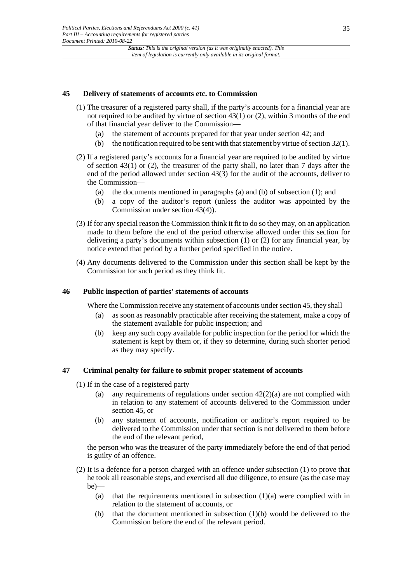## **45 Delivery of statements of accounts etc. to Commission**

- (1) The treasurer of a registered party shall, if the party's accounts for a financial year are not required to be audited by virtue of section 43(1) or (2), within 3 months of the end of that financial year deliver to the Commission—
	- (a) the statement of accounts prepared for that year under section 42; and
	- (b) the notification required to be sent with that statement by virtue of section  $32(1)$ .
- (2) If a registered party's accounts for a financial year are required to be audited by virtue of section  $43(1)$  or (2), the treasurer of the party shall, no later than 7 days after the end of the period allowed under section 43(3) for the audit of the accounts, deliver to the Commission—
	- (a) the documents mentioned in paragraphs (a) and (b) of subsection (1); and
	- (b) a copy of the auditor's report (unless the auditor was appointed by the Commission under section 43(4)).
- (3) If for any special reason the Commission think it fit to do so they may, on an application made to them before the end of the period otherwise allowed under this section for delivering a party's documents within subsection (1) or (2) for any financial year, by notice extend that period by a further period specified in the notice.
- (4) Any documents delivered to the Commission under this section shall be kept by the Commission for such period as they think fit.

#### **46 Public inspection of parties' statements of accounts**

Where the Commission receive any statement of accounts under section 45, they shall—

- (a) as soon as reasonably practicable after receiving the statement, make a copy of the statement available for public inspection; and
- (b) keep any such copy available for public inspection for the period for which the statement is kept by them or, if they so determine, during such shorter period as they may specify.

## **47 Criminal penalty for failure to submit proper statement of accounts**

- (1) If in the case of a registered party—
	- (a) any requirements of regulations under section  $42(2)(a)$  are not complied with in relation to any statement of accounts delivered to the Commission under section 45, or
	- (b) any statement of accounts, notification or auditor's report required to be delivered to the Commission under that section is not delivered to them before the end of the relevant period,

the person who was the treasurer of the party immediately before the end of that period is guilty of an offence.

- (2) It is a defence for a person charged with an offence under subsection (1) to prove that he took all reasonable steps, and exercised all due diligence, to ensure (as the case may  $be)$ —
	- (a) that the requirements mentioned in subsection  $(1)(a)$  were complied with in relation to the statement of accounts, or
	- (b) that the document mentioned in subsection  $(1)(b)$  would be delivered to the Commission before the end of the relevant period.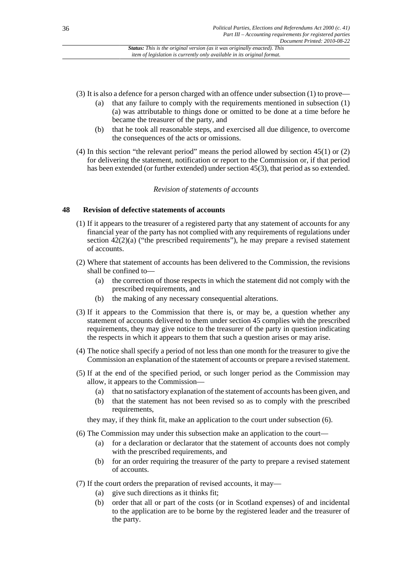- (3) It is also a defence for a person charged with an offence under subsection (1) to prove—
	- (a) that any failure to comply with the requirements mentioned in subsection (1) (a) was attributable to things done or omitted to be done at a time before he became the treasurer of the party, and
	- (b) that he took all reasonable steps, and exercised all due diligence, to overcome the consequences of the acts or omissions.
- (4) In this section "the relevant period" means the period allowed by section 45(1) or (2) for delivering the statement, notification or report to the Commission or, if that period has been extended (or further extended) under section 45(3), that period as so extended.

## *Revision of statements of accounts*

## **48 Revision of defective statements of accounts**

- (1) If it appears to the treasurer of a registered party that any statement of accounts for any financial year of the party has not complied with any requirements of regulations under section  $42(2)(a)$  ("the prescribed requirements"), he may prepare a revised statement of accounts.
- (2) Where that statement of accounts has been delivered to the Commission, the revisions shall be confined to—
	- (a) the correction of those respects in which the statement did not comply with the prescribed requirements, and
	- (b) the making of any necessary consequential alterations.
- (3) If it appears to the Commission that there is, or may be, a question whether any statement of accounts delivered to them under section 45 complies with the prescribed requirements, they may give notice to the treasurer of the party in question indicating the respects in which it appears to them that such a question arises or may arise.
- (4) The notice shall specify a period of not less than one month for the treasurer to give the Commission an explanation of the statement of accounts or prepare a revised statement.
- (5) If at the end of the specified period, or such longer period as the Commission may allow, it appears to the Commission—
	- (a) that no satisfactory explanation of the statement of accounts has been given, and
	- (b) that the statement has not been revised so as to comply with the prescribed requirements,

they may, if they think fit, make an application to the court under subsection (6).

- (6) The Commission may under this subsection make an application to the court—
	- (a) for a declaration or declarator that the statement of accounts does not comply with the prescribed requirements, and
	- (b) for an order requiring the treasurer of the party to prepare a revised statement of accounts.
- (7) If the court orders the preparation of revised accounts, it may—
	- (a) give such directions as it thinks fit;
	- (b) order that all or part of the costs (or in Scotland expenses) of and incidental to the application are to be borne by the registered leader and the treasurer of the party.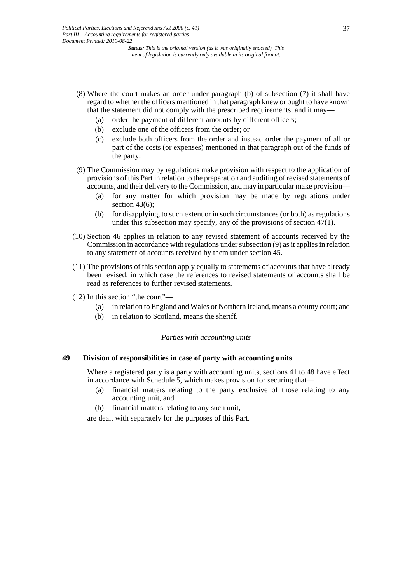- (8) Where the court makes an order under paragraph (b) of subsection (7) it shall have regard to whether the officers mentioned in that paragraph knew or ought to have known that the statement did not comply with the prescribed requirements, and it may—
	- (a) order the payment of different amounts by different officers;
	- (b) exclude one of the officers from the order; or
	- (c) exclude both officers from the order and instead order the payment of all or part of the costs (or expenses) mentioned in that paragraph out of the funds of the party.
- (9) The Commission may by regulations make provision with respect to the application of provisions of this Part in relation to the preparation and auditing of revised statements of accounts, and their delivery to the Commission, and may in particular make provision—
	- (a) for any matter for which provision may be made by regulations under section 43(6):
	- (b) for disapplying, to such extent or in such circumstances (or both) as regulations under this subsection may specify, any of the provisions of section 47(1).
- (10) Section 46 applies in relation to any revised statement of accounts received by the Commission in accordance with regulations under subsection (9) as it applies in relation to any statement of accounts received by them under section 45.
- (11) The provisions of this section apply equally to statements of accounts that have already been revised, in which case the references to revised statements of accounts shall be read as references to further revised statements.
- (12) In this section "the court"—
	- (a) in relation to England and Wales or Northern Ireland, means a county court; and
	- (b) in relation to Scotland, means the sheriff.

### *Parties with accounting units*

### **49 Division of responsibilities in case of party with accounting units**

Where a registered party is a party with accounting units, sections 41 to 48 have effect in accordance with Schedule 5, which makes provision for securing that—

- (a) financial matters relating to the party exclusive of those relating to any accounting unit, and
- (b) financial matters relating to any such unit,

are dealt with separately for the purposes of this Part.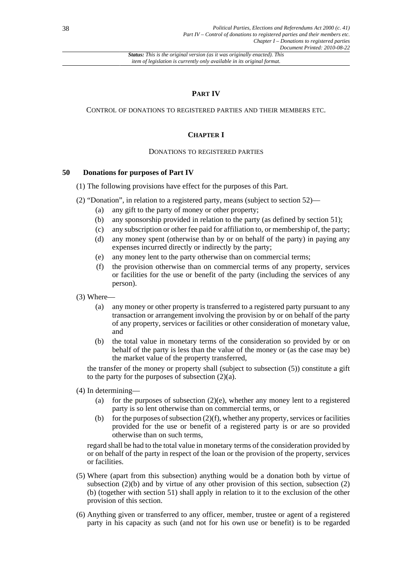# **PART IV**

CONTROL OF DONATIONS TO REGISTERED PARTIES AND THEIR MEMBERS ETC.

# **CHAPTER I**

### DONATIONS TO REGISTERED PARTIES

### **50 Donations for purposes of Part IV**

- (1) The following provisions have effect for the purposes of this Part.
- (2) "Donation", in relation to a registered party, means (subject to section 52)—
	- (a) any gift to the party of money or other property;
	- (b) any sponsorship provided in relation to the party (as defined by section 51);
	- (c) any subscription or other fee paid for affiliation to, or membership of, the party;
	- (d) any money spent (otherwise than by or on behalf of the party) in paying any expenses incurred directly or indirectly by the party;
	- (e) any money lent to the party otherwise than on commercial terms;
	- (f) the provision otherwise than on commercial terms of any property, services or facilities for the use or benefit of the party (including the services of any person).
- (3) Where—
	- (a) any money or other property is transferred to a registered party pursuant to any transaction or arrangement involving the provision by or on behalf of the party of any property, services or facilities or other consideration of monetary value, and
	- (b) the total value in monetary terms of the consideration so provided by or on behalf of the party is less than the value of the money or (as the case may be) the market value of the property transferred,

the transfer of the money or property shall (subject to subsection (5)) constitute a gift to the party for the purposes of subsection (2)(a).

- (4) In determining—
	- (a) for the purposes of subsection  $(2)(e)$ , whether any money lent to a registered party is so lent otherwise than on commercial terms, or
	- (b) for the purposes of subsection  $(2)(f)$ , whether any property, services or facilities provided for the use or benefit of a registered party is or are so provided otherwise than on such terms,

regard shall be had to the total value in monetary terms of the consideration provided by or on behalf of the party in respect of the loan or the provision of the property, services or facilities.

- (5) Where (apart from this subsection) anything would be a donation both by virtue of subsection  $(2)(b)$  and by virtue of any other provision of this section, subsection  $(2)$ (b) (together with section 51) shall apply in relation to it to the exclusion of the other provision of this section.
- (6) Anything given or transferred to any officer, member, trustee or agent of a registered party in his capacity as such (and not for his own use or benefit) is to be regarded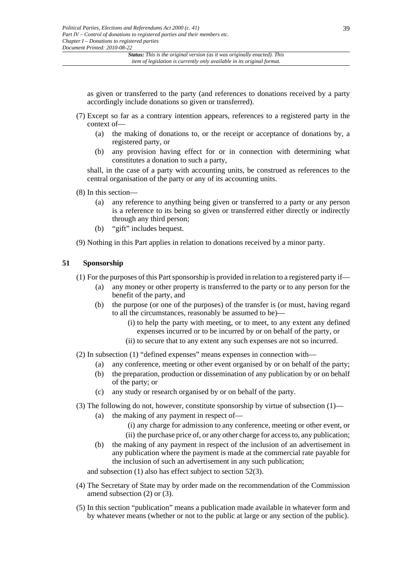as given or transferred to the party (and references to donations received by a party accordingly include donations so given or transferred).

- (7) Except so far as a contrary intention appears, references to a registered party in the context of—
	- (a) the making of donations to, or the receipt or acceptance of donations by, a registered party, or
	- (b) any provision having effect for or in connection with determining what constitutes a donation to such a party,

shall, in the case of a party with accounting units, be construed as references to the central organisation of the party or any of its accounting units.

- (8) In this section—
	- (a) any reference to anything being given or transferred to a party or any person is a reference to its being so given or transferred either directly or indirectly through any third person;
	- (b) "gift" includes bequest.

(9) Nothing in this Part applies in relation to donations received by a minor party.

### **51 Sponsorship**

- (1) For the purposes of this Part sponsorship is provided in relation to a registered party if—
	- (a) any money or other property is transferred to the party or to any person for the benefit of the party, and
	- (b) the purpose (or one of the purposes) of the transfer is (or must, having regard to all the circumstances, reasonably be assumed to be)—
		- (i) to help the party with meeting, or to meet, to any extent any defined expenses incurred or to be incurred by or on behalf of the party, or
		- (ii) to secure that to any extent any such expenses are not so incurred.
- (2) In subsection (1) "defined expenses" means expenses in connection with—
	- (a) any conference, meeting or other event organised by or on behalf of the party;
	- (b) the preparation, production or dissemination of any publication by or on behalf of the party; or
	- (c) any study or research organised by or on behalf of the party.
- (3) The following do not, however, constitute sponsorship by virtue of subsection  $(1)$ 
	- (a) the making of any payment in respect of—
		- (i) any charge for admission to any conference, meeting or other event, or
		- (ii) the purchase price of, or any other charge for access to, any publication;
	- (b) the making of any payment in respect of the inclusion of an advertisement in any publication where the payment is made at the commercial rate payable for the inclusion of such an advertisement in any such publication;

and subsection (1) also has effect subject to section 52(3).

- (4) The Secretary of State may by order made on the recommendation of the Commission amend subsection (2) or (3).
- (5) In this section "publication" means a publication made available in whatever form and by whatever means (whether or not to the public at large or any section of the public).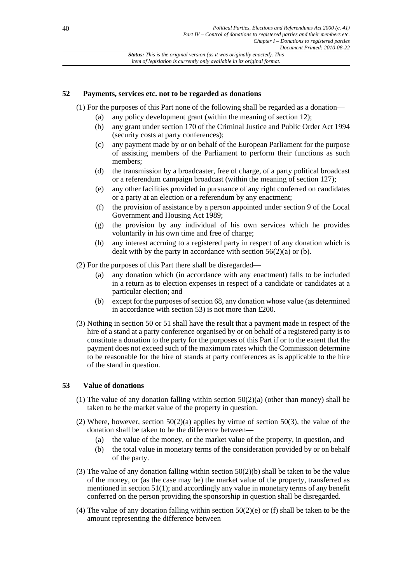# **52 Payments, services etc. not to be regarded as donations**

(1) For the purposes of this Part none of the following shall be regarded as a donation—

- (a) any policy development grant (within the meaning of section 12);
- (b) any grant under section 170 of the Criminal Justice and Public Order Act 1994 (security costs at party conferences);
- (c) any payment made by or on behalf of the European Parliament for the purpose of assisting members of the Parliament to perform their functions as such members;
- (d) the transmission by a broadcaster, free of charge, of a party political broadcast or a referendum campaign broadcast (within the meaning of section 127);
- (e) any other facilities provided in pursuance of any right conferred on candidates or a party at an election or a referendum by any enactment;
- (f) the provision of assistance by a person appointed under section 9 of the Local Government and Housing Act 1989;
- (g) the provision by any individual of his own services which he provides voluntarily in his own time and free of charge;
- (h) any interest accruing to a registered party in respect of any donation which is dealt with by the party in accordance with section  $56(2)(a)$  or (b).
- (2) For the purposes of this Part there shall be disregarded—
	- (a) any donation which (in accordance with any enactment) falls to be included in a return as to election expenses in respect of a candidate or candidates at a particular election; and
	- (b) except for the purposes of section 68, any donation whose value (as determined in accordance with section 53) is not more than £200.
- (3) Nothing in section 50 or 51 shall have the result that a payment made in respect of the hire of a stand at a party conference organised by or on behalf of a registered party is to constitute a donation to the party for the purposes of this Part if or to the extent that the payment does not exceed such of the maximum rates which the Commission determine to be reasonable for the hire of stands at party conferences as is applicable to the hire of the stand in question.

### **53 Value of donations**

- (1) The value of any donation falling within section 50(2)(a) (other than money) shall be taken to be the market value of the property in question.
- (2) Where, however, section  $50(2)(a)$  applies by virtue of section 50(3), the value of the donation shall be taken to be the difference between—
	- (a) the value of the money, or the market value of the property, in question, and
	- (b) the total value in monetary terms of the consideration provided by or on behalf of the party.
- (3) The value of any donation falling within section  $50(2)(b)$  shall be taken to be the value of the money, or (as the case may be) the market value of the property, transferred as mentioned in section 51(1); and accordingly any value in monetary terms of any benefit conferred on the person providing the sponsorship in question shall be disregarded.
- (4) The value of any donation falling within section  $50(2)(e)$  or (f) shall be taken to be the amount representing the difference between—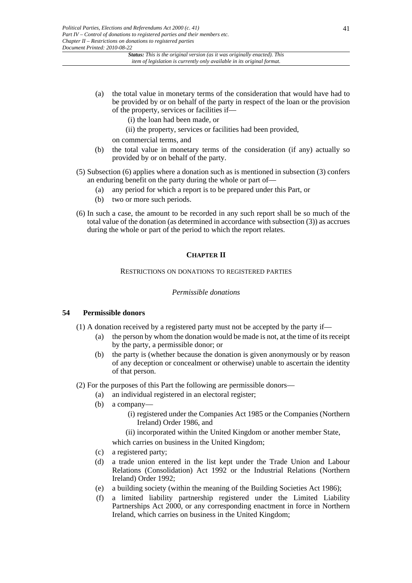- (a) the total value in monetary terms of the consideration that would have had to be provided by or on behalf of the party in respect of the loan or the provision of the property, services or facilities if—
	- (i) the loan had been made, or
	- (ii) the property, services or facilities had been provided,

on commercial terms, and

- (b) the total value in monetary terms of the consideration (if any) actually so provided by or on behalf of the party.
- (5) Subsection (6) applies where a donation such as is mentioned in subsection (3) confers an enduring benefit on the party during the whole or part of—
	- (a) any period for which a report is to be prepared under this Part, or
	- (b) two or more such periods.
- (6) In such a case, the amount to be recorded in any such report shall be so much of the total value of the donation (as determined in accordance with subsection (3)) as accrues during the whole or part of the period to which the report relates.

# **CHAPTER II**

### RESTRICTIONS ON DONATIONS TO REGISTERED PARTIES

### *Permissible donations*

### **54 Permissible donors**

- (1) A donation received by a registered party must not be accepted by the party if—
	- (a) the person by whom the donation would be made is not, at the time of its receipt by the party, a permissible donor; or
	- (b) the party is (whether because the donation is given anonymously or by reason of any deception or concealment or otherwise) unable to ascertain the identity of that person.
- (2) For the purposes of this Part the following are permissible donors—
	- (a) an individual registered in an electoral register;
	- (b) a company—
		- (i) registered under the Companies Act 1985 or the Companies (Northern Ireland) Order 1986, and
		- (ii) incorporated within the United Kingdom or another member State,

which carries on business in the United Kingdom;

- (c) a registered party;
- (d) a trade union entered in the list kept under the Trade Union and Labour Relations (Consolidation) Act 1992 or the Industrial Relations (Northern Ireland) Order 1992;
- (e) a building society (within the meaning of the Building Societies Act 1986);
- (f) a limited liability partnership registered under the Limited Liability Partnerships Act 2000, or any corresponding enactment in force in Northern Ireland, which carries on business in the United Kingdom;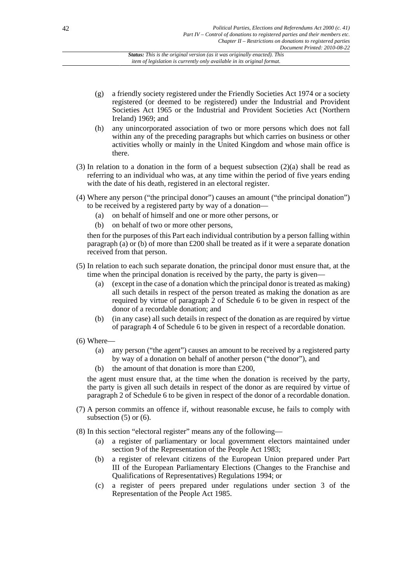- (g) a friendly society registered under the Friendly Societies Act 1974 or a society registered (or deemed to be registered) under the Industrial and Provident Societies Act 1965 or the Industrial and Provident Societies Act (Northern Ireland) 1969; and
- (h) any unincorporated association of two or more persons which does not fall within any of the preceding paragraphs but which carries on business or other activities wholly or mainly in the United Kingdom and whose main office is there.
- (3) In relation to a donation in the form of a bequest subsection (2)(a) shall be read as referring to an individual who was, at any time within the period of five years ending with the date of his death, registered in an electoral register.
- (4) Where any person ("the principal donor") causes an amount ("the principal donation") to be received by a registered party by way of a donation—
	- (a) on behalf of himself and one or more other persons, or
	- (b) on behalf of two or more other persons,

then for the purposes of this Part each individual contribution by a person falling within paragraph (a) or (b) of more than  $\text{\pounds}200$  shall be treated as if it were a separate donation received from that person.

- (5) In relation to each such separate donation, the principal donor must ensure that, at the time when the principal donation is received by the party, the party is given—
	- (a) (except in the case of a donation which the principal donor is treated as making) all such details in respect of the person treated as making the donation as are required by virtue of paragraph 2 of Schedule 6 to be given in respect of the donor of a recordable donation; and
	- (b) (in any case) all such details in respect of the donation as are required by virtue of paragraph 4 of Schedule 6 to be given in respect of a recordable donation.
- $(6)$  Where-
	- (a) any person ("the agent") causes an amount to be received by a registered party by way of a donation on behalf of another person ("the donor"), and
	- (b) the amount of that donation is more than £200,

the agent must ensure that, at the time when the donation is received by the party, the party is given all such details in respect of the donor as are required by virtue of paragraph 2 of Schedule 6 to be given in respect of the donor of a recordable donation.

- (7) A person commits an offence if, without reasonable excuse, he fails to comply with subsection  $(5)$  or  $(6)$ .
- (8) In this section "electoral register" means any of the following—
	- (a) a register of parliamentary or local government electors maintained under section 9 of the Representation of the People Act 1983;
	- (b) a register of relevant citizens of the European Union prepared under Part III of the European Parliamentary Elections (Changes to the Franchise and Qualifications of Representatives) Regulations 1994; or
	- (c) a register of peers prepared under regulations under section 3 of the Representation of the People Act 1985.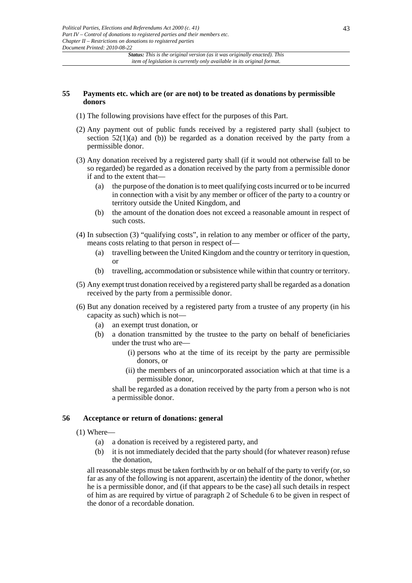### **55 Payments etc. which are (or are not) to be treated as donations by permissible donors**

- (1) The following provisions have effect for the purposes of this Part.
- (2) Any payment out of public funds received by a registered party shall (subject to section  $52(1)(a)$  and (b)) be regarded as a donation received by the party from a permissible donor.
- (3) Any donation received by a registered party shall (if it would not otherwise fall to be so regarded) be regarded as a donation received by the party from a permissible donor if and to the extent that—
	- (a) the purpose of the donation is to meet qualifying costs incurred or to be incurred in connection with a visit by any member or officer of the party to a country or territory outside the United Kingdom, and
	- (b) the amount of the donation does not exceed a reasonable amount in respect of such costs.
- (4) In subsection (3) "qualifying costs", in relation to any member or officer of the party, means costs relating to that person in respect of—
	- (a) travelling between the United Kingdom and the country or territory in question, or
	- (b) travelling, accommodation or subsistence while within that country or territory.
- (5) Any exempt trust donation received by a registered party shall be regarded as a donation received by the party from a permissible donor.
- (6) But any donation received by a registered party from a trustee of any property (in his capacity as such) which is not—
	- (a) an exempt trust donation, or
	- (b) a donation transmitted by the trustee to the party on behalf of beneficiaries under the trust who are—
		- (i) persons who at the time of its receipt by the party are permissible donors, or
		- (ii) the members of an unincorporated association which at that time is a permissible donor,

shall be regarded as a donation received by the party from a person who is not a permissible donor.

### **56 Acceptance or return of donations: general**

- (1) Where—
	- (a) a donation is received by a registered party, and
	- (b) it is not immediately decided that the party should (for whatever reason) refuse the donation,

all reasonable steps must be taken forthwith by or on behalf of the party to verify (or, so far as any of the following is not apparent, ascertain) the identity of the donor, whether he is a permissible donor, and (if that appears to be the case) all such details in respect of him as are required by virtue of paragraph 2 of Schedule 6 to be given in respect of the donor of a recordable donation.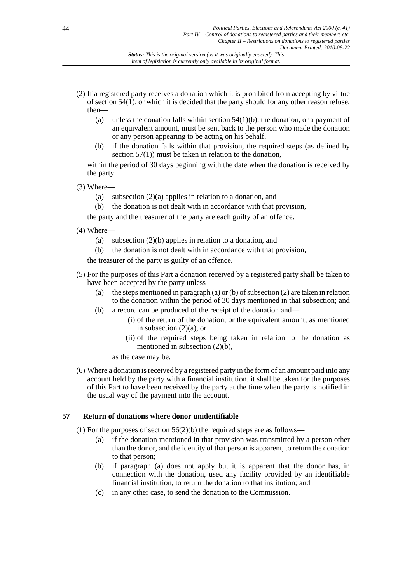- (2) If a registered party receives a donation which it is prohibited from accepting by virtue of section  $54(1)$ , or which it is decided that the party should for any other reason refuse, then—
	- (a) unless the donation falls within section  $54(1)(b)$ , the donation, or a payment of an equivalent amount, must be sent back to the person who made the donation or any person appearing to be acting on his behalf,
	- (b) if the donation falls within that provision, the required steps (as defined by section 57(1)) must be taken in relation to the donation,

within the period of 30 days beginning with the date when the donation is received by the party.

- (3) Where—
	- (a) subsection (2)(a) applies in relation to a donation, and
	- (b) the donation is not dealt with in accordance with that provision,

the party and the treasurer of the party are each guilty of an offence.

- (4) Where—
	- (a) subsection (2)(b) applies in relation to a donation, and
	- (b) the donation is not dealt with in accordance with that provision,

the treasurer of the party is guilty of an offence.

- (5) For the purposes of this Part a donation received by a registered party shall be taken to have been accepted by the party unless—
	- (a) the steps mentioned in paragraph (a) or (b) of subsection (2) are taken in relation to the donation within the period of 30 days mentioned in that subsection; and
	- (b) a record can be produced of the receipt of the donation and—
		- (i) of the return of the donation, or the equivalent amount, as mentioned in subsection  $(2)(a)$ , or
		- (ii) of the required steps being taken in relation to the donation as mentioned in subsection (2)(b),

as the case may be.

(6) Where a donation is received by a registered party in the form of an amount paid into any account held by the party with a financial institution, it shall be taken for the purposes of this Part to have been received by the party at the time when the party is notified in the usual way of the payment into the account.

### **57 Return of donations where donor unidentifiable**

- (1) For the purposes of section  $56(2)(b)$  the required steps are as follows—
	- (a) if the donation mentioned in that provision was transmitted by a person other than the donor, and the identity of that person is apparent, to return the donation to that person;
	- (b) if paragraph (a) does not apply but it is apparent that the donor has, in connection with the donation, used any facility provided by an identifiable financial institution, to return the donation to that institution; and
	- (c) in any other case, to send the donation to the Commission.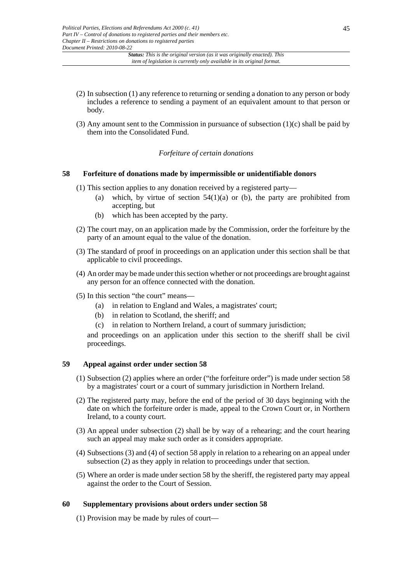- (2) In subsection (1) any reference to returning or sending a donation to any person or body includes a reference to sending a payment of an equivalent amount to that person or body.
- (3) Any amount sent to the Commission in pursuance of subsection  $(1)(c)$  shall be paid by them into the Consolidated Fund.

# *Forfeiture of certain donations*

### **58 Forfeiture of donations made by impermissible or unidentifiable donors**

- (1) This section applies to any donation received by a registered party—
	- (a) which, by virtue of section  $54(1)(a)$  or (b), the party are prohibited from accepting, but
	- (b) which has been accepted by the party.
- (2) The court may, on an application made by the Commission, order the forfeiture by the party of an amount equal to the value of the donation.
- (3) The standard of proof in proceedings on an application under this section shall be that applicable to civil proceedings.
- (4) An order may be made under this section whether or not proceedings are brought against any person for an offence connected with the donation.
- (5) In this section "the court" means—
	- (a) in relation to England and Wales, a magistrates' court;
	- (b) in relation to Scotland, the sheriff; and
	- (c) in relation to Northern Ireland, a court of summary jurisdiction;

and proceedings on an application under this section to the sheriff shall be civil proceedings.

### **59 Appeal against order under section 58**

- (1) Subsection (2) applies where an order ("the forfeiture order") is made under section 58 by a magistrates' court or a court of summary jurisdiction in Northern Ireland.
- (2) The registered party may, before the end of the period of 30 days beginning with the date on which the forfeiture order is made, appeal to the Crown Court or, in Northern Ireland, to a county court.
- (3) An appeal under subsection (2) shall be by way of a rehearing; and the court hearing such an appeal may make such order as it considers appropriate.
- (4) Subsections (3) and (4) of section 58 apply in relation to a rehearing on an appeal under subsection (2) as they apply in relation to proceedings under that section.
- (5) Where an order is made under section 58 by the sheriff, the registered party may appeal against the order to the Court of Session.

# **60 Supplementary provisions about orders under section 58**

(1) Provision may be made by rules of court—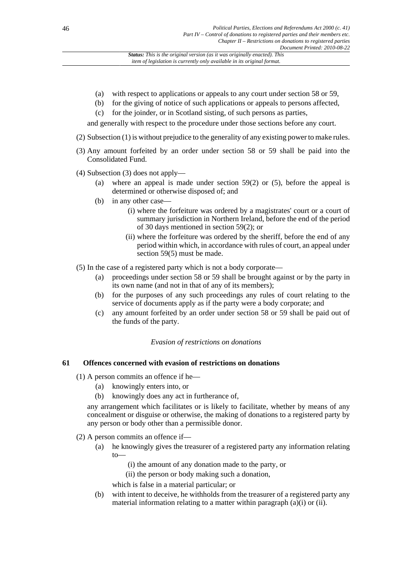- (a) with respect to applications or appeals to any court under section 58 or 59,
- (b) for the giving of notice of such applications or appeals to persons affected,
- (c) for the joinder, or in Scotland sisting, of such persons as parties,

and generally with respect to the procedure under those sections before any court.

- (2) Subsection (1) is without prejudice to the generality of any existing power to make rules.
- (3) Any amount forfeited by an order under section 58 or 59 shall be paid into the Consolidated Fund.
- (4) Subsection (3) does not apply—
	- (a) where an appeal is made under section 59(2) or (5), before the appeal is determined or otherwise disposed of; and
	- (b) in any other case—
		- (i) where the forfeiture was ordered by a magistrates' court or a court of summary jurisdiction in Northern Ireland, before the end of the period of 30 days mentioned in section 59(2); or
		- (ii) where the forfeiture was ordered by the sheriff, before the end of any period within which, in accordance with rules of court, an appeal under section 59(5) must be made.
- (5) In the case of a registered party which is not a body corporate—
	- (a) proceedings under section 58 or 59 shall be brought against or by the party in its own name (and not in that of any of its members);
	- (b) for the purposes of any such proceedings any rules of court relating to the service of documents apply as if the party were a body corporate; and
	- (c) any amount forfeited by an order under section 58 or 59 shall be paid out of the funds of the party.

### *Evasion of restrictions on donations*

# **61 Offences concerned with evasion of restrictions on donations**

- (1) A person commits an offence if he—
	- (a) knowingly enters into, or
	- (b) knowingly does any act in furtherance of,

any arrangement which facilitates or is likely to facilitate, whether by means of any concealment or disguise or otherwise, the making of donations to a registered party by any person or body other than a permissible donor.

- (2) A person commits an offence if—
	- (a) he knowingly gives the treasurer of a registered party any information relating to—
		- (i) the amount of any donation made to the party, or
		- (ii) the person or body making such a donation,
		- which is false in a material particular; or
	- (b) with intent to deceive, he withholds from the treasurer of a registered party any material information relating to a matter within paragraph (a)(i) or (ii).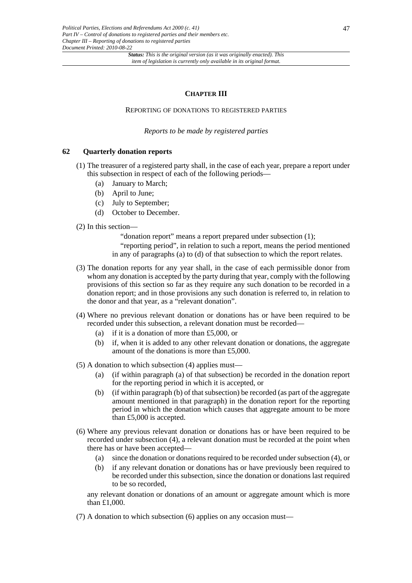# **CHAPTER III**

### REPORTING OF DONATIONS TO REGISTERED PARTIES

*Reports to be made by registered parties*

### **62 Quarterly donation reports**

- (1) The treasurer of a registered party shall, in the case of each year, prepare a report under this subsection in respect of each of the following periods—
	- (a) January to March;
	- (b) April to June;
	- (c) July to September;
	- (d) October to December.
- (2) In this section—

"donation report" means a report prepared under subsection (1); "reporting period", in relation to such a report, means the period mentioned

in any of paragraphs (a) to (d) of that subsection to which the report relates.

- (3) The donation reports for any year shall, in the case of each permissible donor from whom any donation is accepted by the party during that year, comply with the following provisions of this section so far as they require any such donation to be recorded in a donation report; and in those provisions any such donation is referred to, in relation to the donor and that year, as a "relevant donation".
- (4) Where no previous relevant donation or donations has or have been required to be recorded under this subsection, a relevant donation must be recorded—
	- (a) if it is a donation of more than £5,000, or
	- (b) if, when it is added to any other relevant donation or donations, the aggregate amount of the donations is more than £5,000.
- (5) A donation to which subsection (4) applies must—
	- (a) (if within paragraph (a) of that subsection) be recorded in the donation report for the reporting period in which it is accepted, or
	- (b) (if within paragraph (b) of that subsection) be recorded (as part of the aggregate amount mentioned in that paragraph) in the donation report for the reporting period in which the donation which causes that aggregate amount to be more than £5,000 is accepted.
- (6) Where any previous relevant donation or donations has or have been required to be recorded under subsection (4), a relevant donation must be recorded at the point when there has or have been accepted—
	- (a) since the donation or donations required to be recorded under subsection (4), or
	- (b) if any relevant donation or donations has or have previously been required to be recorded under this subsection, since the donation or donations last required to be so recorded,

any relevant donation or donations of an amount or aggregate amount which is more than £1,000.

(7) A donation to which subsection (6) applies on any occasion must—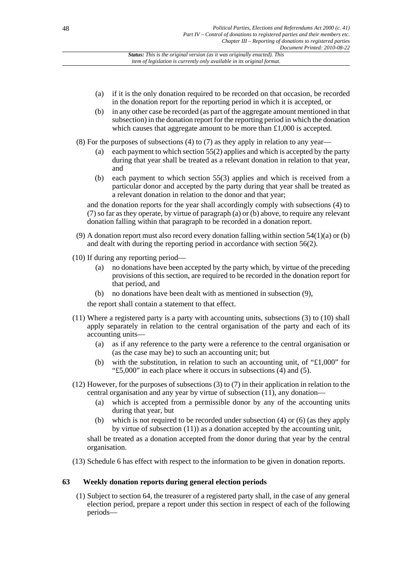- (a) if it is the only donation required to be recorded on that occasion, be recorded in the donation report for the reporting period in which it is accepted, or
- (b) in any other case be recorded (as part of the aggregate amount mentioned in that subsection) in the donation report for the reporting period in which the donation which causes that aggregate amount to be more than £1,000 is accepted.
- (8) For the purposes of subsections (4) to (7) as they apply in relation to any year—
	- (a) each payment to which section 55(2) applies and which is accepted by the party during that year shall be treated as a relevant donation in relation to that year, and
	- (b) each payment to which section 55(3) applies and which is received from a particular donor and accepted by the party during that year shall be treated as a relevant donation in relation to the donor and that year;

and the donation reports for the year shall accordingly comply with subsections (4) to (7) so far as they operate, by virtue of paragraph (a) or (b) above, to require any relevant donation falling within that paragraph to be recorded in a donation report.

- (9) A donation report must also record every donation falling within section  $54(1)(a)$  or (b) and dealt with during the reporting period in accordance with section 56(2).
- (10) If during any reporting period—
	- (a) no donations have been accepted by the party which, by virtue of the preceding provisions of this section, are required to be recorded in the donation report for that period, and
	- (b) no donations have been dealt with as mentioned in subsection (9),

the report shall contain a statement to that effect.

- (11) Where a registered party is a party with accounting units, subsections (3) to (10) shall apply separately in relation to the central organisation of the party and each of its accounting units—
	- (a) as if any reference to the party were a reference to the central organisation or (as the case may be) to such an accounting unit; but
	- (b) with the substitution, in relation to such an accounting unit, of "£1,000" for " $£5,000"$  in each place where it occurs in subsections (4) and (5).
- (12) However, for the purposes of subsections (3) to (7) in their application in relation to the central organisation and any year by virtue of subsection (11), any donation—
	- (a) which is accepted from a permissible donor by any of the accounting units during that year, but
	- (b) which is not required to be recorded under subsection (4) or (6) (as they apply by virtue of subsection (11)) as a donation accepted by the accounting unit,

shall be treated as a donation accepted from the donor during that year by the central organisation.

(13) Schedule 6 has effect with respect to the information to be given in donation reports.

# **63 Weekly donation reports during general election periods**

(1) Subject to section 64, the treasurer of a registered party shall, in the case of any general election period, prepare a report under this section in respect of each of the following periods—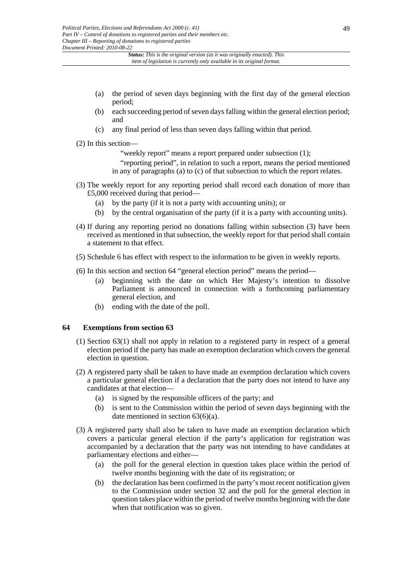- (a) the period of seven days beginning with the first day of the general election period;
- (b) each succeeding period of seven days falling within the general election period; and
- (c) any final period of less than seven days falling within that period.
- (2) In this section—
	- "weekly report" means a report prepared under subsection (1);

"reporting period", in relation to such a report, means the period mentioned in any of paragraphs (a) to (c) of that subsection to which the report relates.

- (3) The weekly report for any reporting period shall record each donation of more than £5,000 received during that period—
	- (a) by the party (if it is not a party with accounting units); or
	- (b) by the central organisation of the party (if it is a party with accounting units).
- (4) If during any reporting period no donations falling within subsection (3) have been received as mentioned in that subsection, the weekly report for that period shall contain a statement to that effect.
- (5) Schedule 6 has effect with respect to the information to be given in weekly reports.
- $(6)$  In this section and section 64 "general election period" means the period—
	- (a) beginning with the date on which Her Majesty's intention to dissolve Parliament is announced in connection with a forthcoming parliamentary general election, and
	- (b) ending with the date of the poll.

# **64 Exemptions from section 63**

- (1) Section 63(1) shall not apply in relation to a registered party in respect of a general election period if the party has made an exemption declaration which covers the general election in question.
- (2) A registered party shall be taken to have made an exemption declaration which covers a particular general election if a declaration that the party does not intend to have any candidates at that election—
	- (a) is signed by the responsible officers of the party; and
	- (b) is sent to the Commission within the period of seven days beginning with the date mentioned in section 63(6)(a).
- (3) A registered party shall also be taken to have made an exemption declaration which covers a particular general election if the party's application for registration was accompanied by a declaration that the party was not intending to have candidates at parliamentary elections and either—
	- (a) the poll for the general election in question takes place within the period of twelve months beginning with the date of its registration; or
	- (b) the declaration has been confirmed in the party's most recent notification given to the Commission under section 32 and the poll for the general election in question takes place within the period of twelve months beginning with the date when that notification was so given.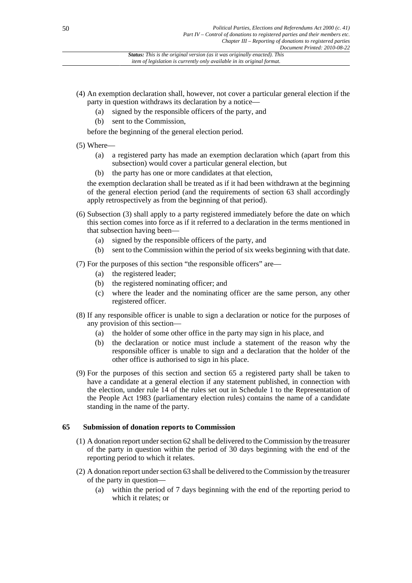- (4) An exemption declaration shall, however, not cover a particular general election if the party in question withdraws its declaration by a notice—
	- (a) signed by the responsible officers of the party, and
	- (b) sent to the Commission,

before the beginning of the general election period.

- (5) Where—
	- (a) a registered party has made an exemption declaration which (apart from this subsection) would cover a particular general election, but
	- (b) the party has one or more candidates at that election,

the exemption declaration shall be treated as if it had been withdrawn at the beginning of the general election period (and the requirements of section 63 shall accordingly apply retrospectively as from the beginning of that period).

- (6) Subsection (3) shall apply to a party registered immediately before the date on which this section comes into force as if it referred to a declaration in the terms mentioned in that subsection having been—
	- (a) signed by the responsible officers of the party, and
	- (b) sent to the Commission within the period of six weeks beginning with that date.
- (7) For the purposes of this section "the responsible officers" are—
	- (a) the registered leader;
	- (b) the registered nominating officer; and
	- (c) where the leader and the nominating officer are the same person, any other registered officer.
- (8) If any responsible officer is unable to sign a declaration or notice for the purposes of any provision of this section—
	- (a) the holder of some other office in the party may sign in his place, and
	- (b) the declaration or notice must include a statement of the reason why the responsible officer is unable to sign and a declaration that the holder of the other office is authorised to sign in his place.
- (9) For the purposes of this section and section 65 a registered party shall be taken to have a candidate at a general election if any statement published, in connection with the election, under rule 14 of the rules set out in Schedule 1 to the Representation of the People Act 1983 (parliamentary election rules) contains the name of a candidate standing in the name of the party.

# **65 Submission of donation reports to Commission**

- (1) A donation report under section 62 shall be delivered to the Commission by the treasurer of the party in question within the period of 30 days beginning with the end of the reporting period to which it relates.
- (2) A donation report under section 63 shall be delivered to the Commission by the treasurer of the party in question—
	- (a) within the period of 7 days beginning with the end of the reporting period to which it relates; or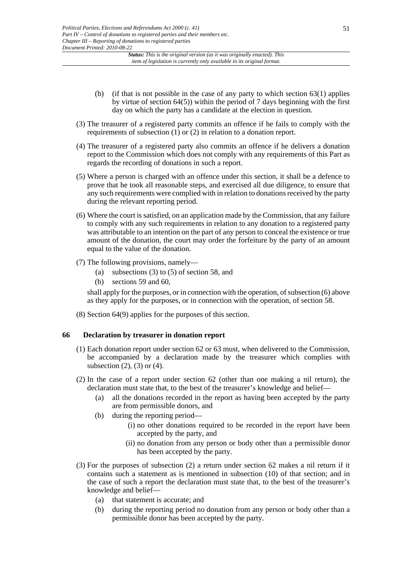- (b) (if that is not possible in the case of any party to which section  $63(1)$  applies by virtue of section 64(5)) within the period of 7 days beginning with the first day on which the party has a candidate at the election in question.
- (3) The treasurer of a registered party commits an offence if he fails to comply with the requirements of subsection  $(1)$  or  $(2)$  in relation to a donation report.
- (4) The treasurer of a registered party also commits an offence if he delivers a donation report to the Commission which does not comply with any requirements of this Part as regards the recording of donations in such a report.
- (5) Where a person is charged with an offence under this section, it shall be a defence to prove that he took all reasonable steps, and exercised all due diligence, to ensure that any such requirements were complied with in relation to donations received by the party during the relevant reporting period.
- (6) Where the court is satisfied, on an application made by the Commission, that any failure to comply with any such requirements in relation to any donation to a registered party was attributable to an intention on the part of any person to conceal the existence or true amount of the donation, the court may order the forfeiture by the party of an amount equal to the value of the donation.
- (7) The following provisions, namely—
	- (a) subsections (3) to (5) of section 58, and
	- (b) sections 59 and 60,

shall apply for the purposes, or in connection with the operation, of subsection (6) above as they apply for the purposes, or in connection with the operation, of section 58.

(8) Section 64(9) applies for the purposes of this section.

### **66 Declaration by treasurer in donation report**

- (1) Each donation report under section 62 or 63 must, when delivered to the Commission, be accompanied by a declaration made by the treasurer which complies with subsection  $(2)$ ,  $(3)$  or  $(4)$ .
- (2) In the case of a report under section 62 (other than one making a nil return), the declaration must state that, to the best of the treasurer's knowledge and belief—
	- (a) all the donations recorded in the report as having been accepted by the party are from permissible donors, and
	- (b) during the reporting period—
		- (i) no other donations required to be recorded in the report have been accepted by the party, and
		- (ii) no donation from any person or body other than a permissible donor has been accepted by the party.
- (3) For the purposes of subsection (2) a return under section 62 makes a nil return if it contains such a statement as is mentioned in subsection (10) of that section; and in the case of such a report the declaration must state that, to the best of the treasurer's knowledge and belief—
	- (a) that statement is accurate; and
	- (b) during the reporting period no donation from any person or body other than a permissible donor has been accepted by the party.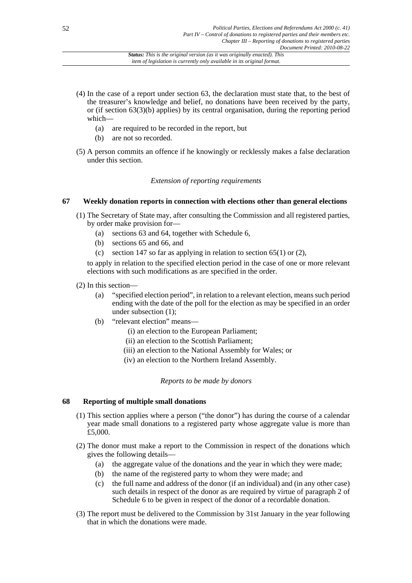- (4) In the case of a report under section 63, the declaration must state that, to the best of the treasurer's knowledge and belief, no donations have been received by the party, or (if section 63(3)(b) applies) by its central organisation, during the reporting period which—
	- (a) are required to be recorded in the report, but
	- (b) are not so recorded.
- (5) A person commits an offence if he knowingly or recklessly makes a false declaration under this section.

*Extension of reporting requirements*

# **67 Weekly donation reports in connection with elections other than general elections**

- (1) The Secretary of State may, after consulting the Commission and all registered parties, by order make provision for—
	- (a) sections 63 and 64, together with Schedule 6,
	- (b) sections 65 and 66, and
	- (c) section 147 so far as applying in relation to section  $65(1)$  or  $(2)$ ,

to apply in relation to the specified election period in the case of one or more relevant elections with such modifications as are specified in the order.

- (2) In this section—
	- (a) "specified election period", in relation to a relevant election, means such period ending with the date of the poll for the election as may be specified in an order under subsection (1);
	- (b) "relevant election" means—
		- (i) an election to the European Parliament;
		- (ii) an election to the Scottish Parliament;
		- (iii) an election to the National Assembly for Wales; or
		- (iv) an election to the Northern Ireland Assembly.

# *Reports to be made by donors*

# **68 Reporting of multiple small donations**

- (1) This section applies where a person ("the donor") has during the course of a calendar year made small donations to a registered party whose aggregate value is more than £5,000.
- (2) The donor must make a report to the Commission in respect of the donations which gives the following details—
	- (a) the aggregate value of the donations and the year in which they were made;
	- (b) the name of the registered party to whom they were made; and
	- (c) the full name and address of the donor (if an individual) and (in any other case) such details in respect of the donor as are required by virtue of paragraph 2 of Schedule 6 to be given in respect of the donor of a recordable donation.
- (3) The report must be delivered to the Commission by 31st January in the year following that in which the donations were made.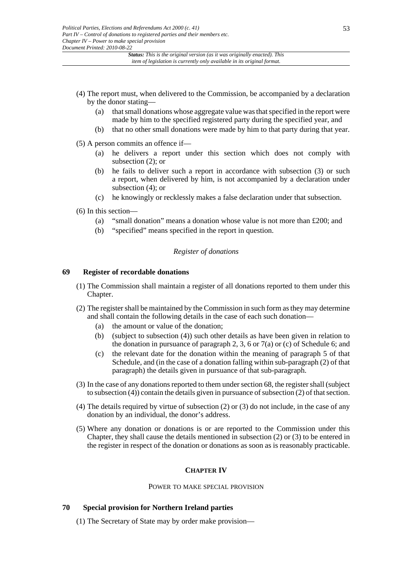- (4) The report must, when delivered to the Commission, be accompanied by a declaration by the donor stating—
	- (a) that small donations whose aggregate value was that specified in the report were made by him to the specified registered party during the specified year, and
	- (b) that no other small donations were made by him to that party during that year.

(5) A person commits an offence if—

- (a) he delivers a report under this section which does not comply with subsection (2); or
- (b) he fails to deliver such a report in accordance with subsection (3) or such a report, when delivered by him, is not accompanied by a declaration under subsection (4); or
- (c) he knowingly or recklessly makes a false declaration under that subsection.
- (6) In this section—
	- (a) "small donation" means a donation whose value is not more than £200; and
	- (b) "specified" means specified in the report in question.

### *Register of donations*

### **69 Register of recordable donations**

- (1) The Commission shall maintain a register of all donations reported to them under this Chapter.
- (2) The register shall be maintained by the Commission in such form as they may determine and shall contain the following details in the case of each such donation—
	- (a) the amount or value of the donation;
	- (b) (subject to subsection (4)) such other details as have been given in relation to the donation in pursuance of paragraph 2, 3, 6 or  $7(a)$  or (c) of Schedule 6; and
	- (c) the relevant date for the donation within the meaning of paragraph 5 of that Schedule, and (in the case of a donation falling within sub-paragraph (2) of that paragraph) the details given in pursuance of that sub-paragraph.
- (3) In the case of any donations reported to them under section 68, the register shall (subject to subsection (4)) contain the details given in pursuance of subsection (2) of that section.
- (4) The details required by virtue of subsection (2) or (3) do not include, in the case of any donation by an individual, the donor's address.
- (5) Where any donation or donations is or are reported to the Commission under this Chapter, they shall cause the details mentioned in subsection (2) or (3) to be entered in the register in respect of the donation or donations as soon as is reasonably practicable.

# **CHAPTER IV**

### POWER TO MAKE SPECIAL PROVISION

# **70 Special provision for Northern Ireland parties**

(1) The Secretary of State may by order make provision—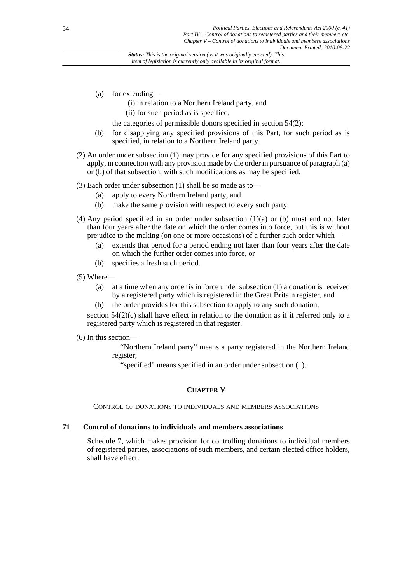- (a) for extending—
	- (i) in relation to a Northern Ireland party, and
	- (ii) for such period as is specified,
	- the categories of permissible donors specified in section 54(2);
- (b) for disapplying any specified provisions of this Part, for such period as is specified, in relation to a Northern Ireland party.
- (2) An order under subsection (1) may provide for any specified provisions of this Part to apply, in connection with any provision made by the order in pursuance of paragraph (a) or (b) of that subsection, with such modifications as may be specified.
- (3) Each order under subsection (1) shall be so made as to—
	- (a) apply to every Northern Ireland party, and
	- (b) make the same provision with respect to every such party.
- (4) Any period specified in an order under subsection (1)(a) or (b) must end not later than four years after the date on which the order comes into force, but this is without prejudice to the making (on one or more occasions) of a further such order which—
	- (a) extends that period for a period ending not later than four years after the date on which the further order comes into force, or
	- (b) specifies a fresh such period.
- (5) Where—
	- (a) at a time when any order is in force under subsection (1) a donation is received by a registered party which is registered in the Great Britain register, and
	- (b) the order provides for this subsection to apply to any such donation,

section 54(2)(c) shall have effect in relation to the donation as if it referred only to a registered party which is registered in that register.

(6) In this section—

"Northern Ireland party" means a party registered in the Northern Ireland register;

"specified" means specified in an order under subsection (1).

# **CHAPTER V**

CONTROL OF DONATIONS TO INDIVIDUALS AND MEMBERS ASSOCIATIONS

# **71 Control of donations to individuals and members associations**

Schedule 7, which makes provision for controlling donations to individual members of registered parties, associations of such members, and certain elected office holders, shall have effect.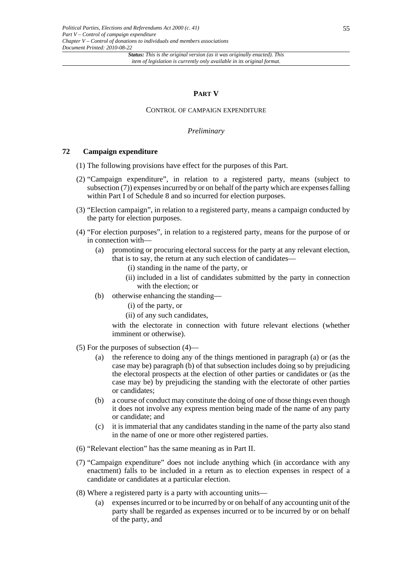#### **PART V**

#### CONTROL OF CAMPAIGN EXPENDITURE

#### *Preliminary*

#### **72 Campaign expenditure**

- (1) The following provisions have effect for the purposes of this Part.
- (2) "Campaign expenditure", in relation to a registered party, means (subject to subsection  $(7)$ ) expenses incurred by or on behalf of the party which are expenses falling within Part I of Schedule 8 and so incurred for election purposes.
- (3) "Election campaign", in relation to a registered party, means a campaign conducted by the party for election purposes.
- (4) "For election purposes", in relation to a registered party, means for the purpose of or in connection with—
	- (a) promoting or procuring electoral success for the party at any relevant election, that is to say, the return at any such election of candidates—
		- (i) standing in the name of the party, or
		- (ii) included in a list of candidates submitted by the party in connection with the election; or
	- (b) otherwise enhancing the standing—
		- (i) of the party, or
		- (ii) of any such candidates,

with the electorate in connection with future relevant elections (whether imminent or otherwise).

- (5) For the purposes of subsection (4)—
	- (a) the reference to doing any of the things mentioned in paragraph (a) or (as the case may be) paragraph (b) of that subsection includes doing so by prejudicing the electoral prospects at the election of other parties or candidates or (as the case may be) by prejudicing the standing with the electorate of other parties or candidates;
	- (b) a course of conduct may constitute the doing of one of those things even though it does not involve any express mention being made of the name of any party or candidate; and
	- (c) it is immaterial that any candidates standing in the name of the party also stand in the name of one or more other registered parties.
- (6) "Relevant election" has the same meaning as in Part II.
- (7) "Campaign expenditure" does not include anything which (in accordance with any enactment) falls to be included in a return as to election expenses in respect of a candidate or candidates at a particular election.
- (8) Where a registered party is a party with accounting units—
	- (a) expenses incurred or to be incurred by or on behalf of any accounting unit of the party shall be regarded as expenses incurred or to be incurred by or on behalf of the party, and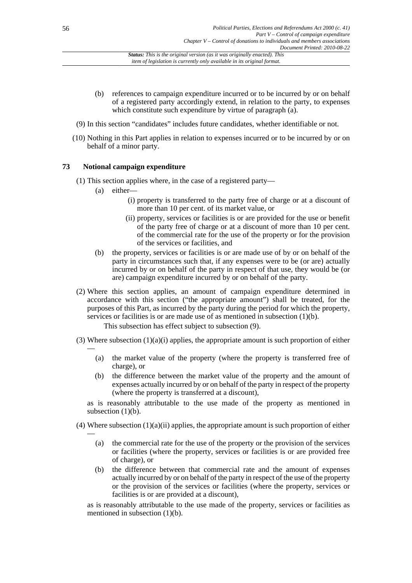- (b) references to campaign expenditure incurred or to be incurred by or on behalf of a registered party accordingly extend, in relation to the party, to expenses which constitute such expenditure by virtue of paragraph (a).
- (9) In this section "candidates" includes future candidates, whether identifiable or not.
- (10) Nothing in this Part applies in relation to expenses incurred or to be incurred by or on behalf of a minor party.

# **73 Notional campaign expenditure**

- (1) This section applies where, in the case of a registered party—
	- (a) either—

 $\overline{\phantom{a}}$ 

 $\overline{\phantom{a}}$ 

- (i) property is transferred to the party free of charge or at a discount of more than 10 per cent. of its market value, or
- (ii) property, services or facilities is or are provided for the use or benefit of the party free of charge or at a discount of more than 10 per cent. of the commercial rate for the use of the property or for the provision of the services or facilities, and
- (b) the property, services or facilities is or are made use of by or on behalf of the party in circumstances such that, if any expenses were to be (or are) actually incurred by or on behalf of the party in respect of that use, they would be (or are) campaign expenditure incurred by or on behalf of the party.
- (2) Where this section applies, an amount of campaign expenditure determined in accordance with this section ("the appropriate amount") shall be treated, for the purposes of this Part, as incurred by the party during the period for which the property, services or facilities is or are made use of as mentioned in subsection (1)(b).

This subsection has effect subject to subsection (9).

- (3) Where subsection  $(1)(a)(i)$  applies, the appropriate amount is such proportion of either
	- (a) the market value of the property (where the property is transferred free of charge), or
	- (b) the difference between the market value of the property and the amount of expenses actually incurred by or on behalf of the party in respect of the property (where the property is transferred at a discount),

as is reasonably attributable to the use made of the property as mentioned in subsection  $(1)(b)$ .

- (4) Where subsection  $(1)(a)(ii)$  applies, the appropriate amount is such proportion of either
	- (a) the commercial rate for the use of the property or the provision of the services or facilities (where the property, services or facilities is or are provided free of charge), or
	- (b) the difference between that commercial rate and the amount of expenses actually incurred by or on behalf of the party in respect of the use of the property or the provision of the services or facilities (where the property, services or facilities is or are provided at a discount),

as is reasonably attributable to the use made of the property, services or facilities as mentioned in subsection (1)(b).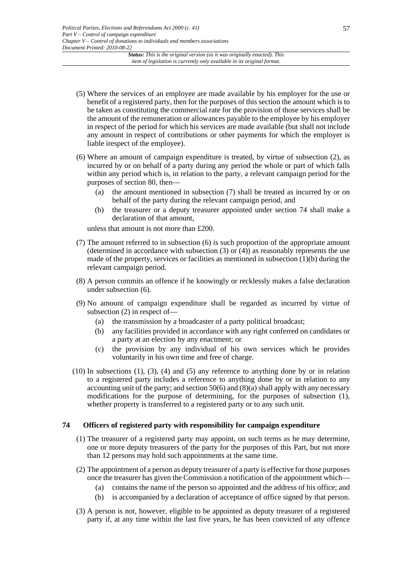- (5) Where the services of an employee are made available by his employer for the use or benefit of a registered party, then for the purposes of this section the amount which is to be taken as constituting the commercial rate for the provision of those services shall be the amount of the remuneration or allowances payable to the employee by his employer in respect of the period for which his services are made available (but shall not include any amount in respect of contributions or other payments for which the employer is liable irespect of the employee).
- (6) Where an amount of campaign expenditure is treated, by virtue of subsection (2), as incurred by or on behalf of a party during any period the whole or part of which falls within any period which is, in relation to the party, a relevant campaign period for the purposes of section 80, then—
	- (a) the amount mentioned in subsection (7) shall be treated as incurred by or on behalf of the party during the relevant campaign period, and
	- (b) the treasurer or a deputy treasurer appointed under section 74 shall make a declaration of that amount,

unless that amount is not more than £200.

- (7) The amount referred to in subsection (6) is such proportion of the appropriate amount (determined in accordance with subsection (3) or (4)) as reasonably represents the use made of the property, services or facilities as mentioned in subsection  $(1)(b)$  during the relevant campaign period.
- (8) A person commits an offence if he knowingly or recklessly makes a false declaration under subsection (6).
- (9) No amount of campaign expenditure shall be regarded as incurred by virtue of subsection (2) in respect of—
	- (a) the transmission by a broadcaster of a party political broadcast;
	- (b) any facilities provided in accordance with any right conferred on candidates or a party at an election by any enactment; or
	- (c) the provision by any individual of his own services which he provides voluntarily in his own time and free of charge.
- (10) In subsections (1), (3), (4) and (5) any reference to anything done by or in relation to a registered party includes a reference to anything done by or in relation to any accounting unit of the party; and section  $50(6)$  and  $(8)(a)$  shall apply with any necessary modifications for the purpose of determining, for the purposes of subsection (1), whether property is transferred to a registered party or to any such unit.

### **74 Officers of registered party with responsibility for campaign expenditure**

- (1) The treasurer of a registered party may appoint, on such terms as he may determine, one or more deputy treasurers of the party for the purposes of this Part, but not more than 12 persons may hold such appointments at the same time.
- (2) The appointment of a person as deputy treasurer of a party is effective for those purposes once the treasurer has given the Commission a notification of the appointment which—
	- (a) contains the name of the person so appointed and the address of his office; and
	- (b) is accompanied by a declaration of acceptance of office signed by that person.
- (3) A person is not, however, eligible to be appointed as deputy treasurer of a registered party if, at any time within the last five years, he has been convicted of any offence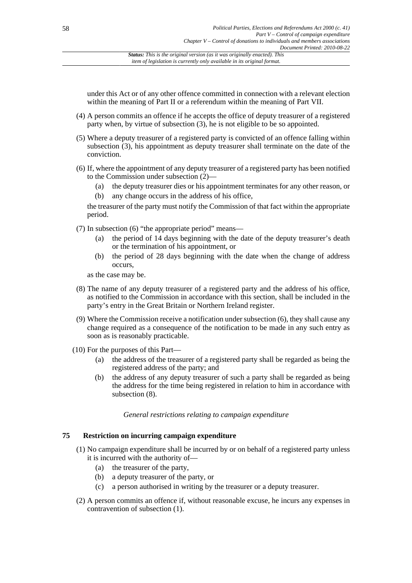under this Act or of any other offence committed in connection with a relevant election within the meaning of Part II or a referendum within the meaning of Part VII.

- (4) A person commits an offence if he accepts the office of deputy treasurer of a registered party when, by virtue of subsection (3), he is not eligible to be so appointed.
- (5) Where a deputy treasurer of a registered party is convicted of an offence falling within subsection (3), his appointment as deputy treasurer shall terminate on the date of the conviction.
- (6) If, where the appointment of any deputy treasurer of a registered party has been notified to the Commission under subsection (2)—
	- (a) the deputy treasurer dies or his appointment terminates for any other reason, or
	- (b) any change occurs in the address of his office,

the treasurer of the party must notify the Commission of that fact within the appropriate period.

- (7) In subsection (6) "the appropriate period" means—
	- (a) the period of 14 days beginning with the date of the deputy treasurer's death or the termination of his appointment, or
	- (b) the period of 28 days beginning with the date when the change of address occurs,

as the case may be.

- (8) The name of any deputy treasurer of a registered party and the address of his office, as notified to the Commission in accordance with this section, shall be included in the party's entry in the Great Britain or Northern Ireland register.
- (9) Where the Commission receive a notification under subsection (6), they shall cause any change required as a consequence of the notification to be made in any such entry as soon as is reasonably practicable.
- (10) For the purposes of this Part—
	- (a) the address of the treasurer of a registered party shall be regarded as being the registered address of the party; and
	- (b) the address of any deputy treasurer of such a party shall be regarded as being the address for the time being registered in relation to him in accordance with subsection (8).

*General restrictions relating to campaign expenditure*

# **75 Restriction on incurring campaign expenditure**

- (1) No campaign expenditure shall be incurred by or on behalf of a registered party unless it is incurred with the authority of—
	- (a) the treasurer of the party,
	- (b) a deputy treasurer of the party, or
	- (c) a person authorised in writing by the treasurer or a deputy treasurer.
- (2) A person commits an offence if, without reasonable excuse, he incurs any expenses in contravention of subsection (1).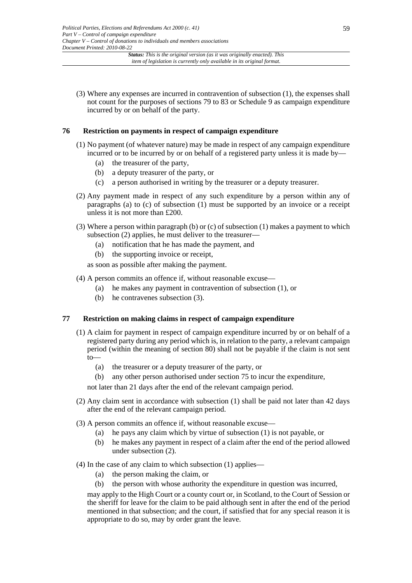(3) Where any expenses are incurred in contravention of subsection (1), the expenses shall not count for the purposes of sections 79 to 83 or Schedule 9 as campaign expenditure incurred by or on behalf of the party.

# **76 Restriction on payments in respect of campaign expenditure**

- (1) No payment (of whatever nature) may be made in respect of any campaign expenditure incurred or to be incurred by or on behalf of a registered party unless it is made by—
	- (a) the treasurer of the party,
	- (b) a deputy treasurer of the party, or
	- (c) a person authorised in writing by the treasurer or a deputy treasurer.
- (2) Any payment made in respect of any such expenditure by a person within any of paragraphs (a) to (c) of subsection  $(1)$  must be supported by an invoice or a receipt unless it is not more than £200.
- (3) Where a person within paragraph (b) or (c) of subsection (1) makes a payment to which subsection (2) applies, he must deliver to the treasurer—
	- (a) notification that he has made the payment, and
	- (b) the supporting invoice or receipt,

as soon as possible after making the payment.

- (4) A person commits an offence if, without reasonable excuse—
	- (a) he makes any payment in contravention of subsection (1), or
	- (b) he contravenes subsection (3).

# **77 Restriction on making claims in respect of campaign expenditure**

- (1) A claim for payment in respect of campaign expenditure incurred by or on behalf of a registered party during any period which is, in relation to the party, a relevant campaign period (within the meaning of section 80) shall not be payable if the claim is not sent to—
	- (a) the treasurer or a deputy treasurer of the party, or
	- (b) any other person authorised under section 75 to incur the expenditure,

not later than 21 days after the end of the relevant campaign period.

- (2) Any claim sent in accordance with subsection (1) shall be paid not later than 42 days after the end of the relevant campaign period.
- (3) A person commits an offence if, without reasonable excuse—
	- (a) he pays any claim which by virtue of subsection (1) is not payable, or
	- (b) he makes any payment in respect of a claim after the end of the period allowed under subsection (2).
- (4) In the case of any claim to which subsection (1) applies—
	- (a) the person making the claim, or
	- (b) the person with whose authority the expenditure in question was incurred,

may apply to the High Court or a county court or, in Scotland, to the Court of Session or the sheriff for leave for the claim to be paid although sent in after the end of the period mentioned in that subsection; and the court, if satisfied that for any special reason it is appropriate to do so, may by order grant the leave.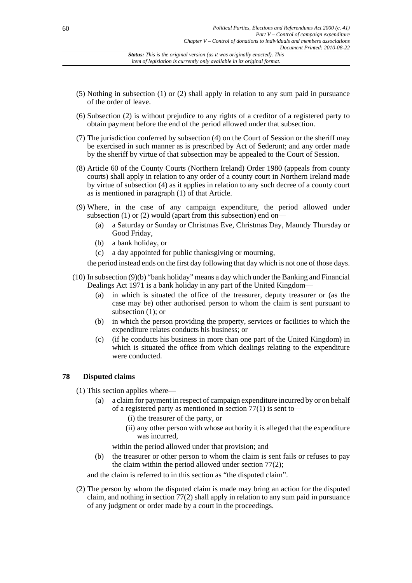- (5) Nothing in subsection (1) or (2) shall apply in relation to any sum paid in pursuance of the order of leave.
- (6) Subsection (2) is without prejudice to any rights of a creditor of a registered party to obtain payment before the end of the period allowed under that subsection.
- (7) The jurisdiction conferred by subsection (4) on the Court of Session or the sheriff may be exercised in such manner as is prescribed by Act of Sederunt; and any order made by the sheriff by virtue of that subsection may be appealed to the Court of Session.
- (8) Article 60 of the County Courts (Northern Ireland) Order 1980 (appeals from county courts) shall apply in relation to any order of a county court in Northern Ireland made by virtue of subsection (4) as it applies in relation to any such decree of a county court as is mentioned in paragraph (1) of that Article.
- (9) Where, in the case of any campaign expenditure, the period allowed under subsection (1) or (2) would (apart from this subsection) end on—
	- (a) a Saturday or Sunday or Christmas Eve, Christmas Day, Maundy Thursday or Good Friday,
	- (b) a bank holiday, or
	- (c) a day appointed for public thanksgiving or mourning,

the period instead ends on the first day following that day which is not one of those days.

- (10) In subsection (9)(b) "bank holiday" means a day which under the Banking and Financial Dealings Act 1971 is a bank holiday in any part of the United Kingdom—
	- (a) in which is situated the office of the treasurer, deputy treasurer or (as the case may be) other authorised person to whom the claim is sent pursuant to subsection (1); or
	- (b) in which the person providing the property, services or facilities to which the expenditure relates conducts his business; or
	- (c) (if he conducts his business in more than one part of the United Kingdom) in which is situated the office from which dealings relating to the expenditure were conducted.

# **78 Disputed claims**

(1) This section applies where—

- (a) a claim for payment in respect of campaign expenditure incurred by or on behalf of a registered party as mentioned in section 77(1) is sent to—
	- (i) the treasurer of the party, or
	- (ii) any other person with whose authority it is alleged that the expenditure was incurred.

within the period allowed under that provision; and

(b) the treasurer or other person to whom the claim is sent fails or refuses to pay the claim within the period allowed under section 77(2);

and the claim is referred to in this section as "the disputed claim".

(2) The person by whom the disputed claim is made may bring an action for the disputed claim, and nothing in section 77(2) shall apply in relation to any sum paid in pursuance of any judgment or order made by a court in the proceedings.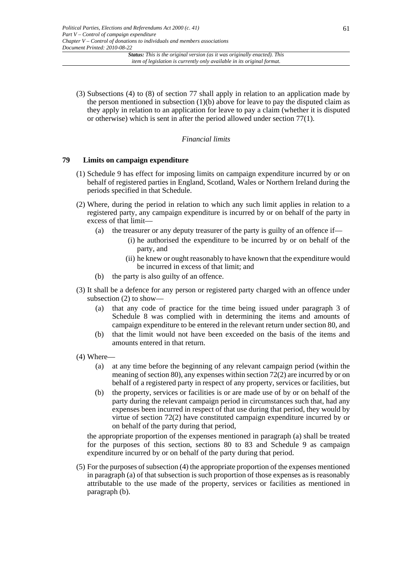(3) Subsections (4) to (8) of section 77 shall apply in relation to an application made by the person mentioned in subsection  $(1)(b)$  above for leave to pay the disputed claim as they apply in relation to an application for leave to pay a claim (whether it is disputed or otherwise) which is sent in after the period allowed under section 77(1).

### *Financial limits*

### **79 Limits on campaign expenditure**

- (1) Schedule 9 has effect for imposing limits on campaign expenditure incurred by or on behalf of registered parties in England, Scotland, Wales or Northern Ireland during the periods specified in that Schedule.
- (2) Where, during the period in relation to which any such limit applies in relation to a registered party, any campaign expenditure is incurred by or on behalf of the party in excess of that limit—
	- (a) the treasurer or any deputy treasurer of the party is guilty of an offence if—
		- (i) he authorised the expenditure to be incurred by or on behalf of the party, and
		- (ii) he knew or ought reasonably to have known that the expenditure would be incurred in excess of that limit; and
	- (b) the party is also guilty of an offence.
- (3) It shall be a defence for any person or registered party charged with an offence under subsection (2) to show—
	- (a) that any code of practice for the time being issued under paragraph 3 of Schedule 8 was complied with in determining the items and amounts of campaign expenditure to be entered in the relevant return under section 80, and
	- (b) that the limit would not have been exceeded on the basis of the items and amounts entered in that return.
- (4) Where—
	- (a) at any time before the beginning of any relevant campaign period (within the meaning of section 80), any expenses within section 72(2) are incurred by or on behalf of a registered party in respect of any property, services or facilities, but
	- (b) the property, services or facilities is or are made use of by or on behalf of the party during the relevant campaign period in circumstances such that, had any expenses been incurred in respect of that use during that period, they would by virtue of section 72(2) have constituted campaign expenditure incurred by or on behalf of the party during that period,

the appropriate proportion of the expenses mentioned in paragraph (a) shall be treated for the purposes of this section, sections 80 to 83 and Schedule 9 as campaign expenditure incurred by or on behalf of the party during that period.

(5) For the purposes of subsection (4) the appropriate proportion of the expenses mentioned in paragraph (a) of that subsection is such proportion of those expenses as is reasonably attributable to the use made of the property, services or facilities as mentioned in paragraph (b).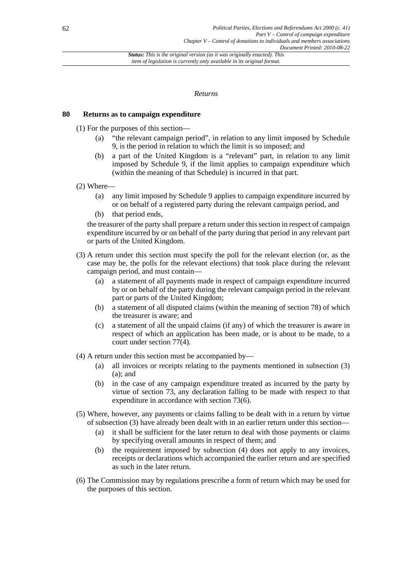### *Returns*

### **80 Returns as to campaign expenditure**

(1) For the purposes of this section—

- (a) "the relevant campaign period", in relation to any limit imposed by Schedule 9, is the period in relation to which the limit is so imposed; and
- (b) a part of the United Kingdom is a "relevant" part, in relation to any limit imposed by Schedule 9, if the limit applies to campaign expenditure which (within the meaning of that Schedule) is incurred in that part.
- (2) Where—
	- (a) any limit imposed by Schedule 9 applies to campaign expenditure incurred by or on behalf of a registered party during the relevant campaign period, and
	- (b) that period ends,

the treasurer of the party shall prepare a return under this section in respect of campaign expenditure incurred by or on behalf of the party during that period in any relevant part or parts of the United Kingdom.

- (3) A return under this section must specify the poll for the relevant election (or, as the case may be, the polls for the relevant elections) that took place during the relevant campaign period, and must contain—
	- (a) a statement of all payments made in respect of campaign expenditure incurred by or on behalf of the party during the relevant campaign period in the relevant part or parts of the United Kingdom;
	- (b) a statement of all disputed claims (within the meaning of section 78) of which the treasurer is aware; and
	- (c) a statement of all the unpaid claims (if any) of which the treasurer is aware in respect of which an application has been made, or is about to be made, to a court under section 77(4).
- (4) A return under this section must be accompanied by—
	- (a) all invoices or receipts relating to the payments mentioned in subsection (3)  $(a)$ ; and
	- (b) in the case of any campaign expenditure treated as incurred by the party by virtue of section 73, any declaration falling to be made with respect to that expenditure in accordance with section 73(6).
- (5) Where, however, any payments or claims falling to be dealt with in a return by virtue of subsection (3) have already been dealt with in an earlier return under this section—
	- (a) it shall be sufficient for the later return to deal with those payments or claims by specifying overall amounts in respect of them; and
	- (b) the requirement imposed by subsection (4) does not apply to any invoices, receipts or declarations which accompanied the earlier return and are specified as such in the later return.
- (6) The Commission may by regulations prescribe a form of return which may be used for the purposes of this section.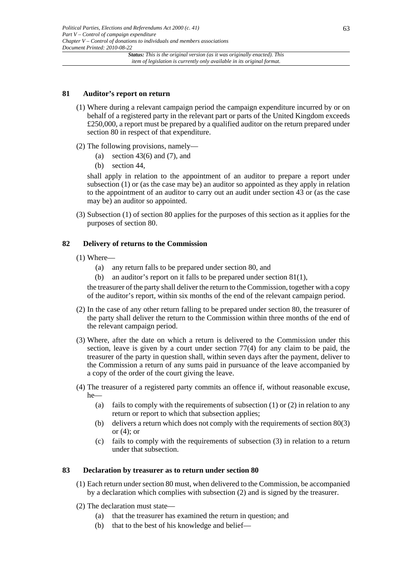# **81 Auditor's report on return**

- (1) Where during a relevant campaign period the campaign expenditure incurred by or on behalf of a registered party in the relevant part or parts of the United Kingdom exceeds £250,000, a report must be prepared by a qualified auditor on the return prepared under section 80 in respect of that expenditure.
- (2) The following provisions, namely—
	- (a) section  $43(6)$  and  $(7)$ , and
	- (b) section 44,

shall apply in relation to the appointment of an auditor to prepare a report under subsection (1) or (as the case may be) an auditor so appointed as they apply in relation to the appointment of an auditor to carry out an audit under section 43 or (as the case may be) an auditor so appointed.

(3) Subsection (1) of section 80 applies for the purposes of this section as it applies for the purposes of section 80.

### **82 Delivery of returns to the Commission**

- (1) Where—
	- (a) any return falls to be prepared under section 80, and
	- (b) an auditor's report on it falls to be prepared under section 81(1),

the treasurer of the party shall deliver the return to the Commission, together with a copy of the auditor's report, within six months of the end of the relevant campaign period.

- (2) In the case of any other return falling to be prepared under section 80, the treasurer of the party shall deliver the return to the Commission within three months of the end of the relevant campaign period.
- (3) Where, after the date on which a return is delivered to the Commission under this section, leave is given by a court under section 77(4) for any claim to be paid, the treasurer of the party in question shall, within seven days after the payment, deliver to the Commission a return of any sums paid in pursuance of the leave accompanied by a copy of the order of the court giving the leave.
- (4) The treasurer of a registered party commits an offence if, without reasonable excuse, he—
	- (a) fails to comply with the requirements of subsection  $(1)$  or  $(2)$  in relation to any return or report to which that subsection applies;
	- (b) delivers a return which does not comply with the requirements of section 80(3) or  $(4)$ ; or
	- (c) fails to comply with the requirements of subsection (3) in relation to a return under that subsection.

## **83 Declaration by treasurer as to return under section 80**

- (1) Each return under section 80 must, when delivered to the Commission, be accompanied by a declaration which complies with subsection (2) and is signed by the treasurer.
- (2) The declaration must state—
	- (a) that the treasurer has examined the return in question; and
	- (b) that to the best of his knowledge and belief—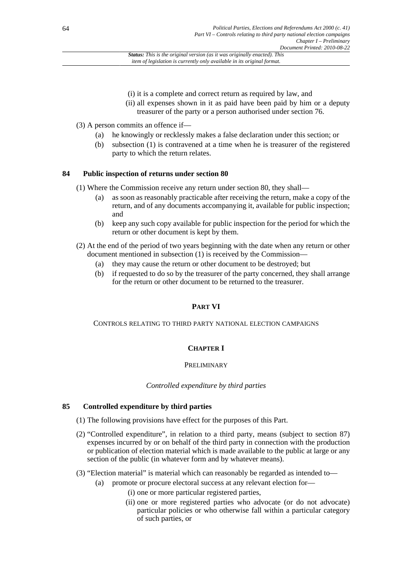- (i) it is a complete and correct return as required by law, and
- (ii) all expenses shown in it as paid have been paid by him or a deputy treasurer of the party or a person authorised under section 76.
- (3) A person commits an offence if—
	- (a) he knowingly or recklessly makes a false declaration under this section; or
	- (b) subsection (1) is contravened at a time when he is treasurer of the registered party to which the return relates.

### **84 Public inspection of returns under section 80**

- (1) Where the Commission receive any return under section 80, they shall—
	- (a) as soon as reasonably practicable after receiving the return, make a copy of the return, and of any documents accompanying it, available for public inspection; and
	- (b) keep any such copy available for public inspection for the period for which the return or other document is kept by them.
- (2) At the end of the period of two years beginning with the date when any return or other document mentioned in subsection (1) is received by the Commission—
	- (a) they may cause the return or other document to be destroyed; but
	- (b) if requested to do so by the treasurer of the party concerned, they shall arrange for the return or other document to be returned to the treasurer.

# **PART VI**

### CONTROLS RELATING TO THIRD PARTY NATIONAL ELECTION CAMPAIGNS

# **CHAPTER I**

### PRELIMINARY

### *Controlled expenditure by third parties*

# **85 Controlled expenditure by third parties**

- (1) The following provisions have effect for the purposes of this Part.
- (2) "Controlled expenditure", in relation to a third party, means (subject to section 87) expenses incurred by or on behalf of the third party in connection with the production or publication of election material which is made available to the public at large or any section of the public (in whatever form and by whatever means).
- (3) "Election material" is material which can reasonably be regarded as intended to—
	- (a) promote or procure electoral success at any relevant election for—
		- (i) one or more particular registered parties,
			- (ii) one or more registered parties who advocate (or do not advocate) particular policies or who otherwise fall within a particular category of such parties, or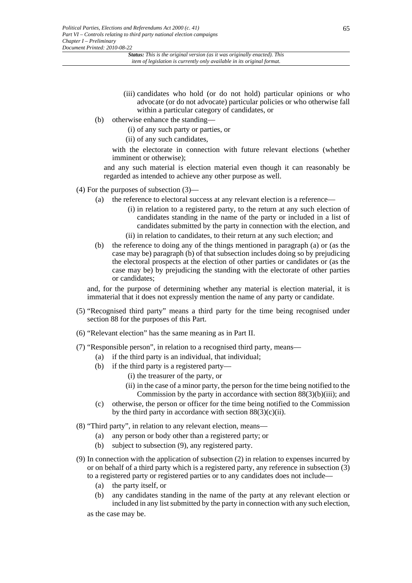- (iii) candidates who hold (or do not hold) particular opinions or who advocate (or do not advocate) particular policies or who otherwise fall within a particular category of candidates, or
- (b) otherwise enhance the standing—
	- (i) of any such party or parties, or
	- (ii) of any such candidates,

with the electorate in connection with future relevant elections (whether imminent or otherwise).

and any such material is election material even though it can reasonably be regarded as intended to achieve any other purpose as well.

### (4) For the purposes of subsection (3)—

- (a) the reference to electoral success at any relevant election is a reference—
	- (i) in relation to a registered party, to the return at any such election of candidates standing in the name of the party or included in a list of candidates submitted by the party in connection with the election, and
	- (ii) in relation to candidates, to their return at any such election; and
- (b) the reference to doing any of the things mentioned in paragraph (a) or (as the case may be) paragraph (b) of that subsection includes doing so by prejudicing the electoral prospects at the election of other parties or candidates or (as the case may be) by prejudicing the standing with the electorate of other parties or candidates;

and, for the purpose of determining whether any material is election material, it is immaterial that it does not expressly mention the name of any party or candidate.

- (5) "Recognised third party" means a third party for the time being recognised under section 88 for the purposes of this Part.
- (6) "Relevant election" has the same meaning as in Part II.
- (7) "Responsible person", in relation to a recognised third party, means—
	- (a) if the third party is an individual, that individual;
	- (b) if the third party is a registered party—
		- (i) the treasurer of the party, or
		- (ii) in the case of a minor party, the person for the time being notified to the Commission by the party in accordance with section  $88(3)(b)(iii)$ ; and
	- (c) otherwise, the person or officer for the time being notified to the Commission by the third party in accordance with section  $88(3)(c)(ii)$ .
- (8) "Third party", in relation to any relevant election, means—
	- (a) any person or body other than a registered party; or
	- (b) subject to subsection (9), any registered party.
- (9) In connection with the application of subsection (2) in relation to expenses incurred by or on behalf of a third party which is a registered party, any reference in subsection (3) to a registered party or registered parties or to any candidates does not include—
	- (a) the party itself, or
	- (b) any candidates standing in the name of the party at any relevant election or included in any list submitted by the party in connection with any such election,

as the case may be.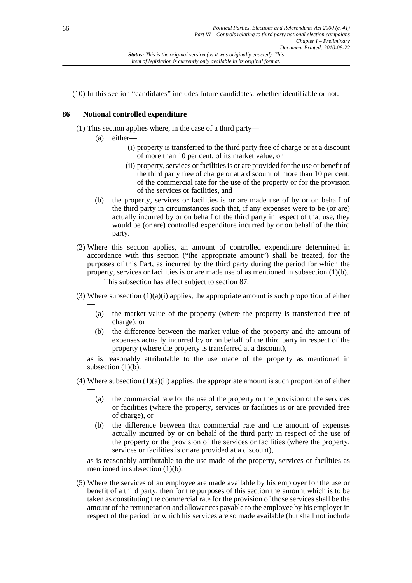(10) In this section "candidates" includes future candidates, whether identifiable or not.

### **86 Notional controlled expenditure**

- (1) This section applies where, in the case of a third party—
	- (a) either—

—

- (i) property is transferred to the third party free of charge or at a discount of more than 10 per cent. of its market value, or
- (ii) property, services or facilities is or are provided for the use or benefit of the third party free of charge or at a discount of more than 10 per cent. of the commercial rate for the use of the property or for the provision of the services or facilities, and
- (b) the property, services or facilities is or are made use of by or on behalf of the third party in circumstances such that, if any expenses were to be (or are) actually incurred by or on behalf of the third party in respect of that use, they would be (or are) controlled expenditure incurred by or on behalf of the third party.
- (2) Where this section applies, an amount of controlled expenditure determined in accordance with this section ("the appropriate amount") shall be treated, for the purposes of this Part, as incurred by the third party during the period for which the property, services or facilities is or are made use of as mentioned in subsection (1)(b). This subsection has effect subject to section 87.
- (3) Where subsection  $(1)(a)(i)$  applies, the appropriate amount is such proportion of either  $\overline{\phantom{a}}$ 
	- (a) the market value of the property (where the property is transferred free of charge), or
	- (b) the difference between the market value of the property and the amount of expenses actually incurred by or on behalf of the third party in respect of the property (where the property is transferred at a discount),

as is reasonably attributable to the use made of the property as mentioned in subsection  $(1)(b)$ .

- (4) Where subsection  $(1)(a)(ii)$  applies, the appropriate amount is such proportion of either
	- (a) the commercial rate for the use of the property or the provision of the services or facilities (where the property, services or facilities is or are provided free of charge), or
	- (b) the difference between that commercial rate and the amount of expenses actually incurred by or on behalf of the third party in respect of the use of the property or the provision of the services or facilities (where the property, services or facilities is or are provided at a discount),

as is reasonably attributable to the use made of the property, services or facilities as mentioned in subsection (1)(b).

(5) Where the services of an employee are made available by his employer for the use or benefit of a third party, then for the purposes of this section the amount which is to be taken as constituting the commercial rate for the provision of those services shall be the amount of the remuneration and allowances payable to the employee by his employer in respect of the period for which his services are so made available (but shall not include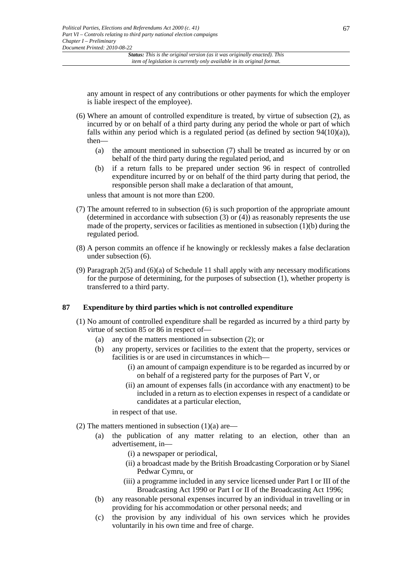any amount in respect of any contributions or other payments for which the employer is liable irespect of the employee).

- (6) Where an amount of controlled expenditure is treated, by virtue of subsection (2), as incurred by or on behalf of a third party during any period the whole or part of which falls within any period which is a regulated period (as defined by section 94(10)(a)), then—
	- (a) the amount mentioned in subsection (7) shall be treated as incurred by or on behalf of the third party during the regulated period, and
	- (b) if a return falls to be prepared under section 96 in respect of controlled expenditure incurred by or on behalf of the third party during that period, the responsible person shall make a declaration of that amount,

unless that amount is not more than £200.

- (7) The amount referred to in subsection (6) is such proportion of the appropriate amount (determined in accordance with subsection (3) or (4)) as reasonably represents the use made of the property, services or facilities as mentioned in subsection  $(1)(b)$  during the regulated period.
- (8) A person commits an offence if he knowingly or recklessly makes a false declaration under subsection (6).
- (9) Paragraph 2(5) and (6)(a) of Schedule 11 shall apply with any necessary modifications for the purpose of determining, for the purposes of subsection (1), whether property is transferred to a third party.

### **87 Expenditure by third parties which is not controlled expenditure**

- (1) No amount of controlled expenditure shall be regarded as incurred by a third party by virtue of section 85 or 86 in respect of—
	- (a) any of the matters mentioned in subsection (2); or
	- (b) any property, services or facilities to the extent that the property, services or facilities is or are used in circumstances in which—
		- (i) an amount of campaign expenditure is to be regarded as incurred by or on behalf of a registered party for the purposes of Part V, or
		- (ii) an amount of expenses falls (in accordance with any enactment) to be included in a return as to election expenses in respect of a candidate or candidates at a particular election,

in respect of that use.

- (2) The matters mentioned in subsection  $(1)(a)$  are—
	- (a) the publication of any matter relating to an election, other than an advertisement, in—
		- (i) a newspaper or periodical,
		- (ii) a broadcast made by the British Broadcasting Corporation or by Sianel Pedwar Cymru, or
		- (iii) a programme included in any service licensed under Part I or III of the Broadcasting Act 1990 or Part I or II of the Broadcasting Act 1996;
	- (b) any reasonable personal expenses incurred by an individual in travelling or in providing for his accommodation or other personal needs; and
	- (c) the provision by any individual of his own services which he provides voluntarily in his own time and free of charge.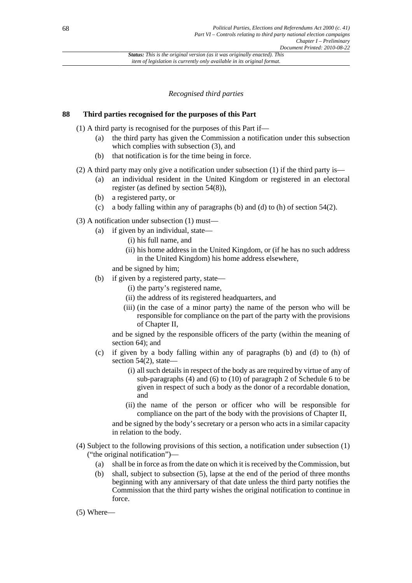### *Recognised third parties*

### **88 Third parties recognised for the purposes of this Part**

- (1) A third party is recognised for the purposes of this Part if—
	- (a) the third party has given the Commission a notification under this subsection which complies with subsection (3), and
	- (b) that notification is for the time being in force.
- (2) A third party may only give a notification under subsection (1) if the third party is—
	- (a) an individual resident in the United Kingdom or registered in an electoral register (as defined by section 54(8)),
	- (b) a registered party, or
	- (c) a body falling within any of paragraphs (b) and (d) to (h) of section 54(2).
- (3) A notification under subsection (1) must—
	- (a) if given by an individual, state—
		- (i) his full name, and
		- (ii) his home address in the United Kingdom, or (if he has no such address in the United Kingdom) his home address elsewhere,

and be signed by him;

- (b) if given by a registered party, state—
	- (i) the party's registered name,
	- (ii) the address of its registered headquarters, and
	- (iii) (in the case of a minor party) the name of the person who will be responsible for compliance on the part of the party with the provisions of Chapter II,

and be signed by the responsible officers of the party (within the meaning of section 64); and

- (c) if given by a body falling within any of paragraphs (b) and (d) to (h) of section 54(2), state—
	- (i) all such details in respect of the body as are required by virtue of any of sub-paragraphs (4) and (6) to (10) of paragraph 2 of Schedule 6 to be given in respect of such a body as the donor of a recordable donation, and
	- (ii) the name of the person or officer who will be responsible for compliance on the part of the body with the provisions of Chapter II,

and be signed by the body's secretary or a person who acts in a similar capacity in relation to the body.

- (4) Subject to the following provisions of this section, a notification under subsection (1) ("the original notification")—
	- (a) shall be in force as from the date on which it is received by the Commission, but
	- (b) shall, subject to subsection (5), lapse at the end of the period of three months beginning with any anniversary of that date unless the third party notifies the Commission that the third party wishes the original notification to continue in force.

(5) Where—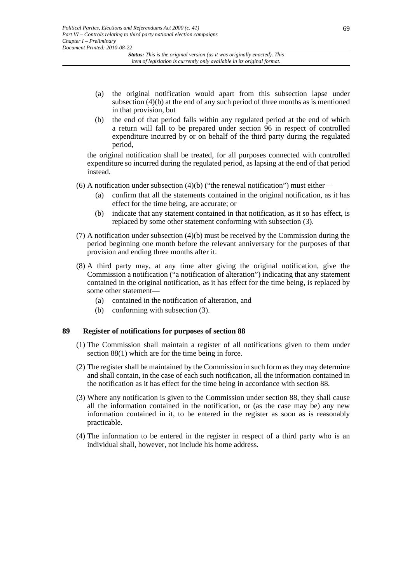- (a) the original notification would apart from this subsection lapse under subsection  $(4)(b)$  at the end of any such period of three months as is mentioned in that provision, but
- (b) the end of that period falls within any regulated period at the end of which a return will fall to be prepared under section 96 in respect of controlled expenditure incurred by or on behalf of the third party during the regulated period,

the original notification shall be treated, for all purposes connected with controlled expenditure so incurred during the regulated period, as lapsing at the end of that period instead.

- (6) A notification under subsection  $(4)(b)$  ("the renewal notification") must either—
	- (a) confirm that all the statements contained in the original notification, as it has effect for the time being, are accurate; or
	- (b) indicate that any statement contained in that notification, as it so has effect, is replaced by some other statement conforming with subsection (3).
- (7) A notification under subsection (4)(b) must be received by the Commission during the period beginning one month before the relevant anniversary for the purposes of that provision and ending three months after it.
- (8) A third party may, at any time after giving the original notification, give the Commission a notification ("a notification of alteration") indicating that any statement contained in the original notification, as it has effect for the time being, is replaced by some other statement—
	- (a) contained in the notification of alteration, and
	- (b) conforming with subsection (3).

### **89 Register of notifications for purposes of section 88**

- (1) The Commission shall maintain a register of all notifications given to them under section 88(1) which are for the time being in force.
- (2) The register shall be maintained by the Commission in such form as they may determine and shall contain, in the case of each such notification, all the information contained in the notification as it has effect for the time being in accordance with section 88.
- (3) Where any notification is given to the Commission under section 88, they shall cause all the information contained in the notification, or (as the case may be) any new information contained in it, to be entered in the register as soon as is reasonably practicable.
- (4) The information to be entered in the register in respect of a third party who is an individual shall, however, not include his home address.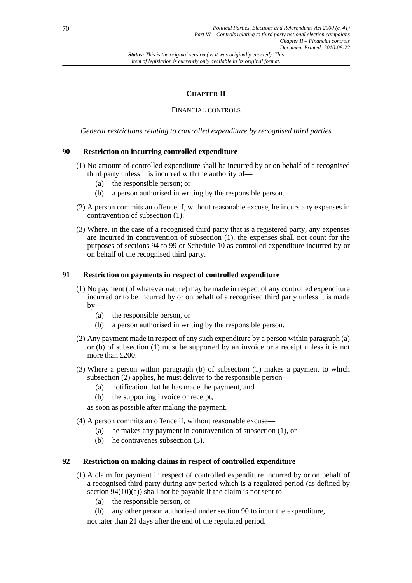# **CHAPTER II**

### FINANCIAL CONTROLS

*General restrictions relating to controlled expenditure by recognised third parties*

# **90 Restriction on incurring controlled expenditure**

- (1) No amount of controlled expenditure shall be incurred by or on behalf of a recognised third party unless it is incurred with the authority of—
	- (a) the responsible person; or
	- (b) a person authorised in writing by the responsible person.
- (2) A person commits an offence if, without reasonable excuse, he incurs any expenses in contravention of subsection (1).
- (3) Where, in the case of a recognised third party that is a registered party, any expenses are incurred in contravention of subsection (1), the expenses shall not count for the purposes of sections 94 to 99 or Schedule 10 as controlled expenditure incurred by or on behalf of the recognised third party.

### **91 Restriction on payments in respect of controlled expenditure**

- (1) No payment (of whatever nature) may be made in respect of any controlled expenditure incurred or to be incurred by or on behalf of a recognised third party unless it is made  $by-$ 
	- (a) the responsible person, or
	- (b) a person authorised in writing by the responsible person.
- (2) Any payment made in respect of any such expenditure by a person within paragraph (a) or (b) of subsection (1) must be supported by an invoice or a receipt unless it is not more than £200.
- (3) Where a person within paragraph (b) of subsection (1) makes a payment to which subsection (2) applies, he must deliver to the responsible person—
	- (a) notification that he has made the payment, and
	- (b) the supporting invoice or receipt,

as soon as possible after making the payment.

- (4) A person commits an offence if, without reasonable excuse—
	- (a) he makes any payment in contravention of subsection (1), or
	- (b) he contravenes subsection (3).

### **92 Restriction on making claims in respect of controlled expenditure**

- (1) A claim for payment in respect of controlled expenditure incurred by or on behalf of a recognised third party during any period which is a regulated period (as defined by section  $94(10)(a)$ ) shall not be payable if the claim is not sent to—
	- (a) the responsible person, or
	- (b) any other person authorised under section 90 to incur the expenditure,

not later than 21 days after the end of the regulated period.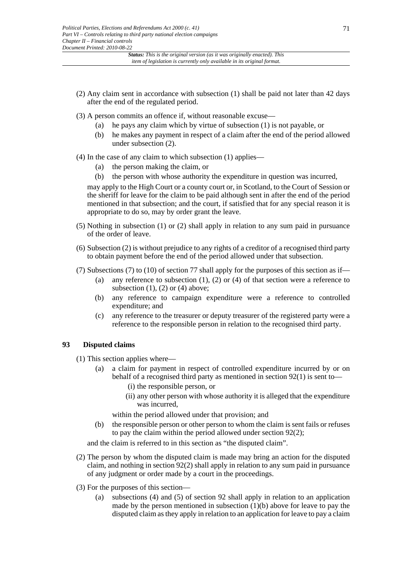- (2) Any claim sent in accordance with subsection (1) shall be paid not later than 42 days after the end of the regulated period.
- (3) A person commits an offence if, without reasonable excuse—
	- (a) he pays any claim which by virtue of subsection (1) is not payable, or
	- (b) he makes any payment in respect of a claim after the end of the period allowed under subsection (2).
- (4) In the case of any claim to which subsection (1) applies—
	- (a) the person making the claim, or
	- (b) the person with whose authority the expenditure in question was incurred,

may apply to the High Court or a county court or, in Scotland, to the Court of Session or the sheriff for leave for the claim to be paid although sent in after the end of the period mentioned in that subsection; and the court, if satisfied that for any special reason it is appropriate to do so, may by order grant the leave.

- (5) Nothing in subsection (1) or (2) shall apply in relation to any sum paid in pursuance of the order of leave.
- (6) Subsection (2) is without prejudice to any rights of a creditor of a recognised third party to obtain payment before the end of the period allowed under that subsection.
- (7) Subsections (7) to (10) of section 77 shall apply for the purposes of this section as if—
	- (a) any reference to subsection  $(1)$ ,  $(2)$  or  $(4)$  of that section were a reference to subsection  $(1)$ ,  $(2)$  or  $(4)$  above;
	- (b) any reference to campaign expenditure were a reference to controlled expenditure; and
	- (c) any reference to the treasurer or deputy treasurer of the registered party were a reference to the responsible person in relation to the recognised third party.

# **93 Disputed claims**

- (1) This section applies where—
	- (a) a claim for payment in respect of controlled expenditure incurred by or on behalf of a recognised third party as mentioned in section 92(1) is sent to—
		- (i) the responsible person, or
		- (ii) any other person with whose authority it is alleged that the expenditure was incurred,

within the period allowed under that provision; and

(b) the responsible person or other person to whom the claim is sent fails or refuses to pay the claim within the period allowed under section 92(2);

and the claim is referred to in this section as "the disputed claim".

- (2) The person by whom the disputed claim is made may bring an action for the disputed claim, and nothing in section 92(2) shall apply in relation to any sum paid in pursuance of any judgment or order made by a court in the proceedings.
- (3) For the purposes of this section—
	- (a) subsections (4) and (5) of section 92 shall apply in relation to an application made by the person mentioned in subsection  $(1)(b)$  above for leave to pay the disputed claim as they apply in relation to an application for leave to pay a claim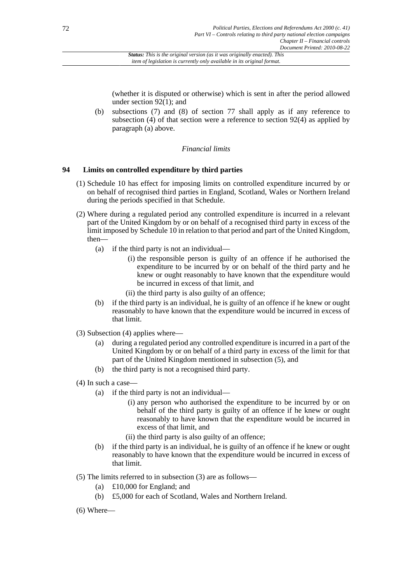(whether it is disputed or otherwise) which is sent in after the period allowed under section  $92(1)$ ; and

(b) subsections (7) and (8) of section 77 shall apply as if any reference to subsection (4) of that section were a reference to section 92(4) as applied by paragraph (a) above.

### *Financial limits*

### **94 Limits on controlled expenditure by third parties**

- (1) Schedule 10 has effect for imposing limits on controlled expenditure incurred by or on behalf of recognised third parties in England, Scotland, Wales or Northern Ireland during the periods specified in that Schedule.
- (2) Where during a regulated period any controlled expenditure is incurred in a relevant part of the United Kingdom by or on behalf of a recognised third party in excess of the limit imposed by Schedule 10 in relation to that period and part of the United Kingdom, then—
	- (a) if the third party is not an individual—
		- (i) the responsible person is guilty of an offence if he authorised the expenditure to be incurred by or on behalf of the third party and he knew or ought reasonably to have known that the expenditure would be incurred in excess of that limit, and
		- (ii) the third party is also guilty of an offence;
	- (b) if the third party is an individual, he is guilty of an offence if he knew or ought reasonably to have known that the expenditure would be incurred in excess of that limit.
- (3) Subsection (4) applies where—
	- (a) during a regulated period any controlled expenditure is incurred in a part of the United Kingdom by or on behalf of a third party in excess of the limit for that part of the United Kingdom mentioned in subsection (5), and
	- (b) the third party is not a recognised third party.
- (4) In such a case—
	- (a) if the third party is not an individual—
		- (i) any person who authorised the expenditure to be incurred by or on behalf of the third party is guilty of an offence if he knew or ought reasonably to have known that the expenditure would be incurred in excess of that limit, and
		- (ii) the third party is also guilty of an offence;
	- (b) if the third party is an individual, he is guilty of an offence if he knew or ought reasonably to have known that the expenditure would be incurred in excess of that limit.
- (5) The limits referred to in subsection (3) are as follows—
	- (a) £10,000 for England; and
	- (b) £5,000 for each of Scotland, Wales and Northern Ireland.
- (6) Where—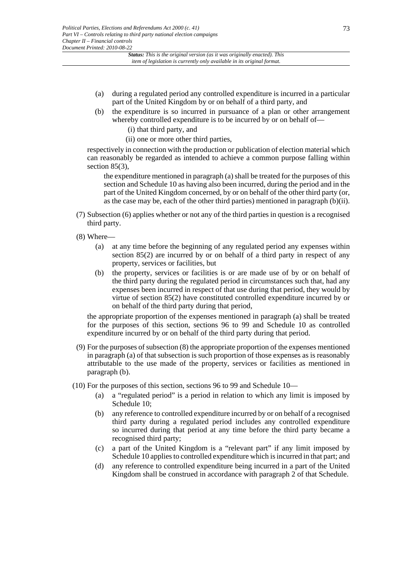- (a) during a regulated period any controlled expenditure is incurred in a particular part of the United Kingdom by or on behalf of a third party, and
- (b) the expenditure is so incurred in pursuance of a plan or other arrangement whereby controlled expenditure is to be incurred by or on behalf of—
	- (i) that third party, and
	- (ii) one or more other third parties,

respectively in connection with the production or publication of election material which can reasonably be regarded as intended to achieve a common purpose falling within section 85(3),

the expenditure mentioned in paragraph (a) shall be treated for the purposes of this section and Schedule 10 as having also been incurred, during the period and in the part of the United Kingdom concerned, by or on behalf of the other third party (or, as the case may be, each of the other third parties) mentioned in paragraph (b)(ii).

- (7) Subsection (6) applies whether or not any of the third parties in question is a recognised third party.
- (8) Where—
	- (a) at any time before the beginning of any regulated period any expenses within section 85(2) are incurred by or on behalf of a third party in respect of any property, services or facilities, but
	- (b) the property, services or facilities is or are made use of by or on behalf of the third party during the regulated period in circumstances such that, had any expenses been incurred in respect of that use during that period, they would by virtue of section 85(2) have constituted controlled expenditure incurred by or on behalf of the third party during that period,

the appropriate proportion of the expenses mentioned in paragraph (a) shall be treated for the purposes of this section, sections 96 to 99 and Schedule 10 as controlled expenditure incurred by or on behalf of the third party during that period.

- (9) For the purposes of subsection (8) the appropriate proportion of the expenses mentioned in paragraph (a) of that subsection is such proportion of those expenses as is reasonably attributable to the use made of the property, services or facilities as mentioned in paragraph (b).
- (10) For the purposes of this section, sections 96 to 99 and Schedule 10—
	- (a) a "regulated period" is a period in relation to which any limit is imposed by Schedule 10:
	- (b) any reference to controlled expenditure incurred by or on behalf of a recognised third party during a regulated period includes any controlled expenditure so incurred during that period at any time before the third party became a recognised third party;
	- (c) a part of the United Kingdom is a "relevant part" if any limit imposed by Schedule 10 applies to controlled expenditure which is incurred in that part; and
	- (d) any reference to controlled expenditure being incurred in a part of the United Kingdom shall be construed in accordance with paragraph 2 of that Schedule.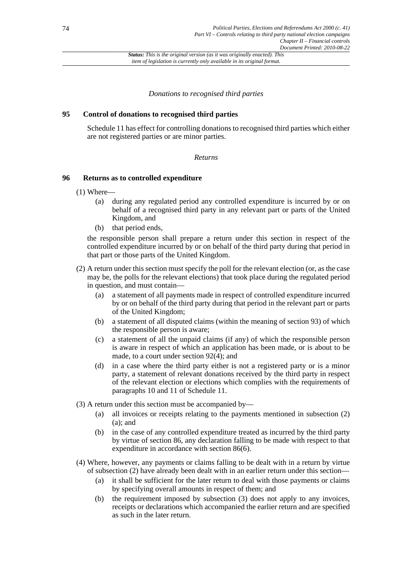# *Donations to recognised third parties*

# **95 Control of donations to recognised third parties**

Schedule 11 has effect for controlling donations to recognised third parties which either are not registered parties or are minor parties.

# *Returns*

# **96 Returns as to controlled expenditure**

- (1) Where—
	- (a) during any regulated period any controlled expenditure is incurred by or on behalf of a recognised third party in any relevant part or parts of the United Kingdom, and
	- (b) that period ends,

the responsible person shall prepare a return under this section in respect of the controlled expenditure incurred by or on behalf of the third party during that period in that part or those parts of the United Kingdom.

- (2) A return under this section must specify the poll for the relevant election (or, as the case may be, the polls for the relevant elections) that took place during the regulated period in question, and must contain—
	- (a) a statement of all payments made in respect of controlled expenditure incurred by or on behalf of the third party during that period in the relevant part or parts of the United Kingdom;
	- (b) a statement of all disputed claims (within the meaning of section 93) of which the responsible person is aware;
	- (c) a statement of all the unpaid claims (if any) of which the responsible person is aware in respect of which an application has been made, or is about to be made, to a court under section  $92(4)$ ; and
	- (d) in a case where the third party either is not a registered party or is a minor party, a statement of relevant donations received by the third party in respect of the relevant election or elections which complies with the requirements of paragraphs 10 and 11 of Schedule 11.
- (3) A return under this section must be accompanied by—
	- (a) all invoices or receipts relating to the payments mentioned in subsection (2) (a); and
	- (b) in the case of any controlled expenditure treated as incurred by the third party by virtue of section 86, any declaration falling to be made with respect to that expenditure in accordance with section 86(6).
- (4) Where, however, any payments or claims falling to be dealt with in a return by virtue of subsection (2) have already been dealt with in an earlier return under this section—
	- (a) it shall be sufficient for the later return to deal with those payments or claims by specifying overall amounts in respect of them; and
	- (b) the requirement imposed by subsection (3) does not apply to any invoices, receipts or declarations which accompanied the earlier return and are specified as such in the later return.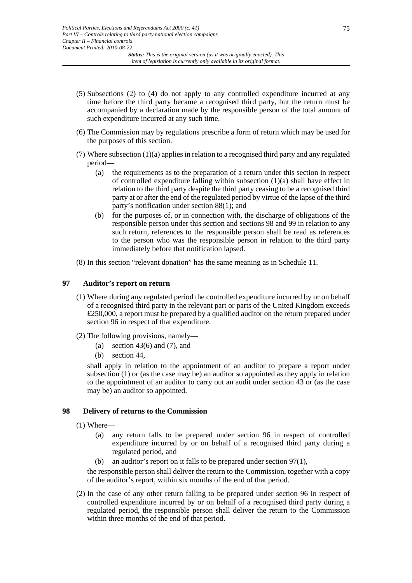- (5) Subsections (2) to (4) do not apply to any controlled expenditure incurred at any time before the third party became a recognised third party, but the return must be accompanied by a declaration made by the responsible person of the total amount of such expenditure incurred at any such time.
- (6) The Commission may by regulations prescribe a form of return which may be used for the purposes of this section.
- (7) Where subsection (1)(a) applies in relation to a recognised third party and any regulated period—
	- (a) the requirements as to the preparation of a return under this section in respect of controlled expenditure falling within subsection (1)(a) shall have effect in relation to the third party despite the third party ceasing to be a recognised third party at or after the end of the regulated period by virtue of the lapse of the third party's notification under section 88(1); and
	- (b) for the purposes of, or in connection with, the discharge of obligations of the responsible person under this section and sections 98 and 99 in relation to any such return, references to the responsible person shall be read as references to the person who was the responsible person in relation to the third party immediately before that notification lapsed.
- (8) In this section "relevant donation" has the same meaning as in Schedule 11.

# **97 Auditor's report on return**

- (1) Where during any regulated period the controlled expenditure incurred by or on behalf of a recognised third party in the relevant part or parts of the United Kingdom exceeds £250,000, a report must be prepared by a qualified auditor on the return prepared under section 96 in respect of that expenditure.
- (2) The following provisions, namely—
	- (a) section  $43(6)$  and  $(7)$ , and
	- (b) section 44,

shall apply in relation to the appointment of an auditor to prepare a report under subsection (1) or (as the case may be) an auditor so appointed as they apply in relation to the appointment of an auditor to carry out an audit under section 43 or (as the case may be) an auditor so appointed.

# **98 Delivery of returns to the Commission**

- (1) Where—
	- (a) any return falls to be prepared under section 96 in respect of controlled expenditure incurred by or on behalf of a recognised third party during a regulated period, and
	- (b) an auditor's report on it falls to be prepared under section 97(1),

the responsible person shall deliver the return to the Commission, together with a copy of the auditor's report, within six months of the end of that period.

(2) In the case of any other return falling to be prepared under section 96 in respect of controlled expenditure incurred by or on behalf of a recognised third party during a regulated period, the responsible person shall deliver the return to the Commission within three months of the end of that period.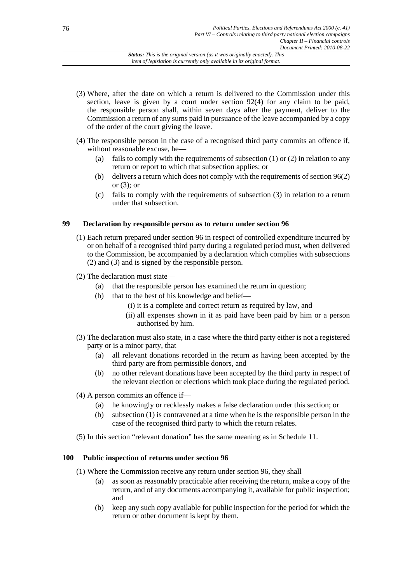- (3) Where, after the date on which a return is delivered to the Commission under this section, leave is given by a court under section 92(4) for any claim to be paid, the responsible person shall, within seven days after the payment, deliver to the Commission a return of any sums paid in pursuance of the leave accompanied by a copy of the order of the court giving the leave.
- (4) The responsible person in the case of a recognised third party commits an offence if, without reasonable excuse, he—
	- (a) fails to comply with the requirements of subsection  $(1)$  or  $(2)$  in relation to any return or report to which that subsection applies; or
	- (b) delivers a return which does not comply with the requirements of section 96(2) or  $(3)$ ; or
	- (c) fails to comply with the requirements of subsection (3) in relation to a return under that subsection.

# **99 Declaration by responsible person as to return under section 96**

- (1) Each return prepared under section 96 in respect of controlled expenditure incurred by or on behalf of a recognised third party during a regulated period must, when delivered to the Commission, be accompanied by a declaration which complies with subsections (2) and (3) and is signed by the responsible person.
- (2) The declaration must state—
	- (a) that the responsible person has examined the return in question;
	- (b) that to the best of his knowledge and belief—
		- (i) it is a complete and correct return as required by law, and
		- (ii) all expenses shown in it as paid have been paid by him or a person authorised by him.
- (3) The declaration must also state, in a case where the third party either is not a registered party or is a minor party, that—
	- (a) all relevant donations recorded in the return as having been accepted by the third party are from permissible donors, and
	- (b) no other relevant donations have been accepted by the third party in respect of the relevant election or elections which took place during the regulated period.
- (4) A person commits an offence if—
	- (a) he knowingly or recklessly makes a false declaration under this section; or
	- (b) subsection (1) is contravened at a time when he is the responsible person in the case of the recognised third party to which the return relates.
- (5) In this section "relevant donation" has the same meaning as in Schedule 11.

# **100 Public inspection of returns under section 96**

- (1) Where the Commission receive any return under section 96, they shall—
	- (a) as soon as reasonably practicable after receiving the return, make a copy of the return, and of any documents accompanying it, available for public inspection; and
	- (b) keep any such copy available for public inspection for the period for which the return or other document is kept by them.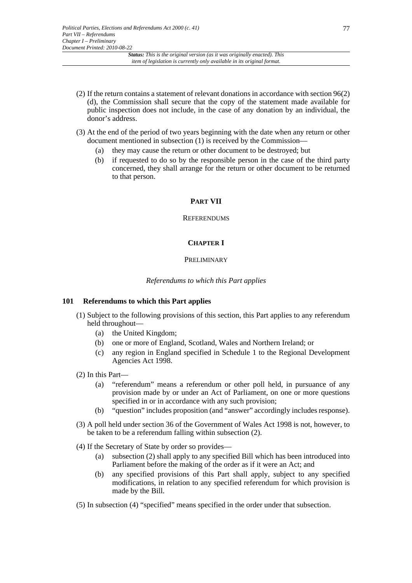- (2) If the return contains a statement of relevant donations in accordance with section 96(2) (d), the Commission shall secure that the copy of the statement made available for public inspection does not include, in the case of any donation by an individual, the donor's address.
- (3) At the end of the period of two years beginning with the date when any return or other document mentioned in subsection (1) is received by the Commission—
	- (a) they may cause the return or other document to be destroyed; but
	- (b) if requested to do so by the responsible person in the case of the third party concerned, they shall arrange for the return or other document to be returned to that person.

# **PART VII**

### **REFERENDUMS**

# **CHAPTER I**

# PRELIMINARY

# *Referendums to which this Part applies*

# **101 Referendums to which this Part applies**

- (1) Subject to the following provisions of this section, this Part applies to any referendum held throughout—
	- (a) the United Kingdom;
	- (b) one or more of England, Scotland, Wales and Northern Ireland; or
	- (c) any region in England specified in Schedule 1 to the Regional Development Agencies Act 1998.
- (2) In this Part—
	- (a) "referendum" means a referendum or other poll held, in pursuance of any provision made by or under an Act of Parliament, on one or more questions specified in or in accordance with any such provision;
	- (b) "question" includes proposition (and "answer" accordingly includes response).
- (3) A poll held under section 36 of the Government of Wales Act 1998 is not, however, to be taken to be a referendum falling within subsection (2).
- (4) If the Secretary of State by order so provides—
	- (a) subsection (2) shall apply to any specified Bill which has been introduced into Parliament before the making of the order as if it were an Act; and
	- (b) any specified provisions of this Part shall apply, subject to any specified modifications, in relation to any specified referendum for which provision is made by the Bill.
- (5) In subsection (4) "specified" means specified in the order under that subsection.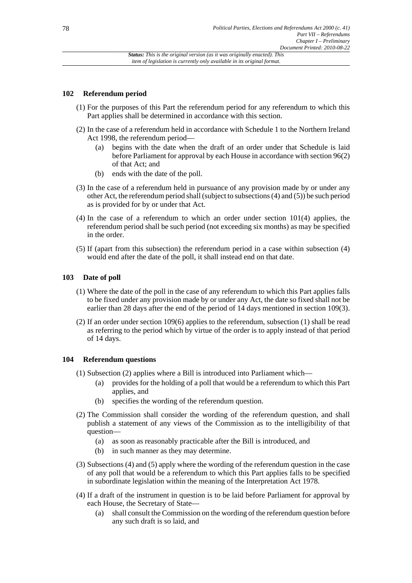# **102 Referendum period**

- (1) For the purposes of this Part the referendum period for any referendum to which this Part applies shall be determined in accordance with this section.
- (2) In the case of a referendum held in accordance with Schedule 1 to the Northern Ireland Act 1998, the referendum period—
	- (a) begins with the date when the draft of an order under that Schedule is laid before Parliament for approval by each House in accordance with section 96(2) of that Act; and
	- (b) ends with the date of the poll.
- (3) In the case of a referendum held in pursuance of any provision made by or under any other Act, the referendum period shall (subject to subsections (4) and (5)) be such period as is provided for by or under that Act.
- (4) In the case of a referendum to which an order under section 101(4) applies, the referendum period shall be such period (not exceeding six months) as may be specified in the order.
- (5) If (apart from this subsection) the referendum period in a case within subsection (4) would end after the date of the poll, it shall instead end on that date.

# **103 Date of poll**

- (1) Where the date of the poll in the case of any referendum to which this Part applies falls to be fixed under any provision made by or under any Act, the date so fixed shall not be earlier than 28 days after the end of the period of 14 days mentioned in section 109(3).
- (2) If an order under section 109(6) applies to the referendum, subsection (1) shall be read as referring to the period which by virtue of the order is to apply instead of that period of 14 days.

# **104 Referendum questions**

- (1) Subsection (2) applies where a Bill is introduced into Parliament which—
	- (a) provides for the holding of a poll that would be a referendum to which this Part applies, and
	- (b) specifies the wording of the referendum question.
- (2) The Commission shall consider the wording of the referendum question, and shall publish a statement of any views of the Commission as to the intelligibility of that question—
	- (a) as soon as reasonably practicable after the Bill is introduced, and
	- (b) in such manner as they may determine.
- (3) Subsections (4) and (5) apply where the wording of the referendum question in the case of any poll that would be a referendum to which this Part applies falls to be specified in subordinate legislation within the meaning of the Interpretation Act 1978.
- (4) If a draft of the instrument in question is to be laid before Parliament for approval by each House, the Secretary of State—
	- (a) shall consult the Commission on the wording of the referendum question before any such draft is so laid, and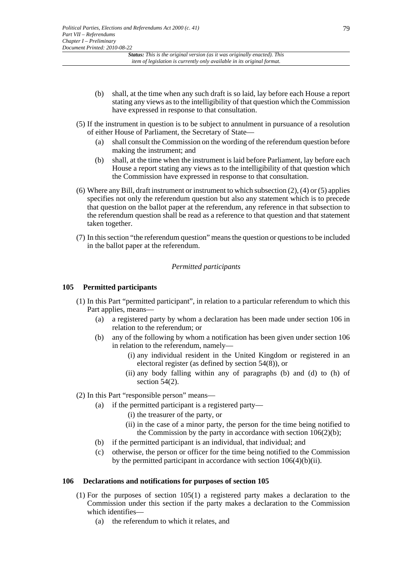- (b) shall, at the time when any such draft is so laid, lay before each House a report stating any views as to the intelligibility of that question which the Commission have expressed in response to that consultation.
- (5) If the instrument in question is to be subject to annulment in pursuance of a resolution of either House of Parliament, the Secretary of State—
	- (a) shall consult the Commission on the wording of the referendum question before making the instrument; and
	- (b) shall, at the time when the instrument is laid before Parliament, lay before each House a report stating any views as to the intelligibility of that question which the Commission have expressed in response to that consultation.
- (6) Where any Bill, draft instrument or instrument to which subsection (2), (4) or (5) applies specifies not only the referendum question but also any statement which is to precede that question on the ballot paper at the referendum, any reference in that subsection to the referendum question shall be read as a reference to that question and that statement taken together.
- (7) In this section "the referendum question" means the question or questions to be included in the ballot paper at the referendum.

# *Permitted participants*

# **105 Permitted participants**

- (1) In this Part "permitted participant", in relation to a particular referendum to which this Part applies, means-
	- (a) a registered party by whom a declaration has been made under section 106 in relation to the referendum; or
	- (b) any of the following by whom a notification has been given under section 106 in relation to the referendum, namely—
		- (i) any individual resident in the United Kingdom or registered in an electoral register (as defined by section 54(8)), or
		- (ii) any body falling within any of paragraphs (b) and (d) to (h) of section 54(2).
- (2) In this Part "responsible person" means—
	- (a) if the permitted participant is a registered party—
		- (i) the treasurer of the party, or
		- (ii) in the case of a minor party, the person for the time being notified to the Commission by the party in accordance with section  $106(2)(b)$ ;
	- (b) if the permitted participant is an individual, that individual; and
	- (c) otherwise, the person or officer for the time being notified to the Commission by the permitted participant in accordance with section  $106(4)(b)(ii)$ .

# **106 Declarations and notifications for purposes of section 105**

- (1) For the purposes of section 105(1) a registered party makes a declaration to the Commission under this section if the party makes a declaration to the Commission which identifies—
	- (a) the referendum to which it relates, and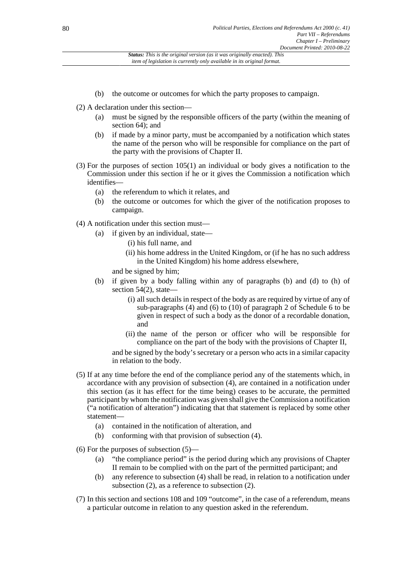(b) the outcome or outcomes for which the party proposes to campaign.

(2) A declaration under this section—

- (a) must be signed by the responsible officers of the party (within the meaning of section 64): and
- (b) if made by a minor party, must be accompanied by a notification which states the name of the person who will be responsible for compliance on the part of the party with the provisions of Chapter II.
- (3) For the purposes of section 105(1) an individual or body gives a notification to the Commission under this section if he or it gives the Commission a notification which identifies—
	- (a) the referendum to which it relates, and
	- (b) the outcome or outcomes for which the giver of the notification proposes to campaign.
- (4) A notification under this section must—
	- (a) if given by an individual, state—
		- (i) his full name, and
		- (ii) his home address in the United Kingdom, or (if he has no such address in the United Kingdom) his home address elsewhere,

and be signed by him;

- (b) if given by a body falling within any of paragraphs (b) and (d) to (h) of section 54(2), state—
	- (i) all such details in respect of the body as are required by virtue of any of sub-paragraphs (4) and (6) to (10) of paragraph 2 of Schedule 6 to be given in respect of such a body as the donor of a recordable donation, and
	- (ii) the name of the person or officer who will be responsible for compliance on the part of the body with the provisions of Chapter II,

and be signed by the body's secretary or a person who acts in a similar capacity in relation to the body.

- (5) If at any time before the end of the compliance period any of the statements which, in accordance with any provision of subsection (4), are contained in a notification under this section (as it has effect for the time being) ceases to be accurate, the permitted participant by whom the notification was given shall give the Commission a notification ("a notification of alteration") indicating that that statement is replaced by some other statement—
	- (a) contained in the notification of alteration, and
	- (b) conforming with that provision of subsection (4).
- (6) For the purposes of subsection (5)—
	- (a) "the compliance period" is the period during which any provisions of Chapter II remain to be complied with on the part of the permitted participant; and
	- (b) any reference to subsection (4) shall be read, in relation to a notification under subsection (2), as a reference to subsection (2).
- (7) In this section and sections 108 and 109 "outcome", in the case of a referendum, means a particular outcome in relation to any question asked in the referendum.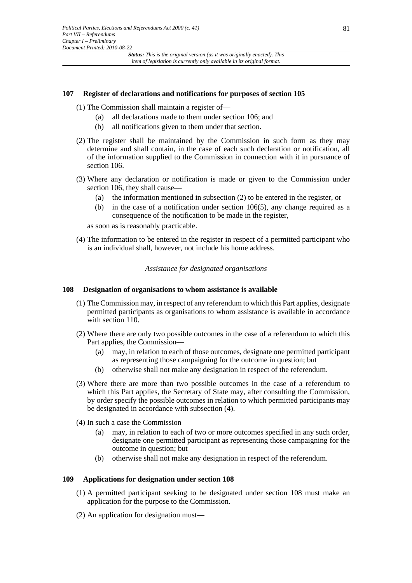### **107 Register of declarations and notifications for purposes of section 105**

(1) The Commission shall maintain a register of—

- (a) all declarations made to them under section 106; and
- (b) all notifications given to them under that section.
- (2) The register shall be maintained by the Commission in such form as they may determine and shall contain, in the case of each such declaration or notification, all of the information supplied to the Commission in connection with it in pursuance of section 106.
- (3) Where any declaration or notification is made or given to the Commission under section 106, they shall cause—
	- (a) the information mentioned in subsection (2) to be entered in the register, or
	- (b) in the case of a notification under section 106(5), any change required as a consequence of the notification to be made in the register,

as soon as is reasonably practicable.

(4) The information to be entered in the register in respect of a permitted participant who is an individual shall, however, not include his home address.

# *Assistance for designated organisations*

#### **108 Designation of organisations to whom assistance is available**

- (1) The Commission may, in respect of any referendum to which this Part applies, designate permitted participants as organisations to whom assistance is available in accordance with section 110.
- (2) Where there are only two possible outcomes in the case of a referendum to which this Part applies, the Commission—
	- (a) may, in relation to each of those outcomes, designate one permitted participant as representing those campaigning for the outcome in question; but
	- (b) otherwise shall not make any designation in respect of the referendum.
- (3) Where there are more than two possible outcomes in the case of a referendum to which this Part applies, the Secretary of State may, after consulting the Commission, by order specify the possible outcomes in relation to which permitted participants may be designated in accordance with subsection (4).
- (4) In such a case the Commission—
	- (a) may, in relation to each of two or more outcomes specified in any such order, designate one permitted participant as representing those campaigning for the outcome in question; but
	- (b) otherwise shall not make any designation in respect of the referendum.

#### **109 Applications for designation under section 108**

- (1) A permitted participant seeking to be designated under section 108 must make an application for the purpose to the Commission.
- (2) An application for designation must—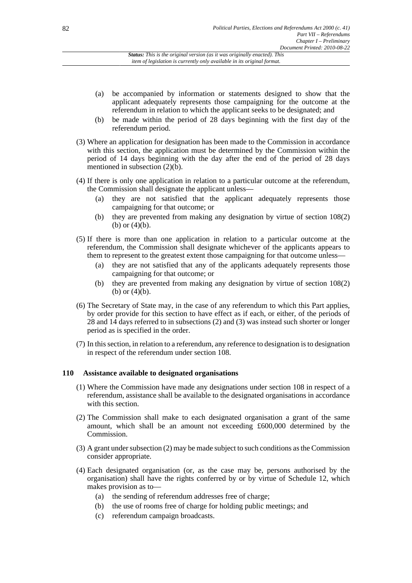- (a) be accompanied by information or statements designed to show that the applicant adequately represents those campaigning for the outcome at the referendum in relation to which the applicant seeks to be designated; and
- (b) be made within the period of 28 days beginning with the first day of the referendum period.
- (3) Where an application for designation has been made to the Commission in accordance with this section, the application must be determined by the Commission within the period of 14 days beginning with the day after the end of the period of 28 days mentioned in subsection (2)(b).
- (4) If there is only one application in relation to a particular outcome at the referendum, the Commission shall designate the applicant unless—
	- (a) they are not satisfied that the applicant adequately represents those campaigning for that outcome; or
	- (b) they are prevented from making any designation by virtue of section 108(2) (b) or  $(4)(b)$ .
- (5) If there is more than one application in relation to a particular outcome at the referendum, the Commission shall designate whichever of the applicants appears to them to represent to the greatest extent those campaigning for that outcome unless—
	- (a) they are not satisfied that any of the applicants adequately represents those campaigning for that outcome; or
	- (b) they are prevented from making any designation by virtue of section 108(2) (b) or  $(4)(b)$ .
- (6) The Secretary of State may, in the case of any referendum to which this Part applies, by order provide for this section to have effect as if each, or either, of the periods of 28 and 14 days referred to in subsections (2) and (3) was instead such shorter or longer period as is specified in the order.
- (7) In this section, in relation to a referendum, any reference to designation is to designation in respect of the referendum under section 108.

# **110 Assistance available to designated organisations**

- (1) Where the Commission have made any designations under section 108 in respect of a referendum, assistance shall be available to the designated organisations in accordance with this section.
- (2) The Commission shall make to each designated organisation a grant of the same amount, which shall be an amount not exceeding £600,000 determined by the Commission.
- (3) A grant under subsection (2) may be made subject to such conditions as the Commission consider appropriate.
- (4) Each designated organisation (or, as the case may be, persons authorised by the organisation) shall have the rights conferred by or by virtue of Schedule 12, which makes provision as to—
	- (a) the sending of referendum addresses free of charge;
	- (b) the use of rooms free of charge for holding public meetings; and
	- (c) referendum campaign broadcasts.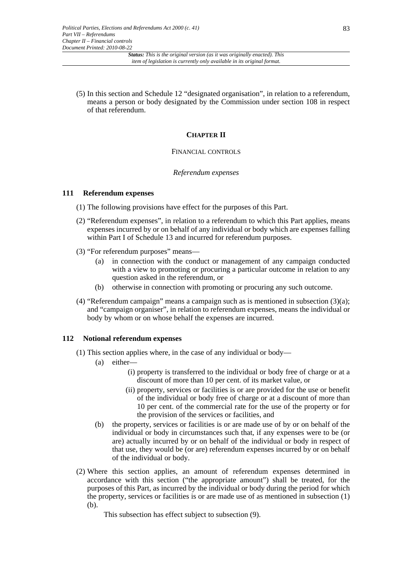(5) In this section and Schedule 12 "designated organisation", in relation to a referendum, means a person or body designated by the Commission under section 108 in respect of that referendum.

# **CHAPTER II**

#### FINANCIAL CONTROLS

#### *Referendum expenses*

# **111 Referendum expenses**

- (1) The following provisions have effect for the purposes of this Part.
- (2) "Referendum expenses", in relation to a referendum to which this Part applies, means expenses incurred by or on behalf of any individual or body which are expenses falling within Part I of Schedule 13 and incurred for referendum purposes.
- (3) "For referendum purposes" means—
	- (a) in connection with the conduct or management of any campaign conducted with a view to promoting or procuring a particular outcome in relation to any question asked in the referendum, or
	- (b) otherwise in connection with promoting or procuring any such outcome.
- (4) "Referendum campaign" means a campaign such as is mentioned in subsection (3)(a); and "campaign organiser", in relation to referendum expenses, means the individual or body by whom or on whose behalf the expenses are incurred.

# **112 Notional referendum expenses**

- (1) This section applies where, in the case of any individual or body—
	- (a) either—
		- (i) property is transferred to the individual or body free of charge or at a discount of more than 10 per cent. of its market value, or
		- (ii) property, services or facilities is or are provided for the use or benefit of the individual or body free of charge or at a discount of more than 10 per cent. of the commercial rate for the use of the property or for the provision of the services or facilities, and
	- (b) the property, services or facilities is or are made use of by or on behalf of the individual or body in circumstances such that, if any expenses were to be (or are) actually incurred by or on behalf of the individual or body in respect of that use, they would be (or are) referendum expenses incurred by or on behalf of the individual or body.
- (2) Where this section applies, an amount of referendum expenses determined in accordance with this section ("the appropriate amount") shall be treated, for the purposes of this Part, as incurred by the individual or body during the period for which the property, services or facilities is or are made use of as mentioned in subsection (1) (b).

This subsection has effect subject to subsection (9).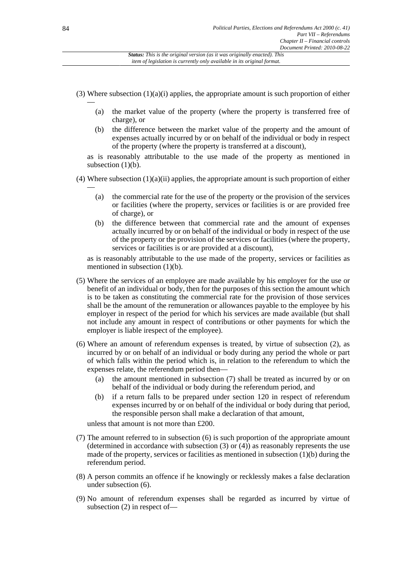- (3) Where subsection  $(1)(a)(i)$  applies, the appropriate amount is such proportion of either
	- (a) the market value of the property (where the property is transferred free of charge), or
	- (b) the difference between the market value of the property and the amount of expenses actually incurred by or on behalf of the individual or body in respect of the property (where the property is transferred at a discount),

as is reasonably attributable to the use made of the property as mentioned in subsection (1)(b).

- (4) Where subsection  $(1)(a)(ii)$  applies, the appropriate amount is such proportion of either
	- (a) the commercial rate for the use of the property or the provision of the services or facilities (where the property, services or facilities is or are provided free of charge), or
	- (b) the difference between that commercial rate and the amount of expenses actually incurred by or on behalf of the individual or body in respect of the use of the property or the provision of the services or facilities (where the property, services or facilities is or are provided at a discount),

as is reasonably attributable to the use made of the property, services or facilities as mentioned in subsection (1)(b).

- (5) Where the services of an employee are made available by his employer for the use or benefit of an individual or body, then for the purposes of this section the amount which is to be taken as constituting the commercial rate for the provision of those services shall be the amount of the remuneration or allowances payable to the employee by his employer in respect of the period for which his services are made available (but shall not include any amount in respect of contributions or other payments for which the employer is liable irespect of the employee).
- (6) Where an amount of referendum expenses is treated, by virtue of subsection (2), as incurred by or on behalf of an individual or body during any period the whole or part of which falls within the period which is, in relation to the referendum to which the expenses relate, the referendum period then—
	- (a) the amount mentioned in subsection (7) shall be treated as incurred by or on behalf of the individual or body during the referendum period, and
	- (b) if a return falls to be prepared under section 120 in respect of referendum expenses incurred by or on behalf of the individual or body during that period, the responsible person shall make a declaration of that amount,

unless that amount is not more than £200.

- (7) The amount referred to in subsection (6) is such proportion of the appropriate amount (determined in accordance with subsection (3) or (4)) as reasonably represents the use made of the property, services or facilities as mentioned in subsection  $(1)(b)$  during the referendum period.
- (8) A person commits an offence if he knowingly or recklessly makes a false declaration under subsection (6).
- (9) No amount of referendum expenses shall be regarded as incurred by virtue of subsection (2) in respect of—

—

—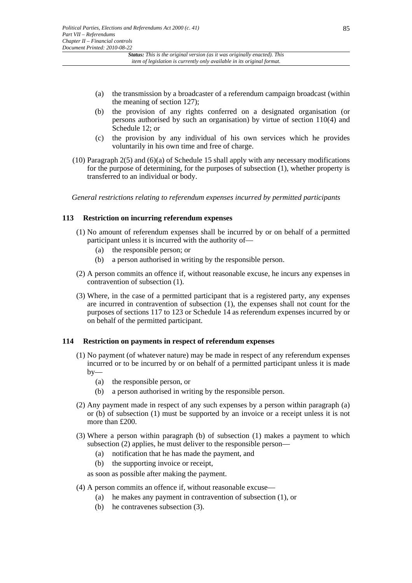- (a) the transmission by a broadcaster of a referendum campaign broadcast (within the meaning of section 127);
- (b) the provision of any rights conferred on a designated organisation (or persons authorised by such an organisation) by virtue of section 110(4) and Schedule 12; or
- (c) the provision by any individual of his own services which he provides voluntarily in his own time and free of charge.
- (10) Paragraph 2(5) and (6)(a) of Schedule 15 shall apply with any necessary modifications for the purpose of determining, for the purposes of subsection (1), whether property is transferred to an individual or body.

*General restrictions relating to referendum expenses incurred by permitted participants*

# **113 Restriction on incurring referendum expenses**

- (1) No amount of referendum expenses shall be incurred by or on behalf of a permitted participant unless it is incurred with the authority of—
	- (a) the responsible person; or
	- (b) a person authorised in writing by the responsible person.
- (2) A person commits an offence if, without reasonable excuse, he incurs any expenses in contravention of subsection (1).
- (3) Where, in the case of a permitted participant that is a registered party, any expenses are incurred in contravention of subsection (1), the expenses shall not count for the purposes of sections 117 to 123 or Schedule 14 as referendum expenses incurred by or on behalf of the permitted participant.

# **114 Restriction on payments in respect of referendum expenses**

- (1) No payment (of whatever nature) may be made in respect of any referendum expenses incurred or to be incurred by or on behalf of a permitted participant unless it is made  $by-$ 
	- (a) the responsible person, or
	- (b) a person authorised in writing by the responsible person.
- (2) Any payment made in respect of any such expenses by a person within paragraph (a) or (b) of subsection (1) must be supported by an invoice or a receipt unless it is not more than £200.
- (3) Where a person within paragraph (b) of subsection (1) makes a payment to which subsection (2) applies, he must deliver to the responsible person—
	- (a) notification that he has made the payment, and
	- (b) the supporting invoice or receipt,

as soon as possible after making the payment.

- (4) A person commits an offence if, without reasonable excuse—
	- (a) he makes any payment in contravention of subsection (1), or
	- (b) he contravenes subsection (3).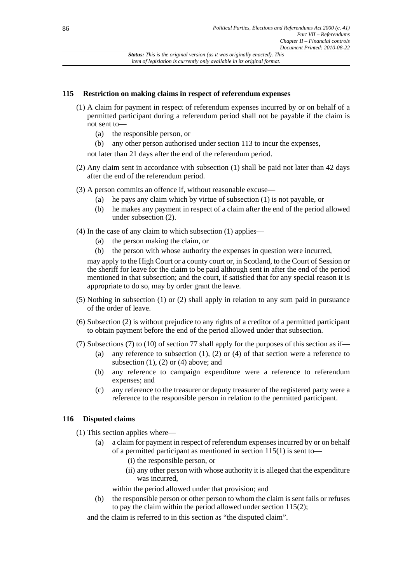# **115 Restriction on making claims in respect of referendum expenses**

- (1) A claim for payment in respect of referendum expenses incurred by or on behalf of a permitted participant during a referendum period shall not be payable if the claim is not sent to—
	- (a) the responsible person, or
	- (b) any other person authorised under section 113 to incur the expenses,

not later than 21 days after the end of the referendum period.

- (2) Any claim sent in accordance with subsection (1) shall be paid not later than 42 days after the end of the referendum period.
- (3) A person commits an offence if, without reasonable excuse—
	- (a) he pays any claim which by virtue of subsection (1) is not payable, or
	- (b) he makes any payment in respect of a claim after the end of the period allowed under subsection (2).
- (4) In the case of any claim to which subsection (1) applies—
	- (a) the person making the claim, or
	- (b) the person with whose authority the expenses in question were incurred,

may apply to the High Court or a county court or, in Scotland, to the Court of Session or the sheriff for leave for the claim to be paid although sent in after the end of the period mentioned in that subsection; and the court, if satisfied that for any special reason it is appropriate to do so, may by order grant the leave.

- (5) Nothing in subsection (1) or (2) shall apply in relation to any sum paid in pursuance of the order of leave.
- (6) Subsection (2) is without prejudice to any rights of a creditor of a permitted participant to obtain payment before the end of the period allowed under that subsection.
- (7) Subsections (7) to (10) of section 77 shall apply for the purposes of this section as if—
	- (a) any reference to subsection  $(1)$ ,  $(2)$  or  $(4)$  of that section were a reference to subsection  $(1)$ ,  $(2)$  or  $(4)$  above; and
	- (b) any reference to campaign expenditure were a reference to referendum expenses; and
	- (c) any reference to the treasurer or deputy treasurer of the registered party were a reference to the responsible person in relation to the permitted participant.

# **116 Disputed claims**

- (1) This section applies where—
	- (a) a claim for payment in respect of referendum expenses incurred by or on behalf of a permitted participant as mentioned in section 115(1) is sent to—
		- (i) the responsible person, or
		- (ii) any other person with whose authority it is alleged that the expenditure was incurred,

within the period allowed under that provision; and

(b) the responsible person or other person to whom the claim is sent fails or refuses to pay the claim within the period allowed under section 115(2);

and the claim is referred to in this section as "the disputed claim".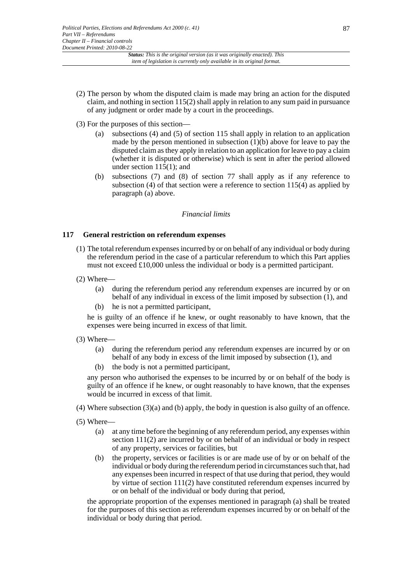- (2) The person by whom the disputed claim is made may bring an action for the disputed claim, and nothing in section 115(2) shall apply in relation to any sum paid in pursuance of any judgment or order made by a court in the proceedings.
- (3) For the purposes of this section—
	- (a) subsections (4) and (5) of section 115 shall apply in relation to an application made by the person mentioned in subsection  $(1)(b)$  above for leave to pay the disputed claim as they apply in relation to an application for leave to pay a claim (whether it is disputed or otherwise) which is sent in after the period allowed under section 115(1); and
	- (b) subsections (7) and (8) of section 77 shall apply as if any reference to subsection (4) of that section were a reference to section 115(4) as applied by paragraph (a) above.

# *Financial limits*

# **117 General restriction on referendum expenses**

- (1) The total referendum expenses incurred by or on behalf of any individual or body during the referendum period in the case of a particular referendum to which this Part applies must not exceed £10,000 unless the individual or body is a permitted participant.
- (2) Where—
	- (a) during the referendum period any referendum expenses are incurred by or on behalf of any individual in excess of the limit imposed by subsection (1), and
	- (b) he is not a permitted participant,

he is guilty of an offence if he knew, or ought reasonably to have known, that the expenses were being incurred in excess of that limit.

- (3) Where—
	- (a) during the referendum period any referendum expenses are incurred by or on behalf of any body in excess of the limit imposed by subsection (1), and
	- (b) the body is not a permitted participant,

any person who authorised the expenses to be incurred by or on behalf of the body is guilty of an offence if he knew, or ought reasonably to have known, that the expenses would be incurred in excess of that limit.

- (4) Where subsection (3)(a) and (b) apply, the body in question is also guilty of an offence.
- (5) Where—
	- (a) at any time before the beginning of any referendum period, any expenses within section 111(2) are incurred by or on behalf of an individual or body in respect of any property, services or facilities, but
	- (b) the property, services or facilities is or are made use of by or on behalf of the individual or body during the referendum period in circumstances such that, had any expenses been incurred in respect of that use during that period, they would by virtue of section 111(2) have constituted referendum expenses incurred by or on behalf of the individual or body during that period,

the appropriate proportion of the expenses mentioned in paragraph (a) shall be treated for the purposes of this section as referendum expenses incurred by or on behalf of the individual or body during that period.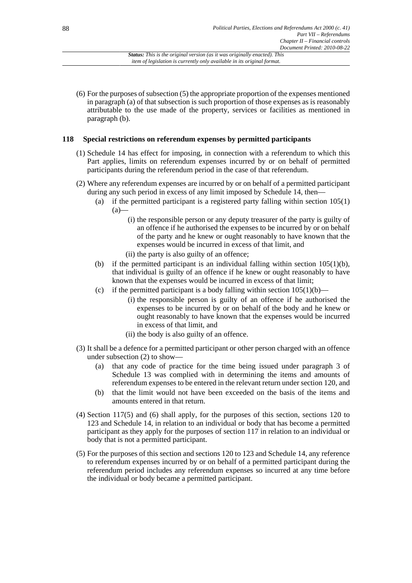(6) For the purposes of subsection (5) the appropriate proportion of the expenses mentioned in paragraph (a) of that subsection is such proportion of those expenses as is reasonably attributable to the use made of the property, services or facilities as mentioned in paragraph (b).

# **118 Special restrictions on referendum expenses by permitted participants**

- (1) Schedule 14 has effect for imposing, in connection with a referendum to which this Part applies, limits on referendum expenses incurred by or on behalf of permitted participants during the referendum period in the case of that referendum.
- (2) Where any referendum expenses are incurred by or on behalf of a permitted participant during any such period in excess of any limit imposed by Schedule 14, then—
	- (a) if the permitted participant is a registered party falling within section 105(1)  $(a)$ —
		- (i) the responsible person or any deputy treasurer of the party is guilty of an offence if he authorised the expenses to be incurred by or on behalf of the party and he knew or ought reasonably to have known that the expenses would be incurred in excess of that limit, and
		- (ii) the party is also guilty of an offence;
	- (b) if the permitted participant is an individual falling within section  $105(1)(b)$ , that individual is guilty of an offence if he knew or ought reasonably to have known that the expenses would be incurred in excess of that limit;
	- (c) if the permitted participant is a body falling within section  $105(1)(b)$ 
		- (i) the responsible person is guilty of an offence if he authorised the expenses to be incurred by or on behalf of the body and he knew or ought reasonably to have known that the expenses would be incurred in excess of that limit, and
		- (ii) the body is also guilty of an offence.
- (3) It shall be a defence for a permitted participant or other person charged with an offence under subsection (2) to show—
	- (a) that any code of practice for the time being issued under paragraph 3 of Schedule 13 was complied with in determining the items and amounts of referendum expenses to be entered in the relevant return under section 120, and
	- (b) that the limit would not have been exceeded on the basis of the items and amounts entered in that return.
- (4) Section 117(5) and (6) shall apply, for the purposes of this section, sections 120 to 123 and Schedule 14, in relation to an individual or body that has become a permitted participant as they apply for the purposes of section 117 in relation to an individual or body that is not a permitted participant.
- (5) For the purposes of this section and sections 120 to 123 and Schedule 14, any reference to referendum expenses incurred by or on behalf of a permitted participant during the referendum period includes any referendum expenses so incurred at any time before the individual or body became a permitted participant.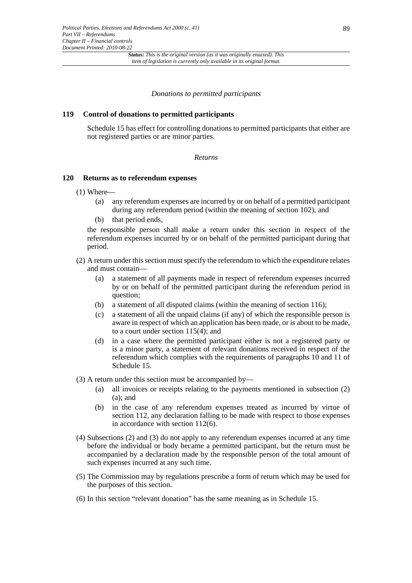#### *Donations to permitted participants*

#### **119 Control of donations to permitted participants**

Schedule 15 has effect for controlling donations to permitted participants that either are not registered parties or are minor parties.

#### *Returns*

#### **120 Returns as to referendum expenses**

- (1) Where—
	- (a) any referendum expenses are incurred by or on behalf of a permitted participant during any referendum period (within the meaning of section 102), and
	- (b) that period ends,

the responsible person shall make a return under this section in respect of the referendum expenses incurred by or on behalf of the permitted participant during that period.

- (2) A return under this section must specify the referendum to which the expenditure relates and must contain—
	- (a) a statement of all payments made in respect of referendum expenses incurred by or on behalf of the permitted participant during the referendum period in question;
	- (b) a statement of all disputed claims (within the meaning of section 116);
	- (c) a statement of all the unpaid claims (if any) of which the responsible person is aware in respect of which an application has been made, or is about to be made, to a court under section  $115(4)$ ; and
	- (d) in a case where the permitted participant either is not a registered party or is a minor party, a statement of relevant donations received in respect of the referendum which complies with the requirements of paragraphs 10 and 11 of Schedule 15.
- (3) A return under this section must be accompanied by—
	- (a) all invoices or receipts relating to the payments mentioned in subsection (2) (a); and
	- (b) in the case of any referendum expenses treated as incurred by virtue of section 112, any declaration falling to be made with respect to those expenses in accordance with section 112(6).
- (4) Subsections (2) and (3) do not apply to any referendum expenses incurred at any time before the individual or body became a permitted participant, but the return must be accompanied by a declaration made by the responsible person of the total amount of such expenses incurred at any such time.
- (5) The Commission may by regulations prescribe a form of return which may be used for the purposes of this section.
- (6) In this section "relevant donation" has the same meaning as in Schedule 15.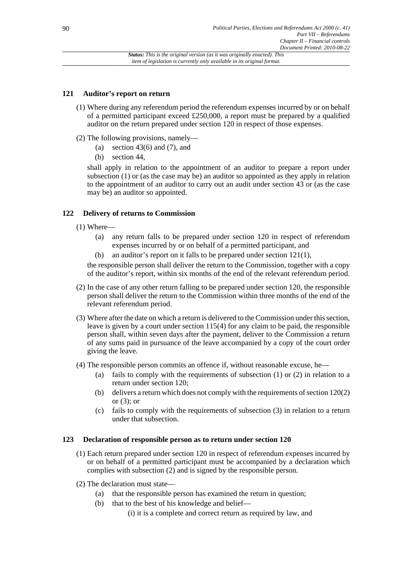# **121 Auditor's report on return**

- (1) Where during any referendum period the referendum expenses incurred by or on behalf of a permitted participant exceed £250,000, a report must be prepared by a qualified auditor on the return prepared under section 120 in respect of those expenses.
- (2) The following provisions, namely—
	- (a) section  $43(6)$  and  $(7)$ , and
	- (b) section 44,

shall apply in relation to the appointment of an auditor to prepare a report under subsection (1) or (as the case may be) an auditor so appointed as they apply in relation to the appointment of an auditor to carry out an audit under section 43 or (as the case may be) an auditor so appointed.

# **122 Delivery of returns to Commission**

- (1) Where—
	- (a) any return falls to be prepared under section 120 in respect of referendum expenses incurred by or on behalf of a permitted participant, and
	- (b) an auditor's report on it falls to be prepared under section 121(1),

the responsible person shall deliver the return to the Commission, together with a copy of the auditor's report, within six months of the end of the relevant referendum period.

- (2) In the case of any other return falling to be prepared under section 120, the responsible person shall deliver the return to the Commission within three months of the end of the relevant referendum period.
- (3) Where after the date on which a return is delivered to the Commission under this section, leave is given by a court under section 115(4) for any claim to be paid, the responsible person shall, within seven days after the payment, deliver to the Commission a return of any sums paid in pursuance of the leave accompanied by a copy of the court order giving the leave.
- (4) The responsible person commits an offence if, without reasonable excuse, he—
	- (a) fails to comply with the requirements of subsection (1) or (2) in relation to a return under section 120;
	- (b) delivers a return which does not comply with the requirements of section 120(2) or (3); or
	- (c) fails to comply with the requirements of subsection (3) in relation to a return under that subsection.

# **123 Declaration of responsible person as to return under section 120**

- (1) Each return prepared under section 120 in respect of referendum expenses incurred by or on behalf of a permitted participant must be accompanied by a declaration which complies with subsection (2) and is signed by the responsible person.
- (2) The declaration must state—
	- (a) that the responsible person has examined the return in question;
	- (b) that to the best of his knowledge and belief—
		- (i) it is a complete and correct return as required by law, and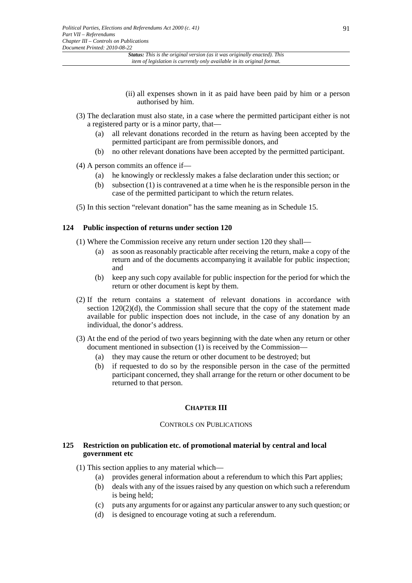- (ii) all expenses shown in it as paid have been paid by him or a person authorised by him.
- (3) The declaration must also state, in a case where the permitted participant either is not a registered party or is a minor party, that—
	- (a) all relevant donations recorded in the return as having been accepted by the permitted participant are from permissible donors, and
	- (b) no other relevant donations have been accepted by the permitted participant.
- (4) A person commits an offence if—
	- (a) he knowingly or recklessly makes a false declaration under this section; or
	- (b) subsection (1) is contravened at a time when he is the responsible person in the case of the permitted participant to which the return relates.
- (5) In this section "relevant donation" has the same meaning as in Schedule 15.

# **124 Public inspection of returns under section 120**

- (1) Where the Commission receive any return under section 120 they shall—
	- (a) as soon as reasonably practicable after receiving the return, make a copy of the return and of the documents accompanying it available for public inspection; and
	- (b) keep any such copy available for public inspection for the period for which the return or other document is kept by them.
- (2) If the return contains a statement of relevant donations in accordance with section 120(2)(d), the Commission shall secure that the copy of the statement made available for public inspection does not include, in the case of any donation by an individual, the donor's address.
- (3) At the end of the period of two years beginning with the date when any return or other document mentioned in subsection (1) is received by the Commission—
	- (a) they may cause the return or other document to be destroyed; but
	- (b) if requested to do so by the responsible person in the case of the permitted participant concerned, they shall arrange for the return or other document to be returned to that person.

# **CHAPTER III**

#### CONTROLS ON PUBLICATIONS

# **125 Restriction on publication etc. of promotional material by central and local government etc**

- (1) This section applies to any material which—
	- (a) provides general information about a referendum to which this Part applies;
	- (b) deals with any of the issues raised by any question on which such a referendum is being held;
	- (c) puts any arguments for or against any particular answer to any such question; or
	- (d) is designed to encourage voting at such a referendum.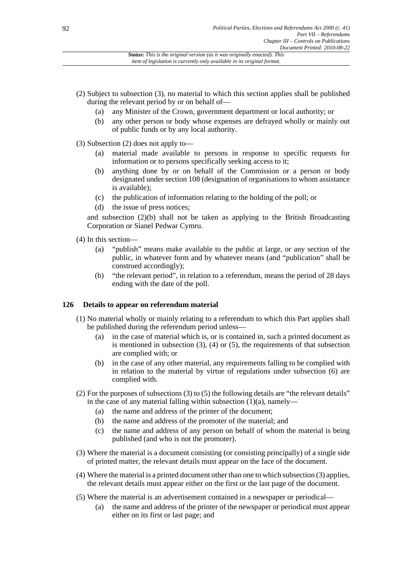- (2) Subject to subsection (3), no material to which this section applies shall be published during the relevant period by or on behalf of—
	- (a) any Minister of the Crown, government department or local authority; or
	- (b) any other person or body whose expenses are defrayed wholly or mainly out of public funds or by any local authority.

(3) Subsection (2) does not apply to—

- (a) material made available to persons in response to specific requests for information or to persons specifically seeking access to it;
- (b) anything done by or on behalf of the Commission or a person or body designated under section 108 (designation of organisations to whom assistance is available);
- (c) the publication of information relating to the holding of the poll; or
- (d) the issue of press notices;

and subsection  $(2)(b)$  shall not be taken as applying to the British Broadcasting Corporation or Sianel Pedwar Cymru.

- (4) In this section—
	- (a) "publish" means make available to the public at large, or any section of the public, in whatever form and by whatever means (and "publication" shall be construed accordingly);
	- (b) "the relevant period", in relation to a referendum, means the period of 28 days ending with the date of the poll.

# **126 Details to appear on referendum material**

- (1) No material wholly or mainly relating to a referendum to which this Part applies shall be published during the referendum period unless—
	- (a) in the case of material which is, or is contained in, such a printed document as is mentioned in subsection  $(3)$ ,  $(4)$  or  $(5)$ , the requirements of that subsection are complied with; or
	- (b) in the case of any other material, any requirements falling to be complied with in relation to the material by virtue of regulations under subsection (6) are complied with.
- (2) For the purposes of subsections (3) to (5) the following details are "the relevant details" in the case of any material falling within subsection  $(1)(a)$ , namely—
	- (a) the name and address of the printer of the document;
	- (b) the name and address of the promoter of the material; and
	- (c) the name and address of any person on behalf of whom the material is being published (and who is not the promoter).
- (3) Where the material is a document consisting (or consisting principally) of a single side of printed matter, the relevant details must appear on the face of the document.
- (4) Where the material is a printed document other than one to which subsection (3) applies, the relevant details must appear either on the first or the last page of the document.
- (5) Where the material is an advertisement contained in a newspaper or periodical—
	- (a) the name and address of the printer of the newspaper or periodical must appear either on its first or last page; and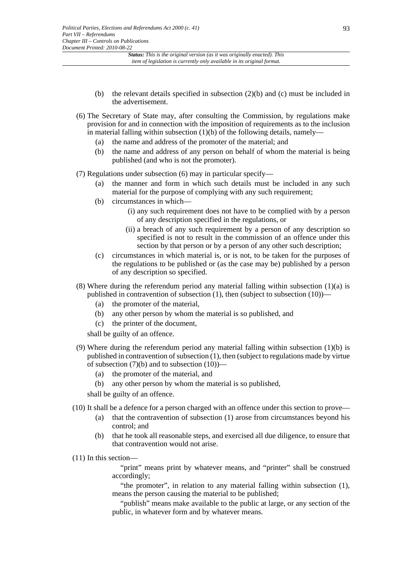- (b) the relevant details specified in subsection  $(2)(b)$  and  $(c)$  must be included in the advertisement.
- (6) The Secretary of State may, after consulting the Commission, by regulations make provision for and in connection with the imposition of requirements as to the inclusion in material falling within subsection  $(1)(b)$  of the following details, namely—
	- (a) the name and address of the promoter of the material; and
	- (b) the name and address of any person on behalf of whom the material is being published (and who is not the promoter).

(7) Regulations under subsection (6) may in particular specify—

- (a) the manner and form in which such details must be included in any such material for the purpose of complying with any such requirement;
- (b) circumstances in which—
	- (i) any such requirement does not have to be complied with by a person of any description specified in the regulations, or
	- (ii) a breach of any such requirement by a person of any description so specified is not to result in the commission of an offence under this section by that person or by a person of any other such description;
- (c) circumstances in which material is, or is not, to be taken for the purposes of the regulations to be published or (as the case may be) published by a person of any description so specified.
- (8) Where during the referendum period any material falling within subsection (1)(a) is published in contravention of subsection (1), then (subject to subsection (10))—
	- (a) the promoter of the material,
	- (b) any other person by whom the material is so published, and
	- (c) the printer of the document,

shall be guilty of an offence.

- (9) Where during the referendum period any material falling within subsection (1)(b) is published in contravention of subsection (1), then (subject to regulations made by virtue of subsection  $(7)(b)$  and to subsection  $(10)$ )–
	- (a) the promoter of the material, and
	- (b) any other person by whom the material is so published,

shall be guilty of an offence.

- (10) It shall be a defence for a person charged with an offence under this section to prove—
	- (a) that the contravention of subsection (1) arose from circumstances beyond his control; and
	- (b) that he took all reasonable steps, and exercised all due diligence, to ensure that that contravention would not arise.
- (11) In this section—

"print" means print by whatever means, and "printer" shall be construed accordingly;

"the promoter", in relation to any material falling within subsection (1), means the person causing the material to be published;

"publish" means make available to the public at large, or any section of the public, in whatever form and by whatever means.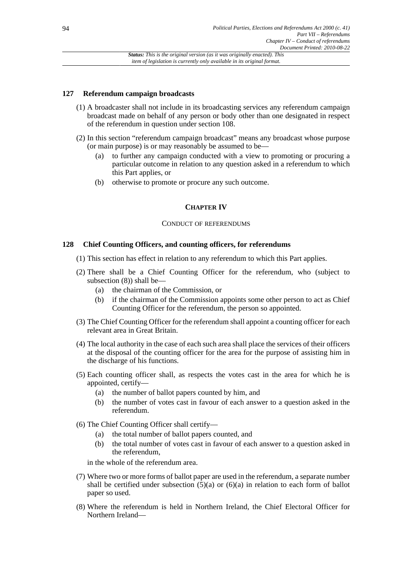# **127 Referendum campaign broadcasts**

- (1) A broadcaster shall not include in its broadcasting services any referendum campaign broadcast made on behalf of any person or body other than one designated in respect of the referendum in question under section 108.
- (2) In this section "referendum campaign broadcast" means any broadcast whose purpose (or main purpose) is or may reasonably be assumed to be—
	- (a) to further any campaign conducted with a view to promoting or procuring a particular outcome in relation to any question asked in a referendum to which this Part applies, or
	- (b) otherwise to promote or procure any such outcome.

# **CHAPTER IV**

#### CONDUCT OF REFERENDUMS

# **128 Chief Counting Officers, and counting officers, for referendums**

- (1) This section has effect in relation to any referendum to which this Part applies.
- (2) There shall be a Chief Counting Officer for the referendum, who (subject to subsection (8)) shall be—
	- (a) the chairman of the Commission, or
	- (b) if the chairman of the Commission appoints some other person to act as Chief Counting Officer for the referendum, the person so appointed.
- (3) The Chief Counting Officer for the referendum shall appoint a counting officer for each relevant area in Great Britain.
- (4) The local authority in the case of each such area shall place the services of their officers at the disposal of the counting officer for the area for the purpose of assisting him in the discharge of his functions.
- (5) Each counting officer shall, as respects the votes cast in the area for which he is appointed, certify—
	- (a) the number of ballot papers counted by him, and
	- (b) the number of votes cast in favour of each answer to a question asked in the referendum.
- (6) The Chief Counting Officer shall certify—
	- (a) the total number of ballot papers counted, and
	- (b) the total number of votes cast in favour of each answer to a question asked in the referendum,

in the whole of the referendum area.

- (7) Where two or more forms of ballot paper are used in the referendum, a separate number shall be certified under subsection  $(5)(a)$  or  $(6)(a)$  in relation to each form of ballot paper so used.
- (8) Where the referendum is held in Northern Ireland, the Chief Electoral Officer for Northern Ireland—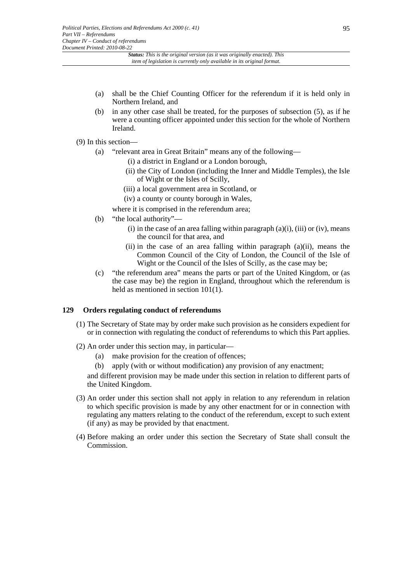- (a) shall be the Chief Counting Officer for the referendum if it is held only in Northern Ireland, and
- (b) in any other case shall be treated, for the purposes of subsection (5), as if he were a counting officer appointed under this section for the whole of Northern Ireland.

(9) In this section—

- (a) "relevant area in Great Britain" means any of the following—
	- (i) a district in England or a London borough,
	- (ii) the City of London (including the Inner and Middle Temples), the Isle of Wight or the Isles of Scilly,
	- (iii) a local government area in Scotland, or
	- (iv) a county or county borough in Wales,

where it is comprised in the referendum area;

- (b) "the local authority"—
	- (i) in the case of an area falling within paragraph  $(a)(i)$ ,  $(iii)$  or  $(iv)$ , means the council for that area, and
	- (ii) in the case of an area falling within paragraph (a)(ii), means the Common Council of the City of London, the Council of the Isle of Wight or the Council of the Isles of Scilly, as the case may be;
- (c) "the referendum area" means the parts or part of the United Kingdom, or (as the case may be) the region in England, throughout which the referendum is held as mentioned in section 101(1).

# **129 Orders regulating conduct of referendums**

- (1) The Secretary of State may by order make such provision as he considers expedient for or in connection with regulating the conduct of referendums to which this Part applies.
- (2) An order under this section may, in particular—
	- (a) make provision for the creation of offences;
	- (b) apply (with or without modification) any provision of any enactment;

and different provision may be made under this section in relation to different parts of the United Kingdom.

- (3) An order under this section shall not apply in relation to any referendum in relation to which specific provision is made by any other enactment for or in connection with regulating any matters relating to the conduct of the referendum, except to such extent (if any) as may be provided by that enactment.
- (4) Before making an order under this section the Secretary of State shall consult the Commission.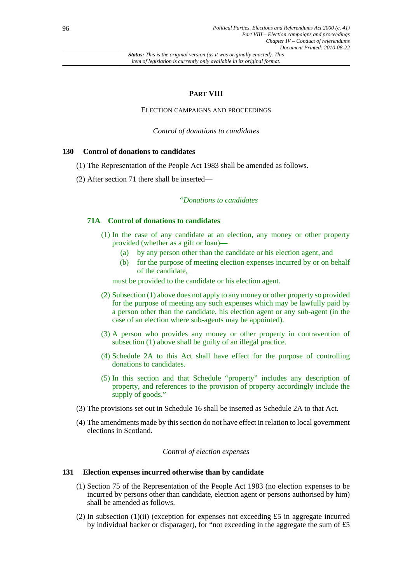# **PART VIII**

# ELECTION CAMPAIGNS AND PROCEEDINGS

*Control of donations to candidates*

# **130 Control of donations to candidates**

- (1) The Representation of the People Act 1983 shall be amended as follows.
- (2) After section 71 there shall be inserted—

# *"Donations to candidates*

# **71A Control of donations to candidates**

- (1) In the case of any candidate at an election, any money or other property provided (whether as a gift or loan)—
	- (a) by any person other than the candidate or his election agent, and
	- (b) for the purpose of meeting election expenses incurred by or on behalf of the candidate,

must be provided to the candidate or his election agent.

- (2) Subsection (1) above does not apply to any money or other property so provided for the purpose of meeting any such expenses which may be lawfully paid by a person other than the candidate, his election agent or any sub-agent (in the case of an election where sub-agents may be appointed).
- (3) A person who provides any money or other property in contravention of subsection (1) above shall be guilty of an illegal practice.
- (4) Schedule 2A to this Act shall have effect for the purpose of controlling donations to candidates.
- (5) In this section and that Schedule "property" includes any description of property, and references to the provision of property accordingly include the supply of goods."
- (3) The provisions set out in Schedule 16 shall be inserted as Schedule 2A to that Act.
- (4) The amendments made by this section do not have effect in relation to local government elections in Scotland.

# *Control of election expenses*

# **131 Election expenses incurred otherwise than by candidate**

- (1) Section 75 of the Representation of the People Act 1983 (no election expenses to be incurred by persons other than candidate, election agent or persons authorised by him) shall be amended as follows.
- (2) In subsection  $(1)(ii)$  (exception for expenses not exceeding £5 in aggregate incurred by individual backer or disparager), for "not exceeding in the aggregate the sum of £5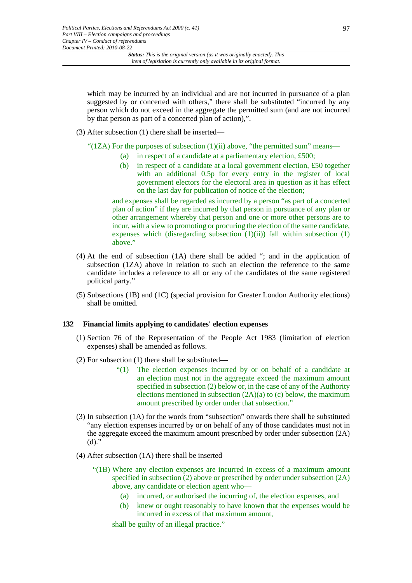which may be incurred by an individual and are not incurred in pursuance of a plan suggested by or concerted with others," there shall be substituted "incurred by any person which do not exceed in the aggregate the permitted sum (and are not incurred by that person as part of a concerted plan of action),".

(3) After subsection (1) there shall be inserted—

"(1ZA) For the purposes of subsection (1)(ii) above, "the permitted sum" means—

- (a) in respect of a candidate at a parliamentary election, £500;
- (b) in respect of a candidate at a local government election, £50 together with an additional 0.5p for every entry in the register of local government electors for the electoral area in question as it has effect on the last day for publication of notice of the election;

and expenses shall be regarded as incurred by a person "as part of a concerted plan of action" if they are incurred by that person in pursuance of any plan or other arrangement whereby that person and one or more other persons are to incur, with a view to promoting or procuring the election of the same candidate, expenses which (disregarding subsection  $(1)(ii)$ ) fall within subsection  $(1)$ above."

- (4) At the end of subsection (1A) there shall be added "; and in the application of subsection (1ZA) above in relation to such an election the reference to the same candidate includes a reference to all or any of the candidates of the same registered political party."
- (5) Subsections (1B) and (1C) (special provision for Greater London Authority elections) shall be omitted.

# **132 Financial limits applying to candidates' election expenses**

- (1) Section 76 of the Representation of the People Act 1983 (limitation of election expenses) shall be amended as follows.
- (2) For subsection (1) there shall be substituted—
	- "(1) The election expenses incurred by or on behalf of a candidate at an election must not in the aggregate exceed the maximum amount specified in subsection (2) below or, in the case of any of the Authority elections mentioned in subsection (2A)(a) to (c) below, the maximum amount prescribed by order under that subsection."
- (3) In subsection (1A) for the words from "subsection" onwards there shall be substituted "any election expenses incurred by or on behalf of any of those candidates must not in the aggregate exceed the maximum amount prescribed by order under subsection (2A)  $(d)$ ."
- (4) After subsection (1A) there shall be inserted—
	- "(1B) Where any election expenses are incurred in excess of a maximum amount specified in subsection (2) above or prescribed by order under subsection (2A) above, any candidate or election agent who—
		- (a) incurred, or authorised the incurring of, the election expenses, and
		- (b) knew or ought reasonably to have known that the expenses would be incurred in excess of that maximum amount,

shall be guilty of an illegal practice."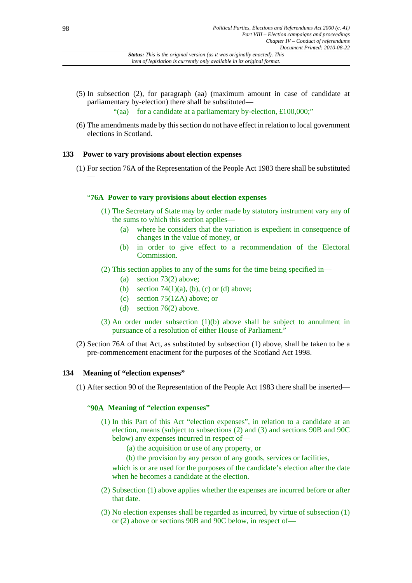(5) In subsection (2), for paragraph (aa) (maximum amount in case of candidate at parliamentary by-election) there shall be substituted—

"(aa) for a candidate at a parliamentary by-election, £100,000;"

(6) The amendments made by this section do not have effect in relation to local government elections in Scotland.

# **133 Power to vary provisions about election expenses**

(1) For section 76A of the Representation of the People Act 1983 there shall be substituted

# "**76A Power to vary provisions about election expenses**

- (1) The Secretary of State may by order made by statutory instrument vary any of the sums to which this section applies—
	- (a) where he considers that the variation is expedient in consequence of changes in the value of money, or
	- (b) in order to give effect to a recommendation of the Electoral Commission.
- (2) This section applies to any of the sums for the time being specified in—
	- (a) section 73(2) above;
	- (b) section  $74(1)(a)$ , (b), (c) or (d) above;
	- (c) section 75(1ZA) above; or
	- (d) section 76(2) above.
- (3) An order under subsection (1)(b) above shall be subject to annulment in pursuance of a resolution of either House of Parliament."
- (2) Section 76A of that Act, as substituted by subsection (1) above, shall be taken to be a pre-commencement enactment for the purposes of the Scotland Act 1998.

# **134 Meaning of "election expenses"**

(1) After section 90 of the Representation of the People Act 1983 there shall be inserted—

# "**90A Meaning of "election expenses"**

- (1) In this Part of this Act "election expenses", in relation to a candidate at an election, means (subject to subsections (2) and (3) and sections 90B and 90C below) any expenses incurred in respect of—
	- (a) the acquisition or use of any property, or
	- (b) the provision by any person of any goods, services or facilities,

which is or are used for the purposes of the candidate's election after the date when he becomes a candidate at the election.

- (2) Subsection (1) above applies whether the expenses are incurred before or after that date.
- (3) No election expenses shall be regarded as incurred, by virtue of subsection (1) or (2) above or sections 90B and 90C below, in respect of—

—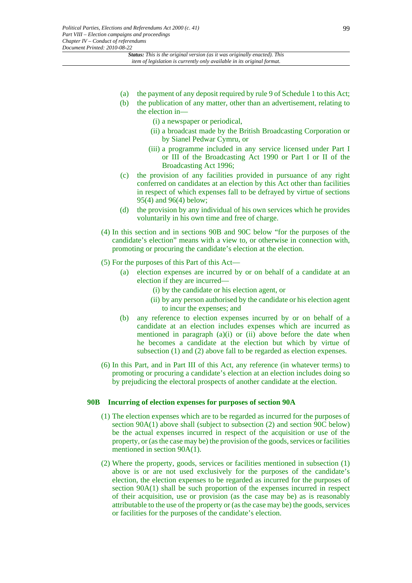- (a) the payment of any deposit required by rule 9 of Schedule 1 to this Act;
- (b) the publication of any matter, other than an advertisement, relating to the election in—
	- (i) a newspaper or periodical,
	- (ii) a broadcast made by the British Broadcasting Corporation or by Sianel Pedwar Cymru, or
	- (iii) a programme included in any service licensed under Part I or III of the Broadcasting Act 1990 or Part I or II of the Broadcasting Act 1996;
- (c) the provision of any facilities provided in pursuance of any right conferred on candidates at an election by this Act other than facilities in respect of which expenses fall to be defrayed by virtue of sections 95(4) and 96(4) below;
- (d) the provision by any individual of his own services which he provides voluntarily in his own time and free of charge.
- (4) In this section and in sections 90B and 90C below "for the purposes of the candidate's election" means with a view to, or otherwise in connection with, promoting or procuring the candidate's election at the election.
- (5) For the purposes of this Part of this Act—
	- (a) election expenses are incurred by or on behalf of a candidate at an election if they are incurred—
		- (i) by the candidate or his election agent, or
		- (ii) by any person authorised by the candidate or his election agent to incur the expenses; and
	- (b) any reference to election expenses incurred by or on behalf of a candidate at an election includes expenses which are incurred as mentioned in paragraph (a)(i) or (ii) above before the date when he becomes a candidate at the election but which by virtue of subsection (1) and (2) above fall to be regarded as election expenses.
- (6) In this Part, and in Part III of this Act, any reference (in whatever terms) to promoting or procuring a candidate's election at an election includes doing so by prejudicing the electoral prospects of another candidate at the election.

#### **90B Incurring of election expenses for purposes of section 90A**

- (1) The election expenses which are to be regarded as incurred for the purposes of section 90A(1) above shall (subject to subsection (2) and section 90C below) be the actual expenses incurred in respect of the acquisition or use of the property, or (as the case may be) the provision of the goods, services or facilities mentioned in section 90A(1).
- (2) Where the property, goods, services or facilities mentioned in subsection (1) above is or are not used exclusively for the purposes of the candidate's election, the election expenses to be regarded as incurred for the purposes of section 90A(1) shall be such proportion of the expenses incurred in respect of their acquisition, use or provision (as the case may be) as is reasonably attributable to the use of the property or (as the case may be) the goods, services or facilities for the purposes of the candidate's election.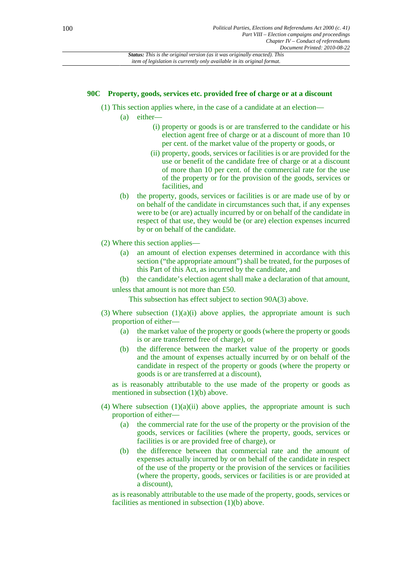### **90C Property, goods, services etc. provided free of charge or at a discount**

- (1) This section applies where, in the case of a candidate at an election—
	- (a) either—
		- (i) property or goods is or are transferred to the candidate or his election agent free of charge or at a discount of more than 10 per cent. of the market value of the property or goods, or
		- (ii) property, goods, services or facilities is or are provided for the use or benefit of the candidate free of charge or at a discount of more than 10 per cent. of the commercial rate for the use of the property or for the provision of the goods, services or facilities, and
	- (b) the property, goods, services or facilities is or are made use of by or on behalf of the candidate in circumstances such that, if any expenses were to be (or are) actually incurred by or on behalf of the candidate in respect of that use, they would be (or are) election expenses incurred by or on behalf of the candidate.
- (2) Where this section applies—
	- (a) an amount of election expenses determined in accordance with this section ("the appropriate amount") shall be treated, for the purposes of this Part of this Act, as incurred by the candidate, and
	- (b) the candidate's election agent shall make a declaration of that amount,
	- unless that amount is not more than £50.

This subsection has effect subject to section 90A(3) above.

- (3) Where subsection  $(1)(a)(i)$  above applies, the appropriate amount is such proportion of either—
	- (a) the market value of the property or goods (where the property or goods is or are transferred free of charge), or
	- (b) the difference between the market value of the property or goods and the amount of expenses actually incurred by or on behalf of the candidate in respect of the property or goods (where the property or goods is or are transferred at a discount),

as is reasonably attributable to the use made of the property or goods as mentioned in subsection (1)(b) above.

- (4) Where subsection  $(1)(a)(ii)$  above applies, the appropriate amount is such proportion of either—
	- (a) the commercial rate for the use of the property or the provision of the goods, services or facilities (where the property, goods, services or facilities is or are provided free of charge), or
	- (b) the difference between that commercial rate and the amount of expenses actually incurred by or on behalf of the candidate in respect of the use of the property or the provision of the services or facilities (where the property, goods, services or facilities is or are provided at a discount),

as is reasonably attributable to the use made of the property, goods, services or facilities as mentioned in subsection (1)(b) above.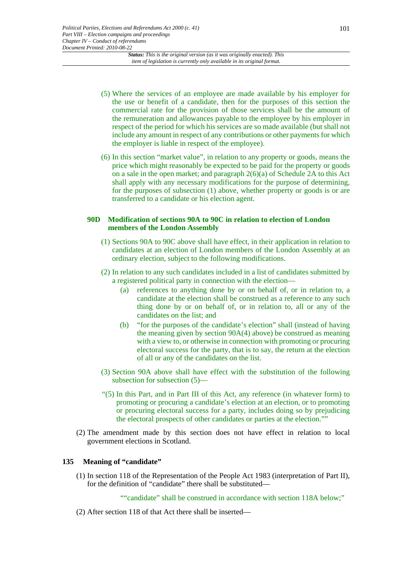- (5) Where the services of an employee are made available by his employer for the use or benefit of a candidate, then for the purposes of this section the commercial rate for the provision of those services shall be the amount of the remuneration and allowances payable to the employee by his employer in respect of the period for which his services are so made available (but shall not include any amount in respect of any contributions or other payments for which the employer is liable in respect of the employee).
- (6) In this section "market value", in relation to any property or goods, means the price which might reasonably be expected to be paid for the property or goods on a sale in the open market; and paragraph 2(6)(a) of Schedule 2A to this Act shall apply with any necessary modifications for the purpose of determining, for the purposes of subsection (1) above, whether property or goods is or are transferred to a candidate or his election agent.

# **90D Modification of sections 90A to 90C in relation to election of London members of the London Assembly**

- (1) Sections 90A to 90C above shall have effect, in their application in relation to candidates at an election of London members of the London Assembly at an ordinary election, subject to the following modifications.
- (2) In relation to any such candidates included in a list of candidates submitted by a registered political party in connection with the election—
	- (a) references to anything done by or on behalf of, or in relation to, a candidate at the election shall be construed as a reference to any such thing done by or on behalf of, or in relation to, all or any of the candidates on the list; and
	- (b) "for the purposes of the candidate's election" shall (instead of having the meaning given by section 90A(4) above) be construed as meaning with a view to, or otherwise in connection with promoting or procuring electoral success for the party, that is to say, the return at the election of all or any of the candidates on the list.
- (3) Section 90A above shall have effect with the substitution of the following subsection for subsection (5)—
- "(5) In this Part, and in Part III of this Act, any reference (in whatever form) to promoting or procuring a candidate's election at an election, or to promoting or procuring electoral success for a party, includes doing so by prejudicing the electoral prospects of other candidates or parties at the election.""
- (2) The amendment made by this section does not have effect in relation to local government elections in Scotland.

# **135 Meaning of "candidate"**

(1) In section 118 of the Representation of the People Act 1983 (interpretation of Part II), for the definition of "candidate" there shall be substituted—

""candidate" shall be construed in accordance with section 118A below;"

(2) After section 118 of that Act there shall be inserted—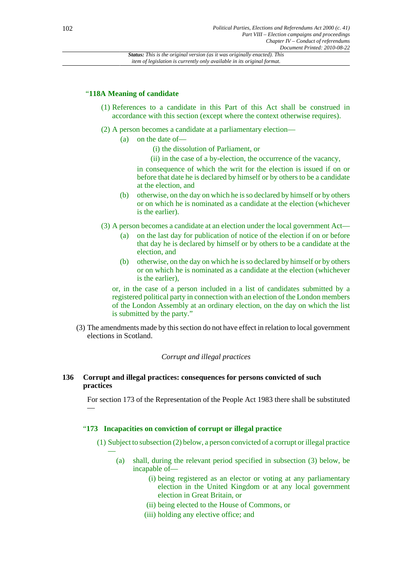# "**118A Meaning of candidate**

- (1) References to a candidate in this Part of this Act shall be construed in accordance with this section (except where the context otherwise requires).
- (2) A person becomes a candidate at a parliamentary election—
	- (a) on the date of—
		- (i) the dissolution of Parliament, or
		- (ii) in the case of a by-election, the occurrence of the vacancy,

in consequence of which the writ for the election is issued if on or before that date he is declared by himself or by others to be a candidate at the election, and

- (b) otherwise, on the day on which he is so declared by himself or by others or on which he is nominated as a candidate at the election (whichever is the earlier).
- (3) A person becomes a candidate at an election under the local government Act—
	- (a) on the last day for publication of notice of the election if on or before that day he is declared by himself or by others to be a candidate at the election, and
	- (b) otherwise, on the day on which he is so declared by himself or by others or on which he is nominated as a candidate at the election (whichever is the earlier),

or, in the case of a person included in a list of candidates submitted by a registered political party in connection with an election of the London members of the London Assembly at an ordinary election, on the day on which the list is submitted by the party."

(3) The amendments made by this section do not have effect in relation to local government elections in Scotland.

#### *Corrupt and illegal practices*

# **136 Corrupt and illegal practices: consequences for persons convicted of such practices**

For section 173 of the Representation of the People Act 1983 there shall be substituted —

# "**173 Incapacities on conviction of corrupt or illegal practice**

—

- (1) Subject to subsection (2) below, a person convicted of a corrupt or illegal practice
	- (a) shall, during the relevant period specified in subsection (3) below, be incapable of—
		- (i) being registered as an elector or voting at any parliamentary election in the United Kingdom or at any local government election in Great Britain, or
		- (ii) being elected to the House of Commons, or
		- (iii) holding any elective office; and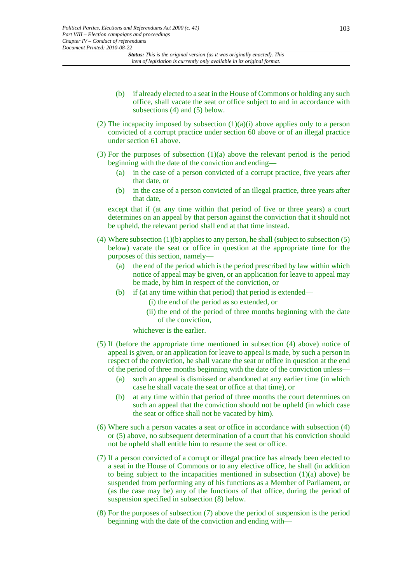- (b) if already elected to a seat in the House of Commons or holding any such office, shall vacate the seat or office subject to and in accordance with subsections (4) and (5) below.
- (2) The incapacity imposed by subsection  $(1)(a)(i)$  above applies only to a person convicted of a corrupt practice under section 60 above or of an illegal practice under section 61 above.
- (3) For the purposes of subsection  $(1)(a)$  above the relevant period is the period beginning with the date of the conviction and ending—
	- (a) in the case of a person convicted of a corrupt practice, five years after that date, or
	- (b) in the case of a person convicted of an illegal practice, three years after that date,

except that if (at any time within that period of five or three years) a court determines on an appeal by that person against the conviction that it should not be upheld, the relevant period shall end at that time instead.

- (4) Where subsection (1)(b) applies to any person, he shall (subject to subsection (5) below) vacate the seat or office in question at the appropriate time for the purposes of this section, namely—
	- (a) the end of the period which is the period prescribed by law within which notice of appeal may be given, or an application for leave to appeal may be made, by him in respect of the conviction, or
	- (b) if (at any time within that period) that period is extended—
		- (i) the end of the period as so extended, or
		- (ii) the end of the period of three months beginning with the date of the conviction,

whichever is the earlier.

- (5) If (before the appropriate time mentioned in subsection (4) above) notice of appeal is given, or an application for leave to appeal is made, by such a person in respect of the conviction, he shall vacate the seat or office in question at the end of the period of three months beginning with the date of the conviction unless—
	- (a) such an appeal is dismissed or abandoned at any earlier time (in which case he shall vacate the seat or office at that time), or
	- (b) at any time within that period of three months the court determines on such an appeal that the conviction should not be upheld (in which case the seat or office shall not be vacated by him).
- (6) Where such a person vacates a seat or office in accordance with subsection (4) or (5) above, no subsequent determination of a court that his conviction should not be upheld shall entitle him to resume the seat or office.
- (7) If a person convicted of a corrupt or illegal practice has already been elected to a seat in the House of Commons or to any elective office, he shall (in addition to being subject to the incapacities mentioned in subsection  $(1)(a)$  above) be suspended from performing any of his functions as a Member of Parliament, or (as the case may be) any of the functions of that office, during the period of suspension specified in subsection (8) below.
- (8) For the purposes of subsection (7) above the period of suspension is the period beginning with the date of the conviction and ending with—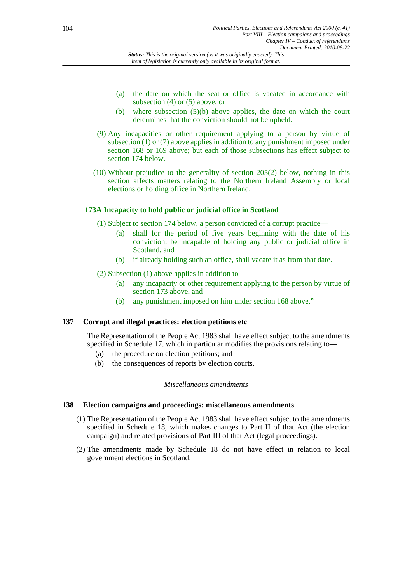- (a) the date on which the seat or office is vacated in accordance with subsection (4) or (5) above, or
- (b) where subsection (5)(b) above applies, the date on which the court determines that the conviction should not be upheld.
- (9) Any incapacities or other requirement applying to a person by virtue of subsection (1) or (7) above applies in addition to any punishment imposed under section 168 or 169 above; but each of those subsections has effect subject to section 174 below.
- (10) Without prejudice to the generality of section 205(2) below, nothing in this section affects matters relating to the Northern Ireland Assembly or local elections or holding office in Northern Ireland.

# **173A Incapacity to hold public or judicial office in Scotland**

- (1) Subject to section 174 below, a person convicted of a corrupt practice—
	- (a) shall for the period of five years beginning with the date of his conviction, be incapable of holding any public or judicial office in Scotland, and
	- (b) if already holding such an office, shall vacate it as from that date.
- (2) Subsection (1) above applies in addition to—
	- (a) any incapacity or other requirement applying to the person by virtue of section 173 above, and
	- (b) any punishment imposed on him under section 168 above."

# **137 Corrupt and illegal practices: election petitions etc**

The Representation of the People Act 1983 shall have effect subject to the amendments specified in Schedule 17, which in particular modifies the provisions relating to—

- (a) the procedure on election petitions; and
- (b) the consequences of reports by election courts.

# *Miscellaneous amendments*

# **138 Election campaigns and proceedings: miscellaneous amendments**

- (1) The Representation of the People Act 1983 shall have effect subject to the amendments specified in Schedule 18, which makes changes to Part II of that Act (the election campaign) and related provisions of Part III of that Act (legal proceedings).
- (2) The amendments made by Schedule 18 do not have effect in relation to local government elections in Scotland.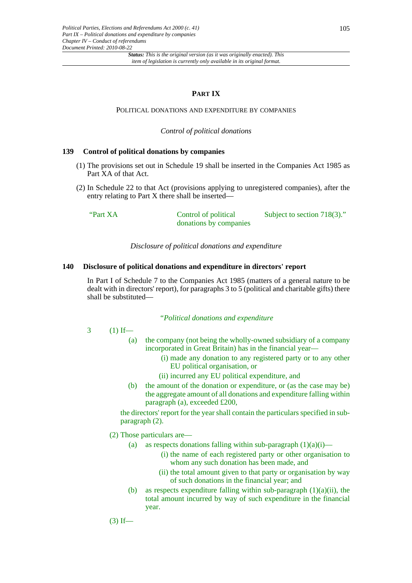# **PART IX**

#### POLITICAL DONATIONS AND EXPENDITURE BY COMPANIES

### *Control of political donations*

#### **139 Control of political donations by companies**

- (1) The provisions set out in Schedule 19 shall be inserted in the Companies Act 1985 as Part XA of that Act.
- (2) In Schedule 22 to that Act (provisions applying to unregistered companies), after the entry relating to Part X there shall be inserted—

"Part XA Control of political donations by companies Subject to section 718(3)."

*Disclosure of political donations and expenditure*

#### **140 Disclosure of political donations and expenditure in directors' report**

In Part I of Schedule 7 to the Companies Act 1985 (matters of a general nature to be dealt with in directors' report), for paragraphs 3 to 5 (political and charitable gifts) there shall be substituted—

#### *"Political donations and expenditure*

- $3$  (1) If—
	- (a) the company (not being the wholly-owned subsidiary of a company incorporated in Great Britain) has in the financial year—
		- (i) made any donation to any registered party or to any other EU political organisation, or
		- (ii) incurred any EU political expenditure, and
	- (b) the amount of the donation or expenditure, or (as the case may be) the aggregate amount of all donations and expenditure falling within paragraph (a), exceeded £200,

the directors' report for the year shall contain the particulars specified in subparagraph (2).

- (2) Those particulars are—
	- (a) as respects donations falling within sub-paragraph  $(1)(a)(i)$ 
		- (i) the name of each registered party or other organisation to whom any such donation has been made, and
		- (ii) the total amount given to that party or organisation by way of such donations in the financial year; and
	- (b) as respects expenditure falling within sub-paragraph  $(1)(a)(ii)$ , the total amount incurred by way of such expenditure in the financial year.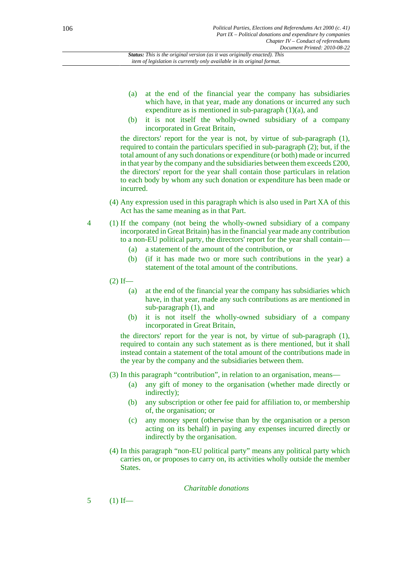- (a) at the end of the financial year the company has subsidiaries which have, in that year, made any donations or incurred any such expenditure as is mentioned in sub-paragraph  $(1)(a)$ , and
- (b) it is not itself the wholly-owned subsidiary of a company incorporated in Great Britain,

the directors' report for the year is not, by virtue of sub-paragraph (1), required to contain the particulars specified in sub-paragraph (2); but, if the total amount of any such donations or expenditure (or both) made or incurred in that year by the company and the subsidiaries between them exceeds £200, the directors' report for the year shall contain those particulars in relation to each body by whom any such donation or expenditure has been made or incurred.

- (4) Any expression used in this paragraph which is also used in Part XA of this Act has the same meaning as in that Part.
- 4 (1) If the company (not being the wholly-owned subsidiary of a company incorporated in Great Britain) has in the financial year made any contribution to a non-EU political party, the directors' report for the year shall contain—
	- (a) a statement of the amount of the contribution, or
	- (b) (if it has made two or more such contributions in the year) a statement of the total amount of the contributions.
	- $(2)$  If—
		- (a) at the end of the financial year the company has subsidiaries which have, in that year, made any such contributions as are mentioned in sub-paragraph (1), and
		- (b) it is not itself the wholly-owned subsidiary of a company incorporated in Great Britain,

the directors' report for the year is not, by virtue of sub-paragraph (1), required to contain any such statement as is there mentioned, but it shall instead contain a statement of the total amount of the contributions made in the year by the company and the subsidiaries between them.

- (3) In this paragraph "contribution", in relation to an organisation, means—
	- (a) any gift of money to the organisation (whether made directly or indirectly);
	- (b) any subscription or other fee paid for affiliation to, or membership of, the organisation; or
	- (c) any money spent (otherwise than by the organisation or a person acting on its behalf) in paying any expenses incurred directly or indirectly by the organisation.
- (4) In this paragraph "non-EU political party" means any political party which carries on, or proposes to carry on, its activities wholly outside the member States.

# *Charitable donations*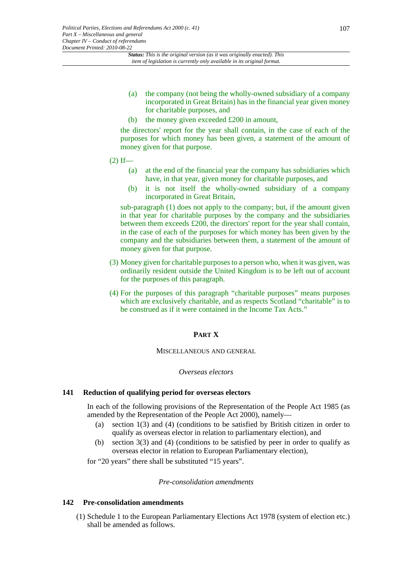- (a) the company (not being the wholly-owned subsidiary of a company incorporated in Great Britain) has in the financial year given money for charitable purposes, and
- (b) the money given exceeded £200 in amount,

the directors' report for the year shall contain, in the case of each of the purposes for which money has been given, a statement of the amount of money given for that purpose.

- $(2)$  If—
	- (a) at the end of the financial year the company has subsidiaries which have, in that year, given money for charitable purposes, and
	- (b) it is not itself the wholly-owned subsidiary of a company incorporated in Great Britain,

sub-paragraph (1) does not apply to the company; but, if the amount given in that year for charitable purposes by the company and the subsidiaries between them exceeds £200, the directors' report for the year shall contain, in the case of each of the purposes for which money has been given by the company and the subsidiaries between them, a statement of the amount of money given for that purpose.

- (3) Money given for charitable purposes to a person who, when it was given, was ordinarily resident outside the United Kingdom is to be left out of account for the purposes of this paragraph.
- (4) For the purposes of this paragraph "charitable purposes" means purposes which are exclusively charitable, and as respects Scotland "charitable" is to be construed as if it were contained in the Income Tax Acts."

# **PART X**

# MISCELLANEOUS AND GENERAL

# *Overseas electors*

# **141 Reduction of qualifying period for overseas electors**

In each of the following provisions of the Representation of the People Act 1985 (as amended by the Representation of the People Act 2000), namely—

- (a) section 1(3) and (4) (conditions to be satisfied by British citizen in order to qualify as overseas elector in relation to parliamentary election), and
- (b) section 3(3) and (4) (conditions to be satisfied by peer in order to qualify as overseas elector in relation to European Parliamentary election),

for "20 years" there shall be substituted "15 years".

### *Pre-consolidation amendments*

# **142 Pre-consolidation amendments**

(1) Schedule 1 to the European Parliamentary Elections Act 1978 (system of election etc.) shall be amended as follows.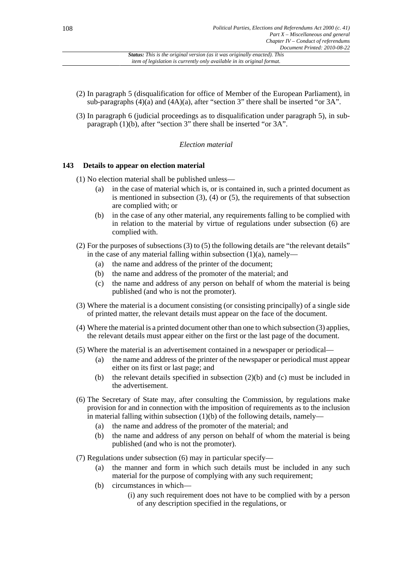- (2) In paragraph 5 (disqualification for office of Member of the European Parliament), in sub-paragraphs  $(4)(a)$  and  $(4A)(a)$ , after "section 3" there shall be inserted "or 3A".
- (3) In paragraph 6 (judicial proceedings as to disqualification under paragraph 5), in subparagraph (1)(b), after "section 3" there shall be inserted "or 3A".

# *Election material*

# **143 Details to appear on election material**

- (1) No election material shall be published unless—
	- (a) in the case of material which is, or is contained in, such a printed document as is mentioned in subsection  $(3)$ ,  $(4)$  or  $(5)$ , the requirements of that subsection are complied with; or
	- (b) in the case of any other material, any requirements falling to be complied with in relation to the material by virtue of regulations under subsection (6) are complied with.
- (2) For the purposes of subsections (3) to (5) the following details are "the relevant details" in the case of any material falling within subsection  $(1)(a)$ , namely—
	- (a) the name and address of the printer of the document;
	- (b) the name and address of the promoter of the material; and
	- (c) the name and address of any person on behalf of whom the material is being published (and who is not the promoter).
- (3) Where the material is a document consisting (or consisting principally) of a single side of printed matter, the relevant details must appear on the face of the document.
- (4) Where the material is a printed document other than one to which subsection (3) applies, the relevant details must appear either on the first or the last page of the document.
- (5) Where the material is an advertisement contained in a newspaper or periodical—
	- (a) the name and address of the printer of the newspaper or periodical must appear either on its first or last page; and
	- (b) the relevant details specified in subsection (2)(b) and (c) must be included in the advertisement.
- (6) The Secretary of State may, after consulting the Commission, by regulations make provision for and in connection with the imposition of requirements as to the inclusion in material falling within subsection  $(1)(b)$  of the following details, namely—
	- (a) the name and address of the promoter of the material; and
	- (b) the name and address of any person on behalf of whom the material is being published (and who is not the promoter).
- (7) Regulations under subsection (6) may in particular specify—
	- (a) the manner and form in which such details must be included in any such material for the purpose of complying with any such requirement;
	- (b) circumstances in which—
		- (i) any such requirement does not have to be complied with by a person of any description specified in the regulations, or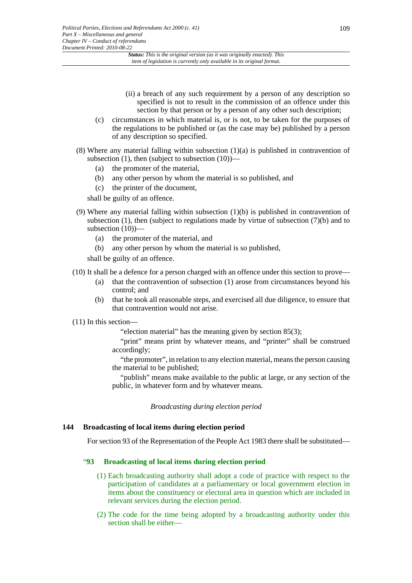- (ii) a breach of any such requirement by a person of any description so specified is not to result in the commission of an offence under this section by that person or by a person of any other such description;
- (c) circumstances in which material is, or is not, to be taken for the purposes of the regulations to be published or (as the case may be) published by a person of any description so specified.
- (8) Where any material falling within subsection (1)(a) is published in contravention of subsection (1), then (subject to subsection  $(10)$ )—
	- (a) the promoter of the material,
	- (b) any other person by whom the material is so published, and
	- (c) the printer of the document,

shall be guilty of an offence.

- (9) Where any material falling within subsection  $(1)(b)$  is published in contravention of subsection  $(1)$ , then (subject to regulations made by virtue of subsection  $(7)(b)$  and to subsection (10))—
	- (a) the promoter of the material, and
	- (b) any other person by whom the material is so published,

shall be guilty of an offence.

- (10) It shall be a defence for a person charged with an offence under this section to prove—
	- (a) that the contravention of subsection (1) arose from circumstances beyond his control; and
	- (b) that he took all reasonable steps, and exercised all due diligence, to ensure that that contravention would not arise.
- (11) In this section—

"election material" has the meaning given by section 85(3);

"print" means print by whatever means, and "printer" shall be construed accordingly;

"the promoter", in relation to any election material, means the person causing the material to be published;

"publish" means make available to the public at large, or any section of the public, in whatever form and by whatever means.

*Broadcasting during election period*

### **144 Broadcasting of local items during election period**

For section 93 of the Representation of the People Act 1983 there shall be substituted—

### "**93 Broadcasting of local items during election period**

- (1) Each broadcasting authority shall adopt a code of practice with respect to the participation of candidates at a parliamentary or local government election in items about the constituency or electoral area in question which are included in relevant services during the election period.
- (2) The code for the time being adopted by a broadcasting authority under this section shall be either—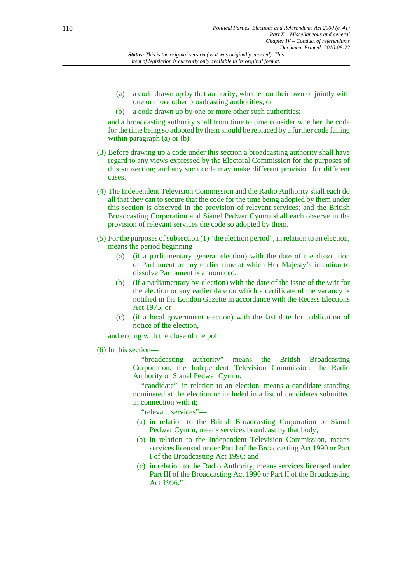- (a) a code drawn up by that authority, whether on their own or jointly with one or more other broadcasting authorities, or
- (b) a code drawn up by one or more other such authorities;

and a broadcasting authority shall from time to time consider whether the code for the time being so adopted by them should be replaced by a further code falling within paragraph (a) or (b).

- (3) Before drawing up a code under this section a broadcasting authority shall have regard to any views expressed by the Electoral Commission for the purposes of this subsection; and any such code may make different provision for different cases.
- (4) The Independent Television Commission and the Radio Authority shall each do all that they can to secure that the code for the time being adopted by them under this section is observed in the provision of relevant services; and the British Broadcasting Corporation and Sianel Pedwar Cymru shall each observe in the provision of relevant services the code so adopted by them.
- (5) For the purposes of subsection (1) "the election period", in relation to an election, means the period beginning—
	- (a) (if a parliamentary general election) with the date of the dissolution of Parliament or any earlier time at which Her Majesty's intention to dissolve Parliament is announced,
	- (b) (if a parliamentary by-election) with the date of the issue of the writ for the election or any earlier date on which a certificate of the vacancy is notified in the London Gazette in accordance with the Recess Elections Act 1975, or
	- (c) (if a local government election) with the last date for publication of notice of the election,

and ending with the close of the poll.

(6) In this section—

"broadcasting authority" means the British Broadcasting Corporation, the Independent Television Commission, the Radio Authority or Sianel Pedwar Cymru;

"candidate", in relation to an election, means a candidate standing nominated at the election or included in a list of candidates submitted in connection with it;

"relevant services"—

- (a) in relation to the British Broadcasting Corporation or Sianel Pedwar Cymru, means services broadcast by that body;
- (b) in relation to the Independent Television Commission, means services licensed under Part I of the Broadcasting Act 1990 or Part I of the Broadcasting Act 1996; and
- (c) in relation to the Radio Authority, means services licensed under Part III of the Broadcasting Act 1990 or Part II of the Broadcasting Act 1996."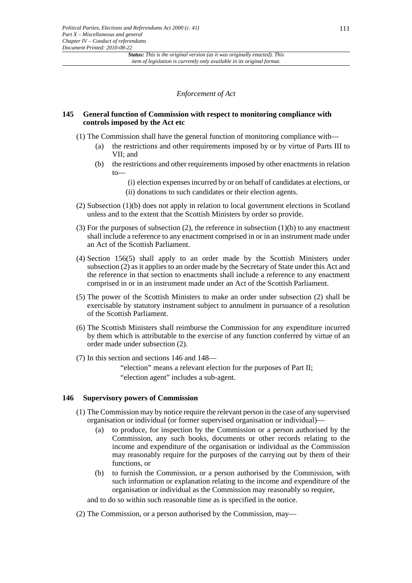*Enforcement of Act*

# **145 General function of Commission with respect to monitoring compliance with controls imposed by the Act etc**

- (1) The Commission shall have the general function of monitoring compliance with—
	- (a) the restrictions and other requirements imposed by or by virtue of Parts III to VII; and
	- (b) the restrictions and other requirements imposed by other enactments in relation to—
		- (i) election expenses incurred by or on behalf of candidates at elections, or
		- (ii) donations to such candidates or their election agents.
- (2) Subsection (1)(b) does not apply in relation to local government elections in Scotland unless and to the extent that the Scottish Ministers by order so provide.
- (3) For the purposes of subsection (2), the reference in subsection  $(1)(b)$  to any enactment shall include a reference to any enactment comprised in or in an instrument made under an Act of the Scottish Parliament.
- (4) Section 156(5) shall apply to an order made by the Scottish Ministers under subsection (2) as it applies to an order made by the Secretary of State under this Act and the reference in that section to enactments shall include a reference to any enactment comprised in or in an instrument made under an Act of the Scottish Parliament.
- (5) The power of the Scottish Ministers to make an order under subsection (2) shall be exercisable by statutory instrument subject to annulment in pursuance of a resolution of the Scottish Parliament.
- (6) The Scottish Ministers shall reimburse the Commission for any expenditure incurred by them which is attributable to the exercise of any function conferred by virtue of an order made under subsection (2).
- (7) In this section and sections 146 and 148—

"election" means a relevant election for the purposes of Part II; "election agent" includes a sub-agent.

# **146 Supervisory powers of Commission**

- (1) The Commission may by notice require the relevant person in the case of any supervised organisation or individual (or former supervised organisation or individual)—
	- (a) to produce, for inspection by the Commission or a person authorised by the Commission, any such books, documents or other records relating to the income and expenditure of the organisation or individual as the Commission may reasonably require for the purposes of the carrying out by them of their functions, or
	- (b) to furnish the Commission, or a person authorised by the Commission, with such information or explanation relating to the income and expenditure of the organisation or individual as the Commission may reasonably so require,

and to do so within such reasonable time as is specified in the notice.

(2) The Commission, or a person authorised by the Commission, may—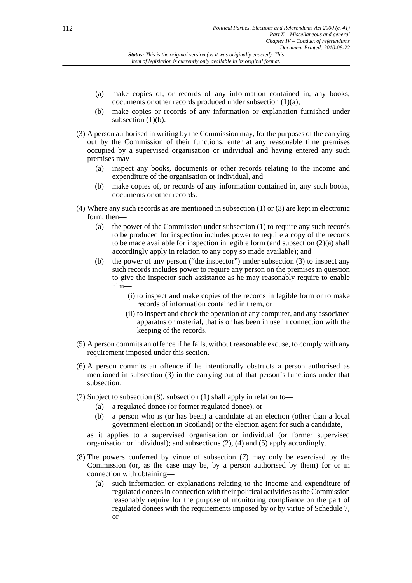- (a) make copies of, or records of any information contained in, any books, documents or other records produced under subsection (1)(a);
- (b) make copies or records of any information or explanation furnished under subsection  $(1)(b)$ .
- (3) A person authorised in writing by the Commission may, for the purposes of the carrying out by the Commission of their functions, enter at any reasonable time premises occupied by a supervised organisation or individual and having entered any such premises may—
	- (a) inspect any books, documents or other records relating to the income and expenditure of the organisation or individual, and
	- (b) make copies of, or records of any information contained in, any such books, documents or other records.
- (4) Where any such records as are mentioned in subsection (1) or (3) are kept in electronic form, then—
	- (a) the power of the Commission under subsection (1) to require any such records to be produced for inspection includes power to require a copy of the records to be made available for inspection in legible form (and subsection (2)(a) shall accordingly apply in relation to any copy so made available); and
	- (b) the power of any person ("the inspector") under subsection (3) to inspect any such records includes power to require any person on the premises in question to give the inspector such assistance as he may reasonably require to enable him—
		- (i) to inspect and make copies of the records in legible form or to make records of information contained in them, or
		- (ii) to inspect and check the operation of any computer, and any associated apparatus or material, that is or has been in use in connection with the keeping of the records.
- (5) A person commits an offence if he fails, without reasonable excuse, to comply with any requirement imposed under this section.
- (6) A person commits an offence if he intentionally obstructs a person authorised as mentioned in subsection (3) in the carrying out of that person's functions under that subsection.
- (7) Subject to subsection (8), subsection (1) shall apply in relation to—
	- (a) a regulated donee (or former regulated donee), or
	- (b) a person who is (or has been) a candidate at an election (other than a local government election in Scotland) or the election agent for such a candidate,

as it applies to a supervised organisation or individual (or former supervised organisation or individual); and subsections (2), (4) and (5) apply accordingly.

- (8) The powers conferred by virtue of subsection (7) may only be exercised by the Commission (or, as the case may be, by a person authorised by them) for or in connection with obtaining—
	- (a) such information or explanations relating to the income and expenditure of regulated donees in connection with their political activities as the Commission reasonably require for the purpose of monitoring compliance on the part of regulated donees with the requirements imposed by or by virtue of Schedule 7, or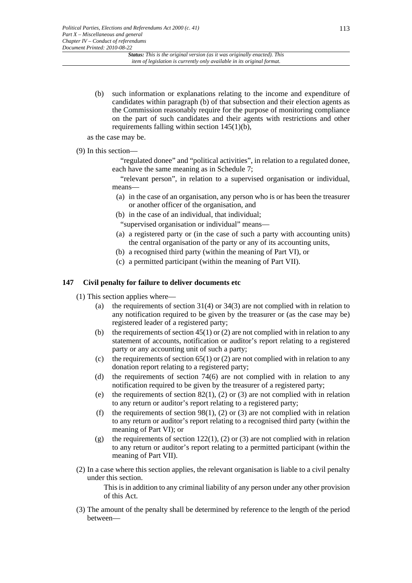(b) such information or explanations relating to the income and expenditure of candidates within paragraph (b) of that subsection and their election agents as the Commission reasonably require for the purpose of monitoring compliance on the part of such candidates and their agents with restrictions and other requirements falling within section 145(1)(b),

as the case may be.

(9) In this section—

"regulated donee" and "political activities", in relation to a regulated donee, each have the same meaning as in Schedule 7;

"relevant person", in relation to a supervised organisation or individual, means—

- (a) in the case of an organisation, any person who is or has been the treasurer or another officer of the organisation, and
- (b) in the case of an individual, that individual;

"supervised organisation or individual" means—

- (a) a registered party or (in the case of such a party with accounting units) the central organisation of the party or any of its accounting units,
- (b) a recognised third party (within the meaning of Part VI), or
- (c) a permitted participant (within the meaning of Part VII).

### **147 Civil penalty for failure to deliver documents etc**

(1) This section applies where—

- (a) the requirements of section  $31(4)$  or  $34(3)$  are not complied with in relation to any notification required to be given by the treasurer or (as the case may be) registered leader of a registered party;
- (b) the requirements of section  $45(1)$  or (2) are not complied with in relation to any statement of accounts, notification or auditor's report relating to a registered party or any accounting unit of such a party;
- (c) the requirements of section  $65(1)$  or (2) are not complied with in relation to any donation report relating to a registered party;
- (d) the requirements of section 74(6) are not complied with in relation to any notification required to be given by the treasurer of a registered party;
- (e) the requirements of section  $82(1)$ ,  $(2)$  or  $(3)$  are not complied with in relation to any return or auditor's report relating to a registered party;
- (f) the requirements of section 98(1), (2) or (3) are not complied with in relation to any return or auditor's report relating to a recognised third party (within the meaning of Part VI); or
- (g) the requirements of section 122(1), (2) or (3) are not complied with in relation to any return or auditor's report relating to a permitted participant (within the meaning of Part VII).
- (2) In a case where this section applies, the relevant organisation is liable to a civil penalty under this section.

This is in addition to any criminal liability of any person under any other provision of this Act.

(3) The amount of the penalty shall be determined by reference to the length of the period between—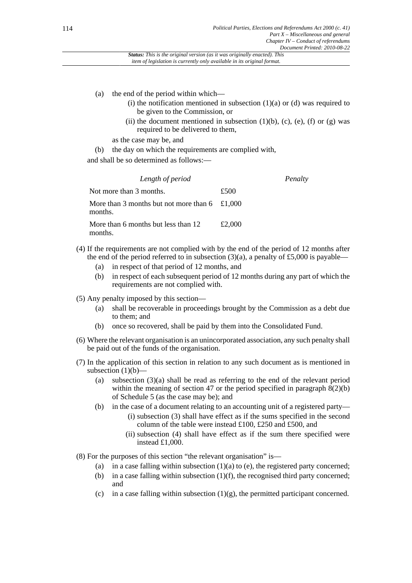| <b>Status:</b> This is the original version (as it was originally enacted). This |  |
|----------------------------------------------------------------------------------|--|
| item of legislation is currently only available in its original format.          |  |

- (a) the end of the period within which—
	- (i) the notification mentioned in subsection  $(1)(a)$  or  $(d)$  was required to be given to the Commission, or
	- (ii) the document mentioned in subsection  $(1)(b)$ ,  $(c)$ ,  $(e)$ ,  $(f)$  or  $(g)$  was required to be delivered to them,

as the case may be, and

(b) the day on which the requirements are complied with,

and shall be so determined as follows:—

| Length of period                                                              |        | Penalty |
|-------------------------------------------------------------------------------|--------|---------|
| Not more than 3 months.                                                       | £500   |         |
| More than 3 months but not more than $6 \quad \text{\pounds}1,000$<br>months. |        |         |
| More than 6 months but less than 12<br>months.                                | £2,000 |         |

- (4) If the requirements are not complied with by the end of the period of 12 months after the end of the period referred to in subsection  $(3)(a)$ , a penalty of £5,000 is payable—
	- (a) in respect of that period of 12 months, and
	- (b) in respect of each subsequent period of 12 months during any part of which the requirements are not complied with.

(5) Any penalty imposed by this section—

- (a) shall be recoverable in proceedings brought by the Commission as a debt due to them; and
- (b) once so recovered, shall be paid by them into the Consolidated Fund.
- (6) Where the relevant organisation is an unincorporated association, any such penalty shall be paid out of the funds of the organisation.
- (7) In the application of this section in relation to any such document as is mentioned in subsection  $(1)(b)$ —
	- (a) subsection (3)(a) shall be read as referring to the end of the relevant period within the meaning of section 47 or the period specified in paragraph  $8(2)(b)$ of Schedule 5 (as the case may be); and
	- (b) in the case of a document relating to an accounting unit of a registered party—
		- (i) subsection (3) shall have effect as if the sums specified in the second column of the table were instead £100, £250 and £500, and
		- (ii) subsection (4) shall have effect as if the sum there specified were instead £1,000.
- (8) For the purposes of this section "the relevant organisation" is—
	- (a) in a case falling within subsection  $(1)(a)$  to (e), the registered party concerned;
	- (b) in a case falling within subsection  $(1)(f)$ , the recognised third party concerned; and
	- (c) in a case falling within subsection  $(1)(g)$ , the permitted participant concerned.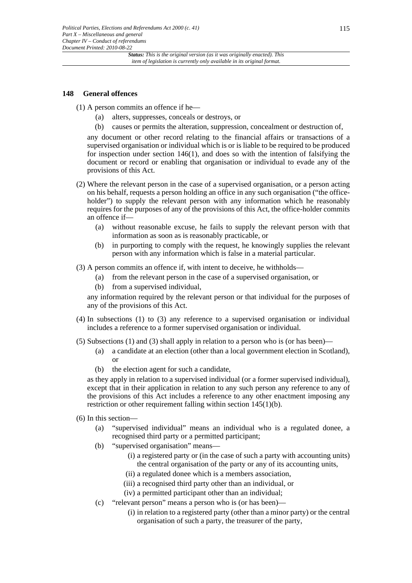#### **148 General offences**

(1) A person commits an offence if he—

- (a) alters, suppresses, conceals or destroys, or
- (b) causes or permits the alteration, suppression, concealment or destruction of,

any document or other record relating to the financial affairs or transactions of a supervised organisation or individual which is or is liable to be required to be produced for inspection under section  $146(1)$ , and does so with the intention of falsifying the document or record or enabling that organisation or individual to evade any of the provisions of this Act.

- (2) Where the relevant person in the case of a supervised organisation, or a person acting on his behalf, requests a person holding an office in any such organisation ("the officeholder") to supply the relevant person with any information which he reasonably requires for the purposes of any of the provisions of this Act, the office-holder commits an offence if—
	- (a) without reasonable excuse, he fails to supply the relevant person with that information as soon as is reasonably practicable, or
	- (b) in purporting to comply with the request, he knowingly supplies the relevant person with any information which is false in a material particular.
- (3) A person commits an offence if, with intent to deceive, he withholds—
	- (a) from the relevant person in the case of a supervised organisation, or
	- (b) from a supervised individual,

any information required by the relevant person or that individual for the purposes of any of the provisions of this Act.

- (4) In subsections (1) to (3) any reference to a supervised organisation or individual includes a reference to a former supervised organisation or individual.
- (5) Subsections (1) and (3) shall apply in relation to a person who is (or has been)—
	- (a) a candidate at an election (other than a local government election in Scotland), or
	- (b) the election agent for such a candidate,

as they apply in relation to a supervised individual (or a former supervised individual), except that in their application in relation to any such person any reference to any of the provisions of this Act includes a reference to any other enactment imposing any restriction or other requirement falling within section 145(1)(b).

- (6) In this section—
	- (a) "supervised individual" means an individual who is a regulated donee, a recognised third party or a permitted participant;
	- (b) "supervised organisation" means—
		- (i) a registered party or (in the case of such a party with accounting units) the central organisation of the party or any of its accounting units,
		- (ii) a regulated donee which is a members association,
		- (iii) a recognised third party other than an individual, or
		- (iv) a permitted participant other than an individual;
	- (c) "relevant person" means a person who is (or has been)—
		- (i) in relation to a registered party (other than a minor party) or the central organisation of such a party, the treasurer of the party,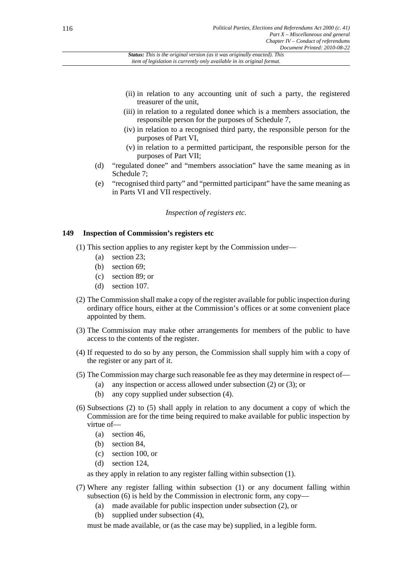- (ii) in relation to any accounting unit of such a party, the registered treasurer of the unit,
- (iii) in relation to a regulated donee which is a members association, the responsible person for the purposes of Schedule 7,
- (iv) in relation to a recognised third party, the responsible person for the purposes of Part VI,
- (v) in relation to a permitted participant, the responsible person for the purposes of Part VII;
- (d) "regulated donee" and "members association" have the same meaning as in Schedule 7;
- (e) "recognised third party" and "permitted participant" have the same meaning as in Parts VI and VII respectively.

*Inspection of registers etc.*

### **149 Inspection of Commission's registers etc**

- (1) This section applies to any register kept by the Commission under—
	- (a) section 23;
	- (b) section 69;
	- (c) section 89; or
	- (d) section 107.
- (2) The Commission shall make a copy of the register available for public inspection during ordinary office hours, either at the Commission's offices or at some convenient place appointed by them.
- (3) The Commission may make other arrangements for members of the public to have access to the contents of the register.
- (4) If requested to do so by any person, the Commission shall supply him with a copy of the register or any part of it.
- (5) The Commission may charge such reasonable fee as they may determine in respect of—
	- (a) any inspection or access allowed under subsection (2) or (3); or
	- (b) any copy supplied under subsection (4).
- (6) Subsections (2) to (5) shall apply in relation to any document a copy of which the Commission are for the time being required to make available for public inspection by virtue of—
	- (a) section 46,
	- (b) section 84,
	- (c) section 100, or
	- (d) section 124,

as they apply in relation to any register falling within subsection (1).

- (7) Where any register falling within subsection (1) or any document falling within subsection (6) is held by the Commission in electronic form, any copy—
	- (a) made available for public inspection under subsection (2), or
	- (b) supplied under subsection (4),

must be made available, or (as the case may be) supplied, in a legible form.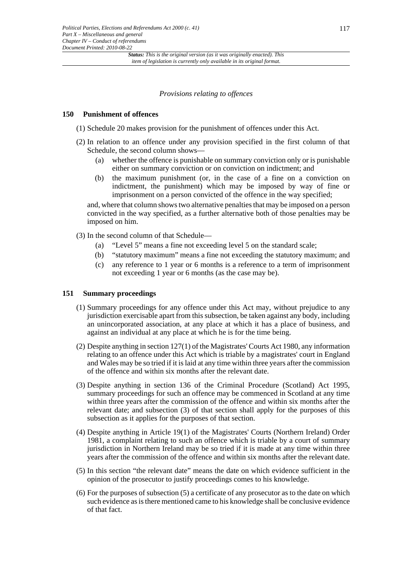#### *Provisions relating to offences*

#### **150 Punishment of offences**

- (1) Schedule 20 makes provision for the punishment of offences under this Act.
- (2) In relation to an offence under any provision specified in the first column of that Schedule, the second column shows—
	- (a) whether the offence is punishable on summary conviction only or is punishable either on summary conviction or on conviction on indictment; and
	- (b) the maximum punishment (or, in the case of a fine on a conviction on indictment, the punishment) which may be imposed by way of fine or imprisonment on a person convicted of the offence in the way specified;

and, where that column shows two alternative penalties that may be imposed on a person convicted in the way specified, as a further alternative both of those penalties may be imposed on him.

- (3) In the second column of that Schedule—
	- (a) "Level 5" means a fine not exceeding level 5 on the standard scale;
	- (b) "statutory maximum" means a fine not exceeding the statutory maximum; and
	- (c) any reference to 1 year or 6 months is a reference to a term of imprisonment not exceeding 1 year or 6 months (as the case may be).

#### **151 Summary proceedings**

- (1) Summary proceedings for any offence under this Act may, without prejudice to any jurisdiction exercisable apart from this subsection, be taken against any body, including an unincorporated association, at any place at which it has a place of business, and against an individual at any place at which he is for the time being.
- (2) Despite anything in section 127(1) of the Magistrates' Courts Act 1980, any information relating to an offence under this Act which is triable by a magistrates' court in England and Wales may be so tried if it is laid at any time within three years after the commission of the offence and within six months after the relevant date.
- (3) Despite anything in section 136 of the Criminal Procedure (Scotland) Act 1995, summary proceedings for such an offence may be commenced in Scotland at any time within three years after the commission of the offence and within six months after the relevant date; and subsection (3) of that section shall apply for the purposes of this subsection as it applies for the purposes of that section.
- (4) Despite anything in Article 19(1) of the Magistrates' Courts (Northern Ireland) Order 1981, a complaint relating to such an offence which is triable by a court of summary jurisdiction in Northern Ireland may be so tried if it is made at any time within three years after the commission of the offence and within six months after the relevant date.
- (5) In this section "the relevant date" means the date on which evidence sufficient in the opinion of the prosecutor to justify proceedings comes to his knowledge.
- (6) For the purposes of subsection (5) a certificate of any prosecutor as to the date on which such evidence as is there mentioned came to his knowledge shall be conclusive evidence of that fact.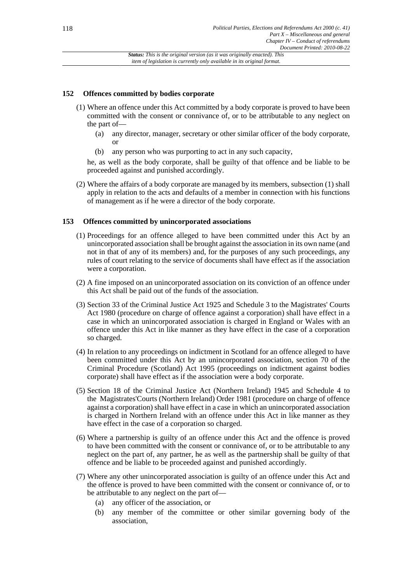# **152 Offences committed by bodies corporate**

- (1) Where an offence under this Act committed by a body corporate is proved to have been committed with the consent or connivance of, or to be attributable to any neglect on the part of—
	- (a) any director, manager, secretary or other similar officer of the body corporate, or
	- (b) any person who was purporting to act in any such capacity,

he, as well as the body corporate, shall be guilty of that offence and be liable to be proceeded against and punished accordingly.

(2) Where the affairs of a body corporate are managed by its members, subsection (1) shall apply in relation to the acts and defaults of a member in connection with his functions of management as if he were a director of the body corporate.

### **153 Offences committed by unincorporated associations**

- (1) Proceedings for an offence alleged to have been committed under this Act by an unincorporated association shall be brought against the association in its own name (and not in that of any of its members) and, for the purposes of any such proceedings, any rules of court relating to the service of documents shall have effect as if the association were a corporation.
- (2) A fine imposed on an unincorporated association on its conviction of an offence under this Act shall be paid out of the funds of the association.
- (3) Section 33 of the Criminal Justice Act 1925 and Schedule 3 to the Magistrates' Courts Act 1980 (procedure on charge of offence against a corporation) shall have effect in a case in which an unincorporated association is charged in England or Wales with an offence under this Act in like manner as they have effect in the case of a corporation so charged.
- (4) In relation to any proceedings on indictment in Scotland for an offence alleged to have been committed under this Act by an unincorporated association, section 70 of the Criminal Procedure (Scotland) Act 1995 (proceedings on indictment against bodies corporate) shall have effect as if the association were a body corporate.
- (5) Section 18 of the Criminal Justice Act (Northern Ireland) 1945 and Schedule 4 to the Magistrates'Courts (Northern Ireland) Order 1981 (procedure on charge of offence against a corporation) shall have effect in a case in which an unincorporated association is charged in Northern Ireland with an offence under this Act in like manner as they have effect in the case of a corporation so charged.
- (6) Where a partnership is guilty of an offence under this Act and the offence is proved to have been committed with the consent or connivance of, or to be attributable to any neglect on the part of, any partner, he as well as the partnership shall be guilty of that offence and be liable to be proceeded against and punished accordingly.
- (7) Where any other unincorporated association is guilty of an offence under this Act and the offence is proved to have been committed with the consent or connivance of, or to be attributable to any neglect on the part of—
	- (a) any officer of the association, or
	- (b) any member of the committee or other similar governing body of the association,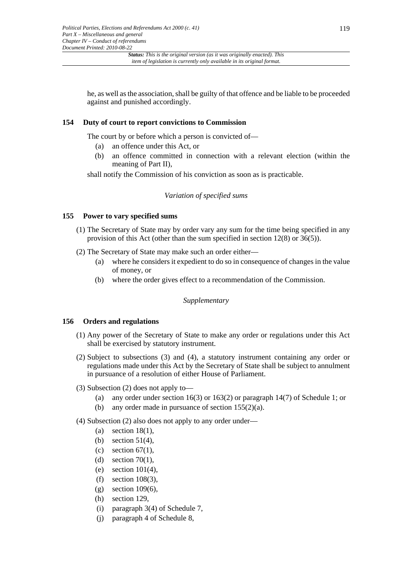he, as well as the association, shall be guilty of that offence and be liable to be proceeded against and punished accordingly.

### **154 Duty of court to report convictions to Commission**

The court by or before which a person is convicted of—

- (a) an offence under this Act, or
- (b) an offence committed in connection with a relevant election (within the meaning of Part II),

shall notify the Commission of his conviction as soon as is practicable.

# *Variation of specified sums*

# **155 Power to vary specified sums**

- (1) The Secretary of State may by order vary any sum for the time being specified in any provision of this Act (other than the sum specified in section 12(8) or 36(5)).
- (2) The Secretary of State may make such an order either—
	- (a) where he considers it expedient to do so in consequence of changes in the value of money, or
	- (b) where the order gives effect to a recommendation of the Commission.

*Supplementary*

# **156 Orders and regulations**

- (1) Any power of the Secretary of State to make any order or regulations under this Act shall be exercised by statutory instrument.
- (2) Subject to subsections (3) and (4), a statutory instrument containing any order or regulations made under this Act by the Secretary of State shall be subject to annulment in pursuance of a resolution of either House of Parliament.
- (3) Subsection (2) does not apply to—
	- (a) any order under section 16(3) or 163(2) or paragraph 14(7) of Schedule 1; or
	- (b) any order made in pursuance of section 155(2)(a).
- (4) Subsection (2) also does not apply to any order under—
	- (a) section 18(1),
	- (b) section 51(4),
	- (c) section  $67(1)$ ,
	- (d) section 70(1),
	- (e) section 101(4),
	- (f) section 108(3),
	- (g) section 109(6),
	- (h) section 129,
	- (i) paragraph 3(4) of Schedule 7,
	- (j) paragraph 4 of Schedule 8,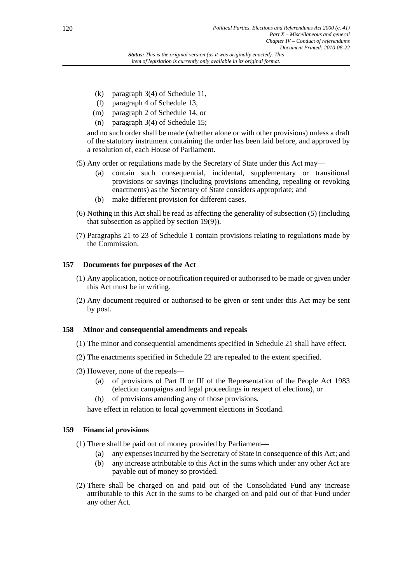- (k) paragraph 3(4) of Schedule 11,
- (l) paragraph 4 of Schedule 13,
- (m) paragraph 2 of Schedule 14, or
- (n) paragraph 3(4) of Schedule 15;

and no such order shall be made (whether alone or with other provisions) unless a draft of the statutory instrument containing the order has been laid before, and approved by a resolution of, each House of Parliament.

- (5) Any order or regulations made by the Secretary of State under this Act may—
	- (a) contain such consequential, incidental, supplementary or transitional provisions or savings (including provisions amending, repealing or revoking enactments) as the Secretary of State considers appropriate; and
	- (b) make different provision for different cases.
- (6) Nothing in this Act shall be read as affecting the generality of subsection (5) (including that subsection as applied by section 19(9)).
- (7) Paragraphs 21 to 23 of Schedule 1 contain provisions relating to regulations made by the Commission.

# **157 Documents for purposes of the Act**

- (1) Any application, notice or notification required or authorised to be made or given under this Act must be in writing.
- (2) Any document required or authorised to be given or sent under this Act may be sent by post.

### **158 Minor and consequential amendments and repeals**

- (1) The minor and consequential amendments specified in Schedule 21 shall have effect.
- (2) The enactments specified in Schedule 22 are repealed to the extent specified.
- (3) However, none of the repeals—
	- (a) of provisions of Part II or III of the Representation of the People Act 1983 (election campaigns and legal proceedings in respect of elections), or
	- (b) of provisions amending any of those provisions,

have effect in relation to local government elections in Scotland.

# **159 Financial provisions**

- (1) There shall be paid out of money provided by Parliament—
	- (a) any expenses incurred by the Secretary of State in consequence of this Act; and
	- (b) any increase attributable to this Act in the sums which under any other Act are payable out of money so provided.
- (2) There shall be charged on and paid out of the Consolidated Fund any increase attributable to this Act in the sums to be charged on and paid out of that Fund under any other Act.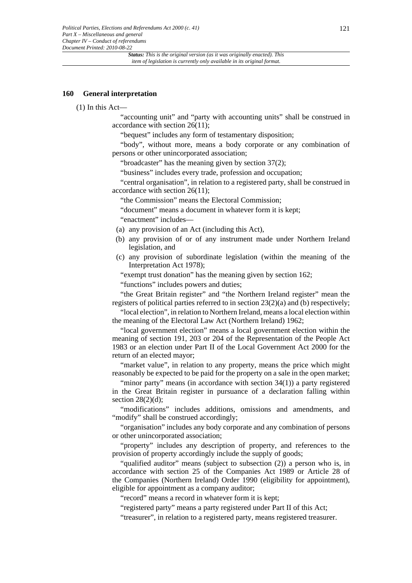#### **160 General interpretation**

(1) In this Act—

"accounting unit" and "party with accounting units" shall be construed in accordance with section  $26(11)$ :

"bequest" includes any form of testamentary disposition;

"body", without more, means a body corporate or any combination of persons or other unincorporated association;

"broadcaster" has the meaning given by section 37(2);

"business" includes every trade, profession and occupation;

"central organisation", in relation to a registered party, shall be construed in accordance with section 26(11);

"the Commission" means the Electoral Commission;

"document" means a document in whatever form it is kept;

"enactment" includes—

- (a) any provision of an Act (including this Act),
- (b) any provision of or of any instrument made under Northern Ireland legislation, and
- (c) any provision of subordinate legislation (within the meaning of the Interpretation Act 1978);

"exempt trust donation" has the meaning given by section 162;

"functions" includes powers and duties;

"the Great Britain register" and "the Northern Ireland register" mean the registers of political parties referred to in section 23(2)(a) and (b) respectively;

"local election", in relation to Northern Ireland, means a local election within the meaning of the Electoral Law Act (Northern Ireland) 1962;

"local government election" means a local government election within the meaning of section 191, 203 or 204 of the Representation of the People Act 1983 or an election under Part II of the Local Government Act 2000 for the return of an elected mayor;

"market value", in relation to any property, means the price which might reasonably be expected to be paid for the property on a sale in the open market;

"minor party" means (in accordance with section 34(1)) a party registered in the Great Britain register in pursuance of a declaration falling within section 28(2)(d);

"modifications" includes additions, omissions and amendments, and "modify" shall be construed accordingly;

"organisation" includes any body corporate and any combination of persons or other unincorporated association;

"property" includes any description of property, and references to the provision of property accordingly include the supply of goods;

"qualified auditor" means (subject to subsection (2)) a person who is, in accordance with section 25 of the Companies Act 1989 or Article 28 of the Companies (Northern Ireland) Order 1990 (eligibility for appointment), eligible for appointment as a company auditor;

"record" means a record in whatever form it is kept;

"registered party" means a party registered under Part II of this Act;

"treasurer", in relation to a registered party, means registered treasurer.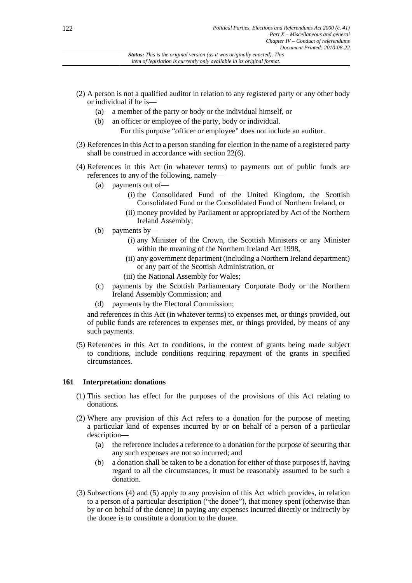- (2) A person is not a qualified auditor in relation to any registered party or any other body or individual if he is—
	- (a) a member of the party or body or the individual himself, or
	- (b) an officer or employee of the party, body or individual.
		- For this purpose "officer or employee" does not include an auditor.
- (3) References in this Act to a person standing for election in the name of a registered party shall be construed in accordance with section 22(6).
- (4) References in this Act (in whatever terms) to payments out of public funds are references to any of the following, namely—
	- (a) payments out of—
		- (i) the Consolidated Fund of the United Kingdom, the Scottish Consolidated Fund or the Consolidated Fund of Northern Ireland, or
		- (ii) money provided by Parliament or appropriated by Act of the Northern Ireland Assembly;
	- (b) payments by—
		- (i) any Minister of the Crown, the Scottish Ministers or any Minister within the meaning of the Northern Ireland Act 1998,
		- (ii) any government department (including a Northern Ireland department) or any part of the Scottish Administration, or
		- (iii) the National Assembly for Wales;
	- (c) payments by the Scottish Parliamentary Corporate Body or the Northern Ireland Assembly Commission; and
	- (d) payments by the Electoral Commission;

and references in this Act (in whatever terms) to expenses met, or things provided, out of public funds are references to expenses met, or things provided, by means of any such payments.

(5) References in this Act to conditions, in the context of grants being made subject to conditions, include conditions requiring repayment of the grants in specified circumstances.

# **161 Interpretation: donations**

- (1) This section has effect for the purposes of the provisions of this Act relating to donations.
- (2) Where any provision of this Act refers to a donation for the purpose of meeting a particular kind of expenses incurred by or on behalf of a person of a particular description—
	- (a) the reference includes a reference to a donation for the purpose of securing that any such expenses are not so incurred; and
	- (b) a donation shall be taken to be a donation for either of those purposes if, having regard to all the circumstances, it must be reasonably assumed to be such a donation.
- (3) Subsections (4) and (5) apply to any provision of this Act which provides, in relation to a person of a particular description ("the donee"), that money spent (otherwise than by or on behalf of the donee) in paying any expenses incurred directly or indirectly by the donee is to constitute a donation to the donee.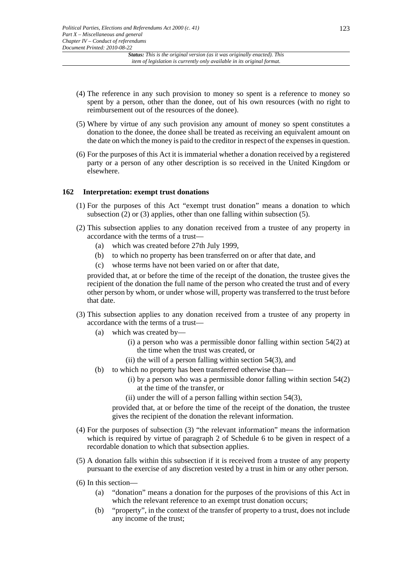- (4) The reference in any such provision to money so spent is a reference to money so spent by a person, other than the donee, out of his own resources (with no right to reimbursement out of the resources of the donee).
- (5) Where by virtue of any such provision any amount of money so spent constitutes a donation to the donee, the donee shall be treated as receiving an equivalent amount on the date on which the money is paid to the creditor in respect of the expenses in question.
- (6) For the purposes of this Act it is immaterial whether a donation received by a registered party or a person of any other description is so received in the United Kingdom or elsewhere.

### **162 Interpretation: exempt trust donations**

- (1) For the purposes of this Act "exempt trust donation" means a donation to which subsection (2) or (3) applies, other than one falling within subsection (5).
- (2) This subsection applies to any donation received from a trustee of any property in accordance with the terms of a trust—
	- (a) which was created before 27th July 1999,
	- (b) to which no property has been transferred on or after that date, and
	- (c) whose terms have not been varied on or after that date,

provided that, at or before the time of the receipt of the donation, the trustee gives the recipient of the donation the full name of the person who created the trust and of every other person by whom, or under whose will, property was transferred to the trust before that date.

- (3) This subsection applies to any donation received from a trustee of any property in accordance with the terms of a trust—
	- (a) which was created by—
		- (i) a person who was a permissible donor falling within section 54(2) at the time when the trust was created, or
		- (ii) the will of a person falling within section  $54(3)$ , and
	- (b) to which no property has been transferred otherwise than—
		- (i) by a person who was a permissible donor falling within section 54(2) at the time of the transfer, or
		- (ii) under the will of a person falling within section 54(3),

provided that, at or before the time of the receipt of the donation, the trustee gives the recipient of the donation the relevant information.

- (4) For the purposes of subsection (3) "the relevant information" means the information which is required by virtue of paragraph 2 of Schedule 6 to be given in respect of a recordable donation to which that subsection applies.
- (5) A donation falls within this subsection if it is received from a trustee of any property pursuant to the exercise of any discretion vested by a trust in him or any other person.
- (6) In this section—
	- (a) "donation" means a donation for the purposes of the provisions of this Act in which the relevant reference to an exempt trust donation occurs;
	- (b) "property", in the context of the transfer of property to a trust, does not include any income of the trust;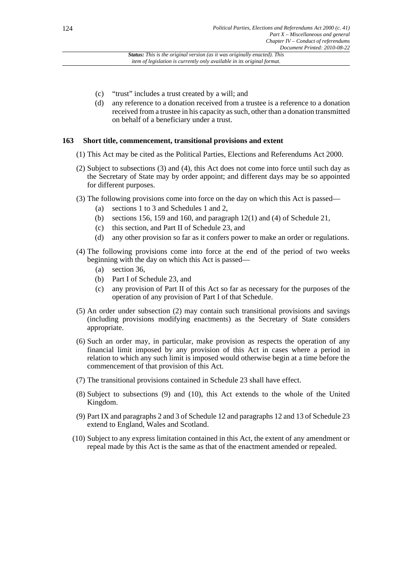- (c) "trust" includes a trust created by a will; and
- (d) any reference to a donation received from a trustee is a reference to a donation received from a trustee in his capacity as such, other than a donation transmitted on behalf of a beneficiary under a trust.

### **163 Short title, commencement, transitional provisions and extent**

- (1) This Act may be cited as the Political Parties, Elections and Referendums Act 2000.
- (2) Subject to subsections (3) and (4), this Act does not come into force until such day as the Secretary of State may by order appoint; and different days may be so appointed for different purposes.
- (3) The following provisions come into force on the day on which this Act is passed—
	- (a) sections 1 to 3 and Schedules 1 and 2,
	- (b) sections 156, 159 and 160, and paragraph  $12(1)$  and (4) of Schedule 21,
	- (c) this section, and Part II of Schedule 23, and
	- (d) any other provision so far as it confers power to make an order or regulations.
- (4) The following provisions come into force at the end of the period of two weeks beginning with the day on which this Act is passed—
	- (a) section 36,
	- (b) Part I of Schedule 23, and
	- (c) any provision of Part II of this Act so far as necessary for the purposes of the operation of any provision of Part I of that Schedule.
- (5) An order under subsection (2) may contain such transitional provisions and savings (including provisions modifying enactments) as the Secretary of State considers appropriate.
- (6) Such an order may, in particular, make provision as respects the operation of any financial limit imposed by any provision of this Act in cases where a period in relation to which any such limit is imposed would otherwise begin at a time before the commencement of that provision of this Act.
- (7) The transitional provisions contained in Schedule 23 shall have effect.
- (8) Subject to subsections (9) and (10), this Act extends to the whole of the United Kingdom.
- (9) Part IX and paragraphs 2 and 3 of Schedule 12 and paragraphs 12 and 13 of Schedule 23 extend to England, Wales and Scotland.
- (10) Subject to any express limitation contained in this Act, the extent of any amendment or repeal made by this Act is the same as that of the enactment amended or repealed.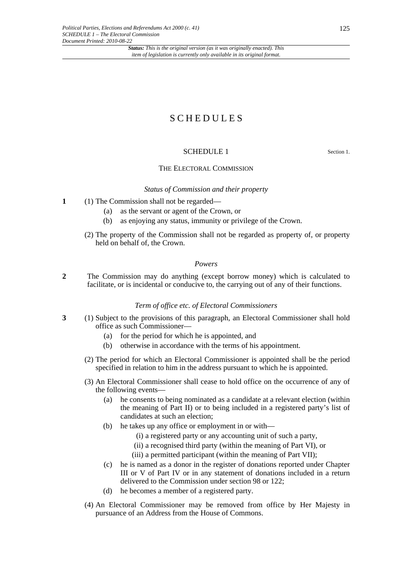# **SCHEDULES**

# SCHEDULE 1 Section 1.

### THE ELECTORAL COMMISSION

#### *Status of Commission and their property*

- **1** (1) The Commission shall not be regarded—
	- (a) as the servant or agent of the Crown, or
	- (b) as enjoying any status, immunity or privilege of the Crown.
	- (2) The property of the Commission shall not be regarded as property of, or property held on behalf of, the Crown.

#### *Powers*

**2** The Commission may do anything (except borrow money) which is calculated to facilitate, or is incidental or conducive to, the carrying out of any of their functions.

#### *Term of office etc. of Electoral Commissioners*

- **3** (1) Subject to the provisions of this paragraph, an Electoral Commissioner shall hold office as such Commissioner—
	- (a) for the period for which he is appointed, and
	- (b) otherwise in accordance with the terms of his appointment.
	- (2) The period for which an Electoral Commissioner is appointed shall be the period specified in relation to him in the address pursuant to which he is appointed.
	- (3) An Electoral Commissioner shall cease to hold office on the occurrence of any of the following events—
		- (a) he consents to being nominated as a candidate at a relevant election (within the meaning of Part II) or to being included in a registered party's list of candidates at such an election;
		- (b) he takes up any office or employment in or with—
			- (i) a registered party or any accounting unit of such a party,
			- (ii) a recognised third party (within the meaning of Part VI), or
			- (iii) a permitted participant (within the meaning of Part VII);
		- (c) he is named as a donor in the register of donations reported under Chapter III or V of Part IV or in any statement of donations included in a return delivered to the Commission under section 98 or 122;
		- (d) he becomes a member of a registered party.
	- (4) An Electoral Commissioner may be removed from office by Her Majesty in pursuance of an Address from the House of Commons.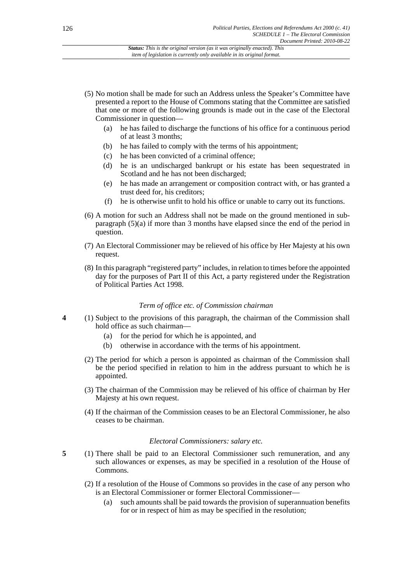- (5) No motion shall be made for such an Address unless the Speaker's Committee have presented a report to the House of Commons stating that the Committee are satisfied that one or more of the following grounds is made out in the case of the Electoral Commissioner in question—
	- (a) he has failed to discharge the functions of his office for a continuous period of at least 3 months;
	- (b) he has failed to comply with the terms of his appointment;
	- (c) he has been convicted of a criminal offence;
	- (d) he is an undischarged bankrupt or his estate has been sequestrated in Scotland and he has not been discharged;
	- (e) he has made an arrangement or composition contract with, or has granted a trust deed for, his creditors;
	- (f) he is otherwise unfit to hold his office or unable to carry out its functions.
- (6) A motion for such an Address shall not be made on the ground mentioned in subparagraph (5)(a) if more than 3 months have elapsed since the end of the period in question.
- (7) An Electoral Commissioner may be relieved of his office by Her Majesty at his own request.
- (8) In this paragraph "registered party" includes, in relation to times before the appointed day for the purposes of Part II of this Act, a party registered under the Registration of Political Parties Act 1998.

### *Term of office etc. of Commission chairman*

- **4** (1) Subject to the provisions of this paragraph, the chairman of the Commission shall hold office as such chairman—
	- (a) for the period for which he is appointed, and
	- (b) otherwise in accordance with the terms of his appointment.
	- (2) The period for which a person is appointed as chairman of the Commission shall be the period specified in relation to him in the address pursuant to which he is appointed.
	- (3) The chairman of the Commission may be relieved of his office of chairman by Her Majesty at his own request.
	- (4) If the chairman of the Commission ceases to be an Electoral Commissioner, he also ceases to be chairman.

### *Electoral Commissioners: salary etc.*

- **5** (1) There shall be paid to an Electoral Commissioner such remuneration, and any such allowances or expenses, as may be specified in a resolution of the House of Commons.
	- (2) If a resolution of the House of Commons so provides in the case of any person who is an Electoral Commissioner or former Electoral Commissioner—
		- (a) such amounts shall be paid towards the provision of superannuation benefits for or in respect of him as may be specified in the resolution;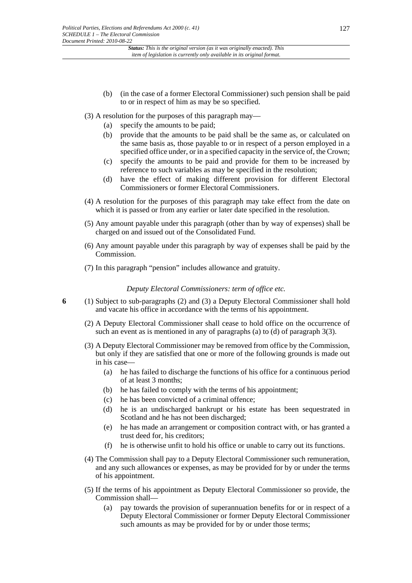- (b) (in the case of a former Electoral Commissioner) such pension shall be paid to or in respect of him as may be so specified.
- (3) A resolution for the purposes of this paragraph may—
	- (a) specify the amounts to be paid;
	- (b) provide that the amounts to be paid shall be the same as, or calculated on the same basis as, those payable to or in respect of a person employed in a specified office under, or in a specified capacity in the service of, the Crown;
	- (c) specify the amounts to be paid and provide for them to be increased by reference to such variables as may be specified in the resolution;
	- (d) have the effect of making different provision for different Electoral Commissioners or former Electoral Commissioners.
- (4) A resolution for the purposes of this paragraph may take effect from the date on which it is passed or from any earlier or later date specified in the resolution.
- (5) Any amount payable under this paragraph (other than by way of expenses) shall be charged on and issued out of the Consolidated Fund.
- (6) Any amount payable under this paragraph by way of expenses shall be paid by the Commission.
- (7) In this paragraph "pension" includes allowance and gratuity.

#### *Deputy Electoral Commissioners: term of office etc.*

- **6** (1) Subject to sub-paragraphs (2) and (3) a Deputy Electoral Commissioner shall hold and vacate his office in accordance with the terms of his appointment.
	- (2) A Deputy Electoral Commissioner shall cease to hold office on the occurrence of such an event as is mentioned in any of paragraphs (a) to (d) of paragraph 3(3).
	- (3) A Deputy Electoral Commissioner may be removed from office by the Commission, but only if they are satisfied that one or more of the following grounds is made out in his case—
		- (a) he has failed to discharge the functions of his office for a continuous period of at least 3 months;
		- (b) he has failed to comply with the terms of his appointment;
		- (c) he has been convicted of a criminal offence;
		- (d) he is an undischarged bankrupt or his estate has been sequestrated in Scotland and he has not been discharged;
		- (e) he has made an arrangement or composition contract with, or has granted a trust deed for, his creditors;
		- (f) he is otherwise unfit to hold his office or unable to carry out its functions.
	- (4) The Commission shall pay to a Deputy Electoral Commissioner such remuneration, and any such allowances or expenses, as may be provided for by or under the terms of his appointment.
	- (5) If the terms of his appointment as Deputy Electoral Commissioner so provide, the Commission shall—
		- (a) pay towards the provision of superannuation benefits for or in respect of a Deputy Electoral Commissioner or former Deputy Electoral Commissioner such amounts as may be provided for by or under those terms;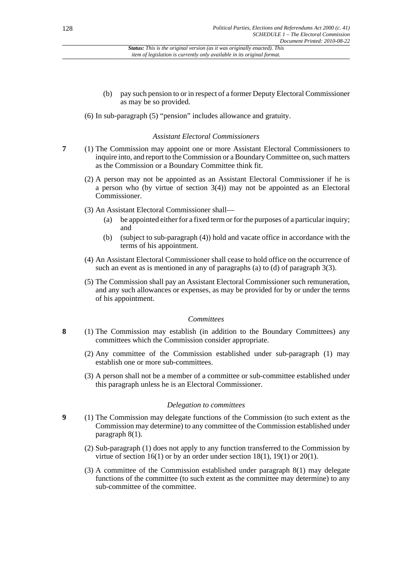- (b) pay such pension to or in respect of a former Deputy Electoral Commissioner as may be so provided.
- (6) In sub-paragraph (5) "pension" includes allowance and gratuity.

#### *Assistant Electoral Commissioners*

- **7** (1) The Commission may appoint one or more Assistant Electoral Commissioners to inquire into, and report to the Commission or a Boundary Committee on, such matters as the Commission or a Boundary Committee think fit.
	- (2) A person may not be appointed as an Assistant Electoral Commissioner if he is a person who (by virtue of section 3(4)) may not be appointed as an Electoral Commissioner.
	- (3) An Assistant Electoral Commissioner shall—
		- (a) be appointed either for a fixed term or for the purposes of a particular inquiry; and
		- (b) (subject to sub-paragraph (4)) hold and vacate office in accordance with the terms of his appointment.
	- (4) An Assistant Electoral Commissioner shall cease to hold office on the occurrence of such an event as is mentioned in any of paragraphs (a) to (d) of paragraph 3(3).
	- (5) The Commission shall pay an Assistant Electoral Commissioner such remuneration, and any such allowances or expenses, as may be provided for by or under the terms of his appointment.

## *Committees*

- **8** (1) The Commission may establish (in addition to the Boundary Committees) any committees which the Commission consider appropriate.
	- (2) Any committee of the Commission established under sub-paragraph (1) may establish one or more sub-committees.
	- (3) A person shall not be a member of a committee or sub-committee established under this paragraph unless he is an Electoral Commissioner.

### *Delegation to committees*

- **9** (1) The Commission may delegate functions of the Commission (to such extent as the Commission may determine) to any committee of the Commission established under paragraph 8(1).
	- (2) Sub-paragraph (1) does not apply to any function transferred to the Commission by virtue of section  $16(1)$  or by an order under section  $18(1)$ ,  $19(1)$  or  $20(1)$ .
	- (3) A committee of the Commission established under paragraph 8(1) may delegate functions of the committee (to such extent as the committee may determine) to any sub-committee of the committee.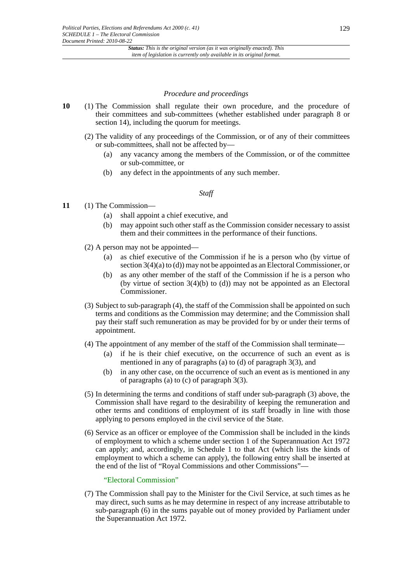# *Procedure and proceedings*

- **10** (1) The Commission shall regulate their own procedure, and the procedure of their committees and sub-committees (whether established under paragraph 8 or section 14), including the quorum for meetings.
	- (2) The validity of any proceedings of the Commission, or of any of their committees or sub-committees, shall not be affected by—
		- (a) any vacancy among the members of the Commission, or of the committee or sub-committee, or
		- (b) any defect in the appointments of any such member.

#### *Staff*

- **11** (1) The Commission—
	- (a) shall appoint a chief executive, and
	- (b) may appoint such other staff as the Commission consider necessary to assist them and their committees in the performance of their functions.
	- (2) A person may not be appointed—
		- (a) as chief executive of the Commission if he is a person who (by virtue of section 3(4)(a) to (d)) may not be appointed as an Electoral Commissioner, or
		- (b) as any other member of the staff of the Commission if he is a person who (by virtue of section 3(4)(b) to (d)) may not be appointed as an Electoral Commissioner.
	- (3) Subject to sub-paragraph (4), the staff of the Commission shall be appointed on such terms and conditions as the Commission may determine; and the Commission shall pay their staff such remuneration as may be provided for by or under their terms of appointment.
	- (4) The appointment of any member of the staff of the Commission shall terminate—
		- (a) if he is their chief executive, on the occurrence of such an event as is mentioned in any of paragraphs (a) to (d) of paragraph 3(3), and
		- (b) in any other case, on the occurrence of such an event as is mentioned in any of paragraphs (a) to (c) of paragraph 3(3).
	- (5) In determining the terms and conditions of staff under sub-paragraph (3) above, the Commission shall have regard to the desirability of keeping the remuneration and other terms and conditions of employment of its staff broadly in line with those applying to persons employed in the civil service of the State.
	- (6) Service as an officer or employee of the Commission shall be included in the kinds of employment to which a scheme under section 1 of the Superannuation Act 1972 can apply; and, accordingly, in Schedule 1 to that Act (which lists the kinds of employment to which a scheme can apply), the following entry shall be inserted at the end of the list of "Royal Commissions and other Commissions"—

### "Electoral Commission"

(7) The Commission shall pay to the Minister for the Civil Service, at such times as he may direct, such sums as he may determine in respect of any increase attributable to sub-paragraph (6) in the sums payable out of money provided by Parliament under the Superannuation Act 1972.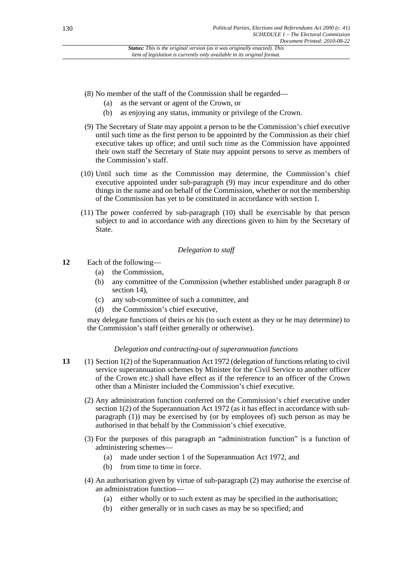- (8) No member of the staff of the Commission shall be regarded—
	- (a) as the servant or agent of the Crown, or
	- (b) as enjoying any status, immunity or privilege of the Crown.
- (9) The Secretary of State may appoint a person to be the Commission's chief executive until such time as the first person to be appointed by the Commission as their chief executive takes up office; and until such time as the Commission have appointed their own staff the Secretary of State may appoint persons to serve as members of the Commission's staff.
- (10) Until such time as the Commission may determine, the Commission's chief executive appointed under sub-paragraph (9) may incur expenditure and do other things in the name and on behalf of the Commission, whether or not the membership of the Commission has yet to be constituted in accordance with section 1.
- (11) The power conferred by sub-paragraph (10) shall be exercisable by that person subject to and in accordance with any directions given to him by the Secretary of State.

### *Delegation to staff*

- **12** Each of the following—
	- (a) the Commission,
	- (b) any committee of the Commission (whether established under paragraph 8 or section 14),
	- (c) any sub-committee of such a committee, and
	- (d) the Commission's chief executive,

may delegate functions of theirs or his (to such extent as they or he may determine) to the Commission's staff (either generally or otherwise).

#### *Delegation and contracting-out of superannuation functions*

- **13** (1) Section 1(2) of the Superannuation Act 1972 (delegation of functions relating to civil service superannuation schemes by Minister for the Civil Service to another officer of the Crown etc.) shall have effect as if the reference to an officer of the Crown other than a Minister included the Commission's chief executive.
	- (2) Any administration function conferred on the Commission's chief executive under section 1(2) of the Superannuation Act 1972 (as it has effect in accordance with subparagraph (1)) may be exercised by (or by employees of) such person as may be authorised in that behalf by the Commission's chief executive.
	- (3) For the purposes of this paragraph an "administration function" is a function of administering schemes—
		- (a) made under section 1 of the Superannuation Act 1972, and
		- (b) from time to time in force.
	- (4) An authorisation given by virtue of sub-paragraph (2) may authorise the exercise of an administration function—
		- (a) either wholly or to such extent as may be specified in the authorisation;
		- (b) either generally or in such cases as may be so specified; and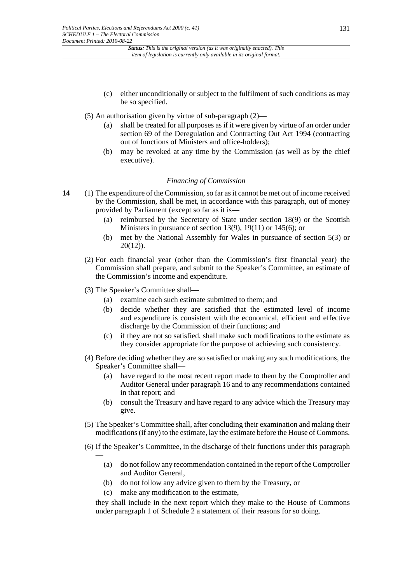- (c) either unconditionally or subject to the fulfilment of such conditions as may be so specified.
- (5) An authorisation given by virtue of sub-paragraph (2)—
	- (a) shall be treated for all purposes as if it were given by virtue of an order under section 69 of the Deregulation and Contracting Out Act 1994 (contracting out of functions of Ministers and office-holders);
	- (b) may be revoked at any time by the Commission (as well as by the chief executive).

### *Financing of Commission*

- **14** (1) The expenditure of the Commission, so far as it cannot be met out of income received by the Commission, shall be met, in accordance with this paragraph, out of money provided by Parliament (except so far as it is—
	- (a) reimbursed by the Secretary of State under section 18(9) or the Scottish Ministers in pursuance of section 13(9), 19(11) or 145(6); or
	- (b) met by the National Assembly for Wales in pursuance of section 5(3) or  $20(12)$ ).
	- (2) For each financial year (other than the Commission's first financial year) the Commission shall prepare, and submit to the Speaker's Committee, an estimate of the Commission's income and expenditure.
	- (3) The Speaker's Committee shall—

—

- (a) examine each such estimate submitted to them; and
- (b) decide whether they are satisfied that the estimated level of income and expenditure is consistent with the economical, efficient and effective discharge by the Commission of their functions; and
- (c) if they are not so satisfied, shall make such modifications to the estimate as they consider appropriate for the purpose of achieving such consistency.
- (4) Before deciding whether they are so satisfied or making any such modifications, the Speaker's Committee shall—
	- (a) have regard to the most recent report made to them by the Comptroller and Auditor General under paragraph 16 and to any recommendations contained in that report; and
	- (b) consult the Treasury and have regard to any advice which the Treasury may give.
- (5) The Speaker's Committee shall, after concluding their examination and making their modifications (if any) to the estimate, lay the estimate before the House of Commons.
- (6) If the Speaker's Committee, in the discharge of their functions under this paragraph
	- (a) do not follow any recommendation contained in the report of the Comptroller and Auditor General,
	- (b) do not follow any advice given to them by the Treasury, or
	- (c) make any modification to the estimate,

they shall include in the next report which they make to the House of Commons under paragraph 1 of Schedule 2 a statement of their reasons for so doing.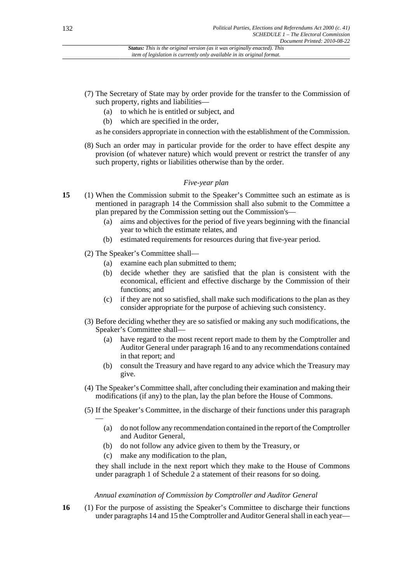- (7) The Secretary of State may by order provide for the transfer to the Commission of such property, rights and liabilities—
	- (a) to which he is entitled or subject, and
	- (b) which are specified in the order,

as he considers appropriate in connection with the establishment of the Commission.

(8) Such an order may in particular provide for the order to have effect despite any provision (of whatever nature) which would prevent or restrict the transfer of any such property, rights or liabilities otherwise than by the order.

### *Five-year plan*

- **15** (1) When the Commission submit to the Speaker's Committee such an estimate as is mentioned in paragraph 14 the Commission shall also submit to the Committee a plan prepared by the Commission setting out the Commission's—
	- (a) aims and objectives for the period of five years beginning with the financial year to which the estimate relates, and
	- (b) estimated requirements for resources during that five-year period.
	- (2) The Speaker's Committee shall—
		- (a) examine each plan submitted to them;
		- (b) decide whether they are satisfied that the plan is consistent with the economical, efficient and effective discharge by the Commission of their functions; and
		- (c) if they are not so satisfied, shall make such modifications to the plan as they consider appropriate for the purpose of achieving such consistency.
	- (3) Before deciding whether they are so satisfied or making any such modifications, the Speaker's Committee shall—
		- (a) have regard to the most recent report made to them by the Comptroller and Auditor General under paragraph 16 and to any recommendations contained in that report; and
		- (b) consult the Treasury and have regard to any advice which the Treasury may give.
	- (4) The Speaker's Committee shall, after concluding their examination and making their modifications (if any) to the plan, lay the plan before the House of Commons.
	- (5) If the Speaker's Committee, in the discharge of their functions under this paragraph
		- (a) do not follow any recommendation contained in the report of the Comptroller and Auditor General,
		- (b) do not follow any advice given to them by the Treasury, or
		- (c) make any modification to the plan,

—

they shall include in the next report which they make to the House of Commons under paragraph 1 of Schedule 2 a statement of their reasons for so doing.

### *Annual examination of Commission by Comptroller and Auditor General*

**16** (1) For the purpose of assisting the Speaker's Committee to discharge their functions under paragraphs 14 and 15 the Comptroller and Auditor General shall in each year—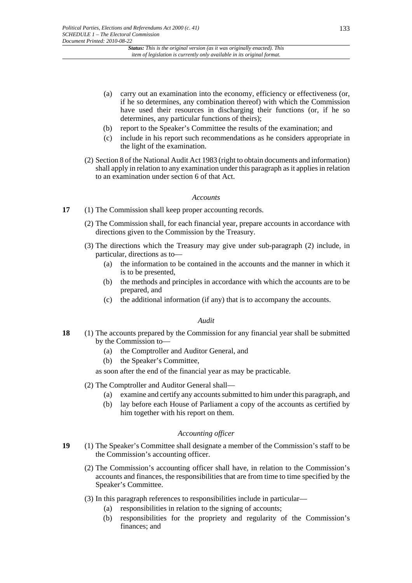- (a) carry out an examination into the economy, efficiency or effectiveness (or, if he so determines, any combination thereof) with which the Commission have used their resources in discharging their functions (or, if he so determines, any particular functions of theirs);
- (b) report to the Speaker's Committee the results of the examination; and
- (c) include in his report such recommendations as he considers appropriate in the light of the examination.
- (2) Section 8 of the National Audit Act 1983 (right to obtain documents and information) shall apply in relation to any examination under this paragraph as it applies in relation to an examination under section 6 of that Act.

#### *Accounts*

- **17** (1) The Commission shall keep proper accounting records.
	- (2) The Commission shall, for each financial year, prepare accounts in accordance with directions given to the Commission by the Treasury.
	- (3) The directions which the Treasury may give under sub-paragraph (2) include, in particular, directions as to—
		- (a) the information to be contained in the accounts and the manner in which it is to be presented,
		- (b) the methods and principles in accordance with which the accounts are to be prepared, and
		- (c) the additional information (if any) that is to accompany the accounts.

# *Audit*

- **18** (1) The accounts prepared by the Commission for any financial year shall be submitted by the Commission to—
	- (a) the Comptroller and Auditor General, and
	- (b) the Speaker's Committee,

as soon after the end of the financial year as may be practicable.

(2) The Comptroller and Auditor General shall—

- (a) examine and certify any accounts submitted to him under this paragraph, and
- (b) lay before each House of Parliament a copy of the accounts as certified by him together with his report on them.

### *Accounting officer*

- **19** (1) The Speaker's Committee shall designate a member of the Commission's staff to be the Commission's accounting officer.
	- (2) The Commission's accounting officer shall have, in relation to the Commission's accounts and finances, the responsibilities that are from time to time specified by the Speaker's Committee.
	- (3) In this paragraph references to responsibilities include in particular—
		- (a) responsibilities in relation to the signing of accounts;
		- (b) responsibilities for the propriety and regularity of the Commission's finances; and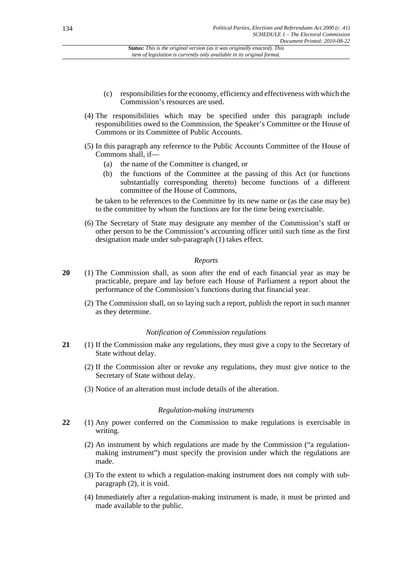- (c) responsibilities for the economy, efficiency and effectiveness with which the Commission's resources are used.
- (4) The responsibilities which may be specified under this paragraph include responsibilities owed to the Commission, the Speaker's Committee or the House of Commons or its Committee of Public Accounts.
- (5) In this paragraph any reference to the Public Accounts Committee of the House of Commons shall, if—
	- (a) the name of the Committee is changed, or
	- (b) the functions of the Committee at the passing of this Act (or functions substantially corresponding thereto) become functions of a different committee of the House of Commons,

be taken to be references to the Committee by its new name or (as the case may be) to the committee by whom the functions are for the time being exercisable.

(6) The Secretary of State may designate any member of the Commission's staff or other person to be the Commission's accounting officer until such time as the first designation made under sub-paragraph (1) takes effect.

### *Reports*

- **20** (1) The Commission shall, as soon after the end of each financial year as may be practicable, prepare and lay before each House of Parliament a report about the performance of the Commission's functions during that financial year.
	- (2) The Commission shall, on so laying such a report, publish the report in such manner as they determine.

### *Notification of Commission regulations*

- **21** (1) If the Commission make any regulations, they must give a copy to the Secretary of State without delay.
	- (2) If the Commission alter or revoke any regulations, they must give notice to the Secretary of State without delay.
	- (3) Notice of an alteration must include details of the alteration.

### *Regulation-making instruments*

- **22** (1) Any power conferred on the Commission to make regulations is exercisable in writing.
	- (2) An instrument by which regulations are made by the Commission ("a regulationmaking instrument") must specify the provision under which the regulations are made.
	- (3) To the extent to which a regulation-making instrument does not comply with subparagraph (2), it is void.
	- (4) Immediately after a regulation-making instrument is made, it must be printed and made available to the public.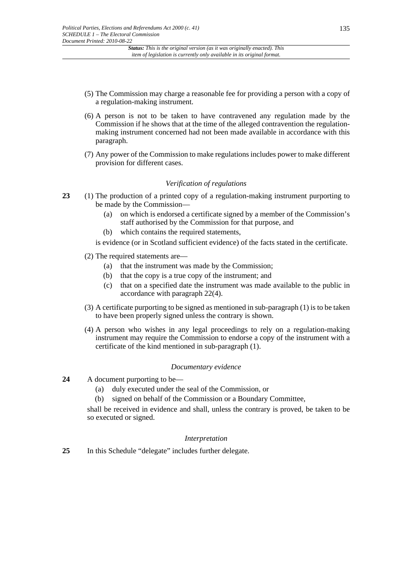- (5) The Commission may charge a reasonable fee for providing a person with a copy of a regulation-making instrument.
- (6) A person is not to be taken to have contravened any regulation made by the Commission if he shows that at the time of the alleged contravention the regulationmaking instrument concerned had not been made available in accordance with this paragraph.
- (7) Any power of the Commission to make regulations includes power to make different provision for different cases.

# *Verification of regulations*

- **23** (1) The production of a printed copy of a regulation-making instrument purporting to be made by the Commission—
	- (a) on which is endorsed a certificate signed by a member of the Commission's staff authorised by the Commission for that purpose, and
	- (b) which contains the required statements,

is evidence (or in Scotland sufficient evidence) of the facts stated in the certificate.

- (2) The required statements are—
	- (a) that the instrument was made by the Commission;
	- (b) that the copy is a true copy of the instrument; and
	- (c) that on a specified date the instrument was made available to the public in accordance with paragraph 22(4).
- (3) A certificate purporting to be signed as mentioned in sub-paragraph (1) is to be taken to have been properly signed unless the contrary is shown.
- (4) A person who wishes in any legal proceedings to rely on a regulation-making instrument may require the Commission to endorse a copy of the instrument with a certificate of the kind mentioned in sub-paragraph (1).

### *Documentary evidence*

- **24** A document purporting to be—
	- (a) duly executed under the seal of the Commission, or
	- (b) signed on behalf of the Commission or a Boundary Committee,

shall be received in evidence and shall, unless the contrary is proved, be taken to be so executed or signed.

### *Interpretation*

**25** In this Schedule "delegate" includes further delegate.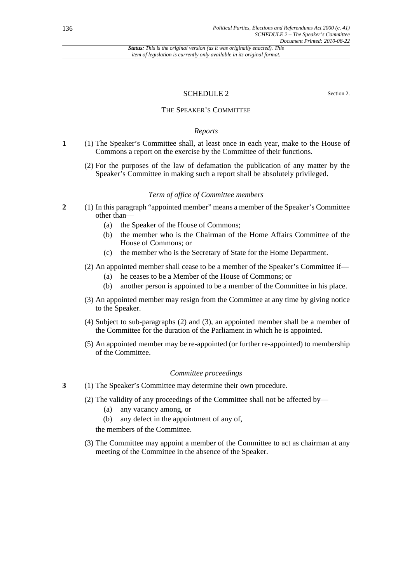#### SCHEDULE 2 Section 2.

# THE SPEAKER'S COMMITTEE

#### *Reports*

- **1** (1) The Speaker's Committee shall, at least once in each year, make to the House of Commons a report on the exercise by the Committee of their functions.
	- (2) For the purposes of the law of defamation the publication of any matter by the Speaker's Committee in making such a report shall be absolutely privileged.

# *Term of office of Committee members*

- **2** (1) In this paragraph "appointed member" means a member of the Speaker's Committee other than—
	- (a) the Speaker of the House of Commons;
	- (b) the member who is the Chairman of the Home Affairs Committee of the House of Commons; or
	- (c) the member who is the Secretary of State for the Home Department.

### (2) An appointed member shall cease to be a member of the Speaker's Committee if—

- (a) he ceases to be a Member of the House of Commons; or
- (b) another person is appointed to be a member of the Committee in his place.
- (3) An appointed member may resign from the Committee at any time by giving notice to the Speaker.
- (4) Subject to sub-paragraphs (2) and (3), an appointed member shall be a member of the Committee for the duration of the Parliament in which he is appointed.
- (5) An appointed member may be re-appointed (or further re-appointed) to membership of the Committee.

#### *Committee proceedings*

- **3** (1) The Speaker's Committee may determine their own procedure.
	- (2) The validity of any proceedings of the Committee shall not be affected by—
		- (a) any vacancy among, or
		- (b) any defect in the appointment of any of,

the members of the Committee.

(3) The Committee may appoint a member of the Committee to act as chairman at any meeting of the Committee in the absence of the Speaker.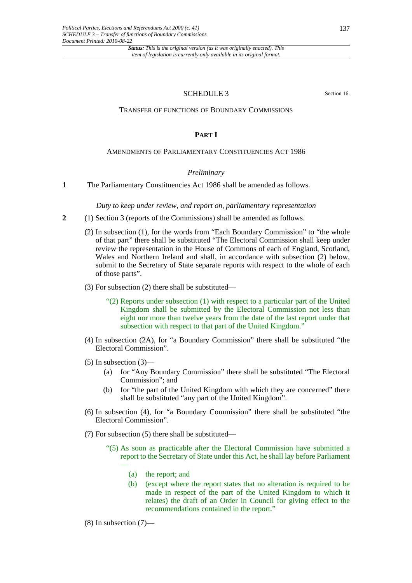# SCHEDULE 3 Section 16.

#### TRANSFER OF FUNCTIONS OF BOUNDARY COMMISSIONS

## **PART I**

#### AMENDMENTS OF PARLIAMENTARY CONSTITUENCIES ACT 1986

#### *Preliminary*

**1** The Parliamentary Constituencies Act 1986 shall be amended as follows.

*Duty to keep under review, and report on, parliamentary representation*

- **2** (1) Section 3 (reports of the Commissions) shall be amended as follows.
	- (2) In subsection (1), for the words from "Each Boundary Commission" to "the whole of that part" there shall be substituted "The Electoral Commission shall keep under review the representation in the House of Commons of each of England, Scotland, Wales and Northern Ireland and shall, in accordance with subsection (2) below, submit to the Secretary of State separate reports with respect to the whole of each of those parts".
	- (3) For subsection (2) there shall be substituted—
		- "(2) Reports under subsection (1) with respect to a particular part of the United Kingdom shall be submitted by the Electoral Commission not less than eight nor more than twelve years from the date of the last report under that subsection with respect to that part of the United Kingdom."
	- (4) In subsection (2A), for "a Boundary Commission" there shall be substituted "the Electoral Commission".
	- $(5)$  In subsection  $(3)$ 
		- (a) for "Any Boundary Commission" there shall be substituted "The Electoral Commission"; and
		- (b) for "the part of the United Kingdom with which they are concerned" there shall be substituted "any part of the United Kingdom".
	- (6) In subsection (4), for "a Boundary Commission" there shall be substituted "the Electoral Commission".
	- (7) For subsection (5) there shall be substituted—
		- "(5) As soon as practicable after the Electoral Commission have submitted a report to the Secretary of State under this Act, he shall lay before Parliament —
			- (a) the report; and
			- (b) (except where the report states that no alteration is required to be made in respect of the part of the United Kingdom to which it relates) the draft of an Order in Council for giving effect to the recommendations contained in the report."
	- (8) In subsection (7)—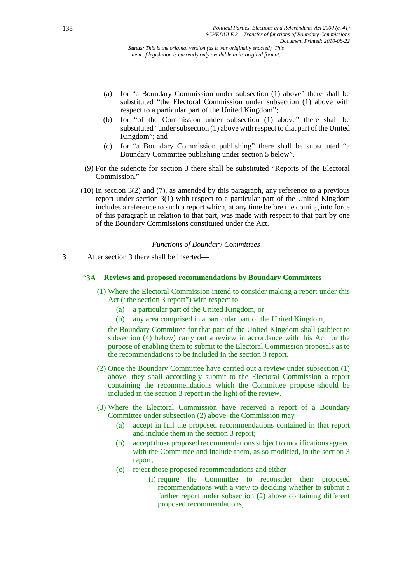- (a) for "a Boundary Commission under subsection (1) above" there shall be substituted "the Electoral Commission under subsection (1) above with respect to a particular part of the United Kingdom";
- (b) for "of the Commission under subsection (1) above" there shall be substituted "under subsection (1) above with respect to that part of the United Kingdom"; and
- (c) for "a Boundary Commission publishing" there shall be substituted "a Boundary Committee publishing under section 5 below".
- (9) For the sidenote for section 3 there shall be substituted "Reports of the Electoral Commission."
- (10) In section 3(2) and (7), as amended by this paragraph, any reference to a previous report under section 3(1) with respect to a particular part of the United Kingdom includes a reference to such a report which, at any time before the coming into force of this paragraph in relation to that part, was made with respect to that part by one of the Boundary Commissions constituted under the Act.

### *Functions of Boundary Committees*

**3** After section 3 there shall be inserted—

# "**3A Reviews and proposed recommendations by Boundary Committees**

- (1) Where the Electoral Commission intend to consider making a report under this Act ("the section 3 report") with respect to—
	- (a) a particular part of the United Kingdom, or
	- (b) any area comprised in a particular part of the United Kingdom,

the Boundary Committee for that part of the United Kingdom shall (subject to subsection (4) below) carry out a review in accordance with this Act for the purpose of enabling them to submit to the Electoral Commission proposals as to the recommendations to be included in the section 3 report.

- (2) Once the Boundary Committee have carried out a review under subsection (1) above, they shall accordingly submit to the Electoral Commission a report containing the recommendations which the Committee propose should be included in the section 3 report in the light of the review.
- (3) Where the Electoral Commission have received a report of a Boundary Committee under subsection (2) above, the Commission may—
	- (a) accept in full the proposed recommendations contained in that report and include them in the section 3 report;
	- (b) accept those proposed recommendations subject to modifications agreed with the Committee and include them, as so modified, in the section 3 report;
	- (c) reject those proposed recommendations and either—
		- (i) require the Committee to reconsider their proposed recommendations with a view to deciding whether to submit a further report under subsection (2) above containing different proposed recommendations,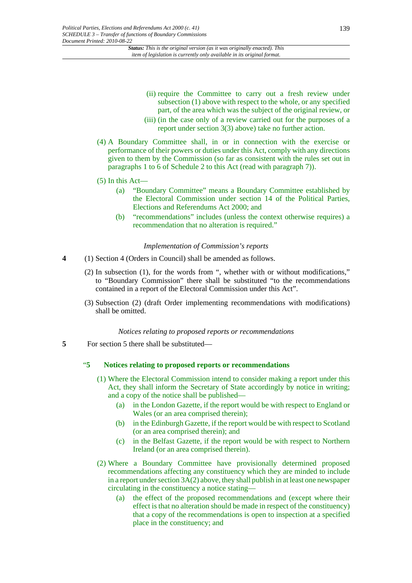- (ii) require the Committee to carry out a fresh review under subsection (1) above with respect to the whole, or any specified part, of the area which was the subject of the original review, or
- (iii) (in the case only of a review carried out for the purposes of a report under section 3(3) above) take no further action.
- (4) A Boundary Committee shall, in or in connection with the exercise or performance of their powers or duties under this Act, comply with any directions given to them by the Commission (so far as consistent with the rules set out in paragraphs 1 to 6 of Schedule 2 to this Act (read with paragraph 7)).
- (5) In this Act—
	- (a) "Boundary Committee" means a Boundary Committee established by the Electoral Commission under section 14 of the Political Parties, Elections and Referendums Act 2000; and
	- (b) "recommendations" includes (unless the context otherwise requires) a recommendation that no alteration is required."

## *Implementation of Commission's reports*

- **4** (1) Section 4 (Orders in Council) shall be amended as follows.
	- (2) In subsection (1), for the words from ", whether with or without modifications," to "Boundary Commission" there shall be substituted "to the recommendations contained in a report of the Electoral Commission under this Act".
	- (3) Subsection (2) (draft Order implementing recommendations with modifications) shall be omitted.

### *Notices relating to proposed reports or recommendations*

**5** For section 5 there shall be substituted—

# "**5 Notices relating to proposed reports or recommendations**

- (1) Where the Electoral Commission intend to consider making a report under this Act, they shall inform the Secretary of State accordingly by notice in writing; and a copy of the notice shall be published—
	- (a) in the London Gazette, if the report would be with respect to England or Wales (or an area comprised therein);
	- (b) in the Edinburgh Gazette, if the report would be with respect to Scotland (or an area comprised therein); and
	- (c) in the Belfast Gazette, if the report would be with respect to Northern Ireland (or an area comprised therein).
- (2) Where a Boundary Committee have provisionally determined proposed recommendations affecting any constituency which they are minded to include in a report under section 3A(2) above, they shall publish in at least one newspaper circulating in the constituency a notice stating—
	- (a) the effect of the proposed recommendations and (except where their effect is that no alteration should be made in respect of the constituency) that a copy of the recommendations is open to inspection at a specified place in the constituency; and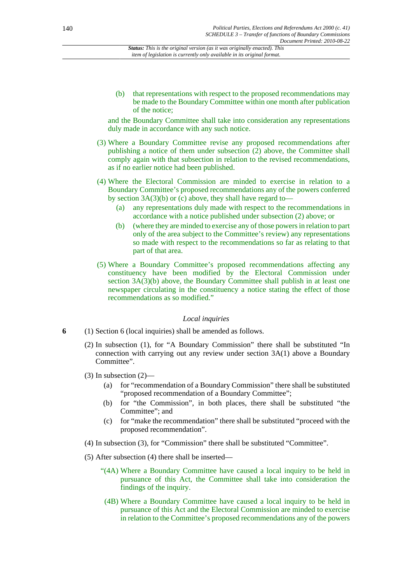(b) that representations with respect to the proposed recommendations may be made to the Boundary Committee within one month after publication of the notice;

and the Boundary Committee shall take into consideration any representations duly made in accordance with any such notice.

- (3) Where a Boundary Committee revise any proposed recommendations after publishing a notice of them under subsection (2) above, the Committee shall comply again with that subsection in relation to the revised recommendations, as if no earlier notice had been published.
- (4) Where the Electoral Commission are minded to exercise in relation to a Boundary Committee's proposed recommendations any of the powers conferred by section  $3A(3)(b)$  or (c) above, they shall have regard to—
	- (a) any representations duly made with respect to the recommendations in accordance with a notice published under subsection (2) above; or
	- (b) (where they are minded to exercise any of those powers in relation to part only of the area subject to the Committee's review) any representations so made with respect to the recommendations so far as relating to that part of that area.
- (5) Where a Boundary Committee's proposed recommendations affecting any constituency have been modified by the Electoral Commission under section  $3A(3)(b)$  above, the Boundary Committee shall publish in at least one newspaper circulating in the constituency a notice stating the effect of those recommendations as so modified."

### *Local inquiries*

- **6** (1) Section 6 (local inquiries) shall be amended as follows.
	- (2) In subsection (1), for "A Boundary Commission" there shall be substituted "In connection with carrying out any review under section 3A(1) above a Boundary Committee".
	- (3) In subsection (2)—
		- (a) for "recommendation of a Boundary Commission" there shall be substituted "proposed recommendation of a Boundary Committee";
		- (b) for "the Commission", in both places, there shall be substituted "the Committee"; and
		- (c) for "make the recommendation" there shall be substituted "proceed with the proposed recommendation".
	- (4) In subsection (3), for "Commission" there shall be substituted "Committee".
	- (5) After subsection (4) there shall be inserted—
		- "(4A) Where a Boundary Committee have caused a local inquiry to be held in pursuance of this Act, the Committee shall take into consideration the findings of the inquiry.
		- (4B) Where a Boundary Committee have caused a local inquiry to be held in pursuance of this Act and the Electoral Commission are minded to exercise in relation to the Committee's proposed recommendations any of the powers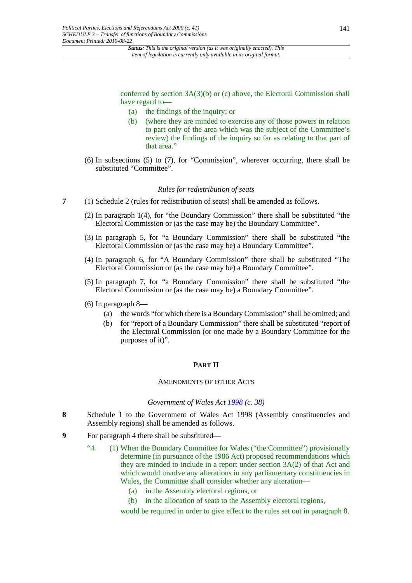conferred by section 3A(3)(b) or (c) above, the Electoral Commission shall have regard to—

- (a) the findings of the inquiry; or
- (b) (where they are minded to exercise any of those powers in relation to part only of the area which was the subject of the Committee's review) the findings of the inquiry so far as relating to that part of that area."
- (6) In subsections (5) to (7), for "Commission", wherever occurring, there shall be substituted "Committee".

#### *Rules for redistribution of seats*

- **7** (1) Schedule 2 (rules for redistribution of seats) shall be amended as follows.
	- (2) In paragraph 1(4), for "the Boundary Commission" there shall be substituted "the Electoral Commission or (as the case may be) the Boundary Committee".
	- (3) In paragraph 5, for "a Boundary Commission" there shall be substituted "the Electoral Commission or (as the case may be) a Boundary Committee".
	- (4) In paragraph 6, for "A Boundary Commission" there shall be substituted "The Electoral Commission or (as the case may be) a Boundary Committee".
	- (5) In paragraph 7, for "a Boundary Commission" there shall be substituted "the Electoral Commission or (as the case may be) a Boundary Committee".
	- (6) In paragraph 8—
		- (a) the words "for which there is a Boundary Commission" shall be omitted; and
		- (b) for "report of a Boundary Commission" there shall be substituted "report of the Electoral Commission (or one made by a Boundary Committee for the purposes of it)".

#### **PART II**

# AMENDMENTS OF OTHER ACTS

#### *Government of Wales Act [1998 \(c. 38\)](http://www.legislation.gov.uk/id/ukpga/1998/38)*

- **8** Schedule 1 to the Government of Wales Act 1998 (Assembly constituencies and Assembly regions) shall be amended as follows.
- **9** For paragraph 4 there shall be substituted—
	- "4 (1) When the Boundary Committee for Wales ("the Committee") provisionally determine (in pursuance of the 1986 Act) proposed recommendations which they are minded to include in a report under section 3A(2) of that Act and which would involve any alterations in any parliamentary constituencies in Wales, the Committee shall consider whether any alteration—
		- (a) in the Assembly electoral regions, or
		- (b) in the allocation of seats to the Assembly electoral regions,

would be required in order to give effect to the rules set out in paragraph 8.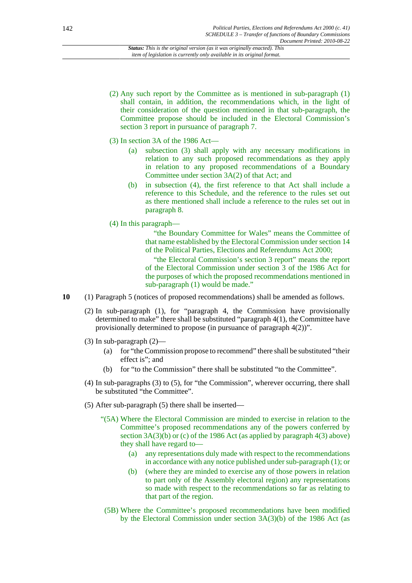- (2) Any such report by the Committee as is mentioned in sub-paragraph (1) shall contain, in addition, the recommendations which, in the light of their consideration of the question mentioned in that sub-paragraph, the Committee propose should be included in the Electoral Commission's section 3 report in pursuance of paragraph 7.
- (3) In section 3A of the 1986 Act—
	- (a) subsection (3) shall apply with any necessary modifications in relation to any such proposed recommendations as they apply in relation to any proposed recommendations of a Boundary Committee under section 3A(2) of that Act; and
	- (b) in subsection (4), the first reference to that Act shall include a reference to this Schedule, and the reference to the rules set out as there mentioned shall include a reference to the rules set out in paragraph 8.
- (4) In this paragraph—

"the Boundary Committee for Wales" means the Committee of that name established by the Electoral Commission under section 14 of the Political Parties, Elections and Referendums Act 2000;

"the Electoral Commission's section 3 report" means the report of the Electoral Commission under section 3 of the 1986 Act for the purposes of which the proposed recommendations mentioned in sub-paragraph (1) would be made."

- **10** (1) Paragraph 5 (notices of proposed recommendations) shall be amended as follows.
	- (2) In sub-paragraph (1), for "paragraph 4, the Commission have provisionally determined to make" there shall be substituted "paragraph 4(1), the Committee have provisionally determined to propose (in pursuance of paragraph 4(2))".
	- (3) In sub-paragraph (2)—
		- (a) for "the Commission propose to recommend" there shall be substituted "their effect is"; and
		- (b) for "to the Commission" there shall be substituted "to the Committee".
	- (4) In sub-paragraphs (3) to (5), for "the Commission", wherever occurring, there shall be substituted "the Committee".
	- (5) After sub-paragraph (5) there shall be inserted—
		- "(5A) Where the Electoral Commission are minded to exercise in relation to the Committee's proposed recommendations any of the powers conferred by section  $3A(3)(b)$  or (c) of the 1986 Act (as applied by paragraph 4(3) above) they shall have regard to—
			- (a) any representations duly made with respect to the recommendations in accordance with any notice published under sub-paragraph (1); or
			- (b) (where they are minded to exercise any of those powers in relation to part only of the Assembly electoral region) any representations so made with respect to the recommendations so far as relating to that part of the region.
			- (5B) Where the Committee's proposed recommendations have been modified by the Electoral Commission under section 3A(3)(b) of the 1986 Act (as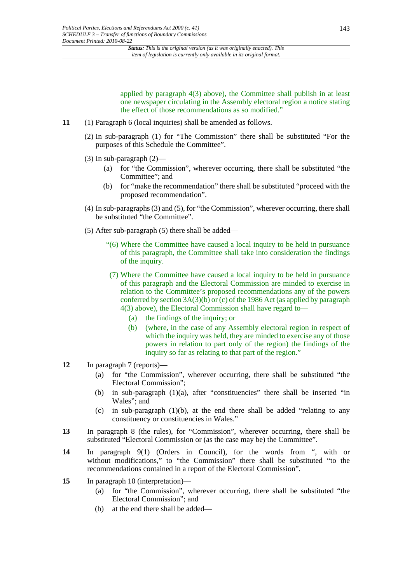applied by paragraph 4(3) above), the Committee shall publish in at least one newspaper circulating in the Assembly electoral region a notice stating the effect of those recommendations as so modified."

- **11** (1) Paragraph 6 (local inquiries) shall be amended as follows.
	- (2) In sub-paragraph (1) for "The Commission" there shall be substituted "For the purposes of this Schedule the Committee".
	- (3) In sub-paragraph (2)—
		- (a) for "the Commission", wherever occurring, there shall be substituted "the Committee"; and
		- (b) for "make the recommendation" there shall be substituted "proceed with the proposed recommendation".
	- (4) In sub-paragraphs (3) and (5), for "the Commission", wherever occurring, there shall be substituted "the Committee".
	- (5) After sub-paragraph (5) there shall be added—
		- "(6) Where the Committee have caused a local inquiry to be held in pursuance of this paragraph, the Committee shall take into consideration the findings of the inquiry.
		- (7) Where the Committee have caused a local inquiry to be held in pursuance of this paragraph and the Electoral Commission are minded to exercise in relation to the Committee's proposed recommendations any of the powers conferred by section  $3A(3)(b)$  or (c) of the 1986 Act (as applied by paragraph 4(3) above), the Electoral Commission shall have regard to—
			- (a) the findings of the inquiry; or
			- (b) (where, in the case of any Assembly electoral region in respect of which the inquiry was held, they are minded to exercise any of those powers in relation to part only of the region) the findings of the inquiry so far as relating to that part of the region."
- **12** In paragraph 7 (reports)—
	- (a) for "the Commission", wherever occurring, there shall be substituted "the Electoral Commission";
	- (b) in sub-paragraph (1)(a), after "constituencies" there shall be inserted "in Wales"; and
	- (c) in sub-paragraph  $(1)(b)$ , at the end there shall be added "relating to any constituency or constituencies in Wales."
- **13** In paragraph 8 (the rules), for "Commission", wherever occurring, there shall be substituted "Electoral Commission or (as the case may be) the Committee".
- **14** In paragraph 9(1) (Orders in Council), for the words from ", with or without modifications," to "the Commission" there shall be substituted "to the recommendations contained in a report of the Electoral Commission".
- **15** In paragraph 10 (interpretation)—
	- (a) for "the Commission", wherever occurring, there shall be substituted "the Electoral Commission"; and
	- (b) at the end there shall be added—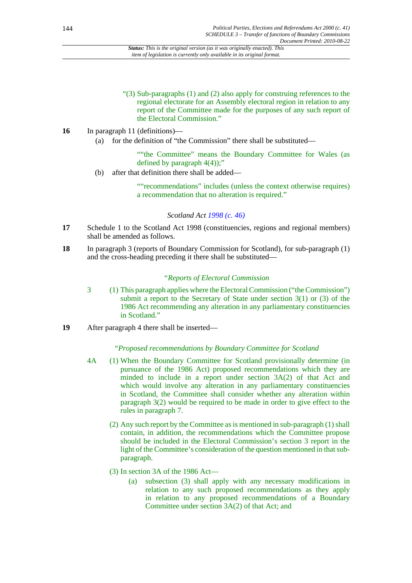- "(3) Sub-paragraphs (1) and (2) also apply for construing references to the regional electorate for an Assembly electoral region in relation to any report of the Committee made for the purposes of any such report of the Electoral Commission."
- **16** In paragraph 11 (definitions)—
	- (a) for the definition of "the Commission" there shall be substituted—

""the Committee" means the Boundary Committee for Wales (as defined by paragraph  $4(4)$ ;"

(b) after that definition there shall be added—

""recommendations" includes (unless the context otherwise requires) a recommendation that no alteration is required."

# *Scotland Act [1998 \(c. 46\)](http://www.legislation.gov.uk/id/ukpga/1998/46)*

- **17** Schedule 1 to the Scotland Act 1998 (constituencies, regions and regional members) shall be amended as follows.
- **18** In paragraph 3 (reports of Boundary Commission for Scotland), for sub-paragraph (1) and the cross-heading preceding it there shall be substituted—

# *"Reports of Electoral Commission*

- 3 (1) This paragraph applies where the Electoral Commission ("the Commission") submit a report to the Secretary of State under section 3(1) or (3) of the 1986 Act recommending any alteration in any parliamentary constituencies in Scotland."
- **19** After paragraph 4 there shall be inserted—

### *"Proposed recommendations by Boundary Committee for Scotland*

- 4A (1) When the Boundary Committee for Scotland provisionally determine (in pursuance of the 1986 Act) proposed recommendations which they are minded to include in a report under section 3A(2) of that Act and which would involve any alteration in any parliamentary constituencies in Scotland, the Committee shall consider whether any alteration within paragraph 3(2) would be required to be made in order to give effect to the rules in paragraph 7.
	- (2) Any such report by the Committee as is mentioned in sub-paragraph (1) shall contain, in addition, the recommendations which the Committee propose should be included in the Electoral Commission's section 3 report in the light of the Committee's consideration of the question mentioned in that subparagraph.
	- (3) In section 3A of the 1986 Act—
		- (a) subsection (3) shall apply with any necessary modifications in relation to any such proposed recommendations as they apply in relation to any proposed recommendations of a Boundary Committee under section 3A(2) of that Act; and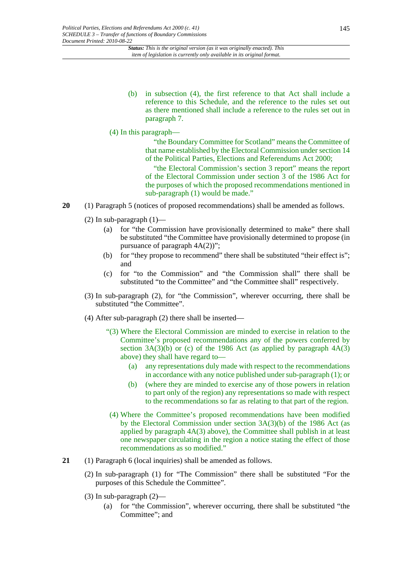- (b) in subsection (4), the first reference to that Act shall include a reference to this Schedule, and the reference to the rules set out as there mentioned shall include a reference to the rules set out in paragraph 7.
- (4) In this paragraph—

"the Boundary Committee for Scotland" means the Committee of that name established by the Electoral Commission under section 14 of the Political Parties, Elections and Referendums Act 2000;

"the Electoral Commission's section 3 report" means the report of the Electoral Commission under section 3 of the 1986 Act for the purposes of which the proposed recommendations mentioned in sub-paragraph (1) would be made."

- **20** (1) Paragraph 5 (notices of proposed recommendations) shall be amended as follows.
	- $(2)$  In sub-paragraph  $(1)$ 
		- (a) for "the Commission have provisionally determined to make" there shall be substituted "the Committee have provisionally determined to propose (in pursuance of paragraph 4A(2))";
		- (b) for "they propose to recommend" there shall be substituted "their effect is"; and
		- (c) for "to the Commission" and "the Commission shall" there shall be substituted "to the Committee" and "the Committee shall" respectively.
	- (3) In sub-paragraph (2), for "the Commission", wherever occurring, there shall be substituted "the Committee".
	- (4) After sub-paragraph (2) there shall be inserted—
		- "(3) Where the Electoral Commission are minded to exercise in relation to the Committee's proposed recommendations any of the powers conferred by section  $3A(3)(b)$  or (c) of the 1986 Act (as applied by paragraph  $4A(3)$ above) they shall have regard to—
			- (a) any representations duly made with respect to the recommendations in accordance with any notice published under sub-paragraph (1); or
			- (b) (where they are minded to exercise any of those powers in relation to part only of the region) any representations so made with respect to the recommendations so far as relating to that part of the region.
		- (4) Where the Committee's proposed recommendations have been modified by the Electoral Commission under section 3A(3)(b) of the 1986 Act (as applied by paragraph 4A(3) above), the Committee shall publish in at least one newspaper circulating in the region a notice stating the effect of those recommendations as so modified."
- **21** (1) Paragraph 6 (local inquiries) shall be amended as follows.
	- (2) In sub-paragraph (1) for "The Commission" there shall be substituted "For the purposes of this Schedule the Committee".
	- (3) In sub-paragraph  $(2)$ 
		- (a) for "the Commission", wherever occurring, there shall be substituted "the Committee"; and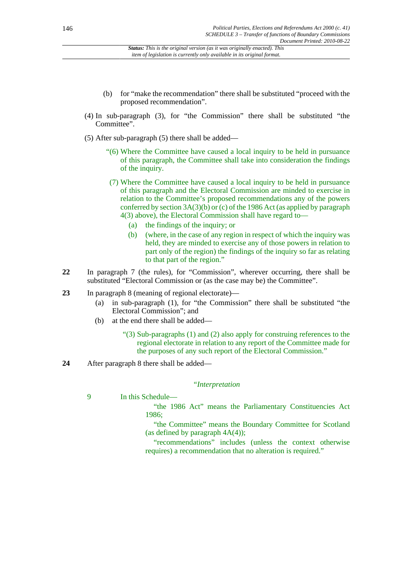- (b) for "make the recommendation" there shall be substituted "proceed with the proposed recommendation".
- (4) In sub-paragraph (3), for "the Commission" there shall be substituted "the Committee".
- (5) After sub-paragraph (5) there shall be added—
	- "(6) Where the Committee have caused a local inquiry to be held in pursuance of this paragraph, the Committee shall take into consideration the findings of the inquiry.
	- (7) Where the Committee have caused a local inquiry to be held in pursuance of this paragraph and the Electoral Commission are minded to exercise in relation to the Committee's proposed recommendations any of the powers conferred by section 3A(3)(b) or (c) of the 1986 Act (as applied by paragraph 4(3) above), the Electoral Commission shall have regard to—
		- (a) the findings of the inquiry; or
		- (b) (where, in the case of any region in respect of which the inquiry was held, they are minded to exercise any of those powers in relation to part only of the region) the findings of the inquiry so far as relating to that part of the region."
- **22** In paragraph 7 (the rules), for "Commission", wherever occurring, there shall be substituted "Electoral Commission or (as the case may be) the Committee".
- **23** In paragraph 8 (meaning of regional electorate)—
	- (a) in sub-paragraph (1), for "the Commission" there shall be substituted "the Electoral Commission"; and
	- (b) at the end there shall be added—
		- "(3) Sub-paragraphs (1) and (2) also apply for construing references to the regional electorate in relation to any report of the Committee made for the purposes of any such report of the Electoral Commission."
- **24** After paragraph 8 there shall be added—

#### *"Interpretation*

9 In this Schedule—

"the 1986 Act" means the Parliamentary Constituencies Act 1986;

"the Committee" means the Boundary Committee for Scotland (as defined by paragraph  $4A(4)$ );

"recommendations" includes (unless the context otherwise requires) a recommendation that no alteration is required."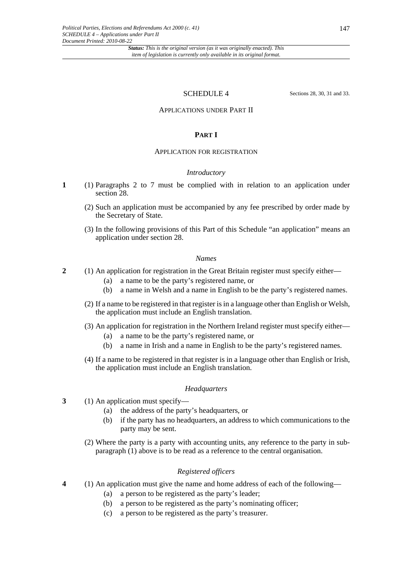SCHEDULE 4 Sections 28, 30, 31 and 33.

#### APPLICATIONS UNDER PART II

# **PART I**

#### APPLICATION FOR REGISTRATION

#### *Introductory*

- **1** (1) Paragraphs 2 to 7 must be complied with in relation to an application under section 28.
	- (2) Such an application must be accompanied by any fee prescribed by order made by the Secretary of State.
	- (3) In the following provisions of this Part of this Schedule "an application" means an application under section 28.

#### *Names*

- **2** (1) An application for registration in the Great Britain register must specify either—
	- (a) a name to be the party's registered name, or
	- (b) a name in Welsh and a name in English to be the party's registered names.
	- (2) If a name to be registered in that register is in a language other than English or Welsh, the application must include an English translation.
	- (3) An application for registration in the Northern Ireland register must specify either—
		- (a) a name to be the party's registered name, or
			- (b) a name in Irish and a name in English to be the party's registered names.
	- (4) If a name to be registered in that register is in a language other than English or Irish, the application must include an English translation.

#### *Headquarters*

- **3** (1) An application must specify—
	- (a) the address of the party's headquarters, or
	- (b) if the party has no headquarters, an address to which communications to the party may be sent.
	- (2) Where the party is a party with accounting units, any reference to the party in subparagraph (1) above is to be read as a reference to the central organisation.

#### *Registered officers*

- **4** (1) An application must give the name and home address of each of the following—
	- (a) a person to be registered as the party's leader;
	- (b) a person to be registered as the party's nominating officer;
	- (c) a person to be registered as the party's treasurer.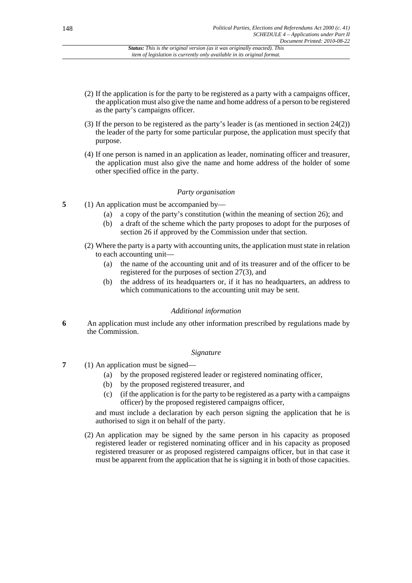- (2) If the application is for the party to be registered as a party with a campaigns officer, the application must also give the name and home address of a person to be registered as the party's campaigns officer.
- (3) If the person to be registered as the party's leader is (as mentioned in section 24(2)) the leader of the party for some particular purpose, the application must specify that purpose.
- (4) If one person is named in an application as leader, nominating officer and treasurer, the application must also give the name and home address of the holder of some other specified office in the party.

# *Party organisation*

- **5** (1) An application must be accompanied by—
	- (a) a copy of the party's constitution (within the meaning of section 26); and
	- (b) a draft of the scheme which the party proposes to adopt for the purposes of section 26 if approved by the Commission under that section.
	- (2) Where the party is a party with accounting units, the application must state in relation to each accounting unit—
		- (a) the name of the accounting unit and of its treasurer and of the officer to be registered for the purposes of section 27(3), and
		- (b) the address of its headquarters or, if it has no headquarters, an address to which communications to the accounting unit may be sent.

# *Additional information*

**6** An application must include any other information prescribed by regulations made by the Commission.

# *Signature*

- **7** (1) An application must be signed—
	- (a) by the proposed registered leader or registered nominating officer,
	- (b) by the proposed registered treasurer, and
	- (c) (if the application is for the party to be registered as a party with a campaigns officer) by the proposed registered campaigns officer,

and must include a declaration by each person signing the application that he is authorised to sign it on behalf of the party.

(2) An application may be signed by the same person in his capacity as proposed registered leader or registered nominating officer and in his capacity as proposed registered treasurer or as proposed registered campaigns officer, but in that case it must be apparent from the application that he is signing it in both of those capacities.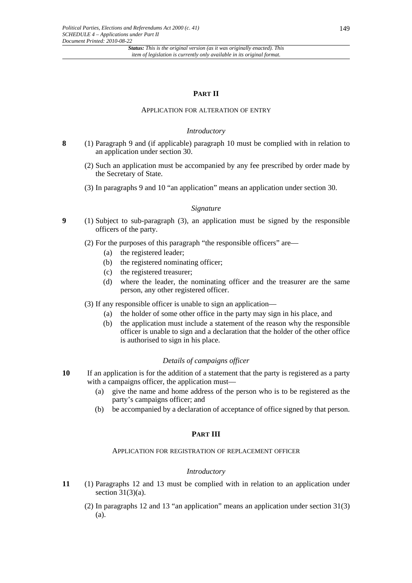# **PART II**

# APPLICATION FOR ALTERATION OF ENTRY

## *Introductory*

- **8** (1) Paragraph 9 and (if applicable) paragraph 10 must be complied with in relation to an application under section 30.
	- (2) Such an application must be accompanied by any fee prescribed by order made by the Secretary of State.
	- (3) In paragraphs 9 and 10 "an application" means an application under section 30.

# *Signature*

- **9** (1) Subject to sub-paragraph (3), an application must be signed by the responsible officers of the party.
	- (2) For the purposes of this paragraph "the responsible officers" are—
		- (a) the registered leader;
		- (b) the registered nominating officer;
		- (c) the registered treasurer;
		- (d) where the leader, the nominating officer and the treasurer are the same person, any other registered officer.
	- (3) If any responsible officer is unable to sign an application—
		- (a) the holder of some other office in the party may sign in his place, and
		- (b) the application must include a statement of the reason why the responsible officer is unable to sign and a declaration that the holder of the other office is authorised to sign in his place.

# *Details of campaigns officer*

- **10** If an application is for the addition of a statement that the party is registered as a party with a campaigns officer, the application must—
	- (a) give the name and home address of the person who is to be registered as the party's campaigns officer; and
	- (b) be accompanied by a declaration of acceptance of office signed by that person.

## **PART III**

## APPLICATION FOR REGISTRATION OF REPLACEMENT OFFICER

## *Introductory*

- **11** (1) Paragraphs 12 and 13 must be complied with in relation to an application under section  $31(3)(a)$ .
	- (2) In paragraphs 12 and 13 "an application" means an application under section  $31(3)$ (a).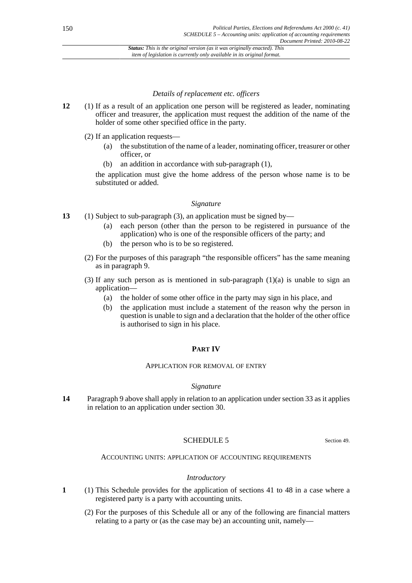# *Details of replacement etc. officers*

- **12** (1) If as a result of an application one person will be registered as leader, nominating officer and treasurer, the application must request the addition of the name of the holder of some other specified office in the party.
	- (2) If an application requests—
		- (a) the substitution of the name of a leader, nominating officer, treasurer or other officer, or
		- (b) an addition in accordance with sub-paragraph (1),

the application must give the home address of the person whose name is to be substituted or added.

## *Signature*

- **13** (1) Subject to sub-paragraph (3), an application must be signed by—
	- (a) each person (other than the person to be registered in pursuance of the application) who is one of the responsible officers of the party; and
	- (b) the person who is to be so registered.
	- (2) For the purposes of this paragraph "the responsible officers" has the same meaning as in paragraph 9.
	- (3) If any such person as is mentioned in sub-paragraph  $(1)(a)$  is unable to sign an application—
		- (a) the holder of some other office in the party may sign in his place, and
		- (b) the application must include a statement of the reason why the person in question is unable to sign and a declaration that the holder of the other office is authorised to sign in his place.

## **PART IV**

## APPLICATION FOR REMOVAL OF ENTRY

## *Signature*

**14** Paragraph 9 above shall apply in relation to an application under section 33 as it applies in relation to an application under section 30.

## SCHEDULE 5 Section 49.

#### ACCOUNTING UNITS: APPLICATION OF ACCOUNTING REQUIREMENTS

## *Introductory*

- **1** (1) This Schedule provides for the application of sections 41 to 48 in a case where a registered party is a party with accounting units.
	- (2) For the purposes of this Schedule all or any of the following are financial matters relating to a party or (as the case may be) an accounting unit, namely—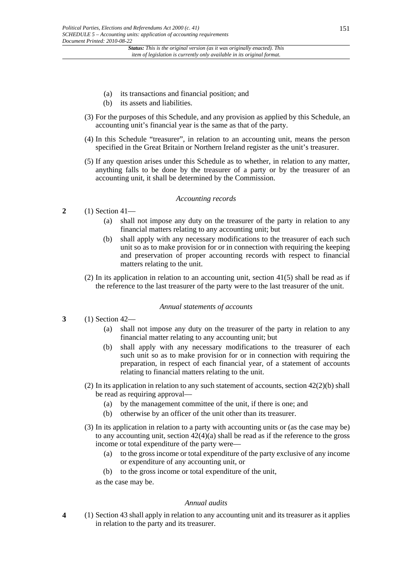- (a) its transactions and financial position; and
- (b) its assets and liabilities.
- (3) For the purposes of this Schedule, and any provision as applied by this Schedule, an accounting unit's financial year is the same as that of the party.
- (4) In this Schedule "treasurer", in relation to an accounting unit, means the person specified in the Great Britain or Northern Ireland register as the unit's treasurer.
- (5) If any question arises under this Schedule as to whether, in relation to any matter, anything falls to be done by the treasurer of a party or by the treasurer of an accounting unit, it shall be determined by the Commission.

#### *Accounting records*

- **2** (1) Section 41—
	- (a) shall not impose any duty on the treasurer of the party in relation to any financial matters relating to any accounting unit; but
	- (b) shall apply with any necessary modifications to the treasurer of each such unit so as to make provision for or in connection with requiring the keeping and preservation of proper accounting records with respect to financial matters relating to the unit.
	- (2) In its application in relation to an accounting unit, section 41(5) shall be read as if the reference to the last treasurer of the party were to the last treasurer of the unit.

#### *Annual statements of accounts*

- **3** (1) Section 42—
	- (a) shall not impose any duty on the treasurer of the party in relation to any financial matter relating to any accounting unit; but
	- (b) shall apply with any necessary modifications to the treasurer of each such unit so as to make provision for or in connection with requiring the preparation, in respect of each financial year, of a statement of accounts relating to financial matters relating to the unit.
	- (2) In its application in relation to any such statement of accounts, section  $42(2)(b)$  shall be read as requiring approval—
		- (a) by the management committee of the unit, if there is one; and
		- (b) otherwise by an officer of the unit other than its treasurer.
	- (3) In its application in relation to a party with accounting units or (as the case may be) to any accounting unit, section  $42(4)(a)$  shall be read as if the reference to the gross income or total expenditure of the party were—
		- (a) to the gross income or total expenditure of the party exclusive of any income or expenditure of any accounting unit, or
		- (b) to the gross income or total expenditure of the unit,

as the case may be.

## *Annual audits*

**4** (1) Section 43 shall apply in relation to any accounting unit and its treasurer as it applies in relation to the party and its treasurer.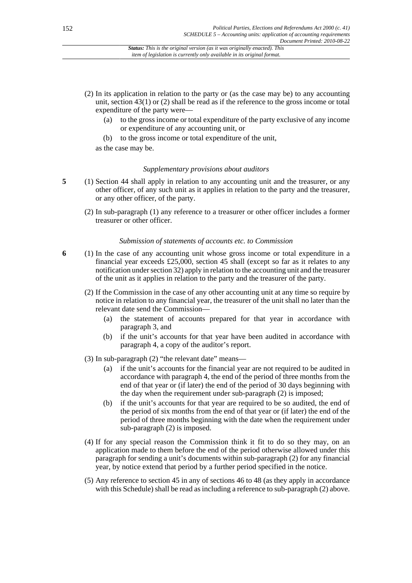- (2) In its application in relation to the party or (as the case may be) to any accounting unit, section 43(1) or (2) shall be read as if the reference to the gross income or total expenditure of the party were—
	- (a) to the gross income or total expenditure of the party exclusive of any income or expenditure of any accounting unit, or
	- (b) to the gross income or total expenditure of the unit,

as the case may be.

#### *Supplementary provisions about auditors*

- **5** (1) Section 44 shall apply in relation to any accounting unit and the treasurer, or any other officer, of any such unit as it applies in relation to the party and the treasurer, or any other officer, of the party.
	- (2) In sub-paragraph (1) any reference to a treasurer or other officer includes a former treasurer or other officer.

#### *Submission of statements of accounts etc. to Commission*

- **6** (1) In the case of any accounting unit whose gross income or total expenditure in a financial year exceeds £25,000, section 45 shall (except so far as it relates to any notification under section 32) apply in relation to the accounting unit and the treasurer of the unit as it applies in relation to the party and the treasurer of the party.
	- (2) If the Commission in the case of any other accounting unit at any time so require by notice in relation to any financial year, the treasurer of the unit shall no later than the relevant date send the Commission—
		- (a) the statement of accounts prepared for that year in accordance with paragraph 3, and
		- (b) if the unit's accounts for that year have been audited in accordance with paragraph 4, a copy of the auditor's report.
	- (3) In sub-paragraph (2) "the relevant date" means—
		- (a) if the unit's accounts for the financial year are not required to be audited in accordance with paragraph 4, the end of the period of three months from the end of that year or (if later) the end of the period of 30 days beginning with the day when the requirement under sub-paragraph (2) is imposed;
		- (b) if the unit's accounts for that year are required to be so audited, the end of the period of six months from the end of that year or (if later) the end of the period of three months beginning with the date when the requirement under sub-paragraph (2) is imposed.
	- (4) If for any special reason the Commission think it fit to do so they may, on an application made to them before the end of the period otherwise allowed under this paragraph for sending a unit's documents within sub-paragraph (2) for any financial year, by notice extend that period by a further period specified in the notice.
	- (5) Any reference to section 45 in any of sections 46 to 48 (as they apply in accordance with this Schedule) shall be read as including a reference to sub-paragraph (2) above.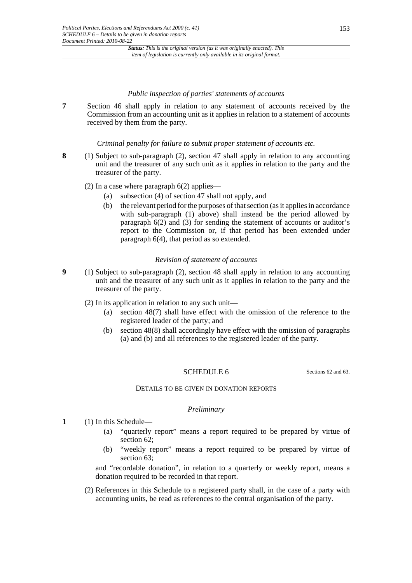#### *Public inspection of parties' statements of accounts*

**7** Section 46 shall apply in relation to any statement of accounts received by the Commission from an accounting unit as it applies in relation to a statement of accounts received by them from the party.

*Criminal penalty for failure to submit proper statement of accounts etc.*

- **8** (1) Subject to sub-paragraph (2), section 47 shall apply in relation to any accounting unit and the treasurer of any such unit as it applies in relation to the party and the treasurer of the party.
	- (2) In a case where paragraph  $6(2)$  applies—
		- (a) subsection (4) of section 47 shall not apply, and
		- (b) the relevant period for the purposes of that section (as it applies in accordance with sub-paragraph (1) above) shall instead be the period allowed by paragraph 6(2) and (3) for sending the statement of accounts or auditor's report to the Commission or, if that period has been extended under paragraph 6(4), that period as so extended.

#### *Revision of statement of accounts*

- **9** (1) Subject to sub-paragraph (2), section 48 shall apply in relation to any accounting unit and the treasurer of any such unit as it applies in relation to the party and the treasurer of the party.
	- (2) In its application in relation to any such unit—
		- (a) section 48(7) shall have effect with the omission of the reference to the registered leader of the party; and
		- (b) section 48(8) shall accordingly have effect with the omission of paragraphs (a) and (b) and all references to the registered leader of the party.

## SCHEDULE 6 Sections 62 and 63.

## DETAILS TO BE GIVEN IN DONATION REPORTS

## *Preliminary*

- **1** (1) In this Schedule—
	- (a) "quarterly report" means a report required to be prepared by virtue of section 62;
	- (b) "weekly report" means a report required to be prepared by virtue of section 63:

and "recordable donation", in relation to a quarterly or weekly report, means a donation required to be recorded in that report.

(2) References in this Schedule to a registered party shall, in the case of a party with accounting units, be read as references to the central organisation of the party.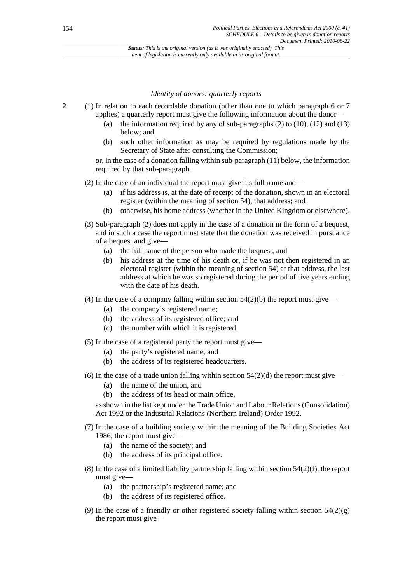## *Identity of donors: quarterly reports*

- **2** (1) In relation to each recordable donation (other than one to which paragraph 6 or 7 applies) a quarterly report must give the following information about the donor—
	- (a) the information required by any of sub-paragraphs  $(2)$  to  $(10)$ ,  $(12)$  and  $(13)$ below; and
	- (b) such other information as may be required by regulations made by the Secretary of State after consulting the Commission;

or, in the case of a donation falling within sub-paragraph (11) below, the information required by that sub-paragraph.

- (2) In the case of an individual the report must give his full name and—
	- (a) if his address is, at the date of receipt of the donation, shown in an electoral register (within the meaning of section 54), that address; and
	- (b) otherwise, his home address (whether in the United Kingdom or elsewhere).
- (3) Sub-paragraph (2) does not apply in the case of a donation in the form of a bequest, and in such a case the report must state that the donation was received in pursuance of a bequest and give—
	- (a) the full name of the person who made the bequest; and
	- (b) his address at the time of his death or, if he was not then registered in an electoral register (within the meaning of section 54) at that address, the last address at which he was so registered during the period of five years ending with the date of his death.
- (4) In the case of a company falling within section  $54(2)(b)$  the report must give—
	- (a) the company's registered name;
	- (b) the address of its registered office; and
	- (c) the number with which it is registered.
- (5) In the case of a registered party the report must give—
	- (a) the party's registered name; and
	- (b) the address of its registered headquarters.
- (6) In the case of a trade union falling within section  $54(2)(d)$  the report must give—
	- (a) the name of the union, and
	- (b) the address of its head or main office,

as shown in the list kept under the Trade Union and Labour Relations (Consolidation) Act 1992 or the Industrial Relations (Northern Ireland) Order 1992.

- (7) In the case of a building society within the meaning of the Building Societies Act 1986, the report must give—
	- (a) the name of the society; and
	- (b) the address of its principal office.
- (8) In the case of a limited liability partnership falling within section  $54(2)(f)$ , the report must give—
	- (a) the partnership's registered name; and
	- (b) the address of its registered office.
- (9) In the case of a friendly or other registered society falling within section  $54(2)(g)$ the report must give—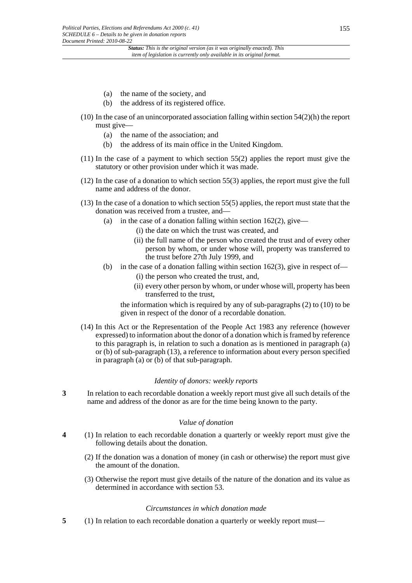- (a) the name of the society, and
- (b) the address of its registered office.
- (10) In the case of an unincorporated association falling within section 54(2)(h) the report must give—
	- (a) the name of the association; and
	- (b) the address of its main office in the United Kingdom.
- (11) In the case of a payment to which section 55(2) applies the report must give the statutory or other provision under which it was made.
- (12) In the case of a donation to which section 55(3) applies, the report must give the full name and address of the donor.
- (13) In the case of a donation to which section 55(5) applies, the report must state that the donation was received from a trustee, and—
	- (a) in the case of a donation falling within section  $162(2)$ , give—
		- (i) the date on which the trust was created, and
		- (ii) the full name of the person who created the trust and of every other person by whom, or under whose will, property was transferred to the trust before 27th July 1999, and
	- (b) in the case of a donation falling within section 162(3), give in respect of—
		- (i) the person who created the trust, and,
		- (ii) every other person by whom, or under whose will, property has been transferred to the trust,

the information which is required by any of sub-paragraphs (2) to (10) to be given in respect of the donor of a recordable donation.

(14) In this Act or the Representation of the People Act 1983 any reference (however expressed) to information about the donor of a donation which is framed by reference to this paragraph is, in relation to such a donation as is mentioned in paragraph (a) or (b) of sub-paragraph (13), a reference to information about every person specified in paragraph  $(a)$  or  $(b)$  of that sub-paragraph.

## *Identity of donors: weekly reports*

**3** In relation to each recordable donation a weekly report must give all such details of the name and address of the donor as are for the time being known to the party.

## *Value of donation*

- **4** (1) In relation to each recordable donation a quarterly or weekly report must give the following details about the donation.
	- (2) If the donation was a donation of money (in cash or otherwise) the report must give the amount of the donation.
	- (3) Otherwise the report must give details of the nature of the donation and its value as determined in accordance with section 53.

## *Circumstances in which donation made*

**5** (1) In relation to each recordable donation a quarterly or weekly report must—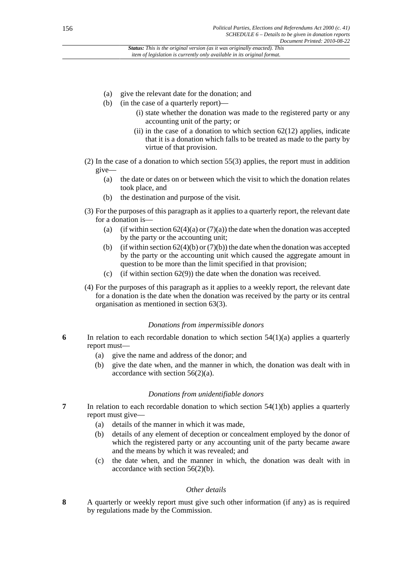- (a) give the relevant date for the donation; and
- (b) (in the case of a quarterly report)—
	- (i) state whether the donation was made to the registered party or any accounting unit of the party; or
	- (ii) in the case of a donation to which section  $62(12)$  applies, indicate that it is a donation which falls to be treated as made to the party by virtue of that provision.
- (2) In the case of a donation to which section 55(3) applies, the report must in addition give—
	- (a) the date or dates on or between which the visit to which the donation relates took place, and
	- (b) the destination and purpose of the visit.
- (3) For the purposes of this paragraph as it applies to a quarterly report, the relevant date for a donation is—
	- (a) (if within section  $62(4)(a)$  or  $(7)(a)$ ) the date when the donation was accepted by the party or the accounting unit;
	- (b) (if within section  $62(4)(b)$  or  $(7)(b)$ ) the date when the donation was accepted by the party or the accounting unit which caused the aggregate amount in question to be more than the limit specified in that provision;
	- (c) (if within section  $62(9)$ ) the date when the donation was received.
- (4) For the purposes of this paragraph as it applies to a weekly report, the relevant date for a donation is the date when the donation was received by the party or its central organisation as mentioned in section 63(3).

# *Donations from impermissible donors*

- **6** In relation to each recordable donation to which section 54(1)(a) applies a quarterly report must—
	- (a) give the name and address of the donor; and
	- (b) give the date when, and the manner in which, the donation was dealt with in accordance with section 56(2)(a).

## *Donations from unidentifiable donors*

- **7** In relation to each recordable donation to which section 54(1)(b) applies a quarterly report must give—
	- (a) details of the manner in which it was made,
	- (b) details of any element of deception or concealment employed by the donor of which the registered party or any accounting unit of the party became aware and the means by which it was revealed; and
	- (c) the date when, and the manner in which, the donation was dealt with in accordance with section 56(2)(b).

# *Other details*

**8** A quarterly or weekly report must give such other information (if any) as is required by regulations made by the Commission.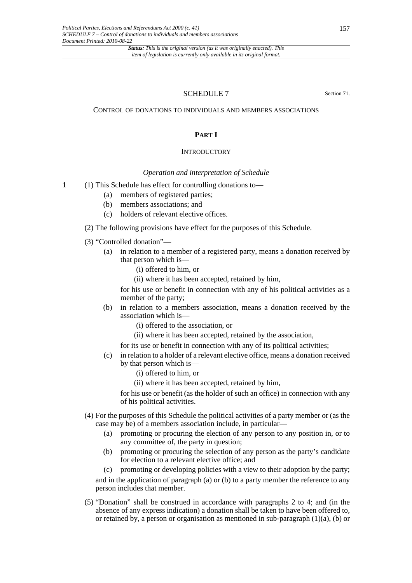# SCHEDULE 7 Section 71.

#### CONTROL OF DONATIONS TO INDIVIDUALS AND MEMBERS ASSOCIATIONS

# **PART I**

## **INTRODUCTORY**

#### *Operation and interpretation of Schedule*

- **1** (1) This Schedule has effect for controlling donations to—
	- (a) members of registered parties;
	- (b) members associations; and
	- (c) holders of relevant elective offices.

(2) The following provisions have effect for the purposes of this Schedule.

- (3) "Controlled donation"—
	- (a) in relation to a member of a registered party, means a donation received by that person which is—
		- (i) offered to him, or
		- (ii) where it has been accepted, retained by him,

for his use or benefit in connection with any of his political activities as a member of the party;

- (b) in relation to a members association, means a donation received by the association which is—
	- (i) offered to the association, or
	- (ii) where it has been accepted, retained by the association,

for its use or benefit in connection with any of its political activities;

- (c) in relation to a holder of a relevant elective office, means a donation received by that person which is—
	- (i) offered to him, or
	- (ii) where it has been accepted, retained by him,

for his use or benefit (as the holder of such an office) in connection with any of his political activities.

- (4) For the purposes of this Schedule the political activities of a party member or (as the case may be) of a members association include, in particular—
	- (a) promoting or procuring the election of any person to any position in, or to any committee of, the party in question;
	- (b) promoting or procuring the selection of any person as the party's candidate for election to a relevant elective office; and

(c) promoting or developing policies with a view to their adoption by the party; and in the application of paragraph (a) or (b) to a party member the reference to any person includes that member.

(5) "Donation" shall be construed in accordance with paragraphs 2 to 4; and (in the absence of any express indication) a donation shall be taken to have been offered to, or retained by, a person or organisation as mentioned in sub-paragraph (1)(a), (b) or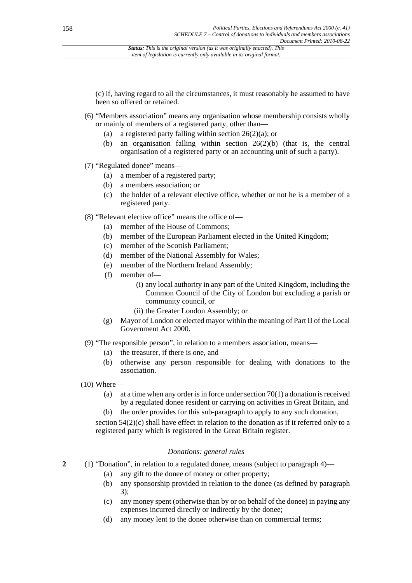(c) if, having regard to all the circumstances, it must reasonably be assumed to have been so offered or retained.

- (6) "Members association" means any organisation whose membership consists wholly or mainly of members of a registered party, other than—
	- (a) a registered party falling within section  $26(2)(a)$ ; or
	- (b) an organisation falling within section 26(2)(b) (that is, the central organisation of a registered party or an accounting unit of such a party).
- (7) "Regulated donee" means—
	- (a) a member of a registered party;
	- (b) a members association; or
	- (c) the holder of a relevant elective office, whether or not he is a member of a registered party.
- (8) "Relevant elective office" means the office of—
	- (a) member of the House of Commons;
	- (b) member of the European Parliament elected in the United Kingdom;
	- (c) member of the Scottish Parliament;
	- (d) member of the National Assembly for Wales;
	- (e) member of the Northern Ireland Assembly;
	- (f) member of—
		- (i) any local authority in any part of the United Kingdom, including the Common Council of the City of London but excluding a parish or community council, or
		- (ii) the Greater London Assembly; or
	- (g) Mayor of London or elected mayor within the meaning of Part II of the Local Government Act 2000.
- (9) "The responsible person", in relation to a members association, means—
	- (a) the treasurer, if there is one, and
	- (b) otherwise any person responsible for dealing with donations to the association.
- (10) Where—
	- (a) at a time when any order is in force under section  $70(1)$  a donation is received by a regulated donee resident or carrying on activities in Great Britain, and
	- (b) the order provides for this sub-paragraph to apply to any such donation,

section 54(2)(c) shall have effect in relation to the donation as if it referred only to a registered party which is registered in the Great Britain register.

# *Donations: general rules*

- **2** (1) "Donation", in relation to a regulated donee, means (subject to paragraph 4)—
	- (a) any gift to the donee of money or other property;
	- (b) any sponsorship provided in relation to the donee (as defined by paragraph 3);
	- (c) any money spent (otherwise than by or on behalf of the donee) in paying any expenses incurred directly or indirectly by the donee;
	- (d) any money lent to the donee otherwise than on commercial terms;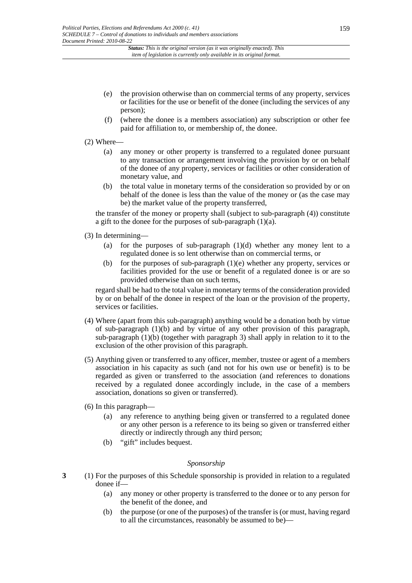- (e) the provision otherwise than on commercial terms of any property, services or facilities for the use or benefit of the donee (including the services of any person);
- (f) (where the donee is a members association) any subscription or other fee paid for affiliation to, or membership of, the donee.
- (2) Where—
	- (a) any money or other property is transferred to a regulated donee pursuant to any transaction or arrangement involving the provision by or on behalf of the donee of any property, services or facilities or other consideration of monetary value, and
	- (b) the total value in monetary terms of the consideration so provided by or on behalf of the donee is less than the value of the money or (as the case may be) the market value of the property transferred,

the transfer of the money or property shall (subject to sub-paragraph (4)) constitute a gift to the donee for the purposes of sub-paragraph  $(1)(a)$ .

(3) In determining—

- (a) for the purposes of sub-paragraph  $(1)(d)$  whether any money lent to a regulated donee is so lent otherwise than on commercial terms, or
- (b) for the purposes of sub-paragraph (1)(e) whether any property, services or facilities provided for the use or benefit of a regulated donee is or are so provided otherwise than on such terms,

regard shall be had to the total value in monetary terms of the consideration provided by or on behalf of the donee in respect of the loan or the provision of the property, services or facilities.

- (4) Where (apart from this sub-paragraph) anything would be a donation both by virtue of sub-paragraph  $(1)(b)$  and by virtue of any other provision of this paragraph, sub-paragraph (1)(b) (together with paragraph 3) shall apply in relation to it to the exclusion of the other provision of this paragraph.
- (5) Anything given or transferred to any officer, member, trustee or agent of a members association in his capacity as such (and not for his own use or benefit) is to be regarded as given or transferred to the association (and references to donations received by a regulated donee accordingly include, in the case of a members association, donations so given or transferred).
- (6) In this paragraph—
	- (a) any reference to anything being given or transferred to a regulated donee or any other person is a reference to its being so given or transferred either directly or indirectly through any third person;
	- (b) "gift" includes bequest.

# *Sponsorship*

- **3** (1) For the purposes of this Schedule sponsorship is provided in relation to a regulated donee if—
	- (a) any money or other property is transferred to the donee or to any person for the benefit of the donee, and
	- (b) the purpose (or one of the purposes) of the transfer is (or must, having regard to all the circumstances, reasonably be assumed to be)—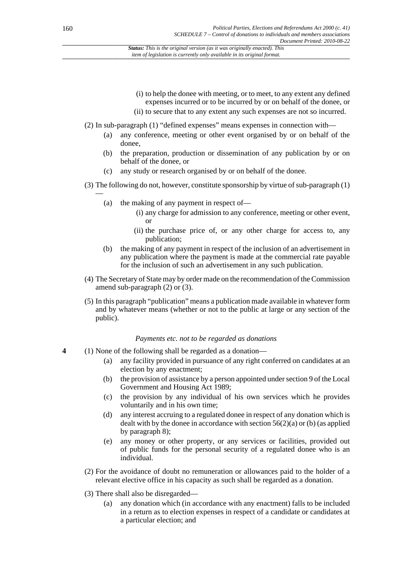- (i) to help the donee with meeting, or to meet, to any extent any defined expenses incurred or to be incurred by or on behalf of the donee, or
- (ii) to secure that to any extent any such expenses are not so incurred.

(2) In sub-paragraph (1) "defined expenses" means expenses in connection with—

- (a) any conference, meeting or other event organised by or on behalf of the donee,
- (b) the preparation, production or dissemination of any publication by or on behalf of the donee, or
- (c) any study or research organised by or on behalf of the donee.
- (3) The following do not, however, constitute sponsorship by virtue of sub-paragraph (1)
	- (a) the making of any payment in respect of—
		- (i) any charge for admission to any conference, meeting or other event, or
		- (ii) the purchase price of, or any other charge for access to, any publication;
	- (b) the making of any payment in respect of the inclusion of an advertisement in any publication where the payment is made at the commercial rate payable for the inclusion of such an advertisement in any such publication.
- (4) The Secretary of State may by order made on the recommendation of the Commission amend sub-paragraph (2) or (3).
- (5) In this paragraph "publication" means a publication made available in whatever form and by whatever means (whether or not to the public at large or any section of the public).

## *Payments etc. not to be regarded as donations*

- **4** (1) None of the following shall be regarded as a donation—
	- (a) any facility provided in pursuance of any right conferred on candidates at an election by any enactment;
	- (b) the provision of assistance by a person appointed under section 9 of the Local Government and Housing Act 1989;
	- (c) the provision by any individual of his own services which he provides voluntarily and in his own time;
	- (d) any interest accruing to a regulated donee in respect of any donation which is dealt with by the donee in accordance with section  $56(2)(a)$  or (b) (as applied by paragraph 8);
	- (e) any money or other property, or any services or facilities, provided out of public funds for the personal security of a regulated donee who is an individual.
	- (2) For the avoidance of doubt no remuneration or allowances paid to the holder of a relevant elective office in his capacity as such shall be regarded as a donation.
	- (3) There shall also be disregarded—
		- (a) any donation which (in accordance with any enactment) falls to be included in a return as to election expenses in respect of a candidate or candidates at a particular election; and

—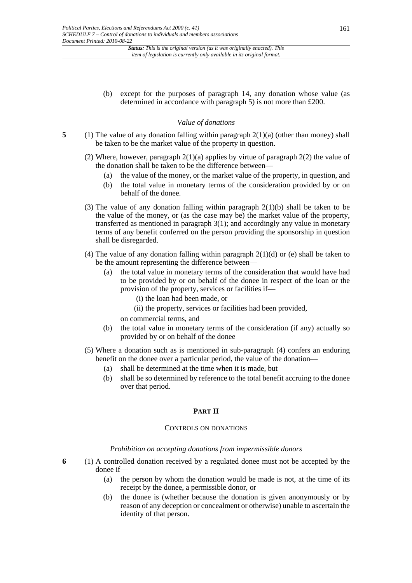(b) except for the purposes of paragraph 14, any donation whose value (as determined in accordance with paragraph 5) is not more than £200.

## *Value of donations*

- **5** (1) The value of any donation falling within paragraph 2(1)(a) (other than money) shall be taken to be the market value of the property in question.
	- (2) Where, however, paragraph  $2(1)(a)$  applies by virtue of paragraph  $2(2)$  the value of the donation shall be taken to be the difference between—
		- (a) the value of the money, or the market value of the property, in question, and
		- (b) the total value in monetary terms of the consideration provided by or on behalf of the donee.
	- (3) The value of any donation falling within paragraph 2(1)(b) shall be taken to be the value of the money, or (as the case may be) the market value of the property, transferred as mentioned in paragraph 3(1); and accordingly any value in monetary terms of any benefit conferred on the person providing the sponsorship in question shall be disregarded.
	- (4) The value of any donation falling within paragraph  $2(1)(d)$  or (e) shall be taken to be the amount representing the difference between—
		- (a) the total value in monetary terms of the consideration that would have had to be provided by or on behalf of the donee in respect of the loan or the provision of the property, services or facilities if—
			- (i) the loan had been made, or
			- (ii) the property, services or facilities had been provided,
			- on commercial terms, and
		- (b) the total value in monetary terms of the consideration (if any) actually so provided by or on behalf of the donee
	- (5) Where a donation such as is mentioned in sub-paragraph (4) confers an enduring benefit on the donee over a particular period, the value of the donation—
		- (a) shall be determined at the time when it is made, but
		- (b) shall be so determined by reference to the total benefit accruing to the donee over that period.

## **PART II**

# CONTROLS ON DONATIONS

#### *Prohibition on accepting donations from impermissible donors*

- **6** (1) A controlled donation received by a regulated donee must not be accepted by the donee if—
	- (a) the person by whom the donation would be made is not, at the time of its receipt by the donee, a permissible donor, or
	- (b) the donee is (whether because the donation is given anonymously or by reason of any deception or concealment or otherwise) unable to ascertain the identity of that person.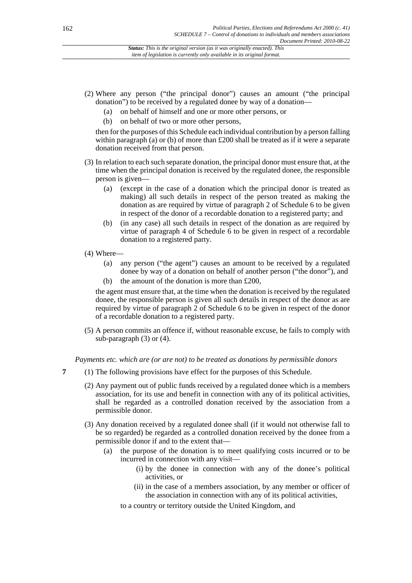- (2) Where any person ("the principal donor") causes an amount ("the principal donation") to be received by a regulated donee by way of a donation—
	- (a) on behalf of himself and one or more other persons, or
	- (b) on behalf of two or more other persons,

then for the purposes of this Schedule each individual contribution by a person falling within paragraph (a) or (b) of more than £200 shall be treated as if it were a separate donation received from that person.

- (3) In relation to each such separate donation, the principal donor must ensure that, at the time when the principal donation is received by the regulated donee, the responsible person is given—
	- (a) (except in the case of a donation which the principal donor is treated as making) all such details in respect of the person treated as making the donation as are required by virtue of paragraph 2 of Schedule 6 to be given in respect of the donor of a recordable donation to a registered party; and
	- (b) (in any case) all such details in respect of the donation as are required by virtue of paragraph 4 of Schedule  $\vec{6}$  to be given in respect of a recordable donation to a registered party.
- (4) Where—
	- (a) any person ("the agent") causes an amount to be received by a regulated donee by way of a donation on behalf of another person ("the donor"), and (b) the amount of the donation is more than £200,
	- the agent must ensure that, at the time when the donation is received by the regulated donee, the responsible person is given all such details in respect of the donor as are required by virtue of paragraph 2 of Schedule 6 to be given in respect of the donor of a recordable donation to a registered party.
- (5) A person commits an offence if, without reasonable excuse, he fails to comply with sub-paragraph (3) or (4).

*Payments etc. which are (or are not) to be treated as donations by permissible donors*

- **7** (1) The following provisions have effect for the purposes of this Schedule.
	- (2) Any payment out of public funds received by a regulated donee which is a members association, for its use and benefit in connection with any of its political activities, shall be regarded as a controlled donation received by the association from a permissible donor.
	- (3) Any donation received by a regulated donee shall (if it would not otherwise fall to be so regarded) be regarded as a controlled donation received by the donee from a permissible donor if and to the extent that—
		- (a) the purpose of the donation is to meet qualifying costs incurred or to be incurred in connection with any visit—
			- (i) by the donee in connection with any of the donee's political activities, or
			- (ii) in the case of a members association, by any member or officer of the association in connection with any of its political activities,

to a country or territory outside the United Kingdom, and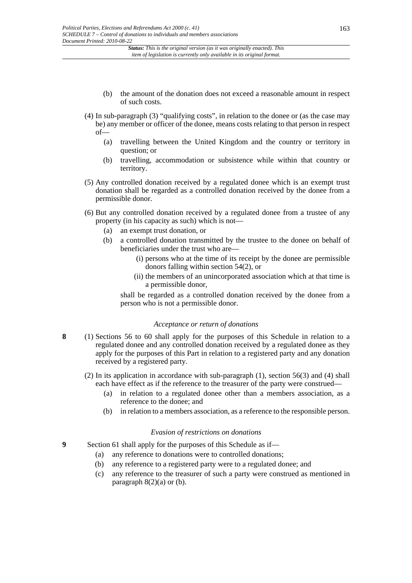- (b) the amount of the donation does not exceed a reasonable amount in respect of such costs.
- (4) In sub-paragraph (3) "qualifying costs", in relation to the donee or (as the case may be) any member or officer of the donee, means costs relating to that person in respect of—
	- (a) travelling between the United Kingdom and the country or territory in question; or
	- (b) travelling, accommodation or subsistence while within that country or territory.
- (5) Any controlled donation received by a regulated donee which is an exempt trust donation shall be regarded as a controlled donation received by the donee from a permissible donor.
- (6) But any controlled donation received by a regulated donee from a trustee of any property (in his capacity as such) which is not—
	- (a) an exempt trust donation, or
	- (b) a controlled donation transmitted by the trustee to the donee on behalf of beneficiaries under the trust who are—
		- (i) persons who at the time of its receipt by the donee are permissible donors falling within section 54(2), or
		- (ii) the members of an unincorporated association which at that time is a permissible donor,

shall be regarded as a controlled donation received by the donee from a person who is not a permissible donor.

## *Acceptance or return of donations*

- **8** (1) Sections 56 to 60 shall apply for the purposes of this Schedule in relation to a regulated donee and any controlled donation received by a regulated donee as they apply for the purposes of this Part in relation to a registered party and any donation received by a registered party.
	- (2) In its application in accordance with sub-paragraph (1), section 56(3) and (4) shall each have effect as if the reference to the treasurer of the party were construed—
		- (a) in relation to a regulated donee other than a members association, as a reference to the donee; and
		- (b) in relation to a members association, as a reference to the responsible person.

## *Evasion of restrictions on donations*

- **9** Section 61 shall apply for the purposes of this Schedule as if—
	- (a) any reference to donations were to controlled donations;
	- (b) any reference to a registered party were to a regulated donee; and
	- (c) any reference to the treasurer of such a party were construed as mentioned in paragraph  $8(2)(a)$  or (b).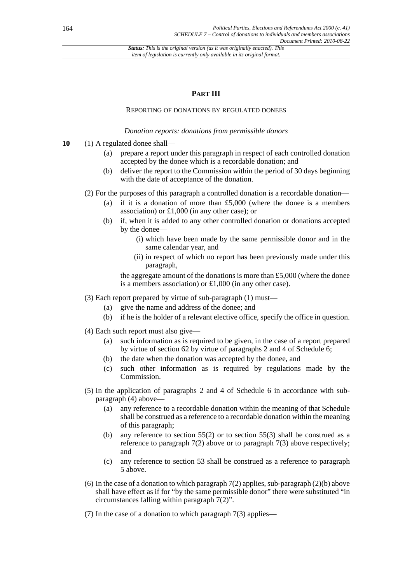# **PART III**

# REPORTING OF DONATIONS BY REGULATED DONEES

# *Donation reports: donations from permissible donors*

- **10** (1) A regulated donee shall—
	- (a) prepare a report under this paragraph in respect of each controlled donation accepted by the donee which is a recordable donation; and
	- (b) deliver the report to the Commission within the period of 30 days beginning with the date of acceptance of the donation.

(2) For the purposes of this paragraph a controlled donation is a recordable donation—

- (a) if it is a donation of more than  $£5,000$  (where the donee is a members association) or £1,000 (in any other case); or
- (b) if, when it is added to any other controlled donation or donations accepted by the donee—
	- (i) which have been made by the same permissible donor and in the same calendar year, and
	- (ii) in respect of which no report has been previously made under this paragraph,

the aggregate amount of the donations is more than £5,000 (where the donee is a members association) or £1,000 (in any other case).

(3) Each report prepared by virtue of sub-paragraph (1) must—

- (a) give the name and address of the donee; and
- (b) if he is the holder of a relevant elective office, specify the office in question.

(4) Each such report must also give—

- (a) such information as is required to be given, in the case of a report prepared by virtue of section 62 by virtue of paragraphs 2 and 4 of Schedule 6;
- (b) the date when the donation was accepted by the donee, and
- (c) such other information as is required by regulations made by the Commission.
- (5) In the application of paragraphs 2 and 4 of Schedule 6 in accordance with subparagraph (4) above—
	- (a) any reference to a recordable donation within the meaning of that Schedule shall be construed as a reference to a recordable donation within the meaning of this paragraph;
	- (b) any reference to section  $55(2)$  or to section  $55(3)$  shall be construed as a reference to paragraph 7(2) above or to paragraph 7(3) above respectively; and
	- (c) any reference to section 53 shall be construed as a reference to paragraph 5 above.
- (6) In the case of a donation to which paragraph  $7(2)$  applies, sub-paragraph  $(2)(b)$  above shall have effect as if for "by the same permissible donor" there were substituted "in circumstances falling within paragraph 7(2)".
- (7) In the case of a donation to which paragraph 7(3) applies—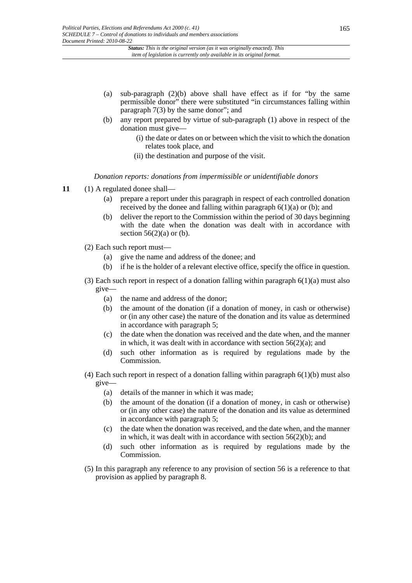- (a) sub-paragraph (2)(b) above shall have effect as if for "by the same permissible donor" there were substituted "in circumstances falling within paragraph 7(3) by the same donor"; and
- (b) any report prepared by virtue of sub-paragraph (1) above in respect of the donation must give—
	- (i) the date or dates on or between which the visit to which the donation relates took place, and
	- (ii) the destination and purpose of the visit.

# *Donation reports: donations from impermissible or unidentifiable donors*

- **11** (1) A regulated donee shall—
	- (a) prepare a report under this paragraph in respect of each controlled donation received by the donee and falling within paragraph  $6(1)(a)$  or (b); and
	- (b) deliver the report to the Commission within the period of 30 days beginning with the date when the donation was dealt with in accordance with section  $56(2)(a)$  or (b).
	- (2) Each such report must—
		- (a) give the name and address of the donee; and
		- (b) if he is the holder of a relevant elective office, specify the office in question.
	- (3) Each such report in respect of a donation falling within paragraph 6(1)(a) must also give—
		- (a) the name and address of the donor;
		- (b) the amount of the donation (if a donation of money, in cash or otherwise) or (in any other case) the nature of the donation and its value as determined in accordance with paragraph 5;
		- (c) the date when the donation was received and the date when, and the manner in which, it was dealt with in accordance with section  $56(2)(a)$ ; and
		- (d) such other information as is required by regulations made by the Commission.
	- (4) Each such report in respect of a donation falling within paragraph  $6(1)(b)$  must also give—
		- (a) details of the manner in which it was made;
		- (b) the amount of the donation (if a donation of money, in cash or otherwise) or (in any other case) the nature of the donation and its value as determined in accordance with paragraph 5;
		- (c) the date when the donation was received, and the date when, and the manner in which, it was dealt with in accordance with section 56(2)(b); and
		- (d) such other information as is required by regulations made by the Commission.
	- (5) In this paragraph any reference to any provision of section 56 is a reference to that provision as applied by paragraph 8.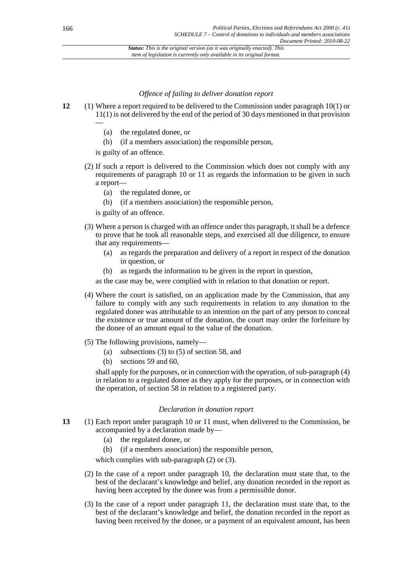# *Offence of failing to deliver donation report*

- **12** (1) Where a report required to be delivered to the Commission under paragraph 10(1) or 11(1) is not delivered by the end of the period of 30 days mentioned in that provision
	- (a) the regulated donee, or
	- (b) (if a members association) the responsible person,

is guilty of an offence.

—

- (2) If such a report is delivered to the Commission which does not comply with any requirements of paragraph 10 or 11 as regards the information to be given in such a report—
	- (a) the regulated donee, or
	- (b) (if a members association) the responsible person,

is guilty of an offence.

- (3) Where a person is charged with an offence under this paragraph, it shall be a defence to prove that he took all reasonable steps, and exercised all due diligence, to ensure that any requirements—
	- (a) as regards the preparation and delivery of a report in respect of the donation in question, or
	- (b) as regards the information to be given in the report in question,

as the case may be, were complied with in relation to that donation or report.

- (4) Where the court is satisfied, on an application made by the Commission, that any failure to comply with any such requirements in relation to any donation to the regulated donee was attributable to an intention on the part of any person to conceal the existence or true amount of the donation, the court may order the forfeiture by the donee of an amount equal to the value of the donation.
- (5) The following provisions, namely—
	- (a) subsections (3) to (5) of section 58, and
	- (b) sections 59 and 60,

shall apply for the purposes, or in connection with the operation, of sub-paragraph (4) in relation to a regulated donee as they apply for the purposes, or in connection with the operation, of section 58 in relation to a registered party.

#### *Declaration in donation report*

- **13** (1) Each report under paragraph 10 or 11 must, when delivered to the Commission, be accompanied by a declaration made by—
	- (a) the regulated donee, or
	- (b) (if a members association) the responsible person,

which complies with sub-paragraph (2) or (3).

- (2) In the case of a report under paragraph 10, the declaration must state that, to the best of the declarant's knowledge and belief, any donation recorded in the report as having been accepted by the donee was from a permissible donor.
- (3) In the case of a report under paragraph 11, the declaration must state that, to the best of the declarant's knowledge and belief, the donation recorded in the report as having been received by the donee, or a payment of an equivalent amount, has been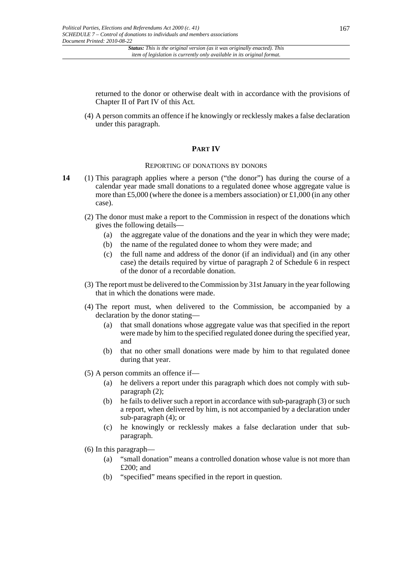returned to the donor or otherwise dealt with in accordance with the provisions of Chapter II of Part IV of this Act.

(4) A person commits an offence if he knowingly or recklessly makes a false declaration under this paragraph.

# **PART IV**

#### REPORTING OF DONATIONS BY DONORS

- **14** (1) This paragraph applies where a person ("the donor") has during the course of a calendar year made small donations to a regulated donee whose aggregate value is more than £5,000 (where the donee is a members association) or £1,000 (in any other case).
	- (2) The donor must make a report to the Commission in respect of the donations which gives the following details—
		- (a) the aggregate value of the donations and the year in which they were made;
		- (b) the name of the regulated donee to whom they were made; and
		- (c) the full name and address of the donor (if an individual) and (in any other case) the details required by virtue of paragraph 2 of Schedule 6 in respect of the donor of a recordable donation.
	- (3) The report must be delivered to the Commission by 31st January in the year following that in which the donations were made.
	- (4) The report must, when delivered to the Commission, be accompanied by a declaration by the donor stating—
		- (a) that small donations whose aggregate value was that specified in the report were made by him to the specified regulated donee during the specified year, and
		- (b) that no other small donations were made by him to that regulated donee during that year.
	- (5) A person commits an offence if—
		- (a) he delivers a report under this paragraph which does not comply with subparagraph (2);
		- (b) he fails to deliver such a report in accordance with sub-paragraph (3) or such a report, when delivered by him, is not accompanied by a declaration under sub-paragraph (4); or
		- (c) he knowingly or recklessly makes a false declaration under that subparagraph.
	- (6) In this paragraph—
		- (a) "small donation" means a controlled donation whose value is not more than £200; and
		- (b) "specified" means specified in the report in question.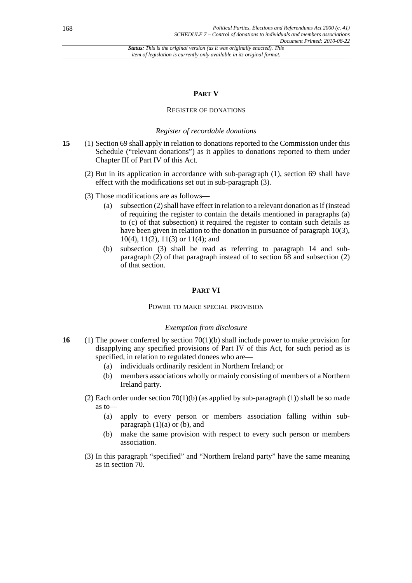## **PART V**

## REGISTER OF DONATIONS

# *Register of recordable donations*

- **15** (1) Section 69 shall apply in relation to donations reported to the Commission under this Schedule ("relevant donations") as it applies to donations reported to them under Chapter III of Part IV of this Act.
	- (2) But in its application in accordance with sub-paragraph (1), section 69 shall have effect with the modifications set out in sub-paragraph (3).
	- (3) Those modifications are as follows—
		- (a) subsection (2) shall have effect in relation to a relevant donation as if (instead of requiring the register to contain the details mentioned in paragraphs (a) to (c) of that subsection) it required the register to contain such details as have been given in relation to the donation in pursuance of paragraph 10(3), 10(4), 11(2), 11(3) or 11(4); and
		- (b) subsection (3) shall be read as referring to paragraph 14 and subparagraph (2) of that paragraph instead of to section 68 and subsection (2) of that section.

# **PART VI**

## POWER TO MAKE SPECIAL PROVISION

## *Exemption from disclosure*

- **16** (1) The power conferred by section 70(1)(b) shall include power to make provision for disapplying any specified provisions of Part IV of this Act, for such period as is specified, in relation to regulated donees who are—
	- (a) individuals ordinarily resident in Northern Ireland; or
	- (b) members associations wholly or mainly consisting of members of a Northern Ireland party.
	- (2) Each order under section  $70(1)(b)$  (as applied by sub-paragraph (1)) shall be so made as to—
		- (a) apply to every person or members association falling within subparagraph  $(1)(a)$  or  $(b)$ , and
		- (b) make the same provision with respect to every such person or members association.
	- (3) In this paragraph "specified" and "Northern Ireland party" have the same meaning as in section 70.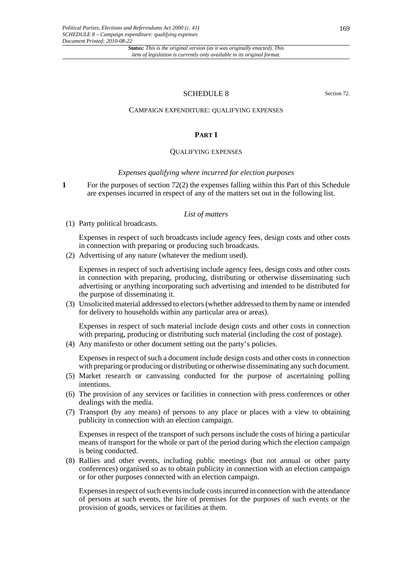## SCHEDULE 8 Section 72.

#### CAMPAIGN EXPENDITURE: QUALIFYING EXPENSES

## **PART I**

# QUALIFYING EXPENSES

#### *Expenses qualifying where incurred for election purposes*

**1** For the purposes of section 72(2) the expenses falling within this Part of this Schedule are expenses incurred in respect of any of the matters set out in the following list.

#### *List of matters*

(1) Party political broadcasts.

Expenses in respect of such broadcasts include agency fees, design costs and other costs in connection with preparing or producing such broadcasts.

(2) Advertising of any nature (whatever the medium used).

Expenses in respect of such advertising include agency fees, design costs and other costs in connection with preparing, producing, distributing or otherwise disseminating such advertising or anything incorporating such advertising and intended to be distributed for the purpose of disseminating it.

(3) Unsolicited material addressed to electors (whether addressed to them by name or intended for delivery to households within any particular area or areas).

Expenses in respect of such material include design costs and other costs in connection with preparing, producing or distributing such material (including the cost of postage).

(4) Any manifesto or other document setting out the party's policies.

Expenses in respect of such a document include design costs and other costs in connection with preparing or producing or distributing or otherwise disseminating any such document.

- (5) Market research or canvassing conducted for the purpose of ascertaining polling intentions.
- (6) The provision of any services or facilities in connection with press conferences or other dealings with the media.
- (7) Transport (by any means) of persons to any place or places with a view to obtaining publicity in connection with an election campaign.

Expenses in respect of the transport of such persons include the costs of hiring a particular means of transport for the whole or part of the period during which the election campaign is being conducted.

(8) Rallies and other events, including public meetings (but not annual or other party conferences) organised so as to obtain publicity in connection with an election campaign or for other purposes connected with an election campaign.

Expenses in respect of such events include costs incurred in connection with the attendance of persons at such events, the hire of premises for the purposes of such events or the provision of goods, services or facilities at them.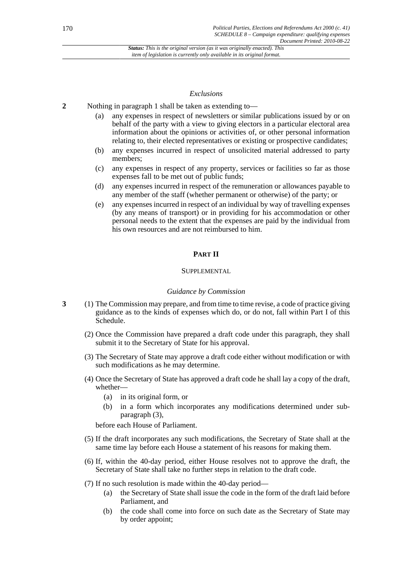#### *Exclusions*

**2** Nothing in paragraph 1 shall be taken as extending to—

- (a) any expenses in respect of newsletters or similar publications issued by or on behalf of the party with a view to giving electors in a particular electoral area information about the opinions or activities of, or other personal information relating to, their elected representatives or existing or prospective candidates;
- (b) any expenses incurred in respect of unsolicited material addressed to party members;
- (c) any expenses in respect of any property, services or facilities so far as those expenses fall to be met out of public funds;
- (d) any expenses incurred in respect of the remuneration or allowances payable to any member of the staff (whether permanent or otherwise) of the party; or
- (e) any expenses incurred in respect of an individual by way of travelling expenses (by any means of transport) or in providing for his accommodation or other personal needs to the extent that the expenses are paid by the individual from his own resources and are not reimbursed to him.

# **PART II**

# SUPPLEMENTAL

#### *Guidance by Commission*

- **3** (1) The Commission may prepare, and from time to time revise, a code of practice giving guidance as to the kinds of expenses which do, or do not, fall within Part I of this Schedule.
	- (2) Once the Commission have prepared a draft code under this paragraph, they shall submit it to the Secretary of State for his approval.
	- (3) The Secretary of State may approve a draft code either without modification or with such modifications as he may determine.
	- (4) Once the Secretary of State has approved a draft code he shall lay a copy of the draft, whether—
		- (a) in its original form, or
		- (b) in a form which incorporates any modifications determined under subparagraph (3),

before each House of Parliament.

- (5) If the draft incorporates any such modifications, the Secretary of State shall at the same time lay before each House a statement of his reasons for making them.
- (6) If, within the 40-day period, either House resolves not to approve the draft, the Secretary of State shall take no further steps in relation to the draft code.
- (7) If no such resolution is made within the 40-day period—
	- (a) the Secretary of State shall issue the code in the form of the draft laid before Parliament, and
	- (b) the code shall come into force on such date as the Secretary of State may by order appoint;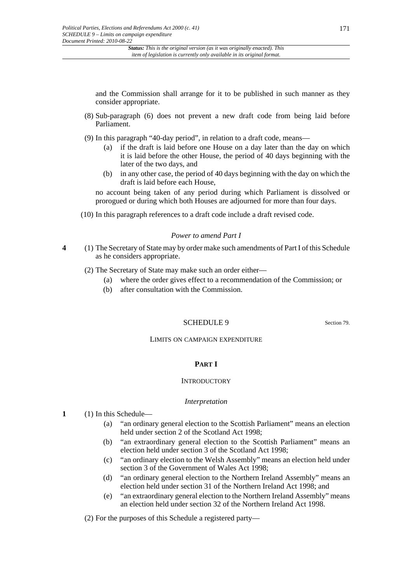and the Commission shall arrange for it to be published in such manner as they consider appropriate.

- (8) Sub-paragraph (6) does not prevent a new draft code from being laid before Parliament.
- (9) In this paragraph "40-day period", in relation to a draft code, means—
	- (a) if the draft is laid before one House on a day later than the day on which it is laid before the other House, the period of 40 days beginning with the later of the two days, and
	- (b) in any other case, the period of 40 days beginning with the day on which the draft is laid before each House,

no account being taken of any period during which Parliament is dissolved or prorogued or during which both Houses are adjourned for more than four days.

(10) In this paragraph references to a draft code include a draft revised code.

#### *Power to amend Part I*

- **4** (1) The Secretary of State may by order make such amendments of Part I of this Schedule as he considers appropriate.
	- (2) The Secretary of State may make such an order either—
		- (a) where the order gives effect to a recommendation of the Commission; or
		- (b) after consultation with the Commission.

## SCHEDULE 9 Section 79.

#### LIMITS ON CAMPAIGN EXPENDITURE

# **PART I**

#### **INTRODUCTORY**

#### *Interpretation*

- **1** (1) In this Schedule—
	- (a) "an ordinary general election to the Scottish Parliament" means an election held under section 2 of the Scotland Act 1998;
	- (b) "an extraordinary general election to the Scottish Parliament" means an election held under section 3 of the Scotland Act 1998;
	- (c) "an ordinary election to the Welsh Assembly" means an election held under section 3 of the Government of Wales Act 1998;
	- (d) "an ordinary general election to the Northern Ireland Assembly" means an election held under section 31 of the Northern Ireland Act 1998; and
	- (e) "an extraordinary general election to the Northern Ireland Assembly" means an election held under section 32 of the Northern Ireland Act 1998.

(2) For the purposes of this Schedule a registered party—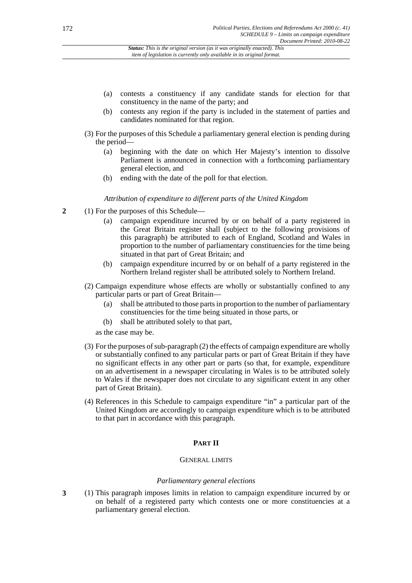- (a) contests a constituency if any candidate stands for election for that constituency in the name of the party; and
- (b) contests any region if the party is included in the statement of parties and candidates nominated for that region.
- (3) For the purposes of this Schedule a parliamentary general election is pending during the period—
	- (a) beginning with the date on which Her Majesty's intention to dissolve Parliament is announced in connection with a forthcoming parliamentary general election, and
	- (b) ending with the date of the poll for that election.

#### *Attribution of expenditure to different parts of the United Kingdom*

- **2** (1) For the purposes of this Schedule—
	- (a) campaign expenditure incurred by or on behalf of a party registered in the Great Britain register shall (subject to the following provisions of this paragraph) be attributed to each of England, Scotland and Wales in proportion to the number of parliamentary constituencies for the time being situated in that part of Great Britain; and
	- (b) campaign expenditure incurred by or on behalf of a party registered in the Northern Ireland register shall be attributed solely to Northern Ireland.
	- (2) Campaign expenditure whose effects are wholly or substantially confined to any particular parts or part of Great Britain—
		- (a) shall be attributed to those parts in proportion to the number of parliamentary constituencies for the time being situated in those parts, or
		- (b) shall be attributed solely to that part,

as the case may be.

- (3) For the purposes of sub-paragraph (2) the effects of campaign expenditure are wholly or substantially confined to any particular parts or part of Great Britain if they have no significant effects in any other part or parts (so that, for example, expenditure on an advertisement in a newspaper circulating in Wales is to be attributed solely to Wales if the newspaper does not circulate to any significant extent in any other part of Great Britain).
- (4) References in this Schedule to campaign expenditure "in" a particular part of the United Kingdom are accordingly to campaign expenditure which is to be attributed to that part in accordance with this paragraph.

#### **PART II**

## GENERAL LIMITS

#### *Parliamentary general elections*

**3** (1) This paragraph imposes limits in relation to campaign expenditure incurred by or on behalf of a registered party which contests one or more constituencies at a parliamentary general election.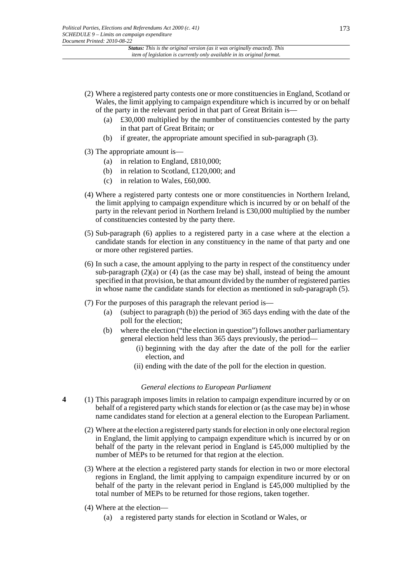- (2) Where a registered party contests one or more constituencies in England, Scotland or Wales, the limit applying to campaign expenditure which is incurred by or on behalf of the party in the relevant period in that part of Great Britain is—
	- (a) £30,000 multiplied by the number of constituencies contested by the party in that part of Great Britain; or
	- (b) if greater, the appropriate amount specified in sub-paragraph (3).
- (3) The appropriate amount is—
	- (a) in relation to England, £810,000;
	- (b) in relation to Scotland, £120,000; and
	- (c) in relation to Wales, £60,000.
- (4) Where a registered party contests one or more constituencies in Northern Ireland, the limit applying to campaign expenditure which is incurred by or on behalf of the party in the relevant period in Northern Ireland is £30,000 multiplied by the number of constituencies contested by the party there.
- (5) Sub-paragraph (6) applies to a registered party in a case where at the election a candidate stands for election in any constituency in the name of that party and one or more other registered parties.
- (6) In such a case, the amount applying to the party in respect of the constituency under sub-paragraph  $(2)(a)$  or  $(4)$  (as the case may be) shall, instead of being the amount specified in that provision, be that amount divided by the number of registered parties in whose name the candidate stands for election as mentioned in sub-paragraph (5).
- (7) For the purposes of this paragraph the relevant period is—
	- (a) (subject to paragraph (b)) the period of 365 days ending with the date of the poll for the election;
	- (b) where the election ("the election in question") follows another parliamentary general election held less than 365 days previously, the period—
		- (i) beginning with the day after the date of the poll for the earlier election, and
		- (ii) ending with the date of the poll for the election in question.

# *General elections to European Parliament*

- **4** (1) This paragraph imposes limits in relation to campaign expenditure incurred by or on behalf of a registered party which stands for election or (as the case may be) in whose name candidates stand for election at a general election to the European Parliament.
	- (2) Where at the election a registered party stands for election in only one electoral region in England, the limit applying to campaign expenditure which is incurred by or on behalf of the party in the relevant period in England is £45,000 multiplied by the number of MEPs to be returned for that region at the election.
	- (3) Where at the election a registered party stands for election in two or more electoral regions in England, the limit applying to campaign expenditure incurred by or on behalf of the party in the relevant period in England is £45,000 multiplied by the total number of MEPs to be returned for those regions, taken together.
	- (4) Where at the election—
		- (a) a registered party stands for election in Scotland or Wales, or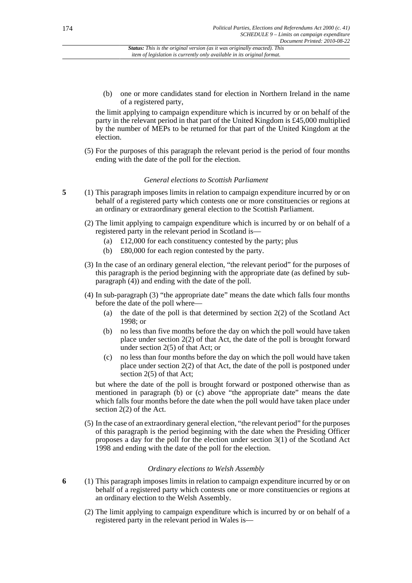(b) one or more candidates stand for election in Northern Ireland in the name of a registered party,

the limit applying to campaign expenditure which is incurred by or on behalf of the party in the relevant period in that part of the United Kingdom is £45,000 multiplied by the number of MEPs to be returned for that part of the United Kingdom at the election.

(5) For the purposes of this paragraph the relevant period is the period of four months ending with the date of the poll for the election.

# *General elections to Scottish Parliament*

- **5** (1) This paragraph imposes limits in relation to campaign expenditure incurred by or on behalf of a registered party which contests one or more constituencies or regions at an ordinary or extraordinary general election to the Scottish Parliament.
	- (2) The limit applying to campaign expenditure which is incurred by or on behalf of a registered party in the relevant period in Scotland is—
		- (a) £12,000 for each constituency contested by the party; plus
		- (b) £80,000 for each region contested by the party.
	- (3) In the case of an ordinary general election, "the relevant period" for the purposes of this paragraph is the period beginning with the appropriate date (as defined by subparagraph (4)) and ending with the date of the poll.
	- (4) In sub-paragraph (3) "the appropriate date" means the date which falls four months before the date of the poll where—
		- (a) the date of the poll is that determined by section 2(2) of the Scotland Act 1998; or
		- (b) no less than five months before the day on which the poll would have taken place under section 2(2) of that Act, the date of the poll is brought forward under section 2(5) of that Act; or
		- (c) no less than four months before the day on which the poll would have taken place under section 2(2) of that Act, the date of the poll is postponed under section 2(5) of that Act;

but where the date of the poll is brought forward or postponed otherwise than as mentioned in paragraph (b) or (c) above "the appropriate date" means the date which falls four months before the date when the poll would have taken place under section 2(2) of the Act.

(5) In the case of an extraordinary general election, "the relevant period" for the purposes of this paragraph is the period beginning with the date when the Presiding Officer proposes a day for the poll for the election under section 3(1) of the Scotland Act 1998 and ending with the date of the poll for the election.

## *Ordinary elections to Welsh Assembly*

**6** (1) This paragraph imposes limits in relation to campaign expenditure incurred by or on behalf of a registered party which contests one or more constituencies or regions at an ordinary election to the Welsh Assembly.

(2) The limit applying to campaign expenditure which is incurred by or on behalf of a registered party in the relevant period in Wales is—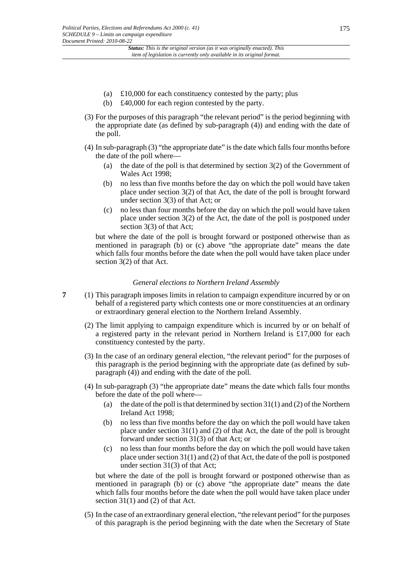- (a) £10,000 for each constituency contested by the party; plus
- (b) £40,000 for each region contested by the party.
- (3) For the purposes of this paragraph "the relevant period" is the period beginning with the appropriate date (as defined by sub-paragraph (4)) and ending with the date of the poll.
- (4) In sub-paragraph (3) "the appropriate date" is the date which falls four months before the date of the poll where—
	- (a) the date of the poll is that determined by section 3(2) of the Government of Wales Act 1998;
	- (b) no less than five months before the day on which the poll would have taken place under section 3(2) of that Act, the date of the poll is brought forward under section 3(3) of that Act; or
	- (c) no less than four months before the day on which the poll would have taken place under section 3(2) of the Act, the date of the poll is postponed under section 3(3) of that Act;

but where the date of the poll is brought forward or postponed otherwise than as mentioned in paragraph (b) or (c) above "the appropriate date" means the date which falls four months before the date when the poll would have taken place under section 3(2) of that Act.

# *General elections to Northern Ireland Assembly*

- **7** (1) This paragraph imposes limits in relation to campaign expenditure incurred by or on behalf of a registered party which contests one or more constituencies at an ordinary or extraordinary general election to the Northern Ireland Assembly.
	- (2) The limit applying to campaign expenditure which is incurred by or on behalf of a registered party in the relevant period in Northern Ireland is £17,000 for each constituency contested by the party.
	- (3) In the case of an ordinary general election, "the relevant period" for the purposes of this paragraph is the period beginning with the appropriate date (as defined by subparagraph (4)) and ending with the date of the poll.
	- (4) In sub-paragraph (3) "the appropriate date" means the date which falls four months before the date of the poll where—
		- (a) the date of the poll is that determined by section  $31(1)$  and (2) of the Northern Ireland Act 1998;
		- (b) no less than five months before the day on which the poll would have taken place under section 31(1) and (2) of that Act, the date of the poll is brought forward under section 31(3) of that Act; or
		- (c) no less than four months before the day on which the poll would have taken place under section 31(1) and (2) of that Act, the date of the poll is postponed under section 31(3) of that Act;

but where the date of the poll is brought forward or postponed otherwise than as mentioned in paragraph (b) or (c) above "the appropriate date" means the date which falls four months before the date when the poll would have taken place under section 31(1) and (2) of that Act.

(5) In the case of an extraordinary general election, "the relevant period" for the purposes of this paragraph is the period beginning with the date when the Secretary of State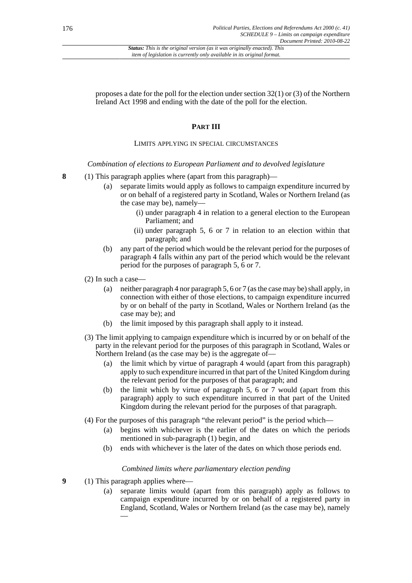proposes a date for the poll for the election under section 32(1) or (3) of the Northern Ireland Act 1998 and ending with the date of the poll for the election.

# **PART III**

#### LIMITS APPLYING IN SPECIAL CIRCUMSTANCES

*Combination of elections to European Parliament and to devolved legislature*

- **8** (1) This paragraph applies where (apart from this paragraph)—
	- (a) separate limits would apply as follows to campaign expenditure incurred by or on behalf of a registered party in Scotland, Wales or Northern Ireland (as the case may be), namely—
		- (i) under paragraph 4 in relation to a general election to the European Parliament; and
		- (ii) under paragraph 5, 6 or 7 in relation to an election within that paragraph; and
	- (b) any part of the period which would be the relevant period for the purposes of paragraph 4 falls within any part of the period which would be the relevant period for the purposes of paragraph 5, 6 or 7.
	- (2) In such a case—
		- (a) neither paragraph 4 nor paragraph 5, 6 or 7 (as the case may be) shall apply, in connection with either of those elections, to campaign expenditure incurred by or on behalf of the party in Scotland, Wales or Northern Ireland (as the case may be); and
		- (b) the limit imposed by this paragraph shall apply to it instead.
	- (3) The limit applying to campaign expenditure which is incurred by or on behalf of the party in the relevant period for the purposes of this paragraph in Scotland, Wales or Northern Ireland (as the case may be) is the aggregate of—
		- (a) the limit which by virtue of paragraph 4 would (apart from this paragraph) apply to such expenditure incurred in that part of the United Kingdom during the relevant period for the purposes of that paragraph; and
		- (b) the limit which by virtue of paragraph 5, 6 or 7 would (apart from this paragraph) apply to such expenditure incurred in that part of the United Kingdom during the relevant period for the purposes of that paragraph.
	- (4) For the purposes of this paragraph "the relevant period" is the period which—
		- (a) begins with whichever is the earlier of the dates on which the periods mentioned in sub-paragraph (1) begin, and
		- (b) ends with whichever is the later of the dates on which those periods end.

## *Combined limits where parliamentary election pending*

- **9** (1) This paragraph applies where—
	- (a) separate limits would (apart from this paragraph) apply as follows to campaign expenditure incurred by or on behalf of a registered party in England, Scotland, Wales or Northern Ireland (as the case may be), namely —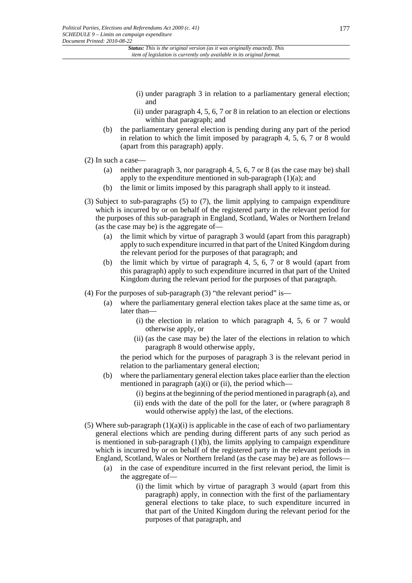- (i) under paragraph 3 in relation to a parliamentary general election; and
- (ii) under paragraph 4, 5, 6, 7 or 8 in relation to an election or elections within that paragraph; and
- (b) the parliamentary general election is pending during any part of the period in relation to which the limit imposed by paragraph 4, 5, 6, 7 or 8 would (apart from this paragraph) apply.
- (2) In such a case—
	- (a) neither paragraph 3, nor paragraph 4, 5, 6, 7 or 8 (as the case may be) shall apply to the expenditure mentioned in sub-paragraph  $(1)(a)$ ; and
	- (b) the limit or limits imposed by this paragraph shall apply to it instead.
- (3) Subject to sub-paragraphs (5) to (7), the limit applying to campaign expenditure which is incurred by or on behalf of the registered party in the relevant period for the purposes of this sub-paragraph in England, Scotland, Wales or Northern Ireland (as the case may be) is the aggregate of—
	- (a) the limit which by virtue of paragraph 3 would (apart from this paragraph) apply to such expenditure incurred in that part of the United Kingdom during the relevant period for the purposes of that paragraph; and
	- (b) the limit which by virtue of paragraph 4, 5, 6, 7 or 8 would (apart from this paragraph) apply to such expenditure incurred in that part of the United Kingdom during the relevant period for the purposes of that paragraph.

(4) For the purposes of sub-paragraph (3) "the relevant period" is—

- (a) where the parliamentary general election takes place at the same time as, or later than—
	- (i) the election in relation to which paragraph 4, 5, 6 or 7 would otherwise apply, or
	- (ii) (as the case may be) the later of the elections in relation to which paragraph 8 would otherwise apply,

the period which for the purposes of paragraph 3 is the relevant period in relation to the parliamentary general election;

- (b) where the parliamentary general election takes place earlier than the election mentioned in paragraph  $(a)(i)$  or  $(ii)$ , the period which—
	- (i) begins at the beginning of the period mentioned in paragraph (a), and
	- (ii) ends with the date of the poll for the later, or (where paragraph 8 would otherwise apply) the last, of the elections.
- (5) Where sub-paragraph  $(1)(a)(i)$  is applicable in the case of each of two parliamentary general elections which are pending during different parts of any such period as is mentioned in sub-paragraph (1)(b), the limits applying to campaign expenditure which is incurred by or on behalf of the registered party in the relevant periods in England, Scotland, Wales or Northern Ireland (as the case may be) are as follows—
	- (a) in the case of expenditure incurred in the first relevant period, the limit is the aggregate of—
		- (i) the limit which by virtue of paragraph 3 would (apart from this paragraph) apply, in connection with the first of the parliamentary general elections to take place, to such expenditure incurred in that part of the United Kingdom during the relevant period for the purposes of that paragraph, and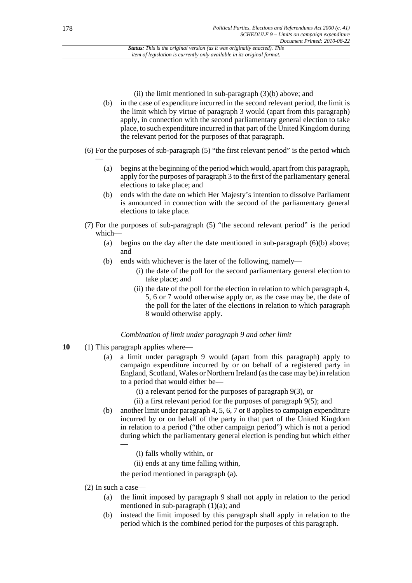(ii) the limit mentioned in sub-paragraph  $(3)(b)$  above; and

- (b) in the case of expenditure incurred in the second relevant period, the limit is the limit which by virtue of paragraph 3 would (apart from this paragraph) apply, in connection with the second parliamentary general election to take place, to such expenditure incurred in that part of the United Kingdom during the relevant period for the purposes of that paragraph.
- (6) For the purposes of sub-paragraph (5) "the first relevant period" is the period which
	- (a) begins at the beginning of the period which would, apart from this paragraph, apply for the purposes of paragraph 3 to the first of the parliamentary general elections to take place; and
	- (b) ends with the date on which Her Majesty's intention to dissolve Parliament is announced in connection with the second of the parliamentary general elections to take place.
- (7) For the purposes of sub-paragraph (5) "the second relevant period" is the period which—
	- (a) begins on the day after the date mentioned in sub-paragraph  $(6)(b)$  above; and
	- (b) ends with whichever is the later of the following, namely—
		- (i) the date of the poll for the second parliamentary general election to take place; and
		- (ii) the date of the poll for the election in relation to which paragraph 4, 5, 6 or 7 would otherwise apply or, as the case may be, the date of the poll for the later of the elections in relation to which paragraph 8 would otherwise apply.

# *Combination of limit under paragraph 9 and other limit*

- **10** (1) This paragraph applies where—
	- (a) a limit under paragraph 9 would (apart from this paragraph) apply to campaign expenditure incurred by or on behalf of a registered party in England, Scotland, Wales or Northern Ireland (as the case may be) in relation to a period that would either be—
		- (i) a relevant period for the purposes of paragraph 9(3), or
		- (ii) a first relevant period for the purposes of paragraph 9(5); and
	- (b) another limit under paragraph 4, 5, 6, 7 or 8 applies to campaign expenditure incurred by or on behalf of the party in that part of the United Kingdom in relation to a period ("the other campaign period") which is not a period during which the parliamentary general election is pending but which either  $\overline{\phantom{a}}$ 
		- (i) falls wholly within, or
		- (ii) ends at any time falling within,

the period mentioned in paragraph (a).

- (2) In such a case—
	- (a) the limit imposed by paragraph 9 shall not apply in relation to the period mentioned in sub-paragraph  $(1)(a)$ ; and
	- (b) instead the limit imposed by this paragraph shall apply in relation to the period which is the combined period for the purposes of this paragraph.

 $\overline{\phantom{a}}$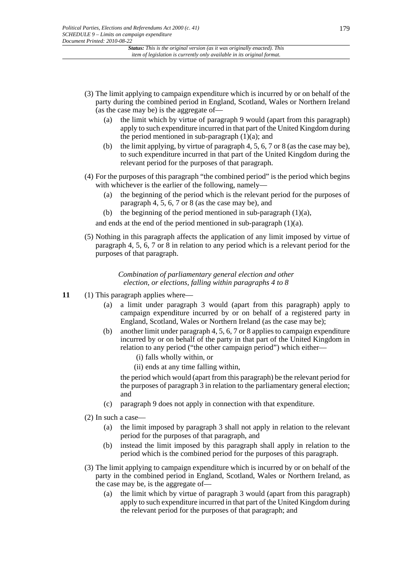- (3) The limit applying to campaign expenditure which is incurred by or on behalf of the party during the combined period in England, Scotland, Wales or Northern Ireland (as the case may be) is the aggregate of—
	- (a) the limit which by virtue of paragraph 9 would (apart from this paragraph) apply to such expenditure incurred in that part of the United Kingdom during the period mentioned in sub-paragraph  $(1)(a)$ ; and
	- (b) the limit applying, by virtue of paragraph 4, 5, 6, 7 or 8 (as the case may be), to such expenditure incurred in that part of the United Kingdom during the relevant period for the purposes of that paragraph.
- (4) For the purposes of this paragraph "the combined period" is the period which begins with whichever is the earlier of the following, namely—
	- (a) the beginning of the period which is the relevant period for the purposes of paragraph 4, 5, 6, 7 or 8 (as the case may be), and
	- (b) the beginning of the period mentioned in sub-paragraph  $(1)(a)$ ,

and ends at the end of the period mentioned in sub-paragraph  $(1)(a)$ .

(5) Nothing in this paragraph affects the application of any limit imposed by virtue of paragraph 4, 5, 6, 7 or 8 in relation to any period which is a relevant period for the purposes of that paragraph.

# *Combination of parliamentary general election and other election, or elections, falling within paragraphs 4 to 8*

- **11** (1) This paragraph applies where—
	- (a) a limit under paragraph 3 would (apart from this paragraph) apply to campaign expenditure incurred by or on behalf of a registered party in England, Scotland, Wales or Northern Ireland (as the case may be);
	- (b) another limit under paragraph 4, 5, 6, 7 or 8 applies to campaign expenditure incurred by or on behalf of the party in that part of the United Kingdom in relation to any period ("the other campaign period") which either—
		- (i) falls wholly within, or
		- (ii) ends at any time falling within,

the period which would (apart from this paragraph) be the relevant period for the purposes of paragraph 3 in relation to the parliamentary general election; and

(c) paragraph 9 does not apply in connection with that expenditure.

(2) In such a case—

- (a) the limit imposed by paragraph 3 shall not apply in relation to the relevant period for the purposes of that paragraph, and
- (b) instead the limit imposed by this paragraph shall apply in relation to the period which is the combined period for the purposes of this paragraph.
- (3) The limit applying to campaign expenditure which is incurred by or on behalf of the party in the combined period in England, Scotland, Wales or Northern Ireland, as the case may be, is the aggregate of—
	- (a) the limit which by virtue of paragraph 3 would (apart from this paragraph) apply to such expenditure incurred in that part of the United Kingdom during the relevant period for the purposes of that paragraph; and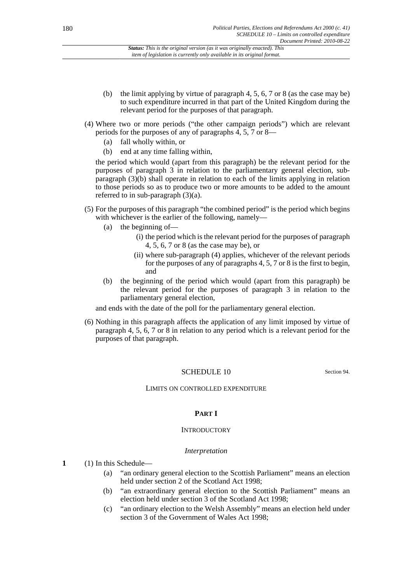- (b) the limit applying by virtue of paragraph 4, 5, 6, 7 or 8 (as the case may be) to such expenditure incurred in that part of the United Kingdom during the relevant period for the purposes of that paragraph.
- (4) Where two or more periods ("the other campaign periods") which are relevant periods for the purposes of any of paragraphs 4, 5, 7 or 8—
	- (a) fall wholly within, or
	- (b) end at any time falling within,

the period which would (apart from this paragraph) be the relevant period for the purposes of paragraph 3 in relation to the parliamentary general election, subparagraph (3)(b) shall operate in relation to each of the limits applying in relation to those periods so as to produce two or more amounts to be added to the amount referred to in sub-paragraph (3)(a).

- (5) For the purposes of this paragraph "the combined period" is the period which begins with whichever is the earlier of the following, namely—
	- (a) the beginning of—
		- (i) the period which is the relevant period for the purposes of paragraph 4, 5, 6, 7 or 8 (as the case may be), or
		- (ii) where sub-paragraph (4) applies, whichever of the relevant periods for the purposes of any of paragraphs 4, 5, 7 or 8 is the first to begin, and
	- (b) the beginning of the period which would (apart from this paragraph) be the relevant period for the purposes of paragraph 3 in relation to the parliamentary general election,

and ends with the date of the poll for the parliamentary general election.

(6) Nothing in this paragraph affects the application of any limit imposed by virtue of paragraph 4, 5, 6, 7 or 8 in relation to any period which is a relevant period for the purposes of that paragraph.

## SCHEDULE 10 Section 94.

## LIMITS ON CONTROLLED EXPENDITURE

# **PART I**

## **INTRODUCTORY**

#### *Interpretation*

- **1** (1) In this Schedule—
	- (a) "an ordinary general election to the Scottish Parliament" means an election held under section 2 of the Scotland Act 1998;
	- (b) "an extraordinary general election to the Scottish Parliament" means an election held under section 3 of the Scotland Act 1998;
	- (c) "an ordinary election to the Welsh Assembly" means an election held under section 3 of the Government of Wales Act 1998;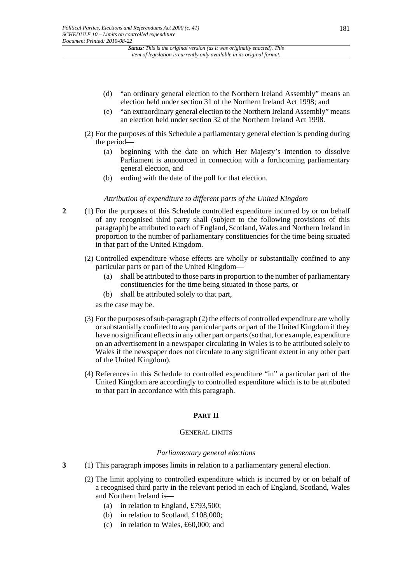- (d) "an ordinary general election to the Northern Ireland Assembly" means an election held under section 31 of the Northern Ireland Act 1998; and
- (e) "an extraordinary general election to the Northern Ireland Assembly" means an election held under section 32 of the Northern Ireland Act 1998.
- (2) For the purposes of this Schedule a parliamentary general election is pending during the period—
	- (a) beginning with the date on which Her Majesty's intention to dissolve Parliament is announced in connection with a forthcoming parliamentary general election, and
	- (b) ending with the date of the poll for that election.

#### *Attribution of expenditure to different parts of the United Kingdom*

- **2** (1) For the purposes of this Schedule controlled expenditure incurred by or on behalf of any recognised third party shall (subject to the following provisions of this paragraph) be attributed to each of England, Scotland, Wales and Northern Ireland in proportion to the number of parliamentary constituencies for the time being situated in that part of the United Kingdom.
	- (2) Controlled expenditure whose effects are wholly or substantially confined to any particular parts or part of the United Kingdom—
		- (a) shall be attributed to those parts in proportion to the number of parliamentary constituencies for the time being situated in those parts, or
		- (b) shall be attributed solely to that part,

as the case may be.

- (3) For the purposes of sub-paragraph (2) the effects of controlled expenditure are wholly or substantially confined to any particular parts or part of the United Kingdom if they have no significant effects in any other part or parts (so that, for example, expenditure on an advertisement in a newspaper circulating in Wales is to be attributed solely to Wales if the newspaper does not circulate to any significant extent in any other part of the United Kingdom).
- (4) References in this Schedule to controlled expenditure "in" a particular part of the United Kingdom are accordingly to controlled expenditure which is to be attributed to that part in accordance with this paragraph.

# **PART II**

#### GENERAL LIMITS

# *Parliamentary general elections*

- **3** (1) This paragraph imposes limits in relation to a parliamentary general election.
	- (2) The limit applying to controlled expenditure which is incurred by or on behalf of a recognised third party in the relevant period in each of England, Scotland, Wales and Northern Ireland is—
		- (a) in relation to England, £793,500;
		- (b) in relation to Scotland, £108,000;
		- (c) in relation to Wales, £60,000; and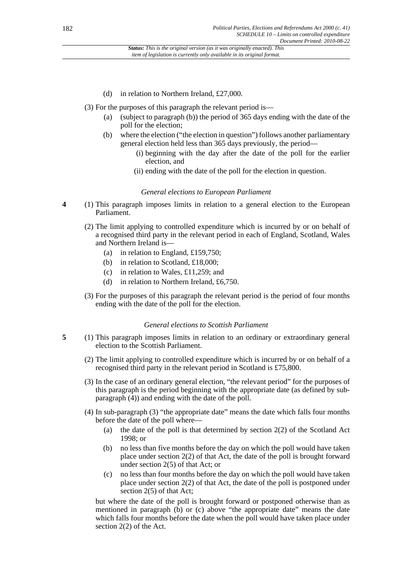- (d) in relation to Northern Ireland, £27,000.
- (3) For the purposes of this paragraph the relevant period is—
	- (a) (subject to paragraph (b)) the period of 365 days ending with the date of the poll for the election;
	- (b) where the election ("the election in question") follows another parliamentary general election held less than 365 days previously, the period—
		- (i) beginning with the day after the date of the poll for the earlier election, and
		- (ii) ending with the date of the poll for the election in question.

# *General elections to European Parliament*

- **4** (1) This paragraph imposes limits in relation to a general election to the European Parliament.
	- (2) The limit applying to controlled expenditure which is incurred by or on behalf of a recognised third party in the relevant period in each of England, Scotland, Wales and Northern Ireland is—
		- (a) in relation to England, £159,750;
		- (b) in relation to Scotland, £18,000;
		- (c) in relation to Wales, £11,259; and
		- (d) in relation to Northern Ireland, £6,750.
	- (3) For the purposes of this paragraph the relevant period is the period of four months ending with the date of the poll for the election.

# *General elections to Scottish Parliament*

- **5** (1) This paragraph imposes limits in relation to an ordinary or extraordinary general election to the Scottish Parliament.
	- (2) The limit applying to controlled expenditure which is incurred by or on behalf of a recognised third party in the relevant period in Scotland is £75,800.
	- (3) In the case of an ordinary general election, "the relevant period" for the purposes of this paragraph is the period beginning with the appropriate date (as defined by subparagraph (4)) and ending with the date of the poll.
	- (4) In sub-paragraph (3) "the appropriate date" means the date which falls four months before the date of the poll where—
		- (a) the date of the poll is that determined by section 2(2) of the Scotland Act 1998; or
		- (b) no less than five months before the day on which the poll would have taken place under section 2(2) of that Act, the date of the poll is brought forward under section 2(5) of that Act; or
		- (c) no less than four months before the day on which the poll would have taken place under section 2(2) of that Act, the date of the poll is postponed under section 2(5) of that Act;

but where the date of the poll is brought forward or postponed otherwise than as mentioned in paragraph (b) or (c) above "the appropriate date" means the date which falls four months before the date when the poll would have taken place under section 2(2) of the Act.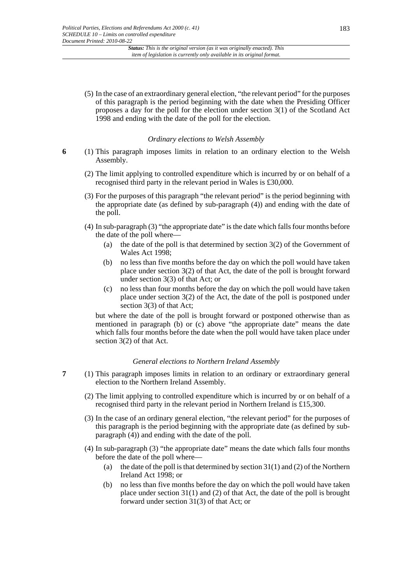(5) In the case of an extraordinary general election, "the relevant period" for the purposes of this paragraph is the period beginning with the date when the Presiding Officer proposes a day for the poll for the election under section 3(1) of the Scotland Act 1998 and ending with the date of the poll for the election.

### *Ordinary elections to Welsh Assembly*

- **6** (1) This paragraph imposes limits in relation to an ordinary election to the Welsh Assembly.
	- (2) The limit applying to controlled expenditure which is incurred by or on behalf of a recognised third party in the relevant period in Wales is £30,000.
	- (3) For the purposes of this paragraph "the relevant period" is the period beginning with the appropriate date (as defined by sub-paragraph (4)) and ending with the date of the poll.
	- (4) In sub-paragraph (3) "the appropriate date" is the date which falls four months before the date of the poll where—
		- (a) the date of the poll is that determined by section  $3(2)$  of the Government of Wales Act 1998;
		- (b) no less than five months before the day on which the poll would have taken place under section 3(2) of that Act, the date of the poll is brought forward under section 3(3) of that Act; or
		- (c) no less than four months before the day on which the poll would have taken place under section 3(2) of the Act, the date of the poll is postponed under section 3(3) of that Act;

but where the date of the poll is brought forward or postponed otherwise than as mentioned in paragraph (b) or (c) above "the appropriate date" means the date which falls four months before the date when the poll would have taken place under section 3(2) of that Act.

### *General elections to Northern Ireland Assembly*

- **7** (1) This paragraph imposes limits in relation to an ordinary or extraordinary general election to the Northern Ireland Assembly.
	- (2) The limit applying to controlled expenditure which is incurred by or on behalf of a recognised third party in the relevant period in Northern Ireland is £15,300.
	- (3) In the case of an ordinary general election, "the relevant period" for the purposes of this paragraph is the period beginning with the appropriate date (as defined by subparagraph (4)) and ending with the date of the poll.
	- (4) In sub-paragraph (3) "the appropriate date" means the date which falls four months before the date of the poll where—
		- (a) the date of the poll is that determined by section  $31(1)$  and (2) of the Northern Ireland Act 1998; or
		- (b) no less than five months before the day on which the poll would have taken place under section 31(1) and (2) of that Act, the date of the poll is brought forward under section 31(3) of that Act; or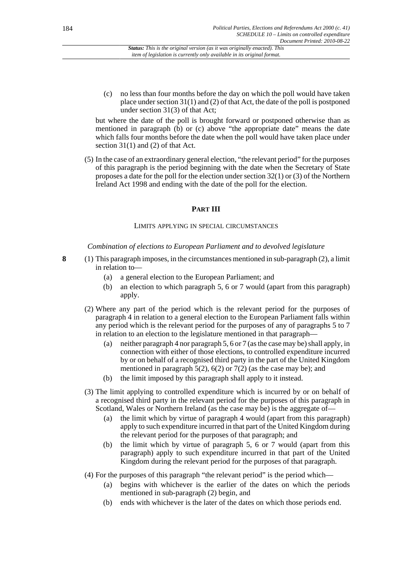(c) no less than four months before the day on which the poll would have taken place under section 31(1) and (2) of that Act, the date of the poll is postponed under section 31(3) of that Act;

but where the date of the poll is brought forward or postponed otherwise than as mentioned in paragraph (b) or (c) above "the appropriate date" means the date which falls four months before the date when the poll would have taken place under section 31(1) and (2) of that Act.

(5) In the case of an extraordinary general election, "the relevant period" for the purposes of this paragraph is the period beginning with the date when the Secretary of State proposes a date for the poll for the election under section 32(1) or (3) of the Northern Ireland Act 1998 and ending with the date of the poll for the election.

# **PART III**

# LIMITS APPLYING IN SPECIAL CIRCUMSTANCES

# *Combination of elections to European Parliament and to devolved legislature*

- **8** (1) This paragraph imposes, in the circumstances mentioned in sub-paragraph (2), a limit in relation to—
	- (a) a general election to the European Parliament; and
	- (b) an election to which paragraph 5, 6 or 7 would (apart from this paragraph) apply.
	- (2) Where any part of the period which is the relevant period for the purposes of paragraph 4 in relation to a general election to the European Parliament falls within any period which is the relevant period for the purposes of any of paragraphs 5 to 7 in relation to an election to the legislature mentioned in that paragraph—
		- (a) neither paragraph 4 nor paragraph 5, 6 or 7 (as the case may be) shall apply, in connection with either of those elections, to controlled expenditure incurred by or on behalf of a recognised third party in the part of the United Kingdom mentioned in paragraph  $5(2)$ ,  $6(2)$  or  $7(2)$  (as the case may be); and
		- (b) the limit imposed by this paragraph shall apply to it instead.
	- (3) The limit applying to controlled expenditure which is incurred by or on behalf of a recognised third party in the relevant period for the purposes of this paragraph in Scotland, Wales or Northern Ireland (as the case may be) is the aggregate of—
		- (a) the limit which by virtue of paragraph 4 would (apart from this paragraph) apply to such expenditure incurred in that part of the United Kingdom during the relevant period for the purposes of that paragraph; and
		- (b) the limit which by virtue of paragraph 5, 6 or 7 would (apart from this paragraph) apply to such expenditure incurred in that part of the United Kingdom during the relevant period for the purposes of that paragraph.
	- (4) For the purposes of this paragraph "the relevant period" is the period which—
		- (a) begins with whichever is the earlier of the dates on which the periods mentioned in sub-paragraph (2) begin, and
		- (b) ends with whichever is the later of the dates on which those periods end.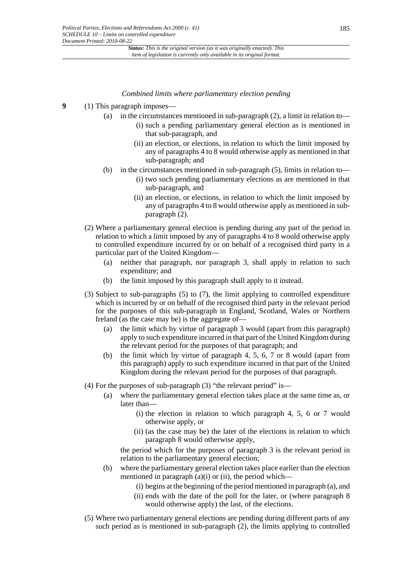#### *Combined limits where parliamentary election pending*

# **9** (1) This paragraph imposes—

- (a) in the circumstances mentioned in sub-paragraph (2), a limit in relation to—
	- (i) such a pending parliamentary general election as is mentioned in that sub-paragraph, and
	- (ii) an election, or elections, in relation to which the limit imposed by any of paragraphs 4 to 8 would otherwise apply as mentioned in that sub-paragraph; and
- (b) in the circumstances mentioned in sub-paragraph (5), limits in relation to—
	- (i) two such pending parliamentary elections as are mentioned in that sub-paragraph, and
	- (ii) an election, or elections, in relation to which the limit imposed by any of paragraphs 4 to 8 would otherwise apply as mentioned in subparagraph (2).
- (2) Where a parliamentary general election is pending during any part of the period in relation to which a limit imposed by any of paragraphs 4 to 8 would otherwise apply to controlled expenditure incurred by or on behalf of a recognised third party in a particular part of the United Kingdom—
	- (a) neither that paragraph, nor paragraph 3, shall apply in relation to such expenditure; and
	- (b) the limit imposed by this paragraph shall apply to it instead.
- (3) Subject to sub-paragraphs (5) to (7), the limit applying to controlled expenditure which is incurred by or on behalf of the recognised third party in the relevant period for the purposes of this sub-paragraph in England, Scotland, Wales or Northern Ireland (as the case may be) is the aggregate of—
	- (a) the limit which by virtue of paragraph 3 would (apart from this paragraph) apply to such expenditure incurred in that part of the United Kingdom during the relevant period for the purposes of that paragraph; and
	- (b) the limit which by virtue of paragraph 4, 5, 6, 7 or 8 would (apart from this paragraph) apply to such expenditure incurred in that part of the United Kingdom during the relevant period for the purposes of that paragraph.
- (4) For the purposes of sub-paragraph  $(3)$  "the relevant period" is—
	- (a) where the parliamentary general election takes place at the same time as, or later than—
		- (i) the election in relation to which paragraph 4, 5, 6 or 7 would otherwise apply, or
		- (ii) (as the case may be) the later of the elections in relation to which paragraph 8 would otherwise apply,

the period which for the purposes of paragraph 3 is the relevant period in relation to the parliamentary general election;

- (b) where the parliamentary general election takes place earlier than the election mentioned in paragraph  $(a)(i)$  or  $(ii)$ , the period which—
	- (i) begins at the beginning of the period mentioned in paragraph (a), and
	- (ii) ends with the date of the poll for the later, or (where paragraph 8 would otherwise apply) the last, of the elections.
- (5) Where two parliamentary general elections are pending during different parts of any such period as is mentioned in sub-paragraph (2), the limits applying to controlled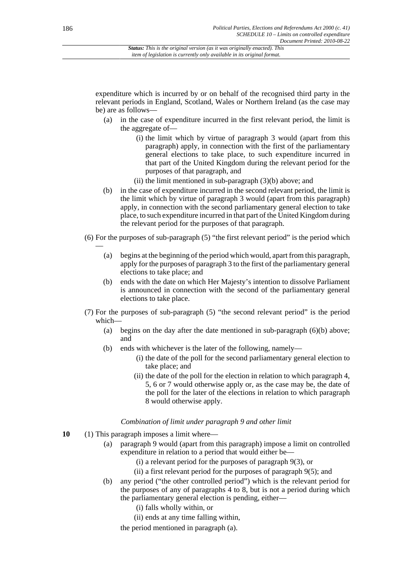expenditure which is incurred by or on behalf of the recognised third party in the relevant periods in England, Scotland, Wales or Northern Ireland (as the case may be) are as follows—

- (a) in the case of expenditure incurred in the first relevant period, the limit is the aggregate of—
	- (i) the limit which by virtue of paragraph 3 would (apart from this paragraph) apply, in connection with the first of the parliamentary general elections to take place, to such expenditure incurred in that part of the United Kingdom during the relevant period for the purposes of that paragraph, and
	- (ii) the limit mentioned in sub-paragraph (3)(b) above; and
- (b) in the case of expenditure incurred in the second relevant period, the limit is the limit which by virtue of paragraph 3 would (apart from this paragraph) apply, in connection with the second parliamentary general election to take place, to such expenditure incurred in that part of the United Kingdom during the relevant period for the purposes of that paragraph.
- (6) For the purposes of sub-paragraph (5) "the first relevant period" is the period which
	- (a) begins at the beginning of the period which would, apart from this paragraph, apply for the purposes of paragraph 3 to the first of the parliamentary general elections to take place; and
	- (b) ends with the date on which Her Majesty's intention to dissolve Parliament is announced in connection with the second of the parliamentary general elections to take place.
- (7) For the purposes of sub-paragraph (5) "the second relevant period" is the period which—
	- (a) begins on the day after the date mentioned in sub-paragraph  $(6)(b)$  above; and
	- (b) ends with whichever is the later of the following, namely—
		- (i) the date of the poll for the second parliamentary general election to take place; and
		- (ii) the date of the poll for the election in relation to which paragraph 4, 5, 6 or 7 would otherwise apply or, as the case may be, the date of the poll for the later of the elections in relation to which paragraph 8 would otherwise apply.

# *Combination of limit under paragraph 9 and other limit*

- **10** (1) This paragraph imposes a limit where—
	- (a) paragraph 9 would (apart from this paragraph) impose a limit on controlled expenditure in relation to a period that would either be—
		- (i) a relevant period for the purposes of paragraph 9(3), or
		- (ii) a first relevant period for the purposes of paragraph 9(5); and
	- (b) any period ("the other controlled period") which is the relevant period for the purposes of any of paragraphs 4 to 8, but is not a period during which the parliamentary general election is pending, either—
		- (i) falls wholly within, or
		- (ii) ends at any time falling within,
		- the period mentioned in paragraph (a).

 $\overline{\phantom{a}}$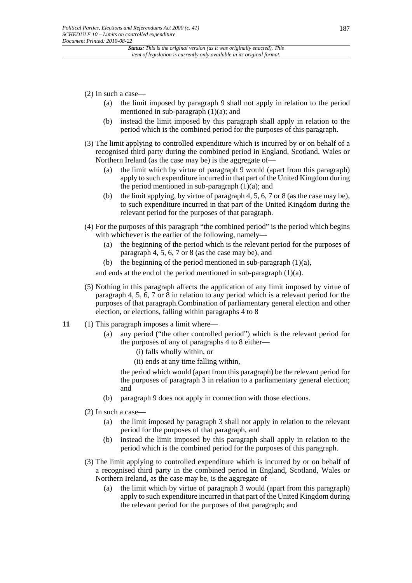(2) In such a case—

- (a) the limit imposed by paragraph 9 shall not apply in relation to the period mentioned in sub-paragraph (1)(a); and
- (b) instead the limit imposed by this paragraph shall apply in relation to the period which is the combined period for the purposes of this paragraph.
- (3) The limit applying to controlled expenditure which is incurred by or on behalf of a recognised third party during the combined period in England, Scotland, Wales or Northern Ireland (as the case may be) is the aggregate of—
	- (a) the limit which by virtue of paragraph 9 would (apart from this paragraph) apply to such expenditure incurred in that part of the United Kingdom during the period mentioned in sub-paragraph  $(1)(a)$ ; and
	- (b) the limit applying, by virtue of paragraph 4, 5, 6, 7 or 8 (as the case may be), to such expenditure incurred in that part of the United Kingdom during the relevant period for the purposes of that paragraph.
- (4) For the purposes of this paragraph "the combined period" is the period which begins with whichever is the earlier of the following, namely—
	- (a) the beginning of the period which is the relevant period for the purposes of paragraph 4, 5, 6, 7 or 8 (as the case may be), and
	- (b) the beginning of the period mentioned in sub-paragraph  $(1)(a)$ ,

and ends at the end of the period mentioned in sub-paragraph (1)(a).

- (5) Nothing in this paragraph affects the application of any limit imposed by virtue of paragraph 4, 5, 6, 7 or 8 in relation to any period which is a relevant period for the purposes of that paragraph.Combination of parliamentary general election and other election, or elections, falling within paragraphs 4 to 8
- **11** (1) This paragraph imposes a limit where—
	- (a) any period ("the other controlled period") which is the relevant period for the purposes of any of paragraphs 4 to 8 either—
		- (i) falls wholly within, or
		- (ii) ends at any time falling within,

the period which would (apart from this paragraph) be the relevant period for the purposes of paragraph 3 in relation to a parliamentary general election; and

- (b) paragraph 9 does not apply in connection with those elections.
- (2) In such a case—
	- (a) the limit imposed by paragraph 3 shall not apply in relation to the relevant period for the purposes of that paragraph, and
	- (b) instead the limit imposed by this paragraph shall apply in relation to the period which is the combined period for the purposes of this paragraph.
- (3) The limit applying to controlled expenditure which is incurred by or on behalf of a recognised third party in the combined period in England, Scotland, Wales or Northern Ireland, as the case may be, is the aggregate of—
	- (a) the limit which by virtue of paragraph 3 would (apart from this paragraph) apply to such expenditure incurred in that part of the United Kingdom during the relevant period for the purposes of that paragraph; and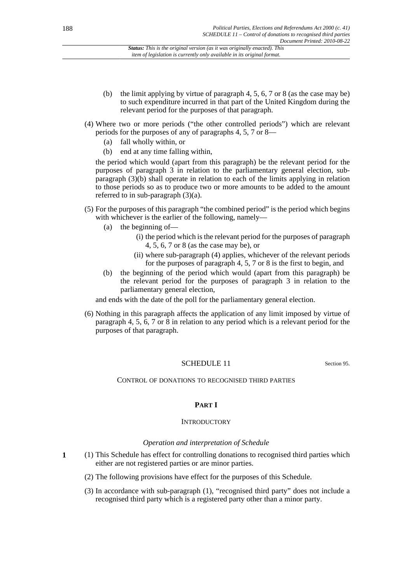- (b) the limit applying by virtue of paragraph 4, 5, 6, 7 or 8 (as the case may be) to such expenditure incurred in that part of the United Kingdom during the relevant period for the purposes of that paragraph.
- (4) Where two or more periods ("the other controlled periods") which are relevant periods for the purposes of any of paragraphs 4, 5, 7 or 8—
	- (a) fall wholly within, or
	- (b) end at any time falling within,

the period which would (apart from this paragraph) be the relevant period for the purposes of paragraph 3 in relation to the parliamentary general election, subparagraph (3)(b) shall operate in relation to each of the limits applying in relation to those periods so as to produce two or more amounts to be added to the amount referred to in sub-paragraph (3)(a).

- (5) For the purposes of this paragraph "the combined period" is the period which begins with whichever is the earlier of the following, namely—
	- (a) the beginning of—
		- (i) the period which is the relevant period for the purposes of paragraph 4, 5, 6, 7 or 8 (as the case may be), or
		- (ii) where sub-paragraph (4) applies, whichever of the relevant periods for the purposes of paragraph 4, 5, 7 or 8 is the first to begin, and
	- (b) the beginning of the period which would (apart from this paragraph) be the relevant period for the purposes of paragraph 3 in relation to the parliamentary general election,

and ends with the date of the poll for the parliamentary general election.

(6) Nothing in this paragraph affects the application of any limit imposed by virtue of paragraph 4, 5, 6, 7 or 8 in relation to any period which is a relevant period for the purposes of that paragraph.

# SCHEDULE 11 Section 95.

# CONTROL OF DONATIONS TO RECOGNISED THIRD PARTIES

# **PART I**

# **INTRODUCTORY**

### *Operation and interpretation of Schedule*

- **1** (1) This Schedule has effect for controlling donations to recognised third parties which either are not registered parties or are minor parties.
	- (2) The following provisions have effect for the purposes of this Schedule.
	- (3) In accordance with sub-paragraph (1), "recognised third party" does not include a recognised third party which is a registered party other than a minor party.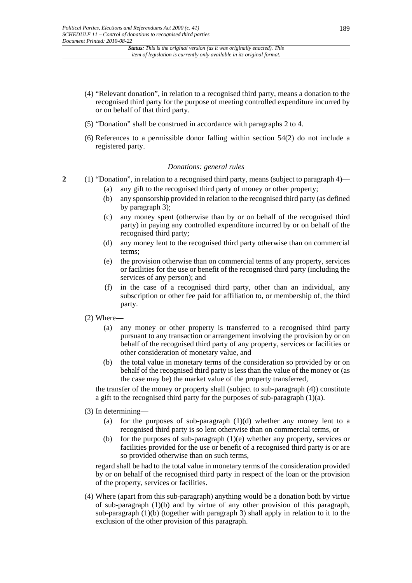- (4) "Relevant donation", in relation to a recognised third party, means a donation to the recognised third party for the purpose of meeting controlled expenditure incurred by or on behalf of that third party.
- (5) "Donation" shall be construed in accordance with paragraphs 2 to 4.
- (6) References to a permissible donor falling within section 54(2) do not include a registered party.

# *Donations: general rules*

- **2** (1) "Donation", in relation to a recognised third party, means (subject to paragraph 4)—
	- (a) any gift to the recognised third party of money or other property;
	- (b) any sponsorship provided in relation to the recognised third party (as defined by paragraph 3);
	- (c) any money spent (otherwise than by or on behalf of the recognised third party) in paying any controlled expenditure incurred by or on behalf of the recognised third party;
	- (d) any money lent to the recognised third party otherwise than on commercial terms;
	- (e) the provision otherwise than on commercial terms of any property, services or facilities for the use or benefit of the recognised third party (including the services of any person); and
	- (f) in the case of a recognised third party, other than an individual, any subscription or other fee paid for affiliation to, or membership of, the third party.
	- (2) Where—
		- (a) any money or other property is transferred to a recognised third party pursuant to any transaction or arrangement involving the provision by or on behalf of the recognised third party of any property, services or facilities or other consideration of monetary value, and
		- (b) the total value in monetary terms of the consideration so provided by or on behalf of the recognised third party is less than the value of the money or (as the case may be) the market value of the property transferred,

the transfer of the money or property shall (subject to sub-paragraph (4)) constitute a gift to the recognised third party for the purposes of sub-paragraph  $(1)(a)$ .

- (3) In determining—
	- (a) for the purposes of sub-paragraph  $(1)(d)$  whether any money lent to a recognised third party is so lent otherwise than on commercial terms, or
	- (b) for the purposes of sub-paragraph (1)(e) whether any property, services or facilities provided for the use or benefit of a recognised third party is or are so provided otherwise than on such terms,

regard shall be had to the total value in monetary terms of the consideration provided by or on behalf of the recognised third party in respect of the loan or the provision of the property, services or facilities.

(4) Where (apart from this sub-paragraph) anything would be a donation both by virtue of sub-paragraph (1)(b) and by virtue of any other provision of this paragraph, sub-paragraph (1)(b) (together with paragraph 3) shall apply in relation to it to the exclusion of the other provision of this paragraph.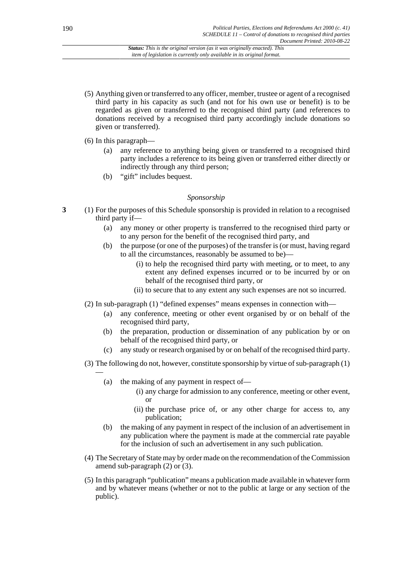(5) Anything given or transferred to any officer, member, trustee or agent of a recognised third party in his capacity as such (and not for his own use or benefit) is to be regarded as given or transferred to the recognised third party (and references to donations received by a recognised third party accordingly include donations so given or transferred).

(6) In this paragraph—

—

- (a) any reference to anything being given or transferred to a recognised third party includes a reference to its being given or transferred either directly or indirectly through any third person;
- (b) "gift" includes bequest.

# *Sponsorship*

- **3** (1) For the purposes of this Schedule sponsorship is provided in relation to a recognised third party if—
	- (a) any money or other property is transferred to the recognised third party or to any person for the benefit of the recognised third party, and
	- (b) the purpose (or one of the purposes) of the transfer is (or must, having regard to all the circumstances, reasonably be assumed to be)—
		- (i) to help the recognised third party with meeting, or to meet, to any extent any defined expenses incurred or to be incurred by or on behalf of the recognised third party, or
		- (ii) to secure that to any extent any such expenses are not so incurred.
	- (2) In sub-paragraph (1) "defined expenses" means expenses in connection with—
		- (a) any conference, meeting or other event organised by or on behalf of the recognised third party,
		- (b) the preparation, production or dissemination of any publication by or on behalf of the recognised third party, or
		- (c) any study or research organised by or on behalf of the recognised third party.
	- (3) The following do not, however, constitute sponsorship by virtue of sub-paragraph (1)
		- (a) the making of any payment in respect of—
			- (i) any charge for admission to any conference, meeting or other event, or
			- (ii) the purchase price of, or any other charge for access to, any publication;
		- (b) the making of any payment in respect of the inclusion of an advertisement in any publication where the payment is made at the commercial rate payable for the inclusion of such an advertisement in any such publication.
	- (4) The Secretary of State may by order made on the recommendation of the Commission amend sub-paragraph (2) or (3).
	- (5) In this paragraph "publication" means a publication made available in whatever form and by whatever means (whether or not to the public at large or any section of the public).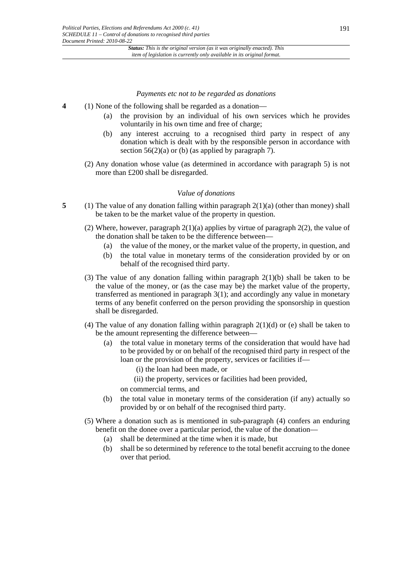### *Payments etc not to be regarded as donations*

- **4** (1) None of the following shall be regarded as a donation—
	- (a) the provision by an individual of his own services which he provides voluntarily in his own time and free of charge;
	- (b) any interest accruing to a recognised third party in respect of any donation which is dealt with by the responsible person in accordance with section 56(2)(a) or (b) (as applied by paragraph  $\overline{7}$ ).
	- (2) Any donation whose value (as determined in accordance with paragraph 5) is not more than £200 shall be disregarded.

### *Value of donations*

- **5** (1) The value of any donation falling within paragraph 2(1)(a) (other than money) shall be taken to be the market value of the property in question.
	- (2) Where, however, paragraph  $2(1)(a)$  applies by virtue of paragraph  $2(2)$ , the value of the donation shall be taken to be the difference between—
		- (a) the value of the money, or the market value of the property, in question, and
		- (b) the total value in monetary terms of the consideration provided by or on behalf of the recognised third party.
	- (3) The value of any donation falling within paragraph 2(1)(b) shall be taken to be the value of the money, or (as the case may be) the market value of the property, transferred as mentioned in paragraph 3(1); and accordingly any value in monetary terms of any benefit conferred on the person providing the sponsorship in question shall be disregarded.
	- (4) The value of any donation falling within paragraph  $2(1)(d)$  or (e) shall be taken to be the amount representing the difference between-
		- (a) the total value in monetary terms of the consideration that would have had to be provided by or on behalf of the recognised third party in respect of the loan or the provision of the property, services or facilities if—
			- (i) the loan had been made, or
			- (ii) the property, services or facilities had been provided,

on commercial terms, and

- (b) the total value in monetary terms of the consideration (if any) actually so provided by or on behalf of the recognised third party.
- (5) Where a donation such as is mentioned in sub-paragraph (4) confers an enduring benefit on the donee over a particular period, the value of the donation—
	- (a) shall be determined at the time when it is made, but
	- (b) shall be so determined by reference to the total benefit accruing to the donee over that period.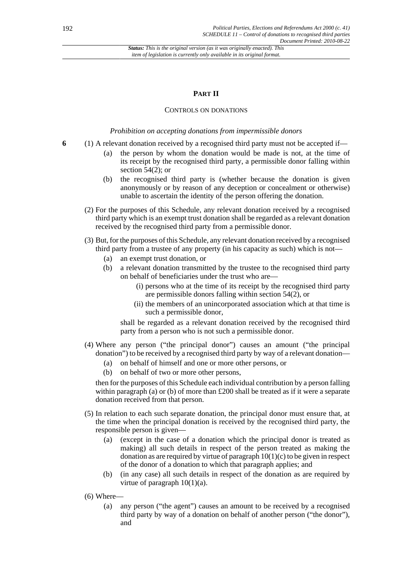# **PART II**

# CONTROLS ON DONATIONS

### *Prohibition on accepting donations from impermissible donors*

- **6** (1) A relevant donation received by a recognised third party must not be accepted if—
	- (a) the person by whom the donation would be made is not, at the time of its receipt by the recognised third party, a permissible donor falling within section  $\overline{54(2)}$ ; or
	- (b) the recognised third party is (whether because the donation is given anonymously or by reason of any deception or concealment or otherwise) unable to ascertain the identity of the person offering the donation.
	- (2) For the purposes of this Schedule, any relevant donation received by a recognised third party which is an exempt trust donation shall be regarded as a relevant donation received by the recognised third party from a permissible donor.
	- (3) But, for the purposes of this Schedule, any relevant donation received by a recognised third party from a trustee of any property (in his capacity as such) which is not—
		- (a) an exempt trust donation, or
		- (b) a relevant donation transmitted by the trustee to the recognised third party on behalf of beneficiaries under the trust who are—
			- (i) persons who at the time of its receipt by the recognised third party are permissible donors falling within section 54(2), or
			- (ii) the members of an unincorporated association which at that time is such a permissible donor,

shall be regarded as a relevant donation received by the recognised third party from a person who is not such a permissible donor.

- (4) Where any person ("the principal donor") causes an amount ("the principal donation") to be received by a recognised third party by way of a relevant donation—
	- (a) on behalf of himself and one or more other persons, or
	- (b) on behalf of two or more other persons,

then for the purposes of this Schedule each individual contribution by a person falling within paragraph (a) or (b) of more than £200 shall be treated as if it were a separate donation received from that person.

- (5) In relation to each such separate donation, the principal donor must ensure that, at the time when the principal donation is received by the recognised third party, the responsible person is given—
	- (a) (except in the case of a donation which the principal donor is treated as making) all such details in respect of the person treated as making the donation as are required by virtue of paragraph  $10(1)(c)$  to be given in respect of the donor of a donation to which that paragraph applies; and
	- (b) (in any case) all such details in respect of the donation as are required by virtue of paragraph 10(1)(a).
- (6) Where—
	- (a) any person ("the agent") causes an amount to be received by a recognised third party by way of a donation on behalf of another person ("the donor"), and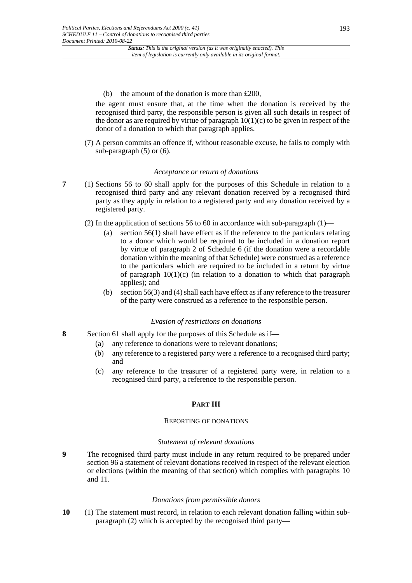(b) the amount of the donation is more than £200,

the agent must ensure that, at the time when the donation is received by the recognised third party, the responsible person is given all such details in respect of the donor as are required by virtue of paragraph  $10(1)(c)$  to be given in respect of the donor of a donation to which that paragraph applies.

(7) A person commits an offence if, without reasonable excuse, he fails to comply with sub-paragraph  $(5)$  or  $(6)$ .

### *Acceptance or return of donations*

- **7** (1) Sections 56 to 60 shall apply for the purposes of this Schedule in relation to a recognised third party and any relevant donation received by a recognised third party as they apply in relation to a registered party and any donation received by a registered party.
	- (2) In the application of sections 56 to 60 in accordance with sub-paragraph  $(1)$ 
		- (a) section 56(1) shall have effect as if the reference to the particulars relating to a donor which would be required to be included in a donation report by virtue of paragraph 2 of Schedule 6 (if the donation were a recordable donation within the meaning of that Schedule) were construed as a reference to the particulars which are required to be included in a return by virtue of paragraph  $10(1)(c)$  (in relation to a donation to which that paragraph applies); and
		- (b) section 56(3) and (4) shall each have effect as if any reference to the treasurer of the party were construed as a reference to the responsible person.

### *Evasion of restrictions on donations*

- **8** Section 61 shall apply for the purposes of this Schedule as if—
	- (a) any reference to donations were to relevant donations;
	- (b) any reference to a registered party were a reference to a recognised third party; and
	- (c) any reference to the treasurer of a registered party were, in relation to a recognised third party, a reference to the responsible person.

# **PART III**

#### REPORTING OF DONATIONS

#### *Statement of relevant donations*

**9** The recognised third party must include in any return required to be prepared under section 96 a statement of relevant donations received in respect of the relevant election or elections (within the meaning of that section) which complies with paragraphs 10 and 11.

#### *Donations from permissible donors*

**10** (1) The statement must record, in relation to each relevant donation falling within subparagraph (2) which is accepted by the recognised third party—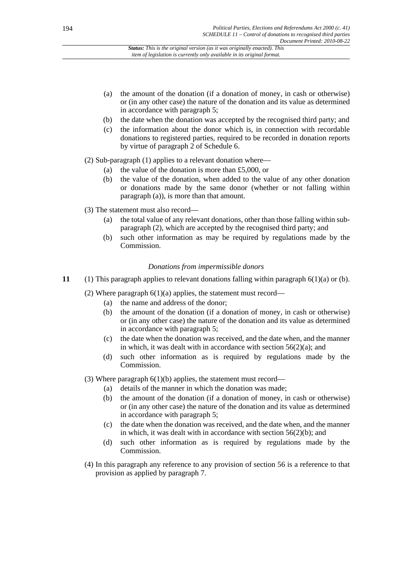- (a) the amount of the donation (if a donation of money, in cash or otherwise) or (in any other case) the nature of the donation and its value as determined in accordance with paragraph 5;
- (b) the date when the donation was accepted by the recognised third party; and
- (c) the information about the donor which is, in connection with recordable donations to registered parties, required to be recorded in donation reports by virtue of paragraph 2 of Schedule 6.

(2) Sub-paragraph (1) applies to a relevant donation where—

- (a) the value of the donation is more than £5,000, or
- (b) the value of the donation, when added to the value of any other donation or donations made by the same donor (whether or not falling within paragraph (a)), is more than that amount.
- (3) The statement must also record—
	- (a) the total value of any relevant donations, other than those falling within subparagraph (2), which are accepted by the recognised third party; and
	- (b) such other information as may be required by regulations made by the Commission.

# *Donations from impermissible donors*

**11** (1) This paragraph applies to relevant donations falling within paragraph 6(1)(a) or (b).

(2) Where paragraph  $6(1)(a)$  applies, the statement must record—

- (a) the name and address of the donor;
- (b) the amount of the donation (if a donation of money, in cash or otherwise) or (in any other case) the nature of the donation and its value as determined in accordance with paragraph 5;
- (c) the date when the donation was received, and the date when, and the manner in which, it was dealt with in accordance with section  $56(2)(a)$ ; and
- (d) such other information as is required by regulations made by the Commission.
- (3) Where paragraph 6(1)(b) applies, the statement must record—
	- (a) details of the manner in which the donation was made;
	- (b) the amount of the donation (if a donation of money, in cash or otherwise) or (in any other case) the nature of the donation and its value as determined in accordance with paragraph 5;
	- (c) the date when the donation was received, and the date when, and the manner in which, it was dealt with in accordance with section  $56(2)(b)$ ; and
	- (d) such other information as is required by regulations made by the Commission.
- (4) In this paragraph any reference to any provision of section 56 is a reference to that provision as applied by paragraph 7.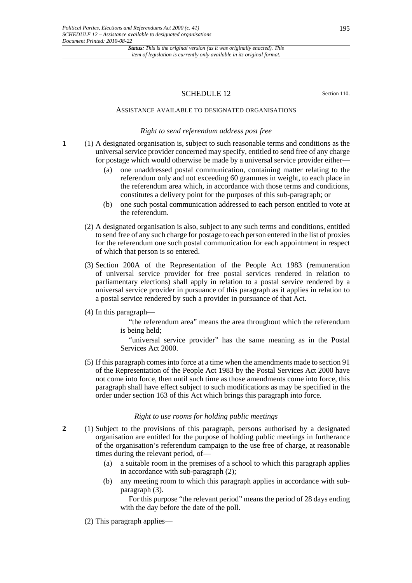# SCHEDULE 12 Section 110.

#### ASSISTANCE AVAILABLE TO DESIGNATED ORGANISATIONS

### *Right to send referendum address post free*

- **1** (1) A designated organisation is, subject to such reasonable terms and conditions as the universal service provider concerned may specify, entitled to send free of any charge for postage which would otherwise be made by a universal service provider either—
	- (a) one unaddressed postal communication, containing matter relating to the referendum only and not exceeding 60 grammes in weight, to each place in the referendum area which, in accordance with those terms and conditions, constitutes a delivery point for the purposes of this sub-paragraph; or
	- (b) one such postal communication addressed to each person entitled to vote at the referendum.
	- (2) A designated organisation is also, subject to any such terms and conditions, entitled to send free of any such charge for postage to each person entered in the list of proxies for the referendum one such postal communication for each appointment in respect of which that person is so entered.
	- (3) Section 200A of the Representation of the People Act 1983 (remuneration of universal service provider for free postal services rendered in relation to parliamentary elections) shall apply in relation to a postal service rendered by a universal service provider in pursuance of this paragraph as it applies in relation to a postal service rendered by such a provider in pursuance of that Act.
	- (4) In this paragraph—

"the referendum area" means the area throughout which the referendum is being held;

"universal service provider" has the same meaning as in the Postal Services Act 2000.

(5) If this paragraph comes into force at a time when the amendments made to section 91 of the Representation of the People Act 1983 by the Postal Services Act 2000 have not come into force, then until such time as those amendments come into force, this paragraph shall have effect subject to such modifications as may be specified in the order under section 163 of this Act which brings this paragraph into force.

# *Right to use rooms for holding public meetings*

- **2** (1) Subject to the provisions of this paragraph, persons authorised by a designated organisation are entitled for the purpose of holding public meetings in furtherance of the organisation's referendum campaign to the use free of charge, at reasonable times during the relevant period, of—
	- (a) a suitable room in the premises of a school to which this paragraph applies in accordance with sub-paragraph (2);
	- (b) any meeting room to which this paragraph applies in accordance with subparagraph (3).

For this purpose "the relevant period" means the period of 28 days ending with the day before the date of the poll.

(2) This paragraph applies—

195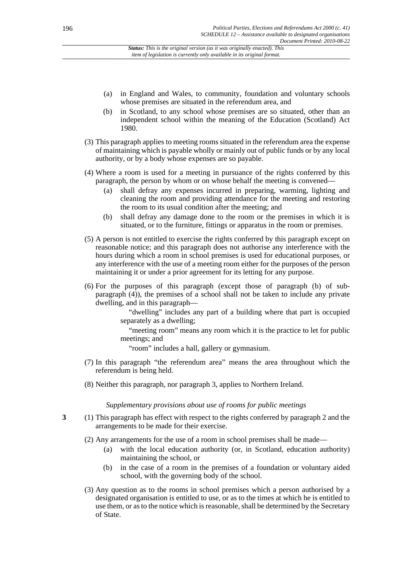- (a) in England and Wales, to community, foundation and voluntary schools whose premises are situated in the referendum area, and
- (b) in Scotland, to any school whose premises are so situated, other than an independent school within the meaning of the Education (Scotland) Act 1980.
- (3) This paragraph applies to meeting rooms situated in the referendum area the expense of maintaining which is payable wholly or mainly out of public funds or by any local authority, or by a body whose expenses are so payable.
- (4) Where a room is used for a meeting in pursuance of the rights conferred by this paragraph, the person by whom or on whose behalf the meeting is convened—
	- (a) shall defray any expenses incurred in preparing, warming, lighting and cleaning the room and providing attendance for the meeting and restoring the room to its usual condition after the meeting; and
	- (b) shall defray any damage done to the room or the premises in which it is situated, or to the furniture, fittings or apparatus in the room or premises.
- (5) A person is not entitled to exercise the rights conferred by this paragraph except on reasonable notice; and this paragraph does not authorise any interference with the hours during which a room in school premises is used for educational purposes, or any interference with the use of a meeting room either for the purposes of the person maintaining it or under a prior agreement for its letting for any purpose.
- (6) For the purposes of this paragraph (except those of paragraph (b) of subparagraph (4)), the premises of a school shall not be taken to include any private dwelling, and in this paragraph—

"dwelling" includes any part of a building where that part is occupied separately as a dwelling;

"meeting room" means any room which it is the practice to let for public meetings; and

"room" includes a hall, gallery or gymnasium.

- (7) In this paragraph "the referendum area" means the area throughout which the referendum is being held.
- (8) Neither this paragraph, nor paragraph 3, applies to Northern Ireland.

*Supplementary provisions about use of rooms for public meetings*

- **3** (1) This paragraph has effect with respect to the rights conferred by paragraph 2 and the arrangements to be made for their exercise.
	- (2) Any arrangements for the use of a room in school premises shall be made—
		- (a) with the local education authority (or, in Scotland, education authority) maintaining the school, or
		- (b) in the case of a room in the premises of a foundation or voluntary aided school, with the governing body of the school.
	- (3) Any question as to the rooms in school premises which a person authorised by a designated organisation is entitled to use, or as to the times at which he is entitled to use them, or as to the notice which is reasonable, shall be determined by the Secretary of State.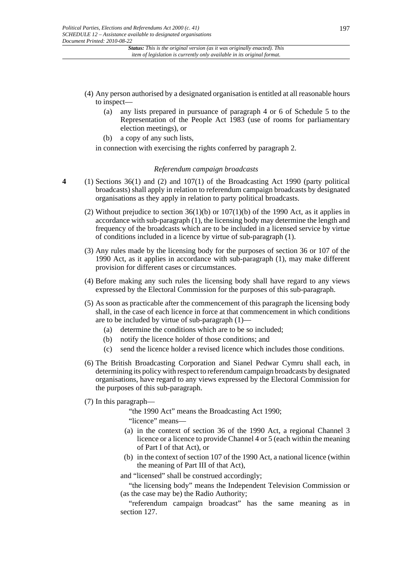- (4) Any person authorised by a designated organisation is entitled at all reasonable hours to inspect—
	- (a) any lists prepared in pursuance of paragraph 4 or 6 of Schedule 5 to the Representation of the People Act 1983 (use of rooms for parliamentary election meetings), or
	- (b) a copy of any such lists,

in connection with exercising the rights conferred by paragraph 2.

#### *Referendum campaign broadcasts*

- **4** (1) Sections 36(1) and (2) and 107(1) of the Broadcasting Act 1990 (party political broadcasts) shall apply in relation to referendum campaign broadcasts by designated organisations as they apply in relation to party political broadcasts.
	- (2) Without prejudice to section  $36(1)(b)$  or  $107(1)(b)$  of the 1990 Act, as it applies in accordance with sub-paragraph (1), the licensing body may determine the length and frequency of the broadcasts which are to be included in a licensed service by virtue of conditions included in a licence by virtue of sub-paragraph (1).
	- (3) Any rules made by the licensing body for the purposes of section 36 or 107 of the 1990 Act, as it applies in accordance with sub-paragraph (1), may make different provision for different cases or circumstances.
	- (4) Before making any such rules the licensing body shall have regard to any views expressed by the Electoral Commission for the purposes of this sub-paragraph.
	- (5) As soon as practicable after the commencement of this paragraph the licensing body shall, in the case of each licence in force at that commencement in which conditions are to be included by virtue of sub-paragraph (1)—
		- (a) determine the conditions which are to be so included;
		- (b) notify the licence holder of those conditions; and
		- (c) send the licence holder a revised licence which includes those conditions.
	- (6) The British Broadcasting Corporation and Sianel Pedwar Cymru shall each, in determining its policy with respect to referendum campaign broadcasts by designated organisations, have regard to any views expressed by the Electoral Commission for the purposes of this sub-paragraph.
	- (7) In this paragraph—
		- "the 1990 Act" means the Broadcasting Act 1990; "licence" means—
		- (a) in the context of section 36 of the 1990 Act, a regional Channel 3 licence or a licence to provide Channel 4 or 5 (each within the meaning of Part I of that Act), or
		- (b) in the context of section 107 of the 1990 Act, a national licence (within the meaning of Part III of that Act),

and "licensed" shall be construed accordingly;

"the licensing body" means the Independent Television Commission or (as the case may be) the Radio Authority;

"referendum campaign broadcast" has the same meaning as in section 127.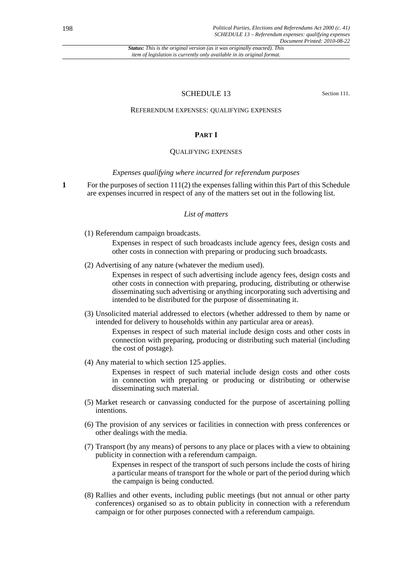# SCHEDULE 13 Section 111.

### REFERENDUM EXPENSES: QUALIFYING EXPENSES

# **PART I**

# QUALIFYING EXPENSES

### *Expenses qualifying where incurred for referendum purposes*

**1** For the purposes of section 111(2) the expenses falling within this Part of this Schedule are expenses incurred in respect of any of the matters set out in the following list.

### *List of matters*

(1) Referendum campaign broadcasts.

Expenses in respect of such broadcasts include agency fees, design costs and other costs in connection with preparing or producing such broadcasts.

(2) Advertising of any nature (whatever the medium used).

Expenses in respect of such advertising include agency fees, design costs and other costs in connection with preparing, producing, distributing or otherwise disseminating such advertising or anything incorporating such advertising and intended to be distributed for the purpose of disseminating it.

(3) Unsolicited material addressed to electors (whether addressed to them by name or intended for delivery to households within any particular area or areas).

> Expenses in respect of such material include design costs and other costs in connection with preparing, producing or distributing such material (including the cost of postage).

(4) Any material to which section 125 applies.

Expenses in respect of such material include design costs and other costs in connection with preparing or producing or distributing or otherwise disseminating such material.

- (5) Market research or canvassing conducted for the purpose of ascertaining polling intentions.
- (6) The provision of any services or facilities in connection with press conferences or other dealings with the media.
- (7) Transport (by any means) of persons to any place or places with a view to obtaining publicity in connection with a referendum campaign.

Expenses in respect of the transport of such persons include the costs of hiring a particular means of transport for the whole or part of the period during which the campaign is being conducted.

(8) Rallies and other events, including public meetings (but not annual or other party conferences) organised so as to obtain publicity in connection with a referendum campaign or for other purposes connected with a referendum campaign.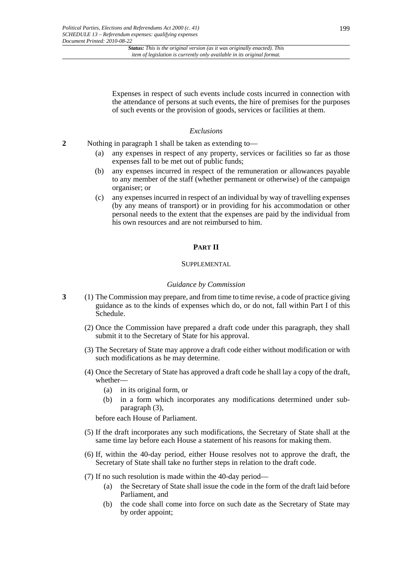Expenses in respect of such events include costs incurred in connection with the attendance of persons at such events, the hire of premises for the purposes of such events or the provision of goods, services or facilities at them.

### *Exclusions*

**2** Nothing in paragraph 1 shall be taken as extending to—

- (a) any expenses in respect of any property, services or facilities so far as those expenses fall to be met out of public funds;
- (b) any expenses incurred in respect of the remuneration or allowances payable to any member of the staff (whether permanent or otherwise) of the campaign organiser; or
- (c) any expenses incurred in respect of an individual by way of travelling expenses (by any means of transport) or in providing for his accommodation or other personal needs to the extent that the expenses are paid by the individual from his own resources and are not reimbursed to him.

# **PART II**

#### SUPPLEMENTAL

### *Guidance by Commission*

- **3** (1) The Commission may prepare, and from time to time revise, a code of practice giving guidance as to the kinds of expenses which do, or do not, fall within Part I of this Schedule.
	- (2) Once the Commission have prepared a draft code under this paragraph, they shall submit it to the Secretary of State for his approval.
	- (3) The Secretary of State may approve a draft code either without modification or with such modifications as he may determine.
	- (4) Once the Secretary of State has approved a draft code he shall lay a copy of the draft, whether—
		- (a) in its original form, or
		- (b) in a form which incorporates any modifications determined under subparagraph (3),

before each House of Parliament.

- (5) If the draft incorporates any such modifications, the Secretary of State shall at the same time lay before each House a statement of his reasons for making them.
- (6) If, within the 40-day period, either House resolves not to approve the draft, the Secretary of State shall take no further steps in relation to the draft code.
- (7) If no such resolution is made within the 40-day period—
	- (a) the Secretary of State shall issue the code in the form of the draft laid before Parliament, and
	- (b) the code shall come into force on such date as the Secretary of State may by order appoint;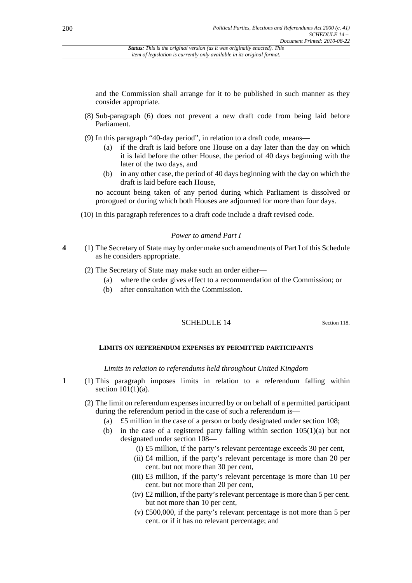and the Commission shall arrange for it to be published in such manner as they consider appropriate.

- (8) Sub-paragraph (6) does not prevent a new draft code from being laid before Parliament.
- (9) In this paragraph "40-day period", in relation to a draft code, means—
	- (a) if the draft is laid before one House on a day later than the day on which it is laid before the other House, the period of 40 days beginning with the later of the two days, and
	- (b) in any other case, the period of 40 days beginning with the day on which the draft is laid before each House,

no account being taken of any period during which Parliament is dissolved or prorogued or during which both Houses are adjourned for more than four days.

(10) In this paragraph references to a draft code include a draft revised code.

# *Power to amend Part I*

- **4** (1) The Secretary of State may by order make such amendments of Part I of this Schedule as he considers appropriate.
	- (2) The Secretary of State may make such an order either—
		- (a) where the order gives effect to a recommendation of the Commission; or
		- (b) after consultation with the Commission.

# SCHEDULE 14 Section 118.

# **LIMITS ON REFERENDUM EXPENSES BY PERMITTED PARTICIPANTS**

*Limits in relation to referendums held throughout United Kingdom*

- **1** (1) This paragraph imposes limits in relation to a referendum falling within section  $101(1)(a)$ .
	- (2) The limit on referendum expenses incurred by or on behalf of a permitted participant during the referendum period in the case of such a referendum is—
		- (a) £5 million in the case of a person or body designated under section 108;
		- (b) in the case of a registered party falling within section 105(1)(a) but not designated under section 108—
			- (i) £5 million, if the party's relevant percentage exceeds 30 per cent,
			- (ii) £4 million, if the party's relevant percentage is more than 20 per cent. but not more than 30 per cent,
			- (iii) £3 million, if the party's relevant percentage is more than 10 per cent. but not more than 20 per cent,
			- (iv) £2 million, if the party's relevant percentage is more than 5 per cent. but not more than 10 per cent,
			- (v) £500,000, if the party's relevant percentage is not more than 5 per cent. or if it has no relevant percentage; and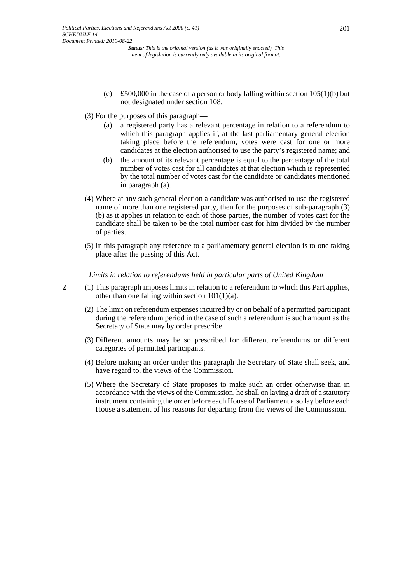- (c) £500,000 in the case of a person or body falling within section  $105(1)(b)$  but not designated under section 108.
- (3) For the purposes of this paragraph—
	- (a) a registered party has a relevant percentage in relation to a referendum to which this paragraph applies if, at the last parliamentary general election taking place before the referendum, votes were cast for one or more candidates at the election authorised to use the party's registered name; and
	- (b) the amount of its relevant percentage is equal to the percentage of the total number of votes cast for all candidates at that election which is represented by the total number of votes cast for the candidate or candidates mentioned in paragraph (a).
- (4) Where at any such general election a candidate was authorised to use the registered name of more than one registered party, then for the purposes of sub-paragraph (3) (b) as it applies in relation to each of those parties, the number of votes cast for the candidate shall be taken to be the total number cast for him divided by the number of parties.
- (5) In this paragraph any reference to a parliamentary general election is to one taking place after the passing of this Act.

# *Limits in relation to referendums held in particular parts of United Kingdom*

- **2** (1) This paragraph imposes limits in relation to a referendum to which this Part applies, other than one falling within section 101(1)(a).
	- (2) The limit on referendum expenses incurred by or on behalf of a permitted participant during the referendum period in the case of such a referendum is such amount as the Secretary of State may by order prescribe.
	- (3) Different amounts may be so prescribed for different referendums or different categories of permitted participants.
	- (4) Before making an order under this paragraph the Secretary of State shall seek, and have regard to, the views of the Commission.
	- (5) Where the Secretary of State proposes to make such an order otherwise than in accordance with the views of the Commission, he shall on laying a draft of a statutory instrument containing the order before each House of Parliament also lay before each House a statement of his reasons for departing from the views of the Commission.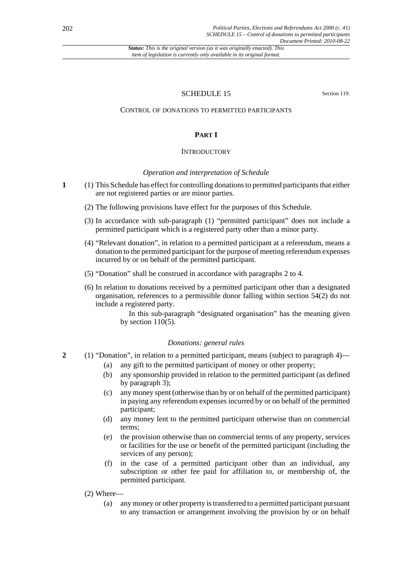# SCHEDULE 15 Section 119.

### CONTROL OF DONATIONS TO PERMITTED PARTICIPANTS

# **PART I**

# **INTRODUCTORY**

#### *Operation and interpretation of Schedule*

- **1** (1) This Schedule has effect for controlling donations to permitted participants that either are not registered parties or are minor parties.
	- (2) The following provisions have effect for the purposes of this Schedule.
	- (3) In accordance with sub-paragraph (1) "permitted participant" does not include a permitted participant which is a registered party other than a minor party.
	- (4) "Relevant donation", in relation to a permitted participant at a referendum, means a donation to the permitted participant for the purpose of meeting referendum expenses incurred by or on behalf of the permitted participant.
	- (5) "Donation" shall be construed in accordance with paragraphs 2 to 4.
	- (6) In relation to donations received by a permitted participant other than a designated organisation, references to a permissible donor falling within section 54(2) do not include a registered party.

In this sub-paragraph "designated organisation" has the meaning given by section  $110(5)$ .

# *Donations: general rules*

- **2** (1) "Donation", in relation to a permitted participant, means (subject to paragraph 4)—
	- (a) any gift to the permitted participant of money or other property;
	- (b) any sponsorship provided in relation to the permitted participant (as defined by paragraph 3);
	- (c) any money spent (otherwise than by or on behalf of the permitted participant) in paying any referendum expenses incurred by or on behalf of the permitted participant;
	- (d) any money lent to the permitted participant otherwise than on commercial terms;
	- (e) the provision otherwise than on commercial terms of any property, services or facilities for the use or benefit of the permitted participant (including the services of any person);
	- (f) in the case of a permitted participant other than an individual, any subscription or other fee paid for affiliation to, or membership of, the permitted participant.

(2) Where—

(a) any money or other property is transferred to a permitted participant pursuant to any transaction or arrangement involving the provision by or on behalf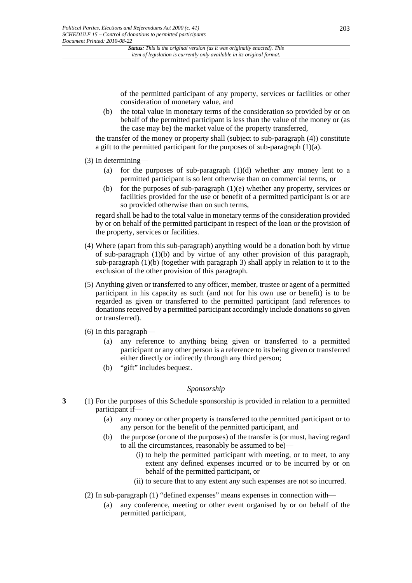of the permitted participant of any property, services or facilities or other consideration of monetary value, and

(b) the total value in monetary terms of the consideration so provided by or on behalf of the permitted participant is less than the value of the money or (as the case may be) the market value of the property transferred,

the transfer of the money or property shall (subject to sub-paragraph (4)) constitute a gift to the permitted participant for the purposes of sub-paragraph (1)(a).

### (3) In determining—

- (a) for the purposes of sub-paragraph  $(1)(d)$  whether any money lent to a permitted participant is so lent otherwise than on commercial terms, or
- (b) for the purposes of sub-paragraph (1)(e) whether any property, services or facilities provided for the use or benefit of a permitted participant is or are so provided otherwise than on such terms,

regard shall be had to the total value in monetary terms of the consideration provided by or on behalf of the permitted participant in respect of the loan or the provision of the property, services or facilities.

- (4) Where (apart from this sub-paragraph) anything would be a donation both by virtue of sub-paragraph (1)(b) and by virtue of any other provision of this paragraph, sub-paragraph  $(1)(b)$  (together with paragraph 3) shall apply in relation to it to the exclusion of the other provision of this paragraph.
- (5) Anything given or transferred to any officer, member, trustee or agent of a permitted participant in his capacity as such (and not for his own use or benefit) is to be regarded as given or transferred to the permitted participant (and references to donations received by a permitted participant accordingly include donations so given or transferred).
- (6) In this paragraph—
	- (a) any reference to anything being given or transferred to a permitted participant or any other person is a reference to its being given or transferred either directly or indirectly through any third person;
	- (b) "gift" includes bequest.

#### *Sponsorship*

- **3** (1) For the purposes of this Schedule sponsorship is provided in relation to a permitted participant if—
	- (a) any money or other property is transferred to the permitted participant or to any person for the benefit of the permitted participant, and
	- (b) the purpose (or one of the purposes) of the transfer is (or must, having regard to all the circumstances, reasonably be assumed to be)—
		- (i) to help the permitted participant with meeting, or to meet, to any extent any defined expenses incurred or to be incurred by or on behalf of the permitted participant, or
		- (ii) to secure that to any extent any such expenses are not so incurred.
	- (2) In sub-paragraph (1) "defined expenses" means expenses in connection with—
		- (a) any conference, meeting or other event organised by or on behalf of the permitted participant,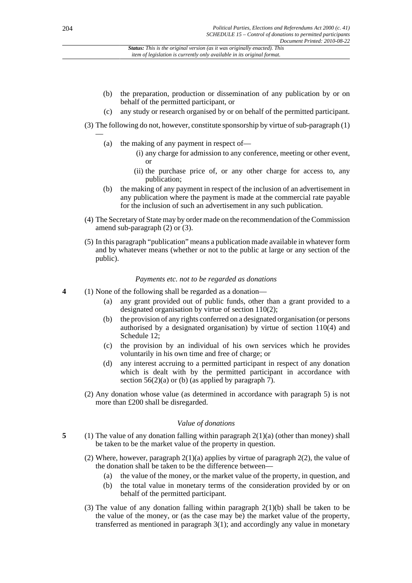- (b) the preparation, production or dissemination of any publication by or on behalf of the permitted participant, or
- (c) any study or research organised by or on behalf of the permitted participant.
- (3) The following do not, however, constitute sponsorship by virtue of sub-paragraph (1)
	- (a) the making of any payment in respect of—
		- (i) any charge for admission to any conference, meeting or other event, or
		- (ii) the purchase price of, or any other charge for access to, any publication;
	- (b) the making of any payment in respect of the inclusion of an advertisement in any publication where the payment is made at the commercial rate payable for the inclusion of such an advertisement in any such publication.
- (4) The Secretary of State may by order made on the recommendation of the Commission amend sub-paragraph (2) or (3).
- (5) In this paragraph "publication" means a publication made available in whatever form and by whatever means (whether or not to the public at large or any section of the public).

### *Payments etc. not to be regarded as donations*

- **4** (1) None of the following shall be regarded as a donation—
	- (a) any grant provided out of public funds, other than a grant provided to a designated organisation by virtue of section 110(2);
	- (b) the provision of any rights conferred on a designated organisation (or persons authorised by a designated organisation) by virtue of section 110(4) and Schedule 12;
	- (c) the provision by an individual of his own services which he provides voluntarily in his own time and free of charge; or
	- (d) any interest accruing to a permitted participant in respect of any donation which is dealt with by the permitted participant in accordance with section  $56(2)(a)$  or (b) (as applied by paragraph 7).
	- (2) Any donation whose value (as determined in accordance with paragraph 5) is not more than £200 shall be disregarded.

#### *Value of donations*

- **5** (1) The value of any donation falling within paragraph 2(1)(a) (other than money) shall be taken to be the market value of the property in question.
	- (2) Where, however, paragraph  $2(1)(a)$  applies by virtue of paragraph  $2(2)$ , the value of the donation shall be taken to be the difference between—
		- (a) the value of the money, or the market value of the property, in question, and
		- (b) the total value in monetary terms of the consideration provided by or on behalf of the permitted participant.
	- (3) The value of any donation falling within paragraph  $2(1)(b)$  shall be taken to be the value of the money, or (as the case may be) the market value of the property, transferred as mentioned in paragraph 3(1); and accordingly any value in monetary

 $\overline{\phantom{a}}$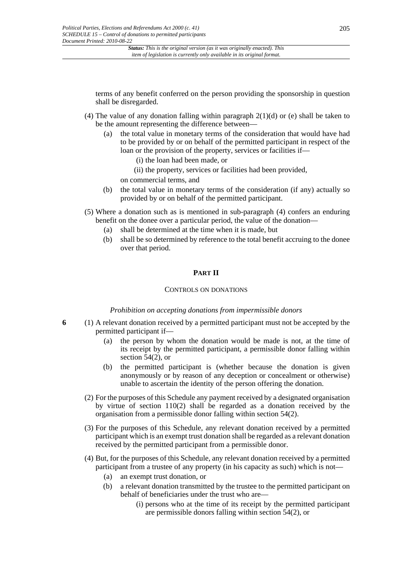terms of any benefit conferred on the person providing the sponsorship in question shall be disregarded.

- (4) The value of any donation falling within paragraph  $2(1)(d)$  or (e) shall be taken to be the amount representing the difference between—
	- (a) the total value in monetary terms of the consideration that would have had to be provided by or on behalf of the permitted participant in respect of the loan or the provision of the property, services or facilities if—
		- (i) the loan had been made, or
		- (ii) the property, services or facilities had been provided,
		- on commercial terms, and
	- (b) the total value in monetary terms of the consideration (if any) actually so provided by or on behalf of the permitted participant.
- (5) Where a donation such as is mentioned in sub-paragraph (4) confers an enduring benefit on the donee over a particular period, the value of the donation—
	- (a) shall be determined at the time when it is made, but
	- (b) shall be so determined by reference to the total benefit accruing to the donee over that period.

# **PART II**

#### CONTROLS ON DONATIONS

#### *Prohibition on accepting donations from impermissible donors*

- **6** (1) A relevant donation received by a permitted participant must not be accepted by the permitted participant if—
	- (a) the person by whom the donation would be made is not, at the time of its receipt by the permitted participant, a permissible donor falling within section 54(2), or
	- (b) the permitted participant is (whether because the donation is given anonymously or by reason of any deception or concealment or otherwise) unable to ascertain the identity of the person offering the donation.
	- (2) For the purposes of this Schedule any payment received by a designated organisation by virtue of section 110(2) shall be regarded as a donation received by the organisation from a permissible donor falling within section 54(2).
	- (3) For the purposes of this Schedule, any relevant donation received by a permitted participant which is an exempt trust donation shall be regarded as a relevant donation received by the permitted participant from a permissible donor.
	- (4) But, for the purposes of this Schedule, any relevant donation received by a permitted participant from a trustee of any property (in his capacity as such) which is not—
		- (a) an exempt trust donation, or
		- (b) a relevant donation transmitted by the trustee to the permitted participant on behalf of beneficiaries under the trust who are—
			- (i) persons who at the time of its receipt by the permitted participant are permissible donors falling within section 54(2), or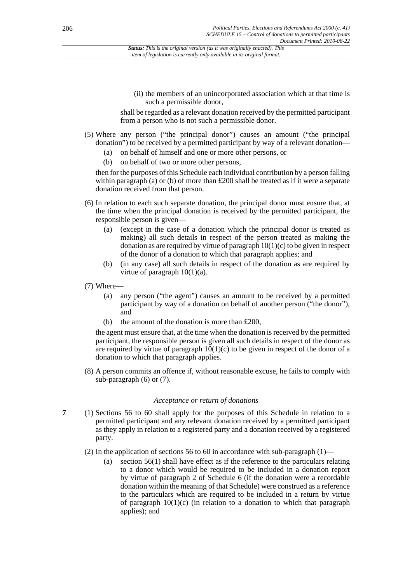(ii) the members of an unincorporated association which at that time is such a permissible donor,

shall be regarded as a relevant donation received by the permitted participant from a person who is not such a permissible donor.

- (5) Where any person ("the principal donor") causes an amount ("the principal donation") to be received by a permitted participant by way of a relevant donation—
	- (a) on behalf of himself and one or more other persons, or
	- (b) on behalf of two or more other persons,

then for the purposes of this Schedule each individual contribution by a person falling within paragraph (a) or (b) of more than £200 shall be treated as if it were a separate donation received from that person.

- (6) In relation to each such separate donation, the principal donor must ensure that, at the time when the principal donation is received by the permitted participant, the responsible person is given—
	- (a) (except in the case of a donation which the principal donor is treated as making) all such details in respect of the person treated as making the donation as are required by virtue of paragraph  $10(1)(c)$  to be given in respect of the donor of a donation to which that paragraph applies; and
	- (b) (in any case) all such details in respect of the donation as are required by virtue of paragraph  $10(1)(a)$ .

(7) Where—

- (a) any person ("the agent") causes an amount to be received by a permitted participant by way of a donation on behalf of another person ("the donor"), and
- (b) the amount of the donation is more than £200,

the agent must ensure that, at the time when the donation is received by the permitted participant, the responsible person is given all such details in respect of the donor as are required by virtue of paragraph  $10(1)(c)$  to be given in respect of the donor of a donation to which that paragraph applies.

(8) A person commits an offence if, without reasonable excuse, he fails to comply with sub-paragraph (6) or (7).

# *Acceptance or return of donations*

- **7** (1) Sections 56 to 60 shall apply for the purposes of this Schedule in relation to a permitted participant and any relevant donation received by a permitted participant as they apply in relation to a registered party and a donation received by a registered party.
	- (2) In the application of sections 56 to 60 in accordance with sub-paragraph  $(1)$ 
		- (a) section 56(1) shall have effect as if the reference to the particulars relating to a donor which would be required to be included in a donation report by virtue of paragraph 2 of Schedule 6 (if the donation were a recordable donation within the meaning of that Schedule) were construed as a reference to the particulars which are required to be included in a return by virtue of paragraph  $10(1)(c)$  (in relation to a donation to which that paragraph applies); and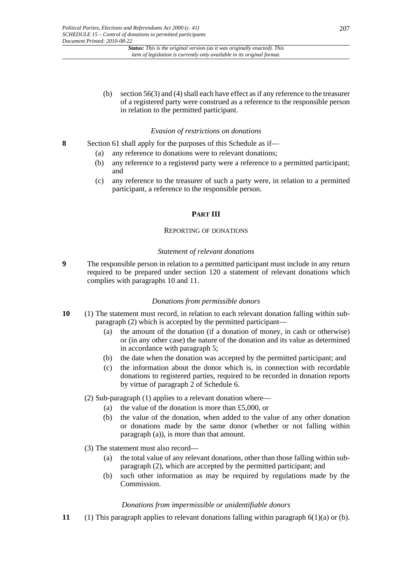(b) section 56(3) and (4) shall each have effect as if any reference to the treasurer of a registered party were construed as a reference to the responsible person in relation to the permitted participant.

# *Evasion of restrictions on donations*

- **8** Section 61 shall apply for the purposes of this Schedule as if—
	- (a) any reference to donations were to relevant donations;
	- (b) any reference to a registered party were a reference to a permitted participant; and
	- (c) any reference to the treasurer of such a party were, in relation to a permitted participant, a reference to the responsible person.

# **PART III**

# REPORTING OF DONATIONS

# *Statement of relevant donations*

**9** The responsible person in relation to a permitted participant must include in any return required to be prepared under section 120 a statement of relevant donations which complies with paragraphs 10 and 11.

# *Donations from permissible donors*

- **10** (1) The statement must record, in relation to each relevant donation falling within subparagraph (2) which is accepted by the permitted participant—
	- (a) the amount of the donation (if a donation of money, in cash or otherwise) or (in any other case) the nature of the donation and its value as determined in accordance with paragraph 5;
	- (b) the date when the donation was accepted by the permitted participant; and
	- (c) the information about the donor which is, in connection with recordable donations to registered parties, required to be recorded in donation reports by virtue of paragraph 2 of Schedule 6.

(2) Sub-paragraph (1) applies to a relevant donation where—

- (a) the value of the donation is more than  $£5,000$ , or
- (b) the value of the donation, when added to the value of any other donation or donations made by the same donor (whether or not falling within paragraph (a)), is more than that amount.
- (3) The statement must also record—
	- (a) the total value of any relevant donations, other than those falling within subparagraph (2), which are accepted by the permitted participant; and
	- (b) such other information as may be required by regulations made by the Commission.

# *Donations from impermissible or unidentifiable donors*

**11** (1) This paragraph applies to relevant donations falling within paragraph 6(1)(a) or (b).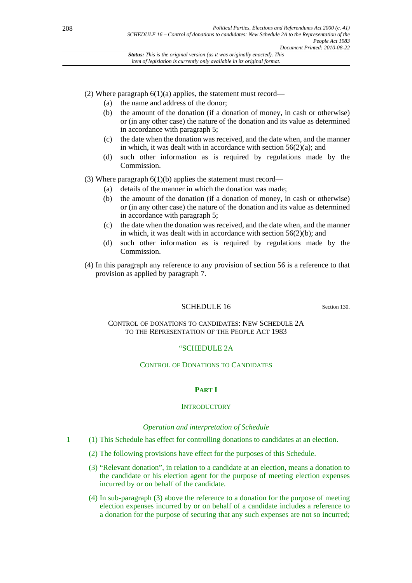(2) Where paragraph  $6(1)(a)$  applies, the statement must record—

- (a) the name and address of the donor;
- (b) the amount of the donation (if a donation of money, in cash or otherwise) or (in any other case) the nature of the donation and its value as determined in accordance with paragraph 5;
- (c) the date when the donation was received, and the date when, and the manner in which, it was dealt with in accordance with section  $56(2)(a)$ ; and
- (d) such other information as is required by regulations made by the Commission.

(3) Where paragraph 6(1)(b) applies the statement must record—

- (a) details of the manner in which the donation was made;
- (b) the amount of the donation (if a donation of money, in cash or otherwise) or (in any other case) the nature of the donation and its value as determined in accordance with paragraph 5;
- (c) the date when the donation was received, and the date when, and the manner in which, it was dealt with in accordance with section 56(2)(b); and
- (d) such other information as is required by regulations made by the Commission.
- (4) In this paragraph any reference to any provision of section 56 is a reference to that provision as applied by paragraph 7.

# SCHEDULE 16 Section 130.

CONTROL OF DONATIONS TO CANDIDATES: NEW SCHEDULE 2A TO THE REPRESENTATION OF THE PEOPLE ACT 1983

# "SCHEDULE 2A

# CONTROL OF DONATIONS TO CANDIDATES

# **PART I**

### **INTRODUCTORY**

# *Operation and interpretation of Schedule*

- 1 (1) This Schedule has effect for controlling donations to candidates at an election.
	- (2) The following provisions have effect for the purposes of this Schedule.
	- (3) "Relevant donation", in relation to a candidate at an election, means a donation to the candidate or his election agent for the purpose of meeting election expenses incurred by or on behalf of the candidate.
	- (4) In sub-paragraph (3) above the reference to a donation for the purpose of meeting election expenses incurred by or on behalf of a candidate includes a reference to a donation for the purpose of securing that any such expenses are not so incurred;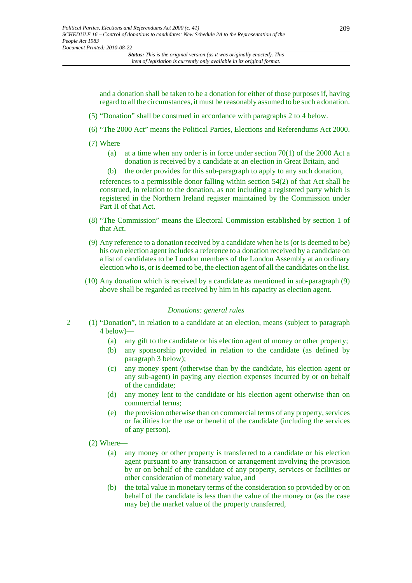and a donation shall be taken to be a donation for either of those purposes if, having regard to all the circumstances, it must be reasonably assumed to be such a donation.

- (5) "Donation" shall be construed in accordance with paragraphs 2 to 4 below.
- (6) "The 2000 Act" means the Political Parties, Elections and Referendums Act 2000.
- (7) Where—
	- (a) at a time when any order is in force under section  $70(1)$  of the 2000 Act a donation is received by a candidate at an election in Great Britain, and
	- (b) the order provides for this sub-paragraph to apply to any such donation,

references to a permissible donor falling within section 54(2) of that Act shall be construed, in relation to the donation, as not including a registered party which is registered in the Northern Ireland register maintained by the Commission under Part II of that Act.

- (8) "The Commission" means the Electoral Commission established by section 1 of that Act.
- (9) Any reference to a donation received by a candidate when he is (or is deemed to be) his own election agent includes a reference to a donation received by a candidate on a list of candidates to be London members of the London Assembly at an ordinary election who is, or is deemed to be, the election agent of all the candidates on the list.
- (10) Any donation which is received by a candidate as mentioned in sub-paragraph (9) above shall be regarded as received by him in his capacity as election agent.

#### *Donations: general rules*

- 2 (1) "Donation", in relation to a candidate at an election, means (subject to paragraph 4 below)—
	- (a) any gift to the candidate or his election agent of money or other property;
	- (b) any sponsorship provided in relation to the candidate (as defined by paragraph 3 below);
	- (c) any money spent (otherwise than by the candidate, his election agent or any sub-agent) in paying any election expenses incurred by or on behalf of the candidate;
	- (d) any money lent to the candidate or his election agent otherwise than on commercial terms;
	- (e) the provision otherwise than on commercial terms of any property, services or facilities for the use or benefit of the candidate (including the services of any person).
	- (2) Where—
		- (a) any money or other property is transferred to a candidate or his election agent pursuant to any transaction or arrangement involving the provision by or on behalf of the candidate of any property, services or facilities or other consideration of monetary value, and
		- (b) the total value in monetary terms of the consideration so provided by or on behalf of the candidate is less than the value of the money or (as the case may be) the market value of the property transferred,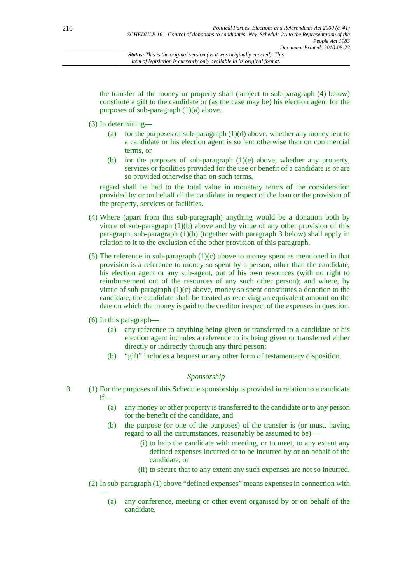the transfer of the money or property shall (subject to sub-paragraph (4) below) constitute a gift to the candidate or (as the case may be) his election agent for the purposes of sub-paragraph  $(1)(a)$  above.

(3) In determining—

- (a) for the purposes of sub-paragraph  $(1)(d)$  above, whether any money lent to a candidate or his election agent is so lent otherwise than on commercial terms, or
- (b) for the purposes of sub-paragraph (1)(e) above, whether any property, services or facilities provided for the use or benefit of a candidate is or are so provided otherwise than on such terms,

regard shall be had to the total value in monetary terms of the consideration provided by or on behalf of the candidate in respect of the loan or the provision of the property, services or facilities.

- (4) Where (apart from this sub-paragraph) anything would be a donation both by virtue of sub-paragraph  $(1)(b)$  above and by virtue of any other provision of this paragraph, sub-paragraph (1)(b) (together with paragraph 3 below) shall apply in relation to it to the exclusion of the other provision of this paragraph.
- (5) The reference in sub-paragraph  $(1)(c)$  above to money spent as mentioned in that provision is a reference to money so spent by a person, other than the candidate, his election agent or any sub-agent, out of his own resources (with no right to reimbursement out of the resources of any such other person); and where, by virtue of sub-paragraph (1)(c) above, money so spent constitutes a donation to the candidate, the candidate shall be treated as receiving an equivalent amount on the date on which the money is paid to the creditor irespect of the expenses in question.
- (6) In this paragraph—

—

- (a) any reference to anything being given or transferred to a candidate or his election agent includes a reference to its being given or transferred either directly or indirectly through any third person;
- (b) "gift" includes a bequest or any other form of testamentary disposition.

# *Sponsorship*

- 3 (1) For the purposes of this Schedule sponsorship is provided in relation to a candidate if—
	- (a) any money or other property is transferred to the candidate or to any person for the benefit of the candidate, and
	- (b) the purpose (or one of the purposes) of the transfer is (or must, having regard to all the circumstances, reasonably be assumed to be)—
		- (i) to help the candidate with meeting, or to meet, to any extent any defined expenses incurred or to be incurred by or on behalf of the candidate, or
		- (ii) to secure that to any extent any such expenses are not so incurred.
	- (2) In sub-paragraph (1) above "defined expenses" means expenses in connection with
		- (a) any conference, meeting or other event organised by or on behalf of the candidate,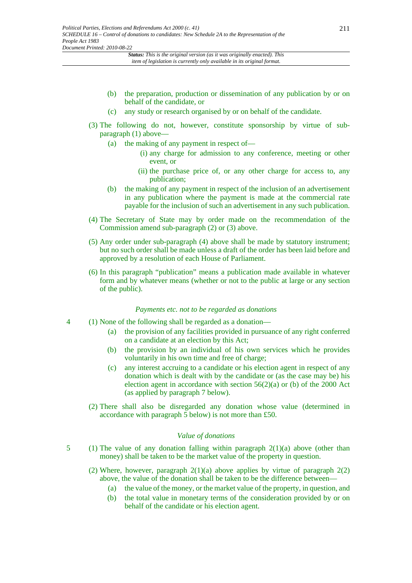- (b) the preparation, production or dissemination of any publication by or on behalf of the candidate, or
- (c) any study or research organised by or on behalf of the candidate.
- (3) The following do not, however, constitute sponsorship by virtue of subparagraph (1) above—
	- (a) the making of any payment in respect of—
		- (i) any charge for admission to any conference, meeting or other event, or
		- (ii) the purchase price of, or any other charge for access to, any publication;
	- (b) the making of any payment in respect of the inclusion of an advertisement in any publication where the payment is made at the commercial rate payable for the inclusion of such an advertisement in any such publication.
- (4) The Secretary of State may by order made on the recommendation of the Commission amend sub-paragraph (2) or (3) above.
- (5) Any order under sub-paragraph (4) above shall be made by statutory instrument; but no such order shall be made unless a draft of the order has been laid before and approved by a resolution of each House of Parliament.
- (6) In this paragraph "publication" means a publication made available in whatever form and by whatever means (whether or not to the public at large or any section of the public).

# *Payments etc. not to be regarded as donations*

- 4 (1) None of the following shall be regarded as a donation—
	- (a) the provision of any facilities provided in pursuance of any right conferred on a candidate at an election by this Act;
	- (b) the provision by an individual of his own services which he provides voluntarily in his own time and free of charge;
	- (c) any interest accruing to a candidate or his election agent in respect of any donation which is dealt with by the candidate or (as the case may be) his election agent in accordance with section  $56(2)(a)$  or (b) of the 2000 Act (as applied by paragraph 7 below).
	- (2) There shall also be disregarded any donation whose value (determined in accordance with paragraph 5 below) is not more than £50.

# *Value of donations*

- 5 (1) The value of any donation falling within paragraph  $2(1)(a)$  above (other than money) shall be taken to be the market value of the property in question.
	- (2) Where, however, paragraph  $2(1)(a)$  above applies by virtue of paragraph  $2(2)$ above, the value of the donation shall be taken to be the difference between—
		- (a) the value of the money, or the market value of the property, in question, and
		- (b) the total value in monetary terms of the consideration provided by or on behalf of the candidate or his election agent.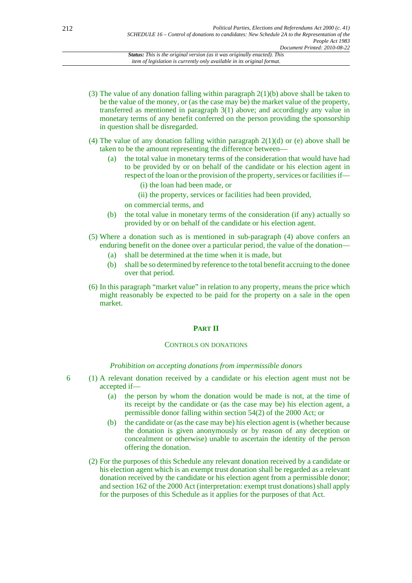- (3) The value of any donation falling within paragraph  $2(1)(b)$  above shall be taken to be the value of the money, or (as the case may be) the market value of the property, transferred as mentioned in paragraph 3(1) above; and accordingly any value in monetary terms of any benefit conferred on the person providing the sponsorship in question shall be disregarded.
- (4) The value of any donation falling within paragraph  $2(1)(d)$  or (e) above shall be taken to be the amount representing the difference between—
	- (a) the total value in monetary terms of the consideration that would have had to be provided by or on behalf of the candidate or his election agent in respect of the loan or the provision of the property, services or facilities if—
		- (i) the loan had been made, or
		- (ii) the property, services or facilities had been provided,
		- on commercial terms, and
	- (b) the total value in monetary terms of the consideration (if any) actually so provided by or on behalf of the candidate or his election agent.
- (5) Where a donation such as is mentioned in sub-paragraph (4) above confers an enduring benefit on the donee over a particular period, the value of the donation—
	- (a) shall be determined at the time when it is made, but
	- (b) shall be so determined by reference to the total benefit accruing to the donee over that period.
- (6) In this paragraph "market value" in relation to any property, means the price which might reasonably be expected to be paid for the property on a sale in the open market.

# **PART II**

# CONTROLS ON DONATIONS

*Prohibition on accepting donations from impermissible donors*

- 6 (1) A relevant donation received by a candidate or his election agent must not be accepted if—
	- (a) the person by whom the donation would be made is not, at the time of its receipt by the candidate or (as the case may be) his election agent, a permissible donor falling within section 54(2) of the 2000 Act; or
	- (b) the candidate or (as the case may be) his election agent is (whether because the donation is given anonymously or by reason of any deception or concealment or otherwise) unable to ascertain the identity of the person offering the donation.
	- (2) For the purposes of this Schedule any relevant donation received by a candidate or his election agent which is an exempt trust donation shall be regarded as a relevant donation received by the candidate or his election agent from a permissible donor; and section 162 of the 2000 Act (interpretation: exempt trust donations) shall apply for the purposes of this Schedule as it applies for the purposes of that Act.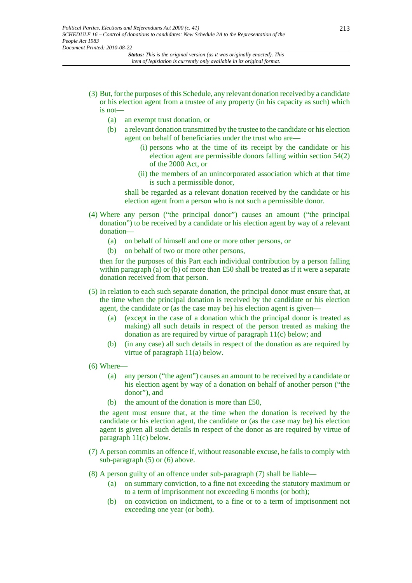- (3) But, for the purposes of this Schedule, any relevant donation received by a candidate or his election agent from a trustee of any property (in his capacity as such) which is not—
	- (a) an exempt trust donation, or
	- (b) a relevant donation transmitted by the trustee to the candidate or his election agent on behalf of beneficiaries under the trust who are—
		- (i) persons who at the time of its receipt by the candidate or his election agent are permissible donors falling within section 54(2) of the 2000 Act, or
		- (ii) the members of an unincorporated association which at that time is such a permissible donor,

shall be regarded as a relevant donation received by the candidate or his election agent from a person who is not such a permissible donor.

- (4) Where any person ("the principal donor") causes an amount ("the principal donation") to be received by a candidate or his election agent by way of a relevant donation—
	- (a) on behalf of himself and one or more other persons, or
	- (b) on behalf of two or more other persons,

then for the purposes of this Part each individual contribution by a person falling within paragraph (a) or (b) of more than  $£50$  shall be treated as if it were a separate donation received from that person.

- (5) In relation to each such separate donation, the principal donor must ensure that, at the time when the principal donation is received by the candidate or his election agent, the candidate or (as the case may be) his election agent is given—
	- (a) (except in the case of a donation which the principal donor is treated as making) all such details in respect of the person treated as making the donation as are required by virtue of paragraph 11(c) below; and
	- (b) (in any case) all such details in respect of the donation as are required by virtue of paragraph 11(a) below.
- (6) Where—
	- (a) any person ("the agent") causes an amount to be received by a candidate or his election agent by way of a donation on behalf of another person ("the donor"), and
	- (b) the amount of the donation is more than  $£50$ ,

the agent must ensure that, at the time when the donation is received by the candidate or his election agent, the candidate or (as the case may be) his election agent is given all such details in respect of the donor as are required by virtue of paragraph 11(c) below.

- (7) A person commits an offence if, without reasonable excuse, he fails to comply with sub-paragraph (5) or (6) above.
- (8) A person guilty of an offence under sub-paragraph (7) shall be liable—
	- (a) on summary conviction, to a fine not exceeding the statutory maximum or to a term of imprisonment not exceeding 6 months (or both);
	- (b) on conviction on indictment, to a fine or to a term of imprisonment not exceeding one year (or both).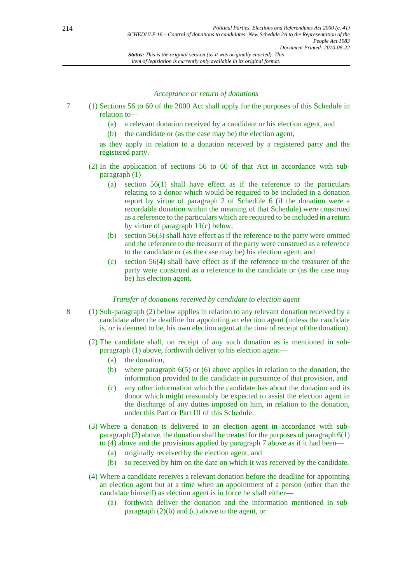#### *Acceptance or return of donations*

- 7 (1) Sections 56 to 60 of the 2000 Act shall apply for the purposes of this Schedule in relation to—
	- (a) a relevant donation received by a candidate or his election agent, and
	- (b) the candidate or (as the case may be) the election agent,

as they apply in relation to a donation received by a registered party and the registered party.

- (2) In the application of sections 56 to 60 of that Act in accordance with subparagraph (1)—
	- (a) section 56(1) shall have effect as if the reference to the particulars relating to a donor which would be required to be included in a donation report by virtue of paragraph 2 of Schedule 6 (if the donation were a recordable donation within the meaning of that Schedule) were construed as a reference to the particulars which are required to be included in a return by virtue of paragraph 11(c) below;
	- (b) section 56(3) shall have effect as if the reference to the party were omitted and the reference to the treasurer of the party were construed as a reference to the candidate or (as the case may be) his election agent; and
	- (c) section 56(4) shall have effect as if the reference to the treasurer of the party were construed as a reference to the candidate or (as the case may be) his election agent.

### *Transfer of donations received by candidate to election agent*

- 8 (1) Sub-paragraph (2) below applies in relation to any relevant donation received by a candidate after the deadline for appointing an election agent (unless the candidate is, or is deemed to be, his own election agent at the time of receipt of the donation).
	- (2) The candidate shall, on receipt of any such donation as is mentioned in subparagraph (1) above, forthwith deliver to his election agent—
		- (a) the donation,
		- (b) where paragraph 6(5) or (6) above applies in relation to the donation, the information provided to the candidate in pursuance of that provision, and
		- (c) any other information which the candidate has about the donation and its donor which might reasonably be expected to assist the election agent in the discharge of any duties imposed on him, in relation to the donation, under this Part or Part III of this Schedule.
	- (3) Where a donation is delivered to an election agent in accordance with subparagraph (2) above, the donation shall be treated for the purposes of paragraph 6(1) to (4) above and the provisions applied by paragraph 7 above as if it had been—
		- (a) originally received by the election agent, and
		- (b) so received by him on the date on which it was received by the candidate.
	- (4) Where a candidate receives a relevant donation before the deadline for appointing an election agent but at a time when an appointment of a person (other than the candidate himself) as election agent is in force he shall either—
		- (a) forthwith deliver the donation and the information mentioned in subparagraph (2)(b) and (c) above to the agent, or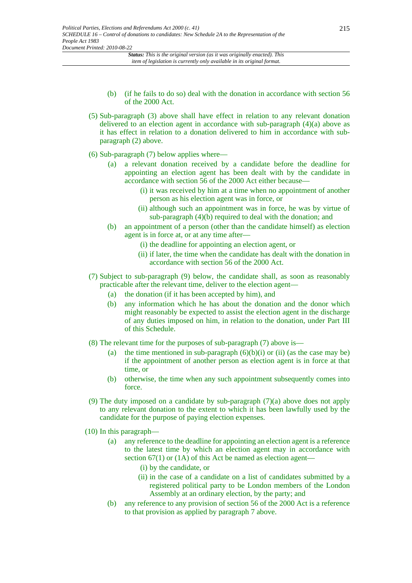- (b) (if he fails to do so) deal with the donation in accordance with section 56 of the 2000 Act.
- (5) Sub-paragraph (3) above shall have effect in relation to any relevant donation delivered to an election agent in accordance with sub-paragraph (4)(a) above as it has effect in relation to a donation delivered to him in accordance with subparagraph (2) above.
- (6) Sub-paragraph (7) below applies where—
	- (a) a relevant donation received by a candidate before the deadline for appointing an election agent has been dealt with by the candidate in accordance with section 56 of the 2000 Act either because—
		- (i) it was received by him at a time when no appointment of another person as his election agent was in force, or
		- (ii) although such an appointment was in force, he was by virtue of sub-paragraph (4)(b) required to deal with the donation; and
	- (b) an appointment of a person (other than the candidate himself) as election agent is in force at, or at any time after—
		- (i) the deadline for appointing an election agent, or
		- (ii) if later, the time when the candidate has dealt with the donation in accordance with section 56 of the 2000 Act.
- (7) Subject to sub-paragraph (9) below, the candidate shall, as soon as reasonably practicable after the relevant time, deliver to the election agent—
	- (a) the donation (if it has been accepted by him), and
	- (b) any information which he has about the donation and the donor which might reasonably be expected to assist the election agent in the discharge of any duties imposed on him, in relation to the donation, under Part III of this Schedule.
- (8) The relevant time for the purposes of sub-paragraph (7) above is—
	- (a) the time mentioned in sub-paragraph  $(6)(b)(i)$  or (ii) (as the case may be) if the appointment of another person as election agent is in force at that time, or
	- (b) otherwise, the time when any such appointment subsequently comes into force.
- (9) The duty imposed on a candidate by sub-paragraph  $(7)(a)$  above does not apply to any relevant donation to the extent to which it has been lawfully used by the candidate for the purpose of paying election expenses.
- (10) In this paragraph—
	- (a) any reference to the deadline for appointing an election agent is a reference to the latest time by which an election agent may in accordance with section  $67(1)$  or  $(1)$  of this Act be named as election agent-
		- (i) by the candidate, or
		- (ii) in the case of a candidate on a list of candidates submitted by a registered political party to be London members of the London Assembly at an ordinary election, by the party; and
	- (b) any reference to any provision of section 56 of the 2000 Act is a reference to that provision as applied by paragraph 7 above.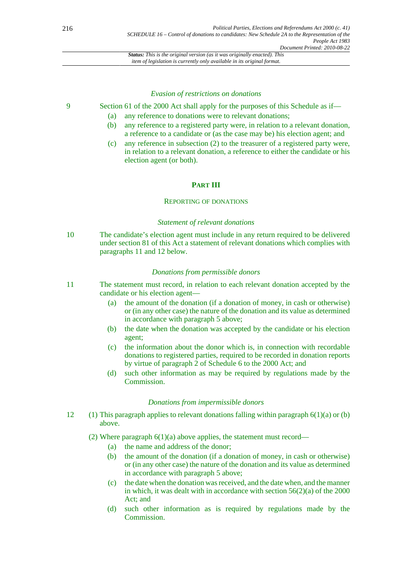# *Evasion of restrictions on donations*

- 9 Section 61 of the 2000 Act shall apply for the purposes of this Schedule as if—
	- (a) any reference to donations were to relevant donations;
	- (b) any reference to a registered party were, in relation to a relevant donation, a reference to a candidate or (as the case may be) his election agent; and
	- (c) any reference in subsection (2) to the treasurer of a registered party were, in relation to a relevant donation, a reference to either the candidate or his election agent (or both).

# **PART III**

### REPORTING OF DONATIONS

### *Statement of relevant donations*

10 The candidate's election agent must include in any return required to be delivered under section 81 of this Act a statement of relevant donations which complies with paragraphs 11 and 12 below.

### *Donations from permissible donors*

- 11 The statement must record, in relation to each relevant donation accepted by the candidate or his election agent—
	- (a) the amount of the donation (if a donation of money, in cash or otherwise) or (in any other case) the nature of the donation and its value as determined in accordance with paragraph 5 above;
	- (b) the date when the donation was accepted by the candidate or his election agent;
	- (c) the information about the donor which is, in connection with recordable donations to registered parties, required to be recorded in donation reports by virtue of paragraph 2 of Schedule 6 to the 2000 Act; and
	- (d) such other information as may be required by regulations made by the Commission.

### *Donations from impermissible donors*

- 12 (1) This paragraph applies to relevant donations falling within paragraph  $6(1)(a)$  or (b) above.
	- (2) Where paragraph  $6(1)(a)$  above applies, the statement must record—
		- (a) the name and address of the donor;
		- (b) the amount of the donation (if a donation of money, in cash or otherwise) or (in any other case) the nature of the donation and its value as determined in accordance with paragraph 5 above;
		- (c) the date when the donation was received, and the date when, and the manner in which, it was dealt with in accordance with section  $56(2)(a)$  of the 2000 Act; and
		- (d) such other information as is required by regulations made by the Commission.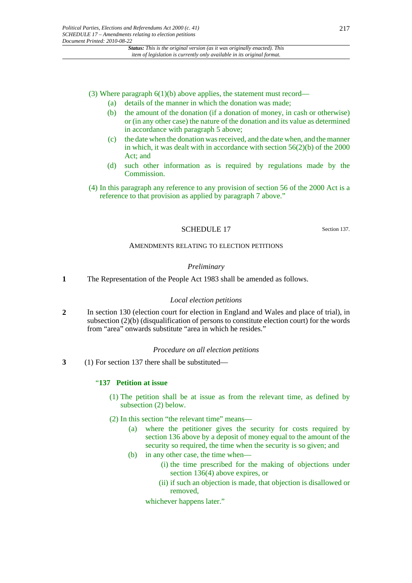(3) Where paragraph  $6(1)(b)$  above applies, the statement must record—

- (a) details of the manner in which the donation was made;
- (b) the amount of the donation (if a donation of money, in cash or otherwise) or (in any other case) the nature of the donation and its value as determined in accordance with paragraph 5 above;
- (c) the date when the donation was received, and the date when, and the manner in which, it was dealt with in accordance with section 56(2)(b) of the 2000 Act; and
- (d) such other information as is required by regulations made by the Commission.

(4) In this paragraph any reference to any provision of section 56 of the 2000 Act is a reference to that provision as applied by paragraph 7 above."

## SCHEDULE 17 Section 137.

#### AMENDMENTS RELATING TO ELECTION PETITIONS

#### *Preliminary*

**1** The Representation of the People Act 1983 shall be amended as follows.

#### *Local election petitions*

**2** In section 130 (election court for election in England and Wales and place of trial), in subsection (2)(b) (disqualification of persons to constitute election court) for the words from "area" onwards substitute "area in which he resides."

#### *Procedure on all election petitions*

**3** (1) For section 137 there shall be substituted—

#### "**137 Petition at issue**

- (1) The petition shall be at issue as from the relevant time, as defined by subsection (2) below.
- (2) In this section "the relevant time" means—
	- (a) where the petitioner gives the security for costs required by section 136 above by a deposit of money equal to the amount of the security so required, the time when the security is so given; and
	- (b) in any other case, the time when—
		- (i) the time prescribed for the making of objections under section 136(4) above expires, or
		- (ii) if such an objection is made, that objection is disallowed or removed,

whichever happens later."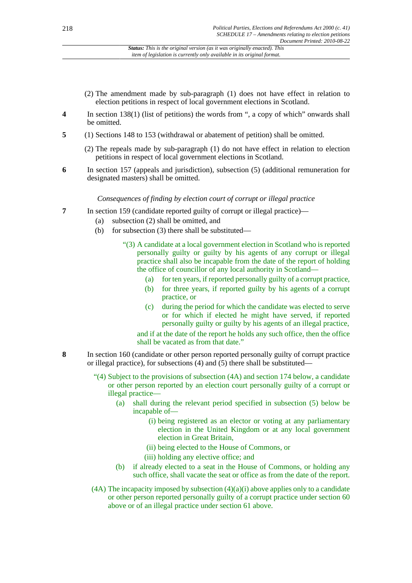- (2) The amendment made by sub-paragraph (1) does not have effect in relation to election petitions in respect of local government elections in Scotland.
- **4** In section 138(1) (list of petitions) the words from ", a copy of which" onwards shall be omitted.
- **5** (1) Sections 148 to 153 (withdrawal or abatement of petition) shall be omitted.
	- (2) The repeals made by sub-paragraph (1) do not have effect in relation to election petitions in respect of local government elections in Scotland.
- **6** In section 157 (appeals and jurisdiction), subsection (5) (additional remuneration for designated masters) shall be omitted.

### *Consequences of finding by election court of corrupt or illegal practice*

- **7** In section 159 (candidate reported guilty of corrupt or illegal practice)—
	- (a) subsection (2) shall be omitted, and
	- (b) for subsection (3) there shall be substituted—
		- "(3) A candidate at a local government election in Scotland who is reported personally guilty or guilty by his agents of any corrupt or illegal practice shall also be incapable from the date of the report of holding the office of councillor of any local authority in Scotland—
			- (a) for ten years, if reported personally guilty of a corrupt practice,
			- (b) for three years, if reported guilty by his agents of a corrupt practice, or
			- (c) during the period for which the candidate was elected to serve or for which if elected he might have served, if reported personally guilty or guilty by his agents of an illegal practice,

and if at the date of the report he holds any such office, then the office shall be vacated as from that date."

**8** In section 160 (candidate or other person reported personally guilty of corrupt practice or illegal practice), for subsections (4) and (5) there shall be substituted—

> "(4) Subject to the provisions of subsection (4A) and section 174 below, a candidate or other person reported by an election court personally guilty of a corrupt or illegal practice—

- (a) shall during the relevant period specified in subsection (5) below be incapable of—
	- (i) being registered as an elector or voting at any parliamentary election in the United Kingdom or at any local government election in Great Britain,
	- (ii) being elected to the House of Commons, or
	- (iii) holding any elective office; and
- (b) if already elected to a seat in the House of Commons, or holding any such office, shall vacate the seat or office as from the date of the report.
- (4A) The incapacity imposed by subsection  $(4)(a)(i)$  above applies only to a candidate or other person reported personally guilty of a corrupt practice under section 60 above or of an illegal practice under section 61 above.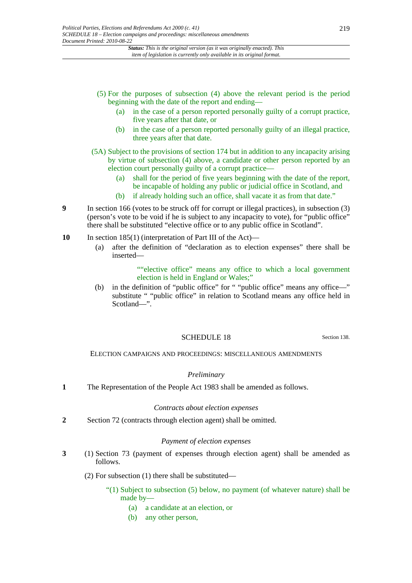- (5) For the purposes of subsection (4) above the relevant period is the period beginning with the date of the report and ending—
	- (a) in the case of a person reported personally guilty of a corrupt practice, five years after that date, or
	- (b) in the case of a person reported personally guilty of an illegal practice, three years after that date.
- (5A) Subject to the provisions of section 174 but in addition to any incapacity arising by virtue of subsection (4) above, a candidate or other person reported by an election court personally guilty of a corrupt practice—
	- (a) shall for the period of five years beginning with the date of the report, be incapable of holding any public or judicial office in Scotland, and
	- (b) if already holding such an office, shall vacate it as from that date."
- **9** In section 166 (votes to be struck off for corrupt or illegal practices), in subsection (3) (person's vote to be void if he is subject to any incapacity to vote), for "public office" there shall be substituted "elective office or to any public office in Scotland".
- 10 In section 185(1) (interpretation of Part III of the Act)—
	- (a) after the definition of "declaration as to election expenses" there shall be inserted—

""elective office" means any office to which a local government election is held in England or Wales;"

(b) in the definition of "public office" for " "public office" means any office—" substitute " "public office" in relation to Scotland means any office held in Scotland—".

## SCHEDULE 18 Section 138.

ELECTION CAMPAIGNS AND PROCEEDINGS: MISCELLANEOUS AMENDMENTS

### *Preliminary*

**1** The Representation of the People Act 1983 shall be amended as follows.

#### *Contracts about election expenses*

**2** Section 72 (contracts through election agent) shall be omitted.

### *Payment of election expenses*

- **3** (1) Section 73 (payment of expenses through election agent) shall be amended as follows.
	- (2) For subsection (1) there shall be substituted—
		- "(1) Subject to subsection (5) below, no payment (of whatever nature) shall be made by—
			- (a) a candidate at an election, or
			- (b) any other person,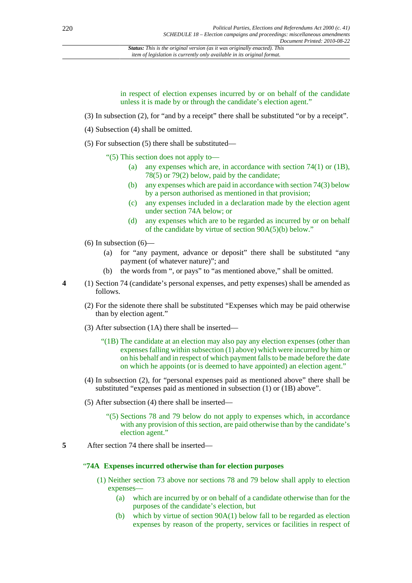in respect of election expenses incurred by or on behalf of the candidate unless it is made by or through the candidate's election agent."

- (3) In subsection (2), for "and by a receipt" there shall be substituted "or by a receipt".
- (4) Subsection (4) shall be omitted.
- (5) For subsection (5) there shall be substituted—
	- "(5) This section does not apply to—
		- (a) any expenses which are, in accordance with section 74(1) or (1B), 78(5) or 79(2) below, paid by the candidate;
		- (b) any expenses which are paid in accordance with section 74(3) below by a person authorised as mentioned in that provision;
		- (c) any expenses included in a declaration made by the election agent under section 74A below; or
		- (d) any expenses which are to be regarded as incurred by or on behalf of the candidate by virtue of section 90A(5)(b) below."
- $(6)$  In subsection  $(6)$ 
	- (a) for "any payment, advance or deposit" there shall be substituted "any payment (of whatever nature)"; and
	- (b) the words from ", or pays" to "as mentioned above," shall be omitted.
- **4** (1) Section 74 (candidate's personal expenses, and petty expenses) shall be amended as follows.
	- (2) For the sidenote there shall be substituted "Expenses which may be paid otherwise than by election agent."
	- (3) After subsection (1A) there shall be inserted—
		- "(1B) The candidate at an election may also pay any election expenses (other than expenses falling within subsection (1) above) which were incurred by him or on his behalf and in respect of which payment falls to be made before the date on which he appoints (or is deemed to have appointed) an election agent."
	- (4) In subsection (2), for "personal expenses paid as mentioned above" there shall be substituted "expenses paid as mentioned in subsection (1) or (1B) above".
	- (5) After subsection (4) there shall be inserted—
		- "(5) Sections 78 and 79 below do not apply to expenses which, in accordance with any provision of this section, are paid otherwise than by the candidate's election agent."
- **5** After section 74 there shall be inserted—

## "**74A Expenses incurred otherwise than for election purposes**

- (1) Neither section 73 above nor sections 78 and 79 below shall apply to election expenses—
	- (a) which are incurred by or on behalf of a candidate otherwise than for the purposes of the candidate's election, but
	- (b) which by virtue of section 90A(1) below fall to be regarded as election expenses by reason of the property, services or facilities in respect of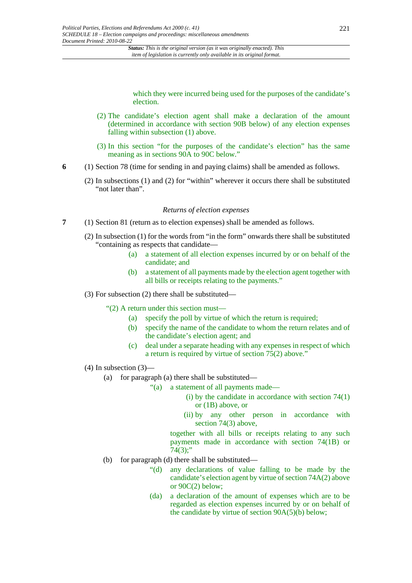which they were incurred being used for the purposes of the candidate's election.

- (2) The candidate's election agent shall make a declaration of the amount (determined in accordance with section 90B below) of any election expenses falling within subsection (1) above.
- (3) In this section "for the purposes of the candidate's election" has the same meaning as in sections 90A to 90C below."
- **6** (1) Section 78 (time for sending in and paying claims) shall be amended as follows.
	- (2) In subsections (1) and (2) for "within" wherever it occurs there shall be substituted "not later than".

#### *Returns of election expenses*

- **7** (1) Section 81 (return as to election expenses) shall be amended as follows.
	- (2) In subsection (1) for the words from "in the form" onwards there shall be substituted "containing as respects that candidate—
		- (a) a statement of all election expenses incurred by or on behalf of the candidate; and
		- (b) a statement of all payments made by the election agent together with all bills or receipts relating to the payments."
	- (3) For subsection (2) there shall be substituted—

"(2) A return under this section must—

- (a) specify the poll by virtue of which the return is required;
- (b) specify the name of the candidate to whom the return relates and of the candidate's election agent; and
- (c) deal under a separate heading with any expenses in respect of which a return is required by virtue of section 75(2) above."
- (4) In subsection (3)—
	- (a) for paragraph (a) there shall be substituted—
		- "(a) a statement of all payments made—
			- (i) by the candidate in accordance with section 74(1) or (1B) above, or
			- (ii) by any other person in accordance with section 74(3) above,

together with all bills or receipts relating to any such payments made in accordance with section 74(1B) or  $74(3)$ ;"

- (b) for paragraph (d) there shall be substituted—
	- "(d) any declarations of value falling to be made by the candidate's election agent by virtue of section 74A(2) above or 90C(2) below;
	- (da) a declaration of the amount of expenses which are to be regarded as election expenses incurred by or on behalf of the candidate by virtue of section 90A(5)(b) below;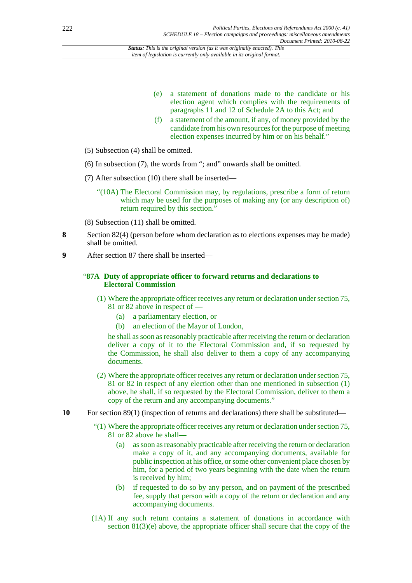- (e) a statement of donations made to the candidate or his election agent which complies with the requirements of paragraphs 11 and 12 of Schedule 2A to this Act; and
- (f) a statement of the amount, if any, of money provided by the candidate from his own resources for the purpose of meeting election expenses incurred by him or on his behalf."
- (5) Subsection (4) shall be omitted.
- (6) In subsection (7), the words from "; and" onwards shall be omitted.
- (7) After subsection (10) there shall be inserted—
	- "(10A) The Electoral Commission may, by regulations, prescribe a form of return which may be used for the purposes of making any (or any description of) return required by this section."

(8) Subsection (11) shall be omitted.

- **8** Section 82(4) (person before whom declaration as to elections expenses may be made) shall be omitted.
- **9** After section 87 there shall be inserted—

## "**87A Duty of appropriate officer to forward returns and declarations to Electoral Commission**

- (1) Where the appropriate officer receives any return or declaration under section 75, 81 or 82 above in respect of —
	- (a) a parliamentary election, or
	- (b) an election of the Mayor of London,

he shall as soon as reasonably practicable after receiving the return or declaration deliver a copy of it to the Electoral Commission and, if so requested by the Commission, he shall also deliver to them a copy of any accompanying documents.

- (2) Where the appropriate officer receives any return or declaration under section 75, 81 or 82 in respect of any election other than one mentioned in subsection (1) above, he shall, if so requested by the Electoral Commission, deliver to them a copy of the return and any accompanying documents."
- 10 For section 89(1) (inspection of returns and declarations) there shall be substituted—
	- "(1) Where the appropriate officer receives any return or declaration under section 75, 81 or 82 above he shall—
		- (a) as soon as reasonably practicable after receiving the return or declaration make a copy of it, and any accompanying documents, available for public inspection at his office, or some other convenient place chosen by him, for a period of two years beginning with the date when the return is received by him;
		- (b) if requested to do so by any person, and on payment of the prescribed fee, supply that person with a copy of the return or declaration and any accompanying documents.
	- (1A) If any such return contains a statement of donations in accordance with section  $81(3)(e)$  above, the appropriate officer shall secure that the copy of the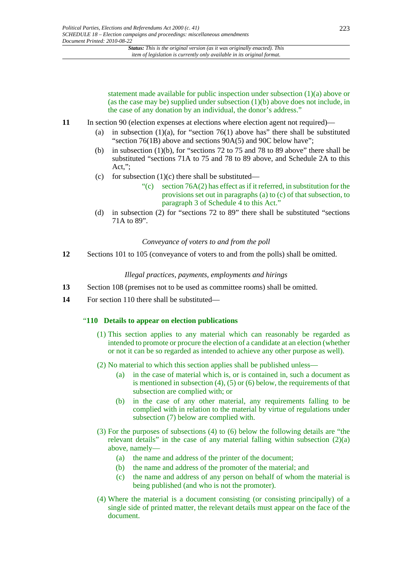statement made available for public inspection under subsection (1)(a) above or (as the case may be) supplied under subsection (1)(b) above does not include, in the case of any donation by an individual, the donor's address."

- 11 In section 90 (election expenses at elections where election agent not required)—
	- (a) in subsection  $(1)(a)$ , for "section 76(1) above has" there shall be substituted "section 76(1B) above and sections 90A(5) and 90C below have";
	- (b) in subsection (1)(b), for "sections 72 to 75 and 78 to 89 above" there shall be substituted "sections 71A to 75 and 78 to 89 above, and Schedule 2A to this Act,";
	- (c) for subsection  $(1)(c)$  there shall be substituted—
		- $\degree$  (c) section 76A(2) has effect as if it referred, in substitution for the provisions set out in paragraphs (a) to (c) of that subsection, to paragraph 3 of Schedule 4 to this Act."
	- (d) in subsection (2) for "sections 72 to 89" there shall be substituted "sections 71A to 89".

## *Conveyance of voters to and from the poll*

**12** Sections 101 to 105 (conveyance of voters to and from the polls) shall be omitted.

## *Illegal practices, payments, employments and hirings*

- **13** Section 108 (premises not to be used as committee rooms) shall be omitted.
- **14** For section 110 there shall be substituted—

### "**110 Details to appear on election publications**

- (1) This section applies to any material which can reasonably be regarded as intended to promote or procure the election of a candidate at an election (whether or not it can be so regarded as intended to achieve any other purpose as well).
- (2) No material to which this section applies shall be published unless—
	- (a) in the case of material which is, or is contained in, such a document as is mentioned in subsection  $(4)$ ,  $(5)$  or  $(6)$  below, the requirements of that subsection are complied with; or
	- (b) in the case of any other material, any requirements falling to be complied with in relation to the material by virtue of regulations under subsection (7) below are complied with.
- (3) For the purposes of subsections (4) to (6) below the following details are "the relevant details" in the case of any material falling within subsection (2)(a) above, namely—
	- (a) the name and address of the printer of the document;
	- (b) the name and address of the promoter of the material; and
	- (c) the name and address of any person on behalf of whom the material is being published (and who is not the promoter).
- (4) Where the material is a document consisting (or consisting principally) of a single side of printed matter, the relevant details must appear on the face of the document.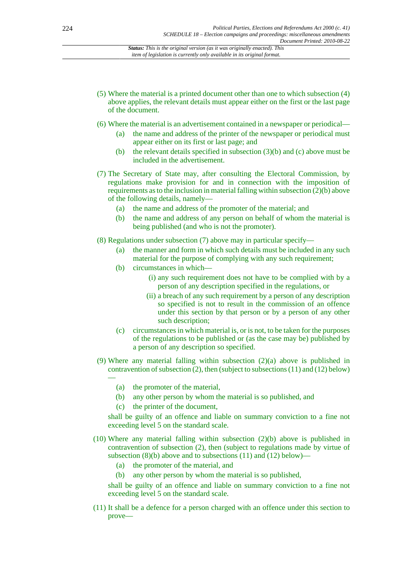- (5) Where the material is a printed document other than one to which subsection (4) above applies, the relevant details must appear either on the first or the last page of the document.
- (6) Where the material is an advertisement contained in a newspaper or periodical—
	- (a) the name and address of the printer of the newspaper or periodical must appear either on its first or last page; and
	- (b) the relevant details specified in subsection  $(3)(b)$  and (c) above must be included in the advertisement.
- (7) The Secretary of State may, after consulting the Electoral Commission, by regulations make provision for and in connection with the imposition of requirements as to the inclusion in material falling within subsection (2)(b) above of the following details, namely—
	- (a) the name and address of the promoter of the material; and
	- (b) the name and address of any person on behalf of whom the material is being published (and who is not the promoter).
- (8) Regulations under subsection (7) above may in particular specify—
	- (a) the manner and form in which such details must be included in any such material for the purpose of complying with any such requirement;
	- (b) circumstances in which—
		- (i) any such requirement does not have to be complied with by a person of any description specified in the regulations, or
		- (ii) a breach of any such requirement by a person of any description so specified is not to result in the commission of an offence under this section by that person or by a person of any other such description;
	- (c) circumstances in which material is, or is not, to be taken for the purposes of the regulations to be published or (as the case may be) published by a person of any description so specified.
- (9) Where any material falling within subsection (2)(a) above is published in contravention of subsection (2), then (subject to subsections (11) and (12) below) —
	- (a) the promoter of the material,
	- (b) any other person by whom the material is so published, and
	- (c) the printer of the document,

shall be guilty of an offence and liable on summary conviction to a fine not exceeding level 5 on the standard scale.

- (10) Where any material falling within subsection (2)(b) above is published in contravention of subsection (2), then (subject to regulations made by virtue of subsection  $(8)(b)$  above and to subsections  $(11)$  and  $(12)$  below)—
	- (a) the promoter of the material, and
	- (b) any other person by whom the material is so published,

shall be guilty of an offence and liable on summary conviction to a fine not exceeding level 5 on the standard scale.

(11) It shall be a defence for a person charged with an offence under this section to prove—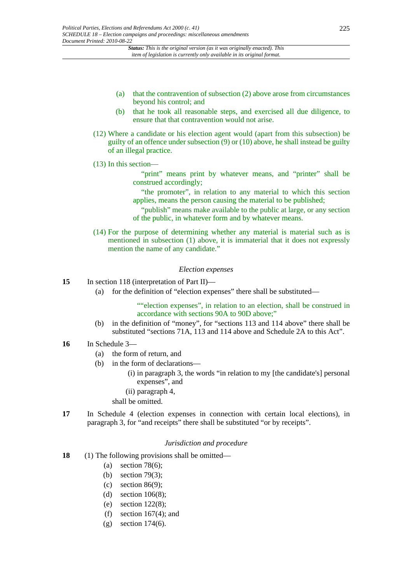- (a) that the contravention of subsection (2) above arose from circumstances beyond his control; and
- (b) that he took all reasonable steps, and exercised all due diligence, to ensure that that contravention would not arise.
- (12) Where a candidate or his election agent would (apart from this subsection) be guilty of an offence under subsection (9) or (10) above, he shall instead be guilty of an illegal practice.
- (13) In this section—

"print" means print by whatever means, and "printer" shall be construed accordingly;

"the promoter", in relation to any material to which this section applies, means the person causing the material to be published;

"publish" means make available to the public at large, or any section of the public, in whatever form and by whatever means.

(14) For the purpose of determining whether any material is material such as is mentioned in subsection (1) above, it is immaterial that it does not expressly mention the name of any candidate."

#### *Election expenses*

15 In section 118 (interpretation of Part II)—

(a) for the definition of "election expenses" there shall be substituted—

""election expenses", in relation to an election, shall be construed in accordance with sections 90A to 90D above;"

- (b) in the definition of "money", for "sections 113 and 114 above" there shall be substituted "sections 71A, 113 and 114 above and Schedule 2A to this Act".
- **16** In Schedule 3—
	- (a) the form of return, and
	- (b) in the form of declarations—
		- (i) in paragraph 3, the words "in relation to my [the candidate's] personal expenses", and
		- (ii) paragraph 4,
		- shall be omitted.
- **17** In Schedule 4 (election expenses in connection with certain local elections), in paragraph 3, for "and receipts" there shall be substituted "or by receipts".

#### *Jurisdiction and procedure*

- **18** (1) The following provisions shall be omitted—
	- (a) section 78(6);
	- (b) section 79(3);
	- (c) section  $86(9)$ ;
	- (d) section 106(8);
	- (e) section 122(8);
	- (f) section  $167(4)$ ; and
	- (g) section 174(6).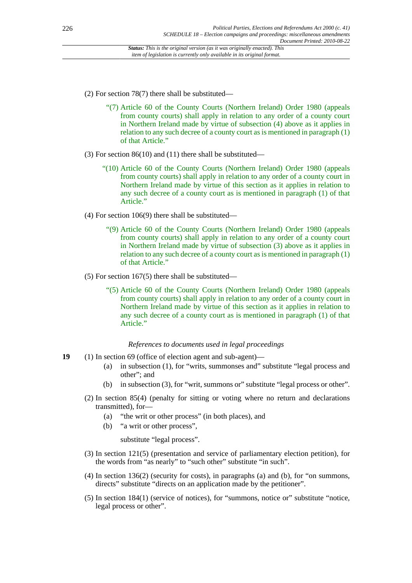- (2) For section 78(7) there shall be substituted—
	- "(7) Article 60 of the County Courts (Northern Ireland) Order 1980 (appeals from county courts) shall apply in relation to any order of a county court in Northern Ireland made by virtue of subsection (4) above as it applies in relation to any such decree of a county court as is mentioned in paragraph (1) of that Article."
- (3) For section 86(10) and (11) there shall be substituted—
	- "(10) Article 60 of the County Courts (Northern Ireland) Order 1980 (appeals from county courts) shall apply in relation to any order of a county court in Northern Ireland made by virtue of this section as it applies in relation to any such decree of a county court as is mentioned in paragraph (1) of that Article."
- (4) For section 106(9) there shall be substituted—
	- "(9) Article 60 of the County Courts (Northern Ireland) Order 1980 (appeals from county courts) shall apply in relation to any order of a county court in Northern Ireland made by virtue of subsection (3) above as it applies in relation to any such decree of a county court as is mentioned in paragraph (1) of that Article."
- (5) For section  $167(5)$  there shall be substituted—
	- "(5) Article 60 of the County Courts (Northern Ireland) Order 1980 (appeals from county courts) shall apply in relation to any order of a county court in Northern Ireland made by virtue of this section as it applies in relation to any such decree of a county court as is mentioned in paragraph (1) of that Article."

### *References to documents used in legal proceedings*

- **19** (1) In section 69 (office of election agent and sub-agent)—
	- (a) in subsection (1), for "writs, summonses and" substitute "legal process and other"; and
	- (b) in subsection (3), for "writ, summons or" substitute "legal process or other".
	- (2) In section 85(4) (penalty for sitting or voting where no return and declarations transmitted), for—
		- (a) "the writ or other process" (in both places), and
		- (b) "a writ or other process",

substitute "legal process".

- (3) In section 121(5) (presentation and service of parliamentary election petition), for the words from "as nearly" to "such other" substitute "in such".
- (4) In section 136(2) (security for costs), in paragraphs (a) and (b), for "on summons, directs" substitute "directs on an application made by the petitioner".
- (5) In section 184(1) (service of notices), for "summons, notice or" substitute "notice, legal process or other".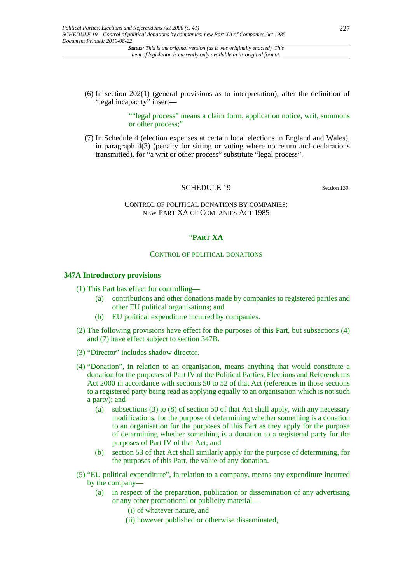(6) In section 202(1) (general provisions as to interpretation), after the definition of "legal incapacity" insert—

> ""legal process" means a claim form, application notice, writ, summons or other process;"

(7) In Schedule 4 (election expenses at certain local elections in England and Wales), in paragraph 4(3) (penalty for sitting or voting where no return and declarations transmitted), for "a writ or other process" substitute "legal process".

### SCHEDULE 19 Section 139.

CONTROL OF POLITICAL DONATIONS BY COMPANIES: NEW PART XA OF COMPANIES ACT 1985

### "**PART XA**

### CONTROL OF POLITICAL DONATIONS

#### **347A Introductory provisions**

- (1) This Part has effect for controlling—
	- (a) contributions and other donations made by companies to registered parties and other EU political organisations; and
	- (b) EU political expenditure incurred by companies.
- (2) The following provisions have effect for the purposes of this Part, but subsections (4) and (7) have effect subject to section 347B.
- (3) "Director" includes shadow director.
- (4) "Donation", in relation to an organisation, means anything that would constitute a donation for the purposes of Part IV of the Political Parties, Elections and Referendums Act 2000 in accordance with sections 50 to 52 of that Act (references in those sections to a registered party being read as applying equally to an organisation which is not such a party); and—
	- (a) subsections (3) to (8) of section 50 of that Act shall apply, with any necessary modifications, for the purpose of determining whether something is a donation to an organisation for the purposes of this Part as they apply for the purpose of determining whether something is a donation to a registered party for the purposes of Part IV of that Act; and
	- (b) section 53 of that Act shall similarly apply for the purpose of determining, for the purposes of this Part, the value of any donation.
- (5) "EU political expenditure", in relation to a company, means any expenditure incurred by the company—
	- (a) in respect of the preparation, publication or dissemination of any advertising or any other promotional or publicity material—
		- (i) of whatever nature, and
		- (ii) however published or otherwise disseminated,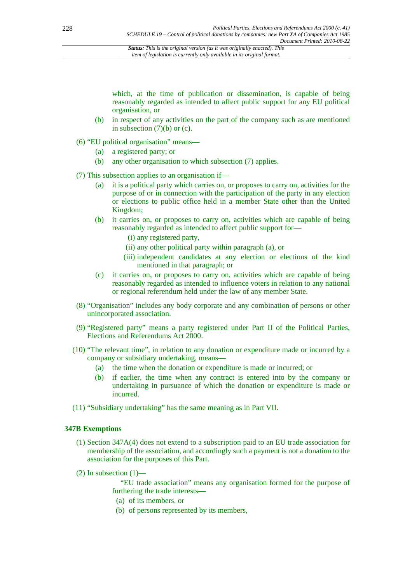which, at the time of publication or dissemination, is capable of being reasonably regarded as intended to affect public support for any EU political organisation, or

- (b) in respect of any activities on the part of the company such as are mentioned in subsection  $(7)(b)$  or  $(c)$ .
- (6) "EU political organisation" means—
	- (a) a registered party; or
	- (b) any other organisation to which subsection (7) applies.

(7) This subsection applies to an organisation if—

- (a) it is a political party which carries on, or proposes to carry on, activities for the purpose of or in connection with the participation of the party in any election or elections to public office held in a member State other than the United Kingdom;
- (b) it carries on, or proposes to carry on, activities which are capable of being reasonably regarded as intended to affect public support for—
	- (i) any registered party,
	- (ii) any other political party within paragraph (a), or
	- (iii) independent candidates at any election or elections of the kind mentioned in that paragraph; or
- (c) it carries on, or proposes to carry on, activities which are capable of being reasonably regarded as intended to influence voters in relation to any national or regional referendum held under the law of any member State.
- (8) "Organisation" includes any body corporate and any combination of persons or other unincorporated association.
- (9) "Registered party" means a party registered under Part II of the Political Parties, Elections and Referendums Act 2000.
- (10) "The relevant time", in relation to any donation or expenditure made or incurred by a company or subsidiary undertaking, means—
	- (a) the time when the donation or expenditure is made or incurred; or
	- (b) if earlier, the time when any contract is entered into by the company or undertaking in pursuance of which the donation or expenditure is made or incurred.
- (11) "Subsidiary undertaking" has the same meaning as in Part VII.

## **347B Exemptions**

- (1) Section 347A(4) does not extend to a subscription paid to an EU trade association for membership of the association, and accordingly such a payment is not a donation to the association for the purposes of this Part.
- (2) In subsection  $(1)$ –

"EU trade association" means any organisation formed for the purpose of furthering the trade interests—

- (a) of its members, or
- (b) of persons represented by its members,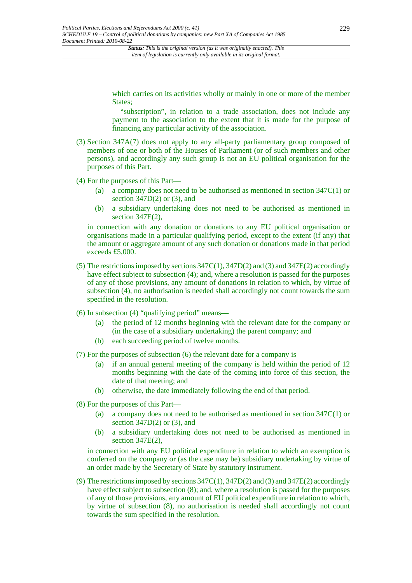which carries on its activities wholly or mainly in one or more of the member States;

"subscription", in relation to a trade association, does not include any payment to the association to the extent that it is made for the purpose of financing any particular activity of the association.

- (3) Section 347A(7) does not apply to any all-party parliamentary group composed of members of one or both of the Houses of Parliament (or of such members and other persons), and accordingly any such group is not an EU political organisation for the purposes of this Part.
- (4) For the purposes of this Part—
	- (a) a company does not need to be authorised as mentioned in section 347C(1) or section  $347D(2)$  or (3), and
	- (b) a subsidiary undertaking does not need to be authorised as mentioned in section 347E(2).

in connection with any donation or donations to any EU political organisation or organisations made in a particular qualifying period, except to the extent (if any) that the amount or aggregate amount of any such donation or donations made in that period exceeds £5,000.

- (5) The restrictions imposed by sections 347C(1), 347D(2) and (3) and 347E(2) accordingly have effect subject to subsection (4); and, where a resolution is passed for the purposes of any of those provisions, any amount of donations in relation to which, by virtue of subsection (4), no authorisation is needed shall accordingly not count towards the sum specified in the resolution.
- (6) In subsection (4) "qualifying period" means—
	- (a) the period of 12 months beginning with the relevant date for the company or (in the case of a subsidiary undertaking) the parent company; and
	- (b) each succeeding period of twelve months.
- (7) For the purposes of subsection (6) the relevant date for a company is—
	- (a) if an annual general meeting of the company is held within the period of 12 months beginning with the date of the coming into force of this section, the date of that meeting; and
	- (b) otherwise, the date immediately following the end of that period.
- (8) For the purposes of this Part—
	- (a) a company does not need to be authorised as mentioned in section 347C(1) or section  $347D(2)$  or  $(3)$ , and
	- (b) a subsidiary undertaking does not need to be authorised as mentioned in section 347E(2),

in connection with any EU political expenditure in relation to which an exemption is conferred on the company or (as the case may be) subsidiary undertaking by virtue of an order made by the Secretary of State by statutory instrument.

(9) The restrictions imposed by sections 347C(1), 347D(2) and (3) and 347E(2) accordingly have effect subject to subsection (8); and, where a resolution is passed for the purposes of any of those provisions, any amount of EU political expenditure in relation to which, by virtue of subsection (8), no authorisation is needed shall accordingly not count towards the sum specified in the resolution.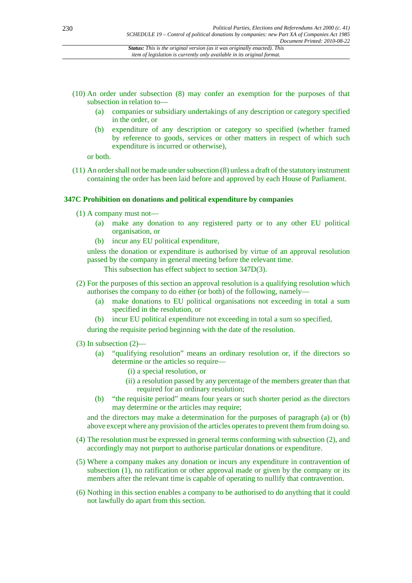*item of legislation is currently only available in its original format.*

- (10) An order under subsection (8) may confer an exemption for the purposes of that subsection in relation to—
	- (a) companies or subsidiary undertakings of any description or category specified in the order, or
	- (b) expenditure of any description or category so specified (whether framed by reference to goods, services or other matters in respect of which such expenditure is incurred or otherwise),
	- or both.
- (11) An order shall not be made under subsection (8) unless a draft of the statutory instrument containing the order has been laid before and approved by each House of Parliament.

### **347C Prohibition on donations and political expenditure by companies**

- (1) A company must not—
	- (a) make any donation to any registered party or to any other EU political organisation, or
	- (b) incur any EU political expenditure,

unless the donation or expenditure is authorised by virtue of an approval resolution passed by the company in general meeting before the relevant time.

This subsection has effect subject to section 347D(3).

- (2) For the purposes of this section an approval resolution is a qualifying resolution which authorises the company to do either (or both) of the following, namely—
	- (a) make donations to EU political organisations not exceeding in total a sum specified in the resolution, or
	- (b) incur EU political expenditure not exceeding in total a sum so specified,

during the requisite period beginning with the date of the resolution.

- $(3)$  In subsection  $(2)$ 
	- (a) "qualifying resolution" means an ordinary resolution or, if the directors so determine or the articles so require—
		- (i) a special resolution, or
		- (ii) a resolution passed by any percentage of the members greater than that required for an ordinary resolution;
	- (b) "the requisite period" means four years or such shorter period as the directors may determine or the articles may require;

and the directors may make a determination for the purposes of paragraph (a) or (b) above except where any provision of the articles operates to prevent them from doing so.

- (4) The resolution must be expressed in general terms conforming with subsection (2), and accordingly may not purport to authorise particular donations or expenditure.
- (5) Where a company makes any donation or incurs any expenditure in contravention of subsection (1), no ratification or other approval made or given by the company or its members after the relevant time is capable of operating to nullify that contravention.
- (6) Nothing in this section enables a company to be authorised to do anything that it could not lawfully do apart from this section.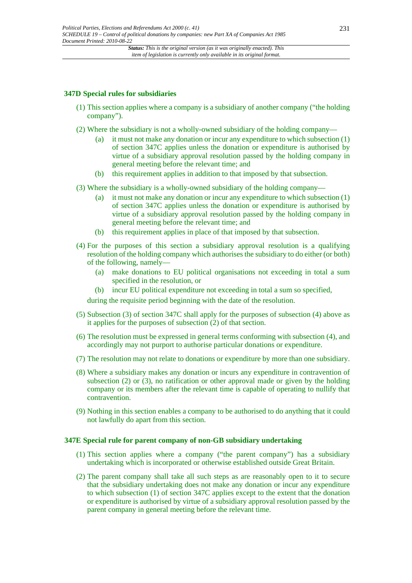## **347D Special rules for subsidiaries**

- (1) This section applies where a company is a subsidiary of another company ("the holding company").
- (2) Where the subsidiary is not a wholly-owned subsidiary of the holding company—
	- (a) it must not make any donation or incur any expenditure to which subsection (1) of section 347C applies unless the donation or expenditure is authorised by virtue of a subsidiary approval resolution passed by the holding company in general meeting before the relevant time; and
	- (b) this requirement applies in addition to that imposed by that subsection.
- (3) Where the subsidiary is a wholly-owned subsidiary of the holding company—
	- (a) it must not make any donation or incur any expenditure to which subsection (1) of section 347C applies unless the donation or expenditure is authorised by virtue of a subsidiary approval resolution passed by the holding company in general meeting before the relevant time; and
	- (b) this requirement applies in place of that imposed by that subsection.
- (4) For the purposes of this section a subsidiary approval resolution is a qualifying resolution of the holding company which authorises the subsidiary to do either (or both) of the following, namely—
	- (a) make donations to EU political organisations not exceeding in total a sum specified in the resolution, or
	- (b) incur EU political expenditure not exceeding in total a sum so specified,
	- during the requisite period beginning with the date of the resolution.
- (5) Subsection (3) of section 347C shall apply for the purposes of subsection (4) above as it applies for the purposes of subsection (2) of that section.
- (6) The resolution must be expressed in general terms conforming with subsection (4), and accordingly may not purport to authorise particular donations or expenditure.
- (7) The resolution may not relate to donations or expenditure by more than one subsidiary.
- (8) Where a subsidiary makes any donation or incurs any expenditure in contravention of subsection (2) or (3), no ratification or other approval made or given by the holding company or its members after the relevant time is capable of operating to nullify that contravention.
- (9) Nothing in this section enables a company to be authorised to do anything that it could not lawfully do apart from this section.

### **347E Special rule for parent company of non-GB subsidiary undertaking**

- (1) This section applies where a company ("the parent company") has a subsidiary undertaking which is incorporated or otherwise established outside Great Britain.
- (2) The parent company shall take all such steps as are reasonably open to it to secure that the subsidiary undertaking does not make any donation or incur any expenditure to which subsection (1) of section 347C applies except to the extent that the donation or expenditure is authorised by virtue of a subsidiary approval resolution passed by the parent company in general meeting before the relevant time.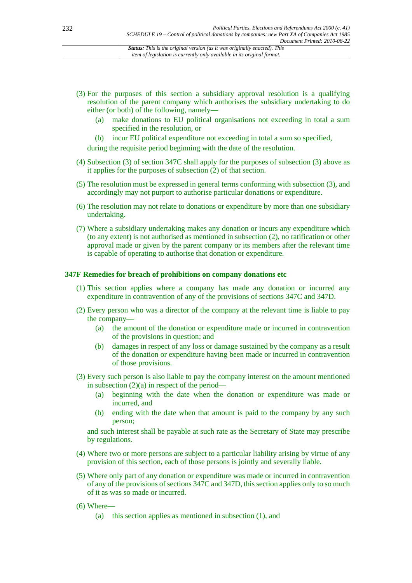- (3) For the purposes of this section a subsidiary approval resolution is a qualifying resolution of the parent company which authorises the subsidiary undertaking to do either (or both) of the following, namely—
	- (a) make donations to EU political organisations not exceeding in total a sum specified in the resolution, or
	- (b) incur EU political expenditure not exceeding in total a sum so specified,

during the requisite period beginning with the date of the resolution.

- (4) Subsection (3) of section 347C shall apply for the purposes of subsection (3) above as it applies for the purposes of subsection (2) of that section.
- (5) The resolution must be expressed in general terms conforming with subsection (3), and accordingly may not purport to authorise particular donations or expenditure.
- (6) The resolution may not relate to donations or expenditure by more than one subsidiary undertaking.
- (7) Where a subsidiary undertaking makes any donation or incurs any expenditure which (to any extent) is not authorised as mentioned in subsection (2), no ratification or other approval made or given by the parent company or its members after the relevant time is capable of operating to authorise that donation or expenditure.

## **347F Remedies for breach of prohibitions on company donations etc**

- (1) This section applies where a company has made any donation or incurred any expenditure in contravention of any of the provisions of sections 347C and 347D.
- (2) Every person who was a director of the company at the relevant time is liable to pay the company—
	- (a) the amount of the donation or expenditure made or incurred in contravention of the provisions in question; and
	- (b) damages in respect of any loss or damage sustained by the company as a result of the donation or expenditure having been made or incurred in contravention of those provisions.
- (3) Every such person is also liable to pay the company interest on the amount mentioned in subsection  $(2)(a)$  in respect of the period—
	- (a) beginning with the date when the donation or expenditure was made or incurred, and
	- (b) ending with the date when that amount is paid to the company by any such person;

and such interest shall be payable at such rate as the Secretary of State may prescribe by regulations.

- (4) Where two or more persons are subject to a particular liability arising by virtue of any provision of this section, each of those persons is jointly and severally liable.
- (5) Where only part of any donation or expenditure was made or incurred in contravention of any of the provisions of sections 347C and 347D, this section applies only to so much of it as was so made or incurred.
- (6) Where—
	- (a) this section applies as mentioned in subsection (1), and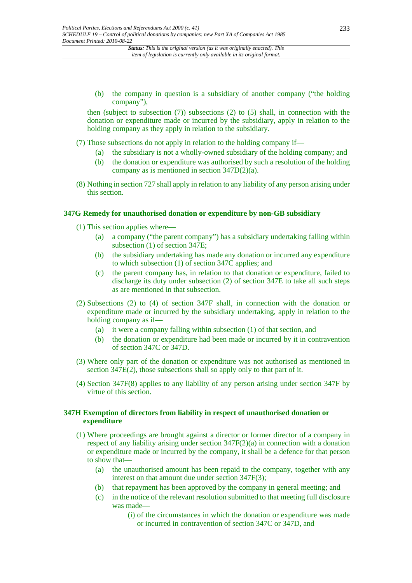(b) the company in question is a subsidiary of another company ("the holding company"),

then (subject to subsection  $(7)$ ) subsections  $(2)$  to  $(5)$  shall, in connection with the donation or expenditure made or incurred by the subsidiary, apply in relation to the holding company as they apply in relation to the subsidiary.

- (7) Those subsections do not apply in relation to the holding company if—
	- (a) the subsidiary is not a wholly-owned subsidiary of the holding company; and
	- (b) the donation or expenditure was authorised by such a resolution of the holding company as is mentioned in section 347D(2)(a).
- (8) Nothing in section 727 shall apply in relation to any liability of any person arising under this section.

#### **347G Remedy for unauthorised donation or expenditure by non-GB subsidiary**

- (1) This section applies where—
	- (a) a company ("the parent company") has a subsidiary undertaking falling within subsection (1) of section 347E;
	- (b) the subsidiary undertaking has made any donation or incurred any expenditure to which subsection (1) of section 347C applies; and
	- (c) the parent company has, in relation to that donation or expenditure, failed to discharge its duty under subsection (2) of section 347E to take all such steps as are mentioned in that subsection.
- (2) Subsections (2) to (4) of section 347F shall, in connection with the donation or expenditure made or incurred by the subsidiary undertaking, apply in relation to the holding company as if—
	- (a) it were a company falling within subsection (1) of that section, and
	- (b) the donation or expenditure had been made or incurred by it in contravention of section 347C or 347D.
- (3) Where only part of the donation or expenditure was not authorised as mentioned in section  $347E(2)$ , those subsections shall so apply only to that part of it.
- (4) Section 347F(8) applies to any liability of any person arising under section 347F by virtue of this section.

## **347H Exemption of directors from liability in respect of unauthorised donation or expenditure**

- (1) Where proceedings are brought against a director or former director of a company in respect of any liability arising under section 347F(2)(a) in connection with a donation or expenditure made or incurred by the company, it shall be a defence for that person to show that—
	- (a) the unauthorised amount has been repaid to the company, together with any interest on that amount due under section 347F(3);
	- (b) that repayment has been approved by the company in general meeting; and
	- (c) in the notice of the relevant resolution submitted to that meeting full disclosure was made-
		- (i) of the circumstances in which the donation or expenditure was made or incurred in contravention of section 347C or 347D, and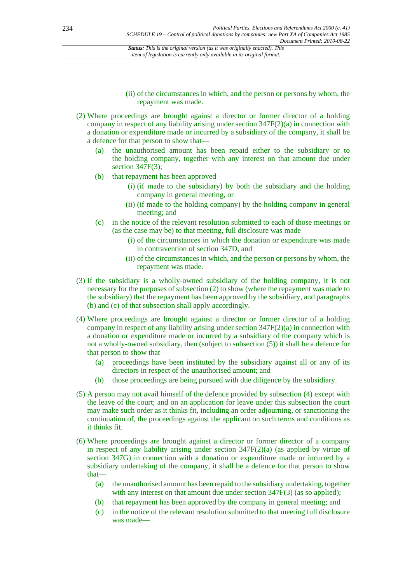- (ii) of the circumstances in which, and the person or persons by whom, the repayment was made.
- (2) Where proceedings are brought against a director or former director of a holding company in respect of any liability arising under section 347F(2)(a) in connection with a donation or expenditure made or incurred by a subsidiary of the company, it shall be a defence for that person to show that—
	- (a) the unauthorised amount has been repaid either to the subsidiary or to the holding company, together with any interest on that amount due under section 347F(3):
	- (b) that repayment has been approved—
		- (i) (if made to the subsidiary) by both the subsidiary and the holding company in general meeting, or
		- (ii) (if made to the holding company) by the holding company in general meeting; and
	- (c) in the notice of the relevant resolution submitted to each of those meetings or (as the case may be) to that meeting, full disclosure was made—
		- (i) of the circumstances in which the donation or expenditure was made in contravention of section 347D, and
		- (ii) of the circumstances in which, and the person or persons by whom, the repayment was made.
- (3) If the subsidiary is a wholly-owned subsidiary of the holding company, it is not necessary for the purposes of subsection (2) to show (where the repayment was made to the subsidiary) that the repayment has been approved by the subsidiary, and paragraphs (b) and (c) of that subsection shall apply accordingly.
- (4) Where proceedings are brought against a director or former director of a holding company in respect of any liability arising under section 347F(2)(a) in connection with a donation or expenditure made or incurred by a subsidiary of the company which is not a wholly-owned subsidiary, then (subject to subsection (5)) it shall be a defence for that person to show that—
	- (a) proceedings have been instituted by the subsidiary against all or any of its directors in respect of the unauthorised amount; and
	- (b) those proceedings are being pursued with due diligence by the subsidiary.
- (5) A person may not avail himself of the defence provided by subsection (4) except with the leave of the court; and on an application for leave under this subsection the court may make such order as it thinks fit, including an order adjourning, or sanctioning the continuation of, the proceedings against the applicant on such terms and conditions as it thinks fit.
- (6) Where proceedings are brought against a director or former director of a company in respect of any liability arising under section 347F(2)(a) (as applied by virtue of section 347G) in connection with a donation or expenditure made or incurred by a subsidiary undertaking of the company, it shall be a defence for that person to show that—
	- (a) the unauthorised amount has been repaid to the subsidiary undertaking, together with any interest on that amount due under section 347F(3) (as so applied);
	- (b) that repayment has been approved by the company in general meeting; and
	- (c) in the notice of the relevant resolution submitted to that meeting full disclosure was made—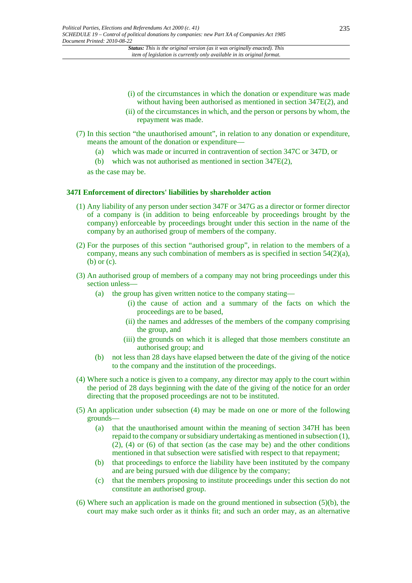- (i) of the circumstances in which the donation or expenditure was made without having been authorised as mentioned in section 347E(2), and
- (ii) of the circumstances in which, and the person or persons by whom, the repayment was made.
- (7) In this section "the unauthorised amount", in relation to any donation or expenditure, means the amount of the donation or expenditure—
	- (a) which was made or incurred in contravention of section 347C or 347D, or
	- (b) which was not authorised as mentioned in section 347E(2),

as the case may be.

## **347I Enforcement of directors' liabilities by shareholder action**

- (1) Any liability of any person under section 347F or 347G as a director or former director of a company is (in addition to being enforceable by proceedings brought by the company) enforceable by proceedings brought under this section in the name of the company by an authorised group of members of the company.
- (2) For the purposes of this section "authorised group", in relation to the members of a company, means any such combination of members as is specified in section 54(2)(a), (b) or (c).
- (3) An authorised group of members of a company may not bring proceedings under this section unless—
	- (a) the group has given written notice to the company stating—
		- (i) the cause of action and a summary of the facts on which the proceedings are to be based,
		- (ii) the names and addresses of the members of the company comprising the group, and
		- (iii) the grounds on which it is alleged that those members constitute an authorised group; and
	- (b) not less than 28 days have elapsed between the date of the giving of the notice to the company and the institution of the proceedings.
- (4) Where such a notice is given to a company, any director may apply to the court within the period of 28 days beginning with the date of the giving of the notice for an order directing that the proposed proceedings are not to be instituted.
- (5) An application under subsection (4) may be made on one or more of the following grounds—
	- (a) that the unauthorised amount within the meaning of section 347H has been repaid to the company or subsidiary undertaking as mentioned in subsection (1), (2), (4) or (6) of that section (as the case may be) and the other conditions mentioned in that subsection were satisfied with respect to that repayment;
	- (b) that proceedings to enforce the liability have been instituted by the company and are being pursued with due diligence by the company;
	- (c) that the members proposing to institute proceedings under this section do not constitute an authorised group.
- (6) Where such an application is made on the ground mentioned in subsection  $(5)(b)$ , the court may make such order as it thinks fit; and such an order may, as an alternative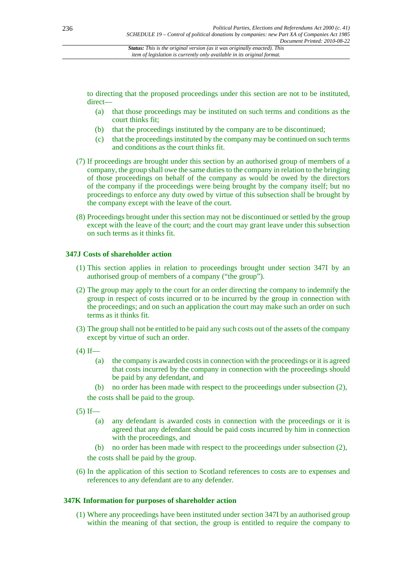*item of legislation is currently only available in its original format.*

to directing that the proposed proceedings under this section are not to be instituted, direct—

- (a) that those proceedings may be instituted on such terms and conditions as the court thinks fit;
- (b) that the proceedings instituted by the company are to be discontinued;
- (c) that the proceedings instituted by the company may be continued on such terms and conditions as the court thinks fit.
- (7) If proceedings are brought under this section by an authorised group of members of a company, the group shall owe the same duties to the company in relation to the bringing of those proceedings on behalf of the company as would be owed by the directors of the company if the proceedings were being brought by the company itself; but no proceedings to enforce any duty owed by virtue of this subsection shall be brought by the company except with the leave of the court.
- (8) Proceedings brought under this section may not be discontinued or settled by the group except with the leave of the court; and the court may grant leave under this subsection on such terms as it thinks fit.

## **347J Costs of shareholder action**

- (1) This section applies in relation to proceedings brought under section 347I by an authorised group of members of a company ("the group").
- (2) The group may apply to the court for an order directing the company to indemnify the group in respect of costs incurred or to be incurred by the group in connection with the proceedings; and on such an application the court may make such an order on such terms as it thinks fit.
- (3) The group shall not be entitled to be paid any such costs out of the assets of the company except by virtue of such an order.

 $(4)$  If—

- (a) the company is awarded costs in connection with the proceedings or it is agreed that costs incurred by the company in connection with the proceedings should be paid by any defendant, and
- (b) no order has been made with respect to the proceedings under subsection (2), the costs shall be paid to the group.
- $(5)$  If—
	- (a) any defendant is awarded costs in connection with the proceedings or it is agreed that any defendant should be paid costs incurred by him in connection with the proceedings, and
	- (b) no order has been made with respect to the proceedings under subsection (2), the costs shall be paid by the group.
- (6) In the application of this section to Scotland references to costs are to expenses and references to any defendant are to any defender.

### **347K Information for purposes of shareholder action**

(1) Where any proceedings have been instituted under section 347I by an authorised group within the meaning of that section, the group is entitled to require the company to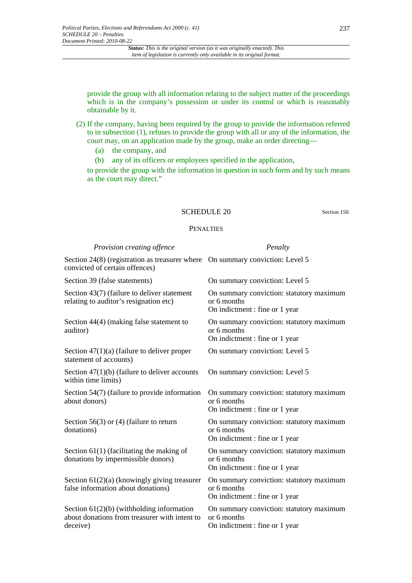provide the group with all information relating to the subject matter of the proceedings which is in the company's possession or under its control or which is reasonably obtainable by it.

- (2) If the company, having been required by the group to provide the information referred to in subsection (1), refuses to provide the group with all or any of the information, the court may, on an application made by the group, make an order directing—
	- (a) the company, and
	- (b) any of its officers or employees specified in the application,

to provide the group with the information in question in such form and by such means as the court may direct."

#### SCHEDULE 20 Section 150.

#### **PENALTIES**

| Penalty                                                                                   |
|-------------------------------------------------------------------------------------------|
| Section 24(8) (registration as treasurer where On summary conviction: Level 5             |
| On summary conviction: Level 5                                                            |
| On summary conviction: statutory maximum<br>or 6 months<br>On indictment : fine or 1 year |
| On summary conviction: statutory maximum<br>or 6 months<br>On indictment : fine or 1 year |
| On summary conviction: Level 5                                                            |
| On summary conviction: Level 5                                                            |
| On summary conviction: statutory maximum<br>or 6 months<br>On indictment : fine or 1 year |
| On summary conviction: statutory maximum<br>or 6 months<br>On indictment : fine or 1 year |
| On summary conviction: statutory maximum<br>or 6 months<br>On indictment : fine or 1 year |
| On summary conviction: statutory maximum<br>or 6 months<br>On indictment : fine or 1 year |
| On summary conviction: statutory maximum<br>or 6 months<br>On indictment : fine or 1 year |
|                                                                                           |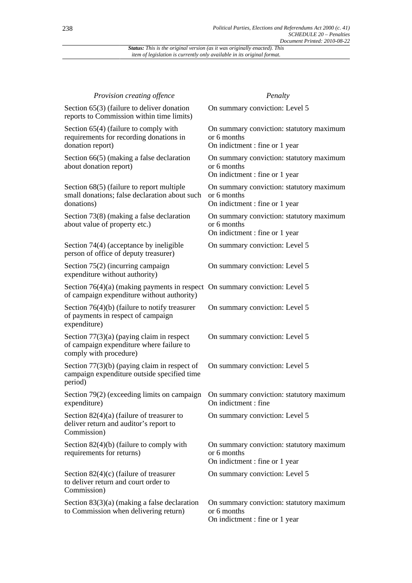*Provision creating offence Penalty*

| Section $65(3)$ (failure to deliver donation<br>reports to Commission within time limits)                                 | On summary conviction: Level 5                                                            |
|---------------------------------------------------------------------------------------------------------------------------|-------------------------------------------------------------------------------------------|
| Section 65(4) (failure to comply with<br>requirements for recording donations in<br>donation report)                      | On summary conviction: statutory maximum<br>or 6 months<br>On indictment : fine or 1 year |
| Section $66(5)$ (making a false declaration<br>about donation report)                                                     | On summary conviction: statutory maximum<br>or 6 months<br>On indictment : fine or 1 year |
| Section $68(5)$ (failure to report multiple<br>small donations; false declaration about such<br>donations)                | On summary conviction: statutory maximum<br>or 6 months<br>On indictment : fine or 1 year |
| Section 73(8) (making a false declaration<br>about value of property etc.)                                                | On summary conviction: statutory maximum<br>or 6 months<br>On indictment : fine or 1 year |
| Section 74(4) (acceptance by ineligible<br>person of office of deputy treasurer)                                          | On summary conviction: Level 5                                                            |
| Section 75(2) (incurring campaign<br>expenditure without authority)                                                       | On summary conviction: Level 5                                                            |
| Section 76(4)(a) (making payments in respect On summary conviction: Level 5<br>of campaign expenditure without authority) |                                                                                           |
| Section $76(4)(b)$ (failure to notify treasurer<br>of payments in respect of campaign<br>expenditure)                     | On summary conviction: Level 5                                                            |
| Section $77(3)(a)$ (paying claim in respect<br>of campaign expenditure where failure to<br>comply with procedure)         | On summary conviction: Level 5                                                            |
| Section $77(3)(b)$ (paying claim in respect of<br>campaign expenditure outside specified time<br>period)                  | On summary conviction: Level 5                                                            |
| Section 79(2) (exceeding limits on campaign<br>expenditure)                                                               | On summary conviction: statutory maximum<br>On indictment : fine                          |
| Section $82(4)(a)$ (failure of treasurer to<br>deliver return and auditor's report to<br>Commission)                      | On summary conviction: Level 5                                                            |
| Section $82(4)(b)$ (failure to comply with<br>requirements for returns)                                                   | On summary conviction: statutory maximum<br>or 6 months<br>On indictment : fine or 1 year |
| Section $82(4)(c)$ (failure of treasurer<br>to deliver return and court order to<br>Commission)                           | On summary conviction: Level 5                                                            |
| Section $83(3)(a)$ (making a false declaration<br>to Commission when delivering return)                                   | On summary conviction: statutory maximum<br>or 6 months                                   |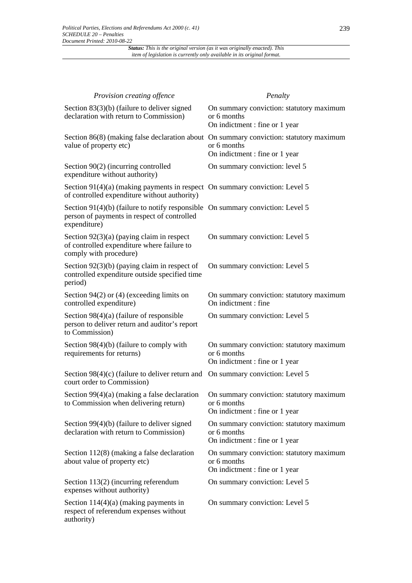| Provision creating offence                                                                                                                      | Penalty                                                                                   |
|-------------------------------------------------------------------------------------------------------------------------------------------------|-------------------------------------------------------------------------------------------|
| Section $83(3)(b)$ (failure to deliver signed<br>declaration with return to Commission)                                                         | On summary conviction: statutory maximum<br>or 6 months<br>On indictment : fine or 1 year |
| Section 86(8) (making false declaration about On summary conviction: statutory maximum<br>value of property etc)                                | or 6 months<br>On indictment : fine or 1 year                                             |
| Section 90(2) (incurring controlled<br>expenditure without authority)                                                                           | On summary conviction: level 5                                                            |
| Section 91(4)(a) (making payments in respect On summary conviction: Level 5<br>of controlled expenditure without authority)                     |                                                                                           |
| Section $91(4)(b)$ (failure to notify responsible On summary conviction: Level 5<br>person of payments in respect of controlled<br>expenditure) |                                                                                           |
| Section $92(3)(a)$ (paying claim in respect<br>of controlled expenditure where failure to<br>comply with procedure)                             | On summary conviction: Level 5                                                            |
| Section $92(3)(b)$ (paying claim in respect of<br>controlled expenditure outside specified time<br>period)                                      | On summary conviction: Level 5                                                            |
| Section 94(2) or (4) (exceeding limits on<br>controlled expenditure)                                                                            | On summary conviction: statutory maximum<br>On indictment : fine                          |
| Section $98(4)(a)$ (failure of responsible<br>person to deliver return and auditor's report<br>to Commission)                                   | On summary conviction: Level 5                                                            |
| Section $98(4)(b)$ (failure to comply with<br>requirements for returns)                                                                         | On summary conviction: statutory maximum<br>or 6 months<br>On indictment : fine or 1 year |
| Section $98(4)(c)$ (failure to deliver return and<br>court order to Commission)                                                                 | On summary conviction: Level 5                                                            |
| Section $99(4)(a)$ (making a false declaration<br>to Commission when delivering return)                                                         | On summary conviction: statutory maximum<br>or 6 months<br>On indictment : fine or 1 year |
| Section $99(4)(b)$ (failure to deliver signed<br>declaration with return to Commission)                                                         | On summary conviction: statutory maximum<br>or 6 months<br>On indictment : fine or 1 year |
| Section $112(8)$ (making a false declaration<br>about value of property etc)                                                                    | On summary conviction: statutory maximum<br>or 6 months<br>On indictment : fine or 1 year |
| Section 113(2) (incurring referendum<br>expenses without authority)                                                                             | On summary conviction: Level 5                                                            |
| Section $114(4)(a)$ (making payments in<br>respect of referendum expenses without<br>authority)                                                 | On summary conviction: Level 5                                                            |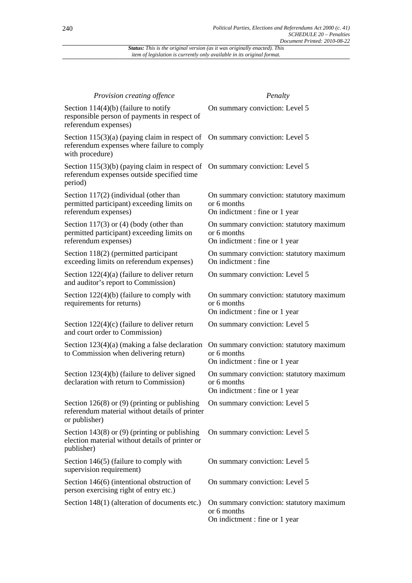| Provision creating offence                                                                                           | Penalty                                                                                   |
|----------------------------------------------------------------------------------------------------------------------|-------------------------------------------------------------------------------------------|
| Section $114(4)(b)$ (failure to notify<br>responsible person of payments in respect of<br>referendum expenses)       | On summary conviction: Level 5                                                            |
| Section $115(3)(a)$ (paying claim in respect of<br>referendum expenses where failure to comply<br>with procedure)    | On summary conviction: Level 5                                                            |
| Section $115(3)(b)$ (paying claim in respect of<br>referendum expenses outside specified time<br>period)             | On summary conviction: Level 5                                                            |
| Section 117(2) (individual (other than<br>permitted participant) exceeding limits on<br>referendum expenses)         | On summary conviction: statutory maximum<br>or 6 months<br>On indictment : fine or 1 year |
| Section 117(3) or $(4)$ (body (other than<br>permitted participant) exceeding limits on<br>referendum expenses)      | On summary conviction: statutory maximum<br>or 6 months<br>On indictment : fine or 1 year |
| Section 118(2) (permitted participant<br>exceeding limits on referendum expenses)                                    | On summary conviction: statutory maximum<br>On indictment : fine                          |
| Section $122(4)(a)$ (failure to deliver return<br>and auditor's report to Commission)                                | On summary conviction: Level 5                                                            |
| Section $122(4)(b)$ (failure to comply with<br>requirements for returns)                                             | On summary conviction: statutory maximum<br>or 6 months<br>On indictment : fine or 1 year |
| Section $122(4)(c)$ (failure to deliver return<br>and court order to Commission)                                     | On summary conviction: Level 5                                                            |
| Section $123(4)(a)$ (making a false declaration<br>to Commission when delivering return)                             | On summary conviction: statutory maximum<br>or 6 months<br>On indictment : fine or 1 year |
| Section 123(4)(b) (failure to deliver signed<br>declaration with return to Commission)                               | On summary conviction: statutory maximum<br>or 6 months<br>On indictment : fine or 1 year |
| Section $126(8)$ or $(9)$ (printing or publishing<br>referendum material without details of printer<br>or publisher) | On summary conviction: Level 5                                                            |
| Section $143(8)$ or $(9)$ (printing or publishing<br>election material without details of printer or<br>publisher)   | On summary conviction: Level 5                                                            |
| Section $146(5)$ (failure to comply with<br>supervision requirement)                                                 | On summary conviction: Level 5                                                            |
| Section 146(6) (intentional obstruction of<br>person exercising right of entry etc.)                                 | On summary conviction: Level 5                                                            |
| Section 148(1) (alteration of documents etc.)                                                                        | On summary conviction: statutory maximum<br>or 6 months<br>On indictment : fine or 1 year |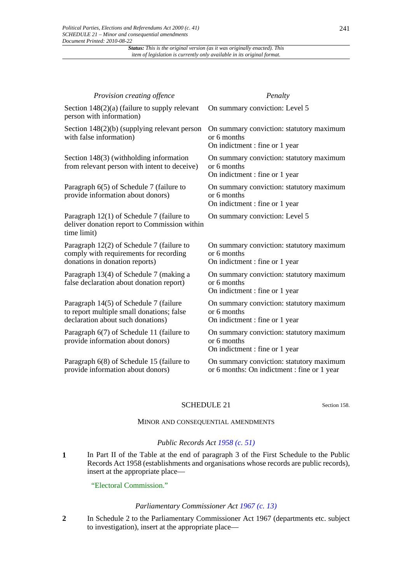| Provision creating offence                                                                                               | Penalty                                                                                   |
|--------------------------------------------------------------------------------------------------------------------------|-------------------------------------------------------------------------------------------|
| Section $148(2)(a)$ (failure to supply relevant<br>person with information)                                              | On summary conviction: Level 5                                                            |
| Section $148(2)(b)$ (supplying relevant person<br>with false information)                                                | On summary conviction: statutory maximum<br>or 6 months<br>On indictment : fine or 1 year |
| Section $148(3)$ (withholding information<br>from relevant person with intent to deceive)                                | On summary conviction: statutory maximum<br>or 6 months<br>On indictment : fine or 1 year |
| Paragraph 6(5) of Schedule 7 (failure to<br>provide information about donors)                                            | On summary conviction: statutory maximum<br>or 6 months<br>On indictment : fine or 1 year |
| Paragraph 12(1) of Schedule 7 (failure to<br>deliver donation report to Commission within<br>time limit)                 | On summary conviction: Level 5                                                            |
| Paragraph 12(2) of Schedule 7 (failure to<br>comply with requirements for recording<br>donations in donation reports)    | On summary conviction: statutory maximum<br>or 6 months<br>On indictment : fine or 1 year |
| Paragraph 13(4) of Schedule 7 (making a<br>false declaration about donation report)                                      | On summary conviction: statutory maximum<br>or 6 months<br>On indictment : fine or 1 year |
| Paragraph 14(5) of Schedule 7 (failure<br>to report multiple small donations; false<br>declaration about such donations) | On summary conviction: statutory maximum<br>or 6 months<br>On indictment : fine or 1 year |
| Paragraph 6(7) of Schedule 11 (failure to<br>provide information about donors)                                           | On summary conviction: statutory maximum<br>or 6 months<br>On indictment : fine or 1 year |
| Paragraph 6(8) of Schedule 15 (failure to<br>provide information about donors)                                           | On summary conviction: statutory maximum<br>or 6 months: On indictment : fine or 1 year   |

## SCHEDULE 21 Section 158.

### MINOR AND CONSEQUENTIAL AMENDMENTS

# *Public Records Act [1958 \(c. 51\)](http://www.legislation.gov.uk/id/ukpga/1958/51)*

**1** In Part II of the Table at the end of paragraph 3 of the First Schedule to the Public Records Act 1958 (establishments and organisations whose records are public records), insert at the appropriate place—

"Electoral Commission."

## *Parliamentary Commissioner Act [1967 \(c. 13\)](http://www.legislation.gov.uk/id/ukpga/1967/13)*

**2** In Schedule 2 to the Parliamentary Commissioner Act 1967 (departments etc. subject to investigation), insert at the appropriate place—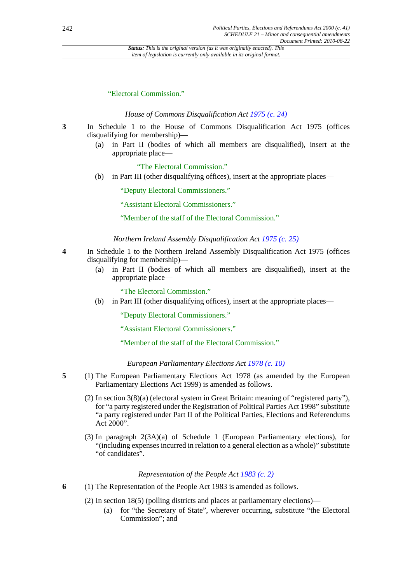## "Electoral Commission."

### *House of Commons Disqualification Act [1975 \(c. 24\)](http://www.legislation.gov.uk/id/ukpga/1975/24)*

- 
- **3** In Schedule 1 to the House of Commons Disqualification Act 1975 (offices disqualifying for membership)—
	- (a) in Part II (bodies of which all members are disqualified), insert at the appropriate place—

"The Electoral Commission."

(b) in Part III (other disqualifying offices), insert at the appropriate places—

"Deputy Electoral Commissioners."

"Assistant Electoral Commissioners."

"Member of the staff of the Electoral Commission."

*Northern Ireland Assembly Disqualification Act [1975 \(c. 25\)](http://www.legislation.gov.uk/id/ukpga/1975/25)*

- **4** In Schedule 1 to the Northern Ireland Assembly Disqualification Act 1975 (offices disqualifying for membership)—
	- (a) in Part II (bodies of which all members are disqualified), insert at the appropriate place—

"The Electoral Commission."

(b) in Part III (other disqualifying offices), insert at the appropriate places—

"Deputy Electoral Commissioners."

"Assistant Electoral Commissioners."

"Member of the staff of the Electoral Commission."

### *European Parliamentary Elections Act [1978 \(c. 10\)](http://www.legislation.gov.uk/id/ukpga/1978/10)*

- **5** (1) The European Parliamentary Elections Act 1978 (as amended by the European Parliamentary Elections Act 1999) is amended as follows.
	- (2) In section 3(8)(a) (electoral system in Great Britain: meaning of "registered party"), for "a party registered under the Registration of Political Parties Act 1998" substitute "a party registered under Part II of the Political Parties, Elections and Referendums  $Act 2000"$ .
	- (3) In paragraph 2(3A)(a) of Schedule 1 (European Parliamentary elections), for "(including expenses incurred in relation to a general election as a whole)" substitute "of candidates".

## *Representation of the People Act [1983 \(c. 2\)](http://www.legislation.gov.uk/id/ukpga/1983/2)*

**6** (1) The Representation of the People Act 1983 is amended as follows.

(2) In section 18(5) (polling districts and places at parliamentary elections)—

(a) for "the Secretary of State", wherever occurring, substitute "the Electoral Commission"; and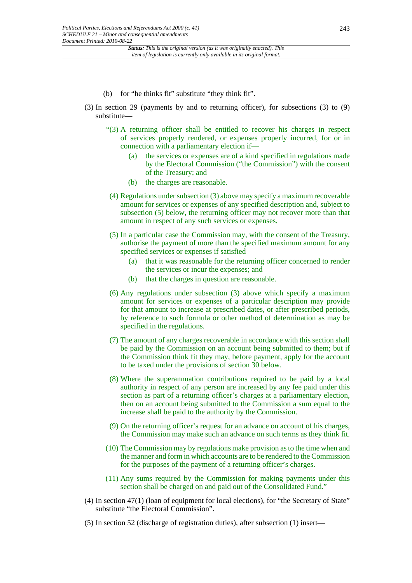- (b) for "he thinks fit" substitute "they think fit".
- (3) In section 29 (payments by and to returning officer), for subsections (3) to (9) substitute—
	- "(3) A returning officer shall be entitled to recover his charges in respect of services properly rendered, or expenses properly incurred, for or in connection with a parliamentary election if—
		- (a) the services or expenses are of a kind specified in regulations made by the Electoral Commission ("the Commission") with the consent of the Treasury; and
		- (b) the charges are reasonable.
	- (4) Regulations under subsection (3) above may specify a maximum recoverable amount for services or expenses of any specified description and, subject to subsection (5) below, the returning officer may not recover more than that amount in respect of any such services or expenses.
	- (5) In a particular case the Commission may, with the consent of the Treasury, authorise the payment of more than the specified maximum amount for any specified services or expenses if satisfied—
		- (a) that it was reasonable for the returning officer concerned to render the services or incur the expenses; and
		- (b) that the charges in question are reasonable.
	- (6) Any regulations under subsection (3) above which specify a maximum amount for services or expenses of a particular description may provide for that amount to increase at prescribed dates, or after prescribed periods, by reference to such formula or other method of determination as may be specified in the regulations.
	- (7) The amount of any charges recoverable in accordance with this section shall be paid by the Commission on an account being submitted to them; but if the Commission think fit they may, before payment, apply for the account to be taxed under the provisions of section 30 below.
	- (8) Where the superannuation contributions required to be paid by a local authority in respect of any person are increased by any fee paid under this section as part of a returning officer's charges at a parliamentary election, then on an account being submitted to the Commission a sum equal to the increase shall be paid to the authority by the Commission.
	- (9) On the returning officer's request for an advance on account of his charges, the Commission may make such an advance on such terms as they think fit.
	- (10) The Commission may by regulations make provision as to the time when and the manner and form in which accounts are to be rendered to the Commission for the purposes of the payment of a returning officer's charges.
	- (11) Any sums required by the Commission for making payments under this section shall be charged on and paid out of the Consolidated Fund."
- (4) In section 47(1) (loan of equipment for local elections), for "the Secretary of State" substitute "the Electoral Commission".
- (5) In section 52 (discharge of registration duties), after subsection (1) insert—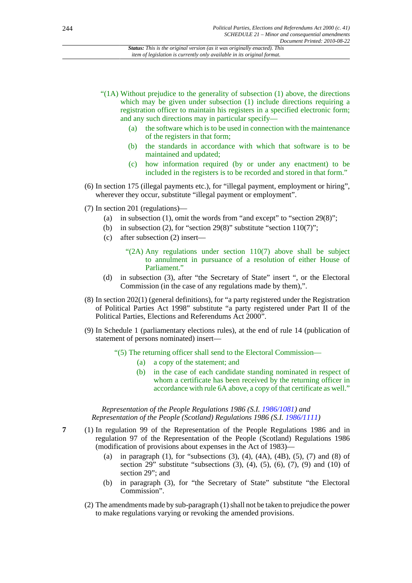- "(1A) Without prejudice to the generality of subsection (1) above, the directions which may be given under subsection (1) include directions requiring a registration officer to maintain his registers in a specified electronic form; and any such directions may in particular specify—
	- (a) the software which is to be used in connection with the maintenance of the registers in that form;
	- (b) the standards in accordance with which that software is to be maintained and updated;
	- (c) how information required (by or under any enactment) to be included in the registers is to be recorded and stored in that form."
- (6) In section 175 (illegal payments etc.), for "illegal payment, employment or hiring", wherever they occur, substitute "illegal payment or employment".
- (7) In section 201 (regulations)—
	- (a) in subsection (1), omit the words from "and except" to "section 29(8)";
	- (b) in subsection (2), for "section 29(8)" substitute "section  $110(7)$ ";
	- (c) after subsection (2) insert—
		- "(2A) Any regulations under section 110(7) above shall be subject to annulment in pursuance of a resolution of either House of Parliament."
	- (d) in subsection (3), after "the Secretary of State" insert ", or the Electoral Commission (in the case of any regulations made by them),".
- (8) In section 202(1) (general definitions), for "a party registered under the Registration of Political Parties Act 1998" substitute "a party registered under Part II of the Political Parties, Elections and Referendums Act 2000".
- (9) In Schedule 1 (parliamentary elections rules), at the end of rule 14 (publication of statement of persons nominated) insert—

"(5) The returning officer shall send to the Electoral Commission—

- (a) a copy of the statement; and
- (b) in the case of each candidate standing nominated in respect of whom a certificate has been received by the returning officer in accordance with rule 6A above, a copy of that certificate as well."

*Representation of the People Regulations 1986 (S.I. [1986/1081](http://www.legislation.gov.uk/id/uksi/1986/1081)) and Representation of the People (Scotland) Regulations 1986 (S.I. [1986/1111](http://www.legislation.gov.uk/id/uksi/1986/1111))*

- **7** (1) In regulation 99 of the Representation of the People Regulations 1986 and in regulation 97 of the Representation of the People (Scotland) Regulations 1986 (modification of provisions about expenses in the Act of 1983)—
	- (a) in paragraph (1), for "subsections (3), (4), (4A), (4B), (5), (7) and (8) of section 29" substitute "subsections  $(3)$ ,  $(4)$ ,  $(5)$ ,  $(6)$ ,  $(7)$ ,  $(9)$  and  $(10)$  of section 29"; and
	- (b) in paragraph (3), for "the Secretary of State" substitute "the Electoral Commission".
	- (2) The amendments made by sub-paragraph (1) shall not be taken to prejudice the power to make regulations varying or revoking the amended provisions.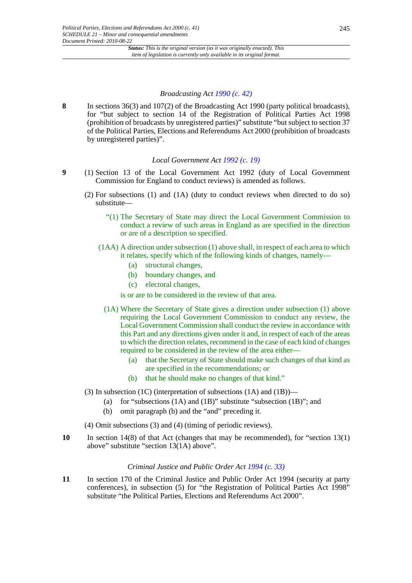#### *Broadcasting Act [1990 \(c. 42\)](http://www.legislation.gov.uk/id/ukpga/1990/42)*

**8** In sections 36(3) and 107(2) of the Broadcasting Act 1990 (party political broadcasts), for "but subject to section 14 of the Registration of Political Parties Act 1998 (prohibition of broadcasts by unregistered parties)" substitute "but subject to section 37 of the Political Parties, Elections and Referendums Act 2000 (prohibition of broadcasts by unregistered parties)".

#### *Local Government Act [1992 \(c. 19\)](http://www.legislation.gov.uk/id/ukpga/1992/19)*

- **9** (1) Section 13 of the Local Government Act 1992 (duty of Local Government Commission for England to conduct reviews) is amended as follows.
	- (2) For subsections (1) and (1A) (duty to conduct reviews when directed to do so) substitute—
		- "(1) The Secretary of State may direct the Local Government Commission to conduct a review of such areas in England as are specified in the direction or are of a description so specified.
		- (1AA) A direction under subsection (1) above shall, in respect of each area to which it relates, specify which of the following kinds of changes, namely—
			- (a) structural changes,
			- (b) boundary changes, and
			- (c) electoral changes,

is or are to be considered in the review of that area.

- (1A) Where the Secretary of State gives a direction under subsection (1) above requiring the Local Government Commission to conduct any review, the Local Government Commission shall conduct the review in accordance with this Part and any directions given under it and, in respect of each of the areas to which the direction relates, recommend in the case of each kind of changes required to be considered in the review of the area either—
	- (a) that the Secretary of State should make such changes of that kind as are specified in the recommendations; or
	- (b) that he should make no changes of that kind."

(3) In subsection (1C) (interpretation of subsections (1A) and (1B))—

- (a) for "subsections (1A) and (1B)" substitute "subsection (1B)"; and
- (b) omit paragraph (b) and the "and" preceding it.

(4) Omit subsections (3) and (4) (timing of periodic reviews).

**10** In section 14(8) of that Act (changes that may be recommended), for "section 13(1) above" substitute "section 13(1A) above".

### *Criminal Justice and Public Order Act [1994 \(c. 33\)](http://www.legislation.gov.uk/id/ukpga/1994/33)*

**11** In section 170 of the Criminal Justice and Public Order Act 1994 (security at party conferences), in subsection (5) for "the Registration of Political Parties Act 1998" substitute "the Political Parties, Elections and Referendums Act 2000".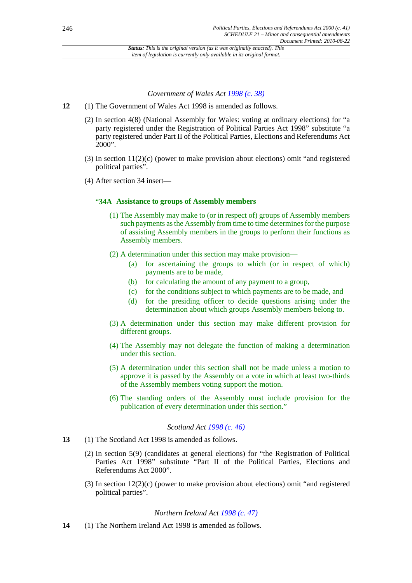*Government of Wales Act [1998 \(c. 38\)](http://www.legislation.gov.uk/id/ukpga/1998/38)*

- **12** (1) The Government of Wales Act 1998 is amended as follows.
	- (2) In section 4(8) (National Assembly for Wales: voting at ordinary elections) for "a party registered under the Registration of Political Parties Act 1998" substitute "a party registered under Part II of the Political Parties, Elections and Referendums Act 2000".
	- $(3)$  In section  $11(2)(c)$  (power to make provision about elections) omit "and registered political parties".
	- (4) After section 34 insert—

#### "**34A Assistance to groups of Assembly members**

- (1) The Assembly may make to (or in respect of) groups of Assembly members such payments as the Assembly from time to time determines for the purpose of assisting Assembly members in the groups to perform their functions as Assembly members.
- (2) A determination under this section may make provision—
	- (a) for ascertaining the groups to which (or in respect of which) payments are to be made,
	- (b) for calculating the amount of any payment to a group,
	- (c) for the conditions subject to which payments are to be made, and
	- (d) for the presiding officer to decide questions arising under the determination about which groups Assembly members belong to.
- (3) A determination under this section may make different provision for different groups.
- (4) The Assembly may not delegate the function of making a determination under this section.
- (5) A determination under this section shall not be made unless a motion to approve it is passed by the Assembly on a vote in which at least two-thirds of the Assembly members voting support the motion.
- (6) The standing orders of the Assembly must include provision for the publication of every determination under this section."

#### *Scotland Act [1998 \(c. 46\)](http://www.legislation.gov.uk/id/ukpga/1998/46)*

- **13** (1) The Scotland Act 1998 is amended as follows.
	- (2) In section 5(9) (candidates at general elections) for "the Registration of Political Parties Act 1998" substitute "Part II of the Political Parties, Elections and Referendums Act 2000".
	- (3) In section 12(2)(c) (power to make provision about elections) omit "and registered political parties".

### *Northern Ireland Act [1998 \(c. 47\)](http://www.legislation.gov.uk/id/ukpga/1998/47)*

**14** (1) The Northern Ireland Act 1998 is amended as follows.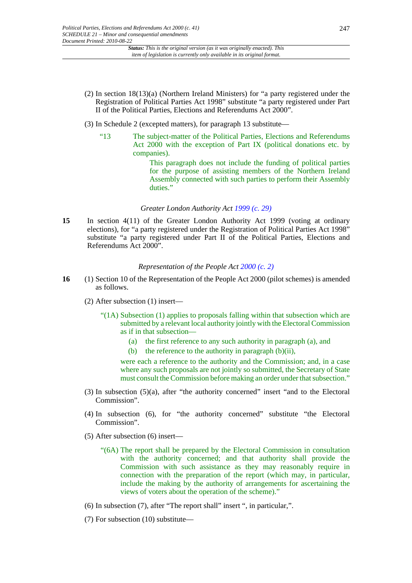- (2) In section 18(13)(a) (Northern Ireland Ministers) for "a party registered under the Registration of Political Parties Act 1998" substitute "a party registered under Part II of the Political Parties, Elections and Referendums Act 2000".
- (3) In Schedule 2 (excepted matters), for paragraph 13 substitute—
	- "13 The subject-matter of the Political Parties, Elections and Referendums Act 2000 with the exception of Part IX (political donations etc. by companies).
		- This paragraph does not include the funding of political parties for the purpose of assisting members of the Northern Ireland Assembly connected with such parties to perform their Assembly duties."

## *Greater London Authority Act [1999 \(c. 29\)](http://www.legislation.gov.uk/id/ukpga/1999/29)*

**15** In section 4(11) of the Greater London Authority Act 1999 (voting at ordinary elections), for "a party registered under the Registration of Political Parties Act 1998" substitute "a party registered under Part II of the Political Parties, Elections and Referendums Act 2000".

### *Representation of the People Act [2000 \(c. 2\)](http://www.legislation.gov.uk/id/ukpga/2000/2)*

- **16** (1) Section 10 of the Representation of the People Act 2000 (pilot schemes) is amended as follows.
	- (2) After subsection (1) insert—
		- "(1A) Subsection (1) applies to proposals falling within that subsection which are submitted by a relevant local authority jointly with the Electoral Commission as if in that subsection—
			- (a) the first reference to any such authority in paragraph (a), and
			- (b) the reference to the authority in paragraph  $(b)(ii)$ ,

were each a reference to the authority and the Commission; and, in a case where any such proposals are not jointly so submitted, the Secretary of State must consult the Commission before making an order under that subsection."

- $(3)$  In subsection  $(5)(a)$ , after "the authority concerned" insert "and to the Electoral Commission".
- (4) In subsection (6), for "the authority concerned" substitute "the Electoral Commission".
- (5) After subsection (6) insert—
	- "(6A) The report shall be prepared by the Electoral Commission in consultation with the authority concerned; and that authority shall provide the Commission with such assistance as they may reasonably require in connection with the preparation of the report (which may, in particular, include the making by the authority of arrangements for ascertaining the views of voters about the operation of the scheme)."
- (6) In subsection (7), after "The report shall" insert ", in particular,".
- (7) For subsection (10) substitute—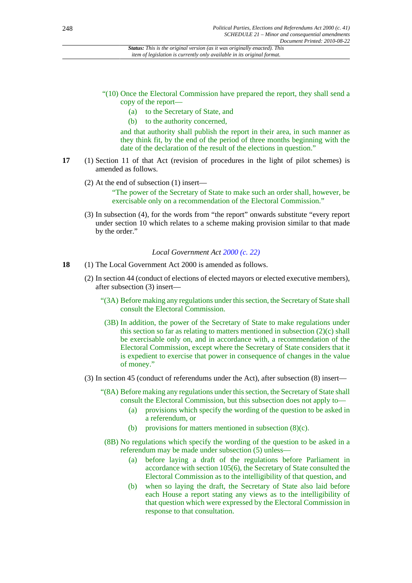- "(10) Once the Electoral Commission have prepared the report, they shall send a copy of the report—
	- (a) to the Secretary of State, and
	- (b) to the authority concerned,

and that authority shall publish the report in their area, in such manner as they think fit, by the end of the period of three months beginning with the date of the declaration of the result of the elections in question."

- **17** (1) Section 11 of that Act (revision of procedures in the light of pilot schemes) is amended as follows.
	- (2) At the end of subsection (1) insert—
		- "The power of the Secretary of State to make such an order shall, however, be exercisable only on a recommendation of the Electoral Commission."
	- (3) In subsection (4), for the words from "the report" onwards substitute "every report under section 10 which relates to a scheme making provision similar to that made by the order."

#### *Local Government Act [2000 \(c. 22\)](http://www.legislation.gov.uk/id/ukpga/2000/22)*

- **18** (1) The Local Government Act 2000 is amended as follows.
	- (2) In section 44 (conduct of elections of elected mayors or elected executive members), after subsection (3) insert—
		- "(3A) Before making any regulations under this section, the Secretary of State shall consult the Electoral Commission.
			- (3B) In addition, the power of the Secretary of State to make regulations under this section so far as relating to matters mentioned in subsection  $(2)(c)$  shall be exercisable only on, and in accordance with, a recommendation of the Electoral Commission, except where the Secretary of State considers that it is expedient to exercise that power in consequence of changes in the value of money."
	- (3) In section 45 (conduct of referendums under the Act), after subsection (8) insert—
		- "(8A) Before making any regulations under this section, the Secretary of State shall consult the Electoral Commission, but this subsection does not apply to—
			- (a) provisions which specify the wording of the question to be asked in a referendum, or
			- (b) provisions for matters mentioned in subsection (8)(c).
		- (8B) No regulations which specify the wording of the question to be asked in a referendum may be made under subsection (5) unless—
			- (a) before laying a draft of the regulations before Parliament in accordance with section 105(6), the Secretary of State consulted the Electoral Commission as to the intelligibility of that question, and
			- (b) when so laying the draft, the Secretary of State also laid before each House a report stating any views as to the intelligibility of that question which were expressed by the Electoral Commission in response to that consultation.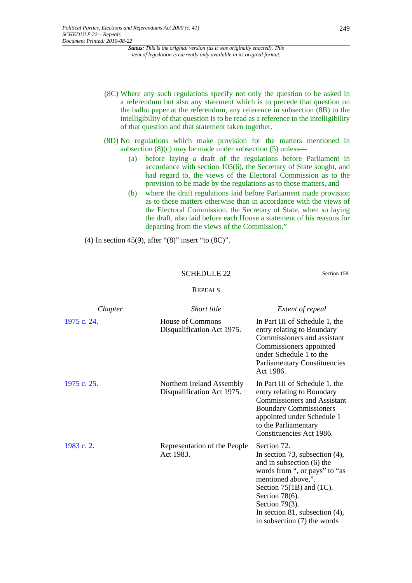- (8C) Where any such regulations specify not only the question to be asked in a referendum but also any statement which is to precede that question on the ballot paper at the referendum, any reference in subsection (8B) to the intelligibility of that question is to be read as a reference to the intelligibility of that question and that statement taken together.
- (8D) No regulations which make provision for the matters mentioned in subsection (8)(c) may be made under subsection (5) unless—
	- (a) before laying a draft of the regulations before Parliament in accordance with section 105(6), the Secretary of State sought, and had regard to, the views of the Electoral Commission as to the provision to be made by the regulations as to those matters, and
	- (b) where the draft regulations laid before Parliament made provision as to those matters otherwise than in accordance with the views of the Electoral Commission, the Secretary of State, when so laying the draft, also laid before each House a statement of his reasons for departing from the views of the Commission."

(4) In section 45(9), after "(8)" insert "to (8C)".

#### SCHEDULE 22 Section 158.

#### REPEALS

| Chapter     | Short title                                             | Extent of repeal                                                                                                                                                                                                                                                                    |
|-------------|---------------------------------------------------------|-------------------------------------------------------------------------------------------------------------------------------------------------------------------------------------------------------------------------------------------------------------------------------------|
| 1975 c. 24. | <b>House of Commons</b><br>Disqualification Act 1975.   | In Part III of Schedule 1, the<br>entry relating to Boundary<br>Commissioners and assistant<br>Commissioners appointed<br>under Schedule 1 to the<br><b>Parliamentary Constituencies</b><br>Act 1986.                                                                               |
| 1975 c. 25. | Northern Ireland Assembly<br>Disqualification Act 1975. | In Part III of Schedule 1, the<br>entry relating to Boundary<br><b>Commissioners and Assistant</b><br><b>Boundary Commissioners</b><br>appointed under Schedule 1<br>to the Parliamentary<br>Constituencies Act 1986.                                                               |
| 1983 c. 2.  | Representation of the People<br>Act 1983.               | Section 72.<br>In section 73, subsection $(4)$ ,<br>and in subsection (6) the<br>words from ", or pays" to "as<br>mentioned above,".<br>Section $75(1B)$ and $(1C)$ .<br>Section $78(6)$ .<br>Section $79(3)$ .<br>In section 81, subsection $(4)$ ,<br>in subsection (7) the words |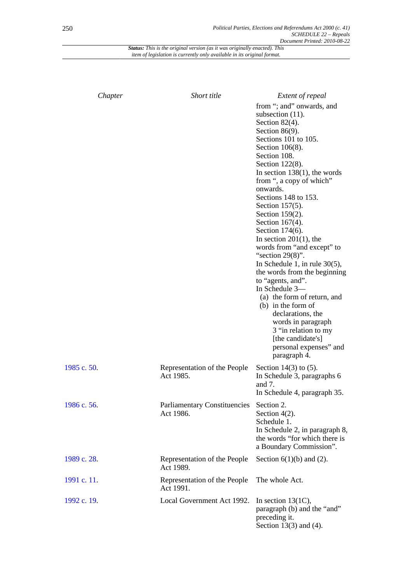| Chapter     | Short title                                      | Extent of repeal                                                                                                                                                                                                                                                                                                                                                                                                                                                                                                                                                                                                                                                                                                                                          |
|-------------|--------------------------------------------------|-----------------------------------------------------------------------------------------------------------------------------------------------------------------------------------------------------------------------------------------------------------------------------------------------------------------------------------------------------------------------------------------------------------------------------------------------------------------------------------------------------------------------------------------------------------------------------------------------------------------------------------------------------------------------------------------------------------------------------------------------------------|
|             |                                                  | from "; and" onwards, and<br>subsection $(11)$ .<br>Section $82(4)$ .<br>Section $86(9)$ .<br>Sections 101 to 105.<br>Section $106(8)$ .<br>Section 108.<br>Section $122(8)$ .<br>In section $138(1)$ , the words<br>from ", a copy of which"<br>onwards.<br>Sections 148 to 153.<br>Section 157(5).<br>Section $159(2)$ .<br>Section $167(4)$ .<br>Section 174(6).<br>In section $201(1)$ , the<br>words from "and except" to<br>"section $29(8)$ ".<br>In Schedule 1, in rule $30(5)$ ,<br>the words from the beginning<br>to "agents, and".<br>In Schedule 3-<br>(a) the form of return, and<br>$(b)$ in the form of<br>declarations, the<br>words in paragraph<br>3 "in relation to my<br>[the candidate's]<br>personal expenses" and<br>paragraph 4. |
| 1985 c. 50. | Representation of the People<br>Act 1985.        | Section $14(3)$ to $(5)$ .<br>In Schedule 3, paragraphs 6<br>and $7$ .<br>In Schedule 4, paragraph 35.                                                                                                                                                                                                                                                                                                                                                                                                                                                                                                                                                                                                                                                    |
| 1986 c. 56. | <b>Parliamentary Constituencies</b><br>Act 1986. | Section 2.<br>Section $4(2)$ .<br>Schedule 1.<br>In Schedule 2, in paragraph 8,<br>the words "for which there is<br>a Boundary Commission".                                                                                                                                                                                                                                                                                                                                                                                                                                                                                                                                                                                                               |
| 1989 c. 28. | Representation of the People<br>Act 1989.        | Section $6(1)(b)$ and $(2)$ .                                                                                                                                                                                                                                                                                                                                                                                                                                                                                                                                                                                                                                                                                                                             |
| 1991 c. 11. | Representation of the People<br>Act 1991.        | The whole Act.                                                                                                                                                                                                                                                                                                                                                                                                                                                                                                                                                                                                                                                                                                                                            |
| 1992 c. 19. | Local Government Act 1992.                       | In section $13(1C)$ ,<br>paragraph (b) and the "and"<br>preceding it.<br>Section 13 $(3)$ and $(4)$ .                                                                                                                                                                                                                                                                                                                                                                                                                                                                                                                                                                                                                                                     |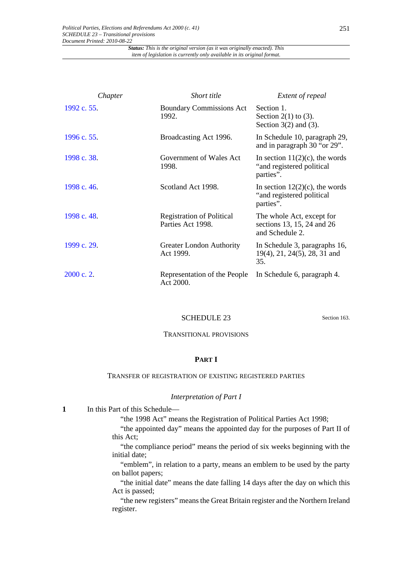| Chapter        | Short title                                           | <b>Extent of repeal</b>                                                      |
|----------------|-------------------------------------------------------|------------------------------------------------------------------------------|
| 1992 c. 55.    | <b>Boundary Commissions Act</b><br>1992.              | Section 1.<br>Section $2(1)$ to $(3)$ .<br>Section $3(2)$ and $(3)$ .        |
| 1996 c. $55$ . | Broadcasting Act 1996.                                | In Schedule 10, paragraph 29,<br>and in paragraph 30 "or 29".                |
| 1998 c. 38.    | Government of Wales Act<br>1998.                      | In section $11(2)(c)$ , the words<br>"and registered political"<br>parties". |
| 1998 c. 46.    | Scotland Act 1998.                                    | In section $12(2)(c)$ , the words<br>"and registered political<br>parties".  |
| 1998 c. 48.    | <b>Registration of Political</b><br>Parties Act 1998. | The whole Act, except for<br>sections 13, 15, 24 and 26<br>and Schedule 2.   |
| 1999 c. 29.    | Greater London Authority<br>Act 1999.                 | In Schedule 3, paragraphs 16,<br>19(4), 21, 24(5), 28, 31 and<br>35.         |
| 2000 c. 2.     | Representation of the People<br>Act 2000.             | In Schedule 6, paragraph 4.                                                  |

## SCHEDULE 23 Section 163.

TRANSITIONAL PROVISIONS

## **PART I**

## TRANSFER OF REGISTRATION OF EXISTING REGISTERED PARTIES

#### *Interpretation of Part I*

**1** In this Part of this Schedule—

"the 1998 Act" means the Registration of Political Parties Act 1998;

"the appointed day" means the appointed day for the purposes of Part II of this Act;

"the compliance period" means the period of six weeks beginning with the initial date;

"emblem", in relation to a party, means an emblem to be used by the party on ballot papers;

"the initial date" means the date falling 14 days after the day on which this Act is passed;

"the new registers" means the Great Britain register and the Northern Ireland register.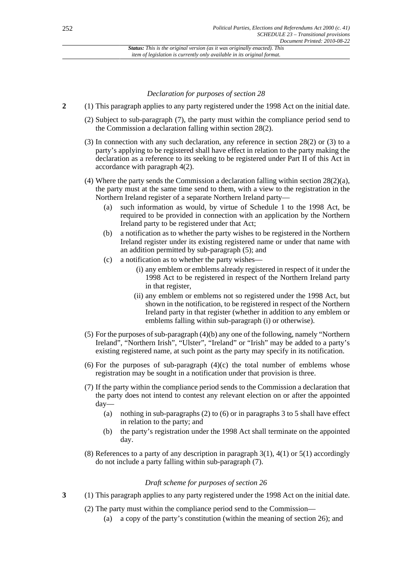### *Declaration for purposes of section 28*

- **2** (1) This paragraph applies to any party registered under the 1998 Act on the initial date.
	- (2) Subject to sub-paragraph (7), the party must within the compliance period send to the Commission a declaration falling within section 28(2).
	- (3) In connection with any such declaration, any reference in section 28(2) or (3) to a party's applying to be registered shall have effect in relation to the party making the declaration as a reference to its seeking to be registered under Part II of this Act in accordance with paragraph 4(2).
	- (4) Where the party sends the Commission a declaration falling within section  $28(2)(a)$ , the party must at the same time send to them, with a view to the registration in the Northern Ireland register of a separate Northern Ireland party—
		- (a) such information as would, by virtue of Schedule 1 to the 1998 Act, be required to be provided in connection with an application by the Northern Ireland party to be registered under that Act;
		- (b) a notification as to whether the party wishes to be registered in the Northern Ireland register under its existing registered name or under that name with an addition permitted by sub-paragraph (5); and
		- (c) a notification as to whether the party wishes—
			- (i) any emblem or emblems already registered in respect of it under the 1998 Act to be registered in respect of the Northern Ireland party in that register,
			- (ii) any emblem or emblems not so registered under the 1998 Act, but shown in the notification, to be registered in respect of the Northern Ireland party in that register (whether in addition to any emblem or emblems falling within sub-paragraph (i) or otherwise).
	- (5) For the purposes of sub-paragraph (4)(b) any one of the following, namely "Northern Ireland", "Northern Irish", "Ulster", "Ireland" or "Irish" may be added to a party's existing registered name, at such point as the party may specify in its notification.
	- (6) For the purposes of sub-paragraph  $(4)(c)$  the total number of emblems whose registration may be sought in a notification under that provision is three.
	- (7) If the party within the compliance period sends to the Commission a declaration that the party does not intend to contest any relevant election on or after the appointed day—
		- (a) nothing in sub-paragraphs (2) to (6) or in paragraphs 3 to 5 shall have effect in relation to the party; and
		- (b) the party's registration under the 1998 Act shall terminate on the appointed day.
	- (8) References to a party of any description in paragraph 3(1), 4(1) or 5(1) accordingly do not include a party falling within sub-paragraph (7).

### *Draft scheme for purposes of section 26*

- **3** (1) This paragraph applies to any party registered under the 1998 Act on the initial date.
	- (2) The party must within the compliance period send to the Commission—
		- (a) a copy of the party's constitution (within the meaning of section 26); and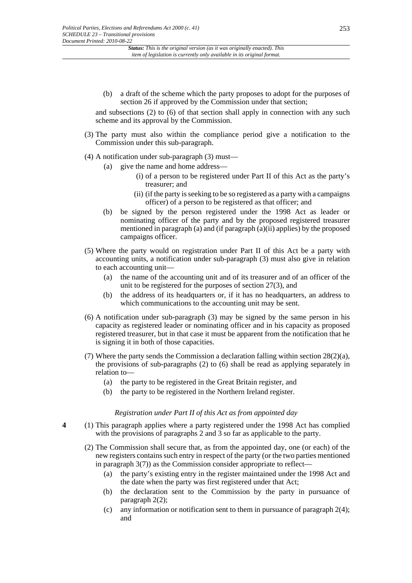(b) a draft of the scheme which the party proposes to adopt for the purposes of section 26 if approved by the Commission under that section;

and subsections (2) to (6) of that section shall apply in connection with any such scheme and its approval by the Commission.

- (3) The party must also within the compliance period give a notification to the Commission under this sub-paragraph.
- (4) A notification under sub-paragraph (3) must—
	- (a) give the name and home address—
		- (i) of a person to be registered under Part II of this Act as the party's treasurer; and
		- (ii) (if the party is seeking to be so registered as a party with a campaigns officer) of a person to be registered as that officer; and
	- (b) be signed by the person registered under the 1998 Act as leader or nominating officer of the party and by the proposed registered treasurer mentioned in paragraph (a) and (if paragraph (a)(ii) applies) by the proposed campaigns officer.
- (5) Where the party would on registration under Part II of this Act be a party with accounting units, a notification under sub-paragraph (3) must also give in relation to each accounting unit—
	- (a) the name of the accounting unit and of its treasurer and of an officer of the unit to be registered for the purposes of section 27(3), and
	- (b) the address of its headquarters or, if it has no headquarters, an address to which communications to the accounting unit may be sent.
- (6) A notification under sub-paragraph (3) may be signed by the same person in his capacity as registered leader or nominating officer and in his capacity as proposed registered treasurer, but in that case it must be apparent from the notification that he is signing it in both of those capacities.
- (7) Where the party sends the Commission a declaration falling within section 28(2)(a), the provisions of sub-paragraphs (2) to (6) shall be read as applying separately in relation to—
	- (a) the party to be registered in the Great Britain register, and
	- (b) the party to be registered in the Northern Ireland register.

# *Registration under Part II of this Act as from appointed day*

- **4** (1) This paragraph applies where a party registered under the 1998 Act has complied with the provisions of paragraphs 2 and 3 so far as applicable to the party.
	- (2) The Commission shall secure that, as from the appointed day, one (or each) of the new registers contains such entry in respect of the party (or the two parties mentioned in paragraph 3(7)) as the Commission consider appropriate to reflect—
		- (a) the party's existing entry in the register maintained under the 1998 Act and the date when the party was first registered under that Act;
		- (b) the declaration sent to the Commission by the party in pursuance of paragraph 2(2);
		- (c) any information or notification sent to them in pursuance of paragraph 2(4); and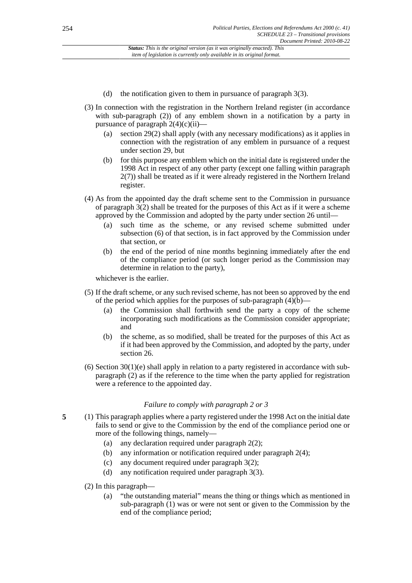- (d) the notification given to them in pursuance of paragraph 3(3).
- (3) In connection with the registration in the Northern Ireland register (in accordance with sub-paragraph (2)) of any emblem shown in a notification by a party in pursuance of paragraph  $2(4)(c)(ii)$ —
	- (a) section 29(2) shall apply (with any necessary modifications) as it applies in connection with the registration of any emblem in pursuance of a request under section 29, but
	- (b) for this purpose any emblem which on the initial date is registered under the 1998 Act in respect of any other party (except one falling within paragraph 2(7)) shall be treated as if it were already registered in the Northern Ireland register.
- (4) As from the appointed day the draft scheme sent to the Commission in pursuance of paragraph 3(2) shall be treated for the purposes of this Act as if it were a scheme approved by the Commission and adopted by the party under section 26 until—
	- (a) such time as the scheme, or any revised scheme submitted under subsection (6) of that section, is in fact approved by the Commission under that section, or
	- (b) the end of the period of nine months beginning immediately after the end of the compliance period (or such longer period as the Commission may determine in relation to the party),

whichever is the earlier.

- (5) If the draft scheme, or any such revised scheme, has not been so approved by the end of the period which applies for the purposes of sub-paragraph  $(4)(b)$ —
	- (a) the Commission shall forthwith send the party a copy of the scheme incorporating such modifications as the Commission consider appropriate; and
	- (b) the scheme, as so modified, shall be treated for the purposes of this Act as if it had been approved by the Commission, and adopted by the party, under section 26.
- $(6)$  Section 30(1)(e) shall apply in relation to a party registered in accordance with subparagraph (2) as if the reference to the time when the party applied for registration were a reference to the appointed day.

# *Failure to comply with paragraph 2 or 3*

- **5** (1) This paragraph applies where a party registered under the 1998 Act on the initial date fails to send or give to the Commission by the end of the compliance period one or more of the following things, namely—
	- (a) any declaration required under paragraph 2(2);
	- (b) any information or notification required under paragraph 2(4);
	- (c) any document required under paragraph 3(2);
	- (d) any notification required under paragraph 3(3).
	- (2) In this paragraph—
		- (a) "the outstanding material" means the thing or things which as mentioned in sub-paragraph (1) was or were not sent or given to the Commission by the end of the compliance period;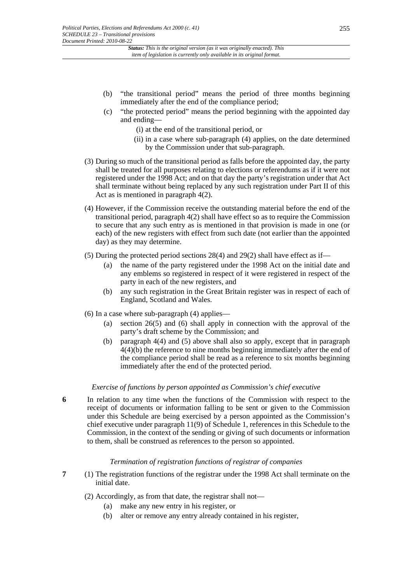- (b) "the transitional period" means the period of three months beginning immediately after the end of the compliance period;
- (c) "the protected period" means the period beginning with the appointed day and ending—
	- (i) at the end of the transitional period, or
	- (ii) in a case where sub-paragraph (4) applies, on the date determined by the Commission under that sub-paragraph.
- (3) During so much of the transitional period as falls before the appointed day, the party shall be treated for all purposes relating to elections or referendums as if it were not registered under the 1998 Act; and on that day the party's registration under that Act shall terminate without being replaced by any such registration under Part II of this Act as is mentioned in paragraph 4(2).
- (4) However, if the Commission receive the outstanding material before the end of the transitional period, paragraph 4(2) shall have effect so as to require the Commission to secure that any such entry as is mentioned in that provision is made in one (or each) of the new registers with effect from such date (not earlier than the appointed day) as they may determine.
- (5) During the protected period sections 28(4) and 29(2) shall have effect as if—
	- (a) the name of the party registered under the 1998 Act on the initial date and any emblems so registered in respect of it were registered in respect of the party in each of the new registers, and
	- (b) any such registration in the Great Britain register was in respect of each of England, Scotland and Wales.
- (6) In a case where sub-paragraph (4) applies—
	- (a) section 26(5) and (6) shall apply in connection with the approval of the party's draft scheme by the Commission; and
	- (b) paragraph 4(4) and (5) above shall also so apply, except that in paragraph 4(4)(b) the reference to nine months beginning immediately after the end of the compliance period shall be read as a reference to six months beginning immediately after the end of the protected period.

### *Exercise of functions by person appointed as Commission's chief executive*

**6** In relation to any time when the functions of the Commission with respect to the receipt of documents or information falling to be sent or given to the Commission under this Schedule are being exercised by a person appointed as the Commission's chief executive under paragraph 11(9) of Schedule 1, references in this Schedule to the Commission, in the context of the sending or giving of such documents or information to them, shall be construed as references to the person so appointed.

# *Termination of registration functions of registrar of companies*

- **7** (1) The registration functions of the registrar under the 1998 Act shall terminate on the initial date.
	- (2) Accordingly, as from that date, the registrar shall not—
		- (a) make any new entry in his register, or
		- (b) alter or remove any entry already contained in his register,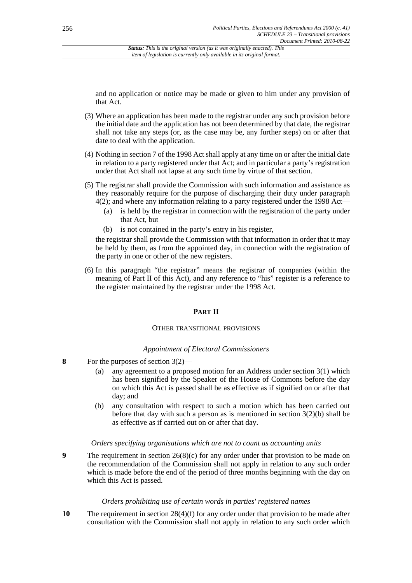and no application or notice may be made or given to him under any provision of that Act.

- (3) Where an application has been made to the registrar under any such provision before the initial date and the application has not been determined by that date, the registrar shall not take any steps (or, as the case may be, any further steps) on or after that date to deal with the application.
- (4) Nothing in section 7 of the 1998 Act shall apply at any time on or after the initial date in relation to a party registered under that Act; and in particular a party's registration under that Act shall not lapse at any such time by virtue of that section.
- (5) The registrar shall provide the Commission with such information and assistance as they reasonably require for the purpose of discharging their duty under paragraph 4(2); and where any information relating to a party registered under the 1998 Act—
	- (a) is held by the registrar in connection with the registration of the party under that Act, but
	- (b) is not contained in the party's entry in his register,

the registrar shall provide the Commission with that information in order that it may be held by them, as from the appointed day, in connection with the registration of the party in one or other of the new registers.

(6) In this paragraph "the registrar" means the registrar of companies (within the meaning of Part II of this Act), and any reference to "his" register is a reference to the register maintained by the registrar under the 1998 Act.

# **PART II**

### OTHER TRANSITIONAL PROVISIONS

### *Appointment of Electoral Commissioners*

- **8** For the purposes of section 3(2)—
	- (a) any agreement to a proposed motion for an Address under section 3(1) which has been signified by the Speaker of the House of Commons before the day on which this Act is passed shall be as effective as if signified on or after that day; and
	- (b) any consultation with respect to such a motion which has been carried out before that day with such a person as is mentioned in section 3(2)(b) shall be as effective as if carried out on or after that day.

### *Orders specifying organisations which are not to count as accounting units*

**9** The requirement in section 26(8)(c) for any order under that provision to be made on the recommendation of the Commission shall not apply in relation to any such order which is made before the end of the period of three months beginning with the day on which this Act is passed.

### *Orders prohibiting use of certain words in parties' registered names*

**10** The requirement in section 28(4)(f) for any order under that provision to be made after consultation with the Commission shall not apply in relation to any such order which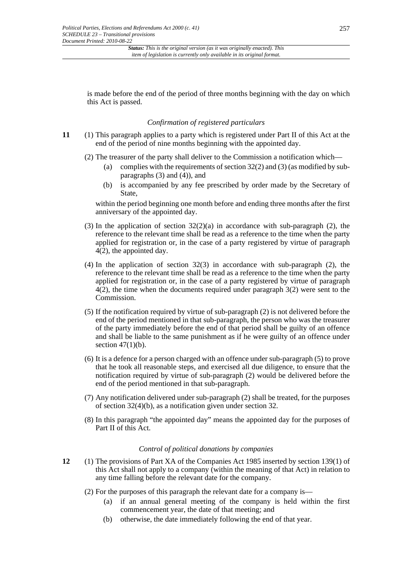is made before the end of the period of three months beginning with the day on which this Act is passed.

### *Confirmation of registered particulars*

**11** (1) This paragraph applies to a party which is registered under Part II of this Act at the end of the period of nine months beginning with the appointed day.

(2) The treasurer of the party shall deliver to the Commission a notification which—

- (a) complies with the requirements of section  $32(2)$  and (3) (as modified by subparagraphs  $(3)$  and  $(4)$ ), and
- (b) is accompanied by any fee prescribed by order made by the Secretary of State,

within the period beginning one month before and ending three months after the first anniversary of the appointed day.

- (3) In the application of section  $32(2)(a)$  in accordance with sub-paragraph (2), the reference to the relevant time shall be read as a reference to the time when the party applied for registration or, in the case of a party registered by virtue of paragraph 4(2), the appointed day.
- (4) In the application of section  $32(3)$  in accordance with sub-paragraph (2), the reference to the relevant time shall be read as a reference to the time when the party applied for registration or, in the case of a party registered by virtue of paragraph 4(2), the time when the documents required under paragraph 3(2) were sent to the Commission.
- (5) If the notification required by virtue of sub-paragraph (2) is not delivered before the end of the period mentioned in that sub-paragraph, the person who was the treasurer of the party immediately before the end of that period shall be guilty of an offence and shall be liable to the same punishment as if he were guilty of an offence under section  $47(1)(b)$ .
- (6) It is a defence for a person charged with an offence under sub-paragraph (5) to prove that he took all reasonable steps, and exercised all due diligence, to ensure that the notification required by virtue of sub-paragraph (2) would be delivered before the end of the period mentioned in that sub-paragraph.
- (7) Any notification delivered under sub-paragraph (2) shall be treated, for the purposes of section 32(4)(b), as a notification given under section 32.
- (8) In this paragraph "the appointed day" means the appointed day for the purposes of Part II of this Act.

#### *Control of political donations by companies*

- **12** (1) The provisions of Part XA of the Companies Act 1985 inserted by section 139(1) of this Act shall not apply to a company (within the meaning of that Act) in relation to any time falling before the relevant date for the company.
	- (2) For the purposes of this paragraph the relevant date for a company is—
		- (a) if an annual general meeting of the company is held within the first commencement year, the date of that meeting; and
		- (b) otherwise, the date immediately following the end of that year.